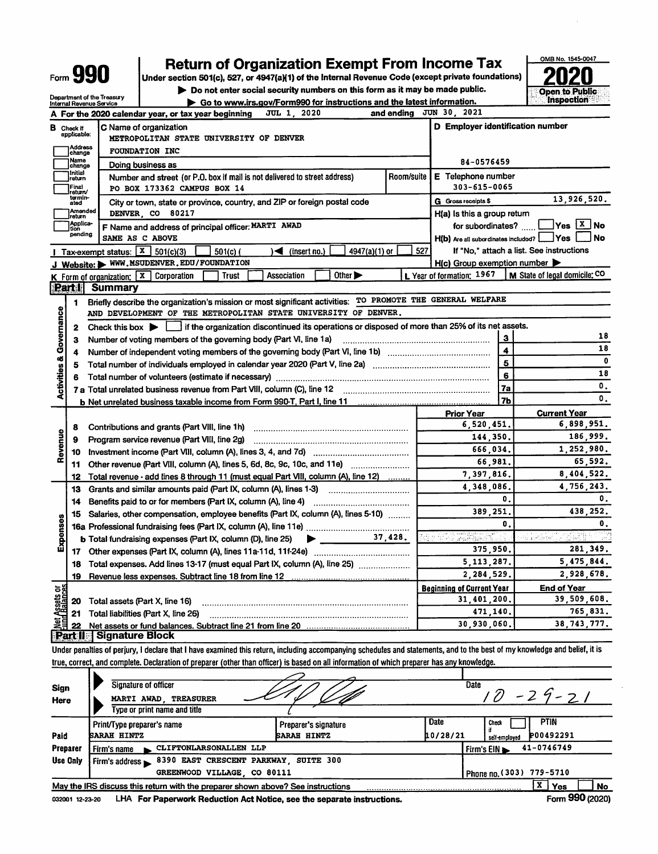|                                    |                   |                                                        |                                                                                                                                                                            |            |                                     | OMB No. 1545-0047                        |  |  |  |
|------------------------------------|-------------------|--------------------------------------------------------|----------------------------------------------------------------------------------------------------------------------------------------------------------------------------|------------|-------------------------------------|------------------------------------------|--|--|--|
|                                    | Form <b>990</b>   |                                                        | <b>Return of Organization Exempt From Income Tax</b><br>Under section 501(c), 527, or 4947(a)(1) of the Internal Revenue Code (except private foundations)                 |            |                                     |                                          |  |  |  |
|                                    |                   |                                                        | Do not enter social security numbers on this form as it may be made public.                                                                                                |            |                                     | Open to Public                           |  |  |  |
|                                    |                   | Department of the Treasury<br>Internal Revenue Service | Go to www.irs.gov/Form990 for instructions and the latest information.                                                                                                     |            |                                     | <b>Inspection</b>                        |  |  |  |
|                                    |                   |                                                        | A For the 2020 calendar year, or tax year beginning<br>JUL 1, 2020                                                                                                         | and ending | JUN 30, 2021                        |                                          |  |  |  |
|                                    | <b>B</b> Check if |                                                        | C Name of organization                                                                                                                                                     |            | D Employer identification number    |                                          |  |  |  |
|                                    | applicable:       |                                                        | METROPOLITAN STATE UNIVERSITY OF DENVER                                                                                                                                    |            |                                     |                                          |  |  |  |
|                                    | Address<br>change |                                                        | <b>FOUNDATION INC</b>                                                                                                                                                      |            |                                     |                                          |  |  |  |
|                                    | Name<br>change    |                                                        | Doing business as                                                                                                                                                          |            | 84-0576459                          |                                          |  |  |  |
|                                    | Hnitial<br>return |                                                        | Number and street (or P.O. box if mail is not delivered to street address)                                                                                                 | Room/suite | E Telephone number                  |                                          |  |  |  |
|                                    | Final<br>return/  |                                                        | PO BOX 173362 CAMPUS BOX 14                                                                                                                                                |            | 303-615-0065                        |                                          |  |  |  |
|                                    | termin-<br>ated   |                                                        | City or town, state or province, country, and ZIP or foreign postal code                                                                                                   |            | <b>G</b> Gross receipts \$          | 13,926,520.                              |  |  |  |
|                                    | Amended<br>return |                                                        | DENVER CO 80217                                                                                                                                                            |            | H(a) Is this a group return         |                                          |  |  |  |
|                                    | Applica-<br>tion  |                                                        | F Name and address of principal officer: MARTI AWAD                                                                                                                        |            | for subordinates?                   | $\sqrt{}$ Yes $\sqrt{X}$ No              |  |  |  |
|                                    | pending           |                                                        | SAME AS C ABOVE                                                                                                                                                            |            | H(b) Are all subordinates included? | lYes .<br>l No                           |  |  |  |
|                                    |                   | Tax-exempt status: $X = 501(c)(3)$                     | 4947(a)(1) or<br>(insert no.)<br>$501(c)$ (<br>$\blacksquare$                                                                                                              | 527        |                                     | If "No," attach a list. See instructions |  |  |  |
|                                    |                   |                                                        | J Website: WWW.MSUDENVER.EDU/FOUNDATION                                                                                                                                    |            | H(c) Group exemption number         |                                          |  |  |  |
|                                    |                   |                                                        | Other $\blacktriangleright$<br>Association<br>K Form of organization: X Corporation<br>Trust                                                                               |            | L Year of formation: 1967           | M State of legal domicile: CO            |  |  |  |
| <b>Part</b>                        |                   | <b>Summary</b>                                         |                                                                                                                                                                            |            |                                     |                                          |  |  |  |
|                                    | 1                 |                                                        | Briefly describe the organization's mission or most significant activities: TO PROMOTE THE GENERAL WELFARE                                                                 |            |                                     |                                          |  |  |  |
|                                    |                   |                                                        | AND DEVELOPMENT OF THE METROPOLITAN STATE UNIVERSITY OF DENVER.                                                                                                            |            |                                     |                                          |  |  |  |
|                                    | 2                 |                                                        | Check this box $\blacktriangleright$   if the organization discontinued its operations or disposed of more than 25% of its net assets.                                     |            |                                     |                                          |  |  |  |
|                                    | з                 |                                                        | Number of voting members of the governing body (Part VI, line 1a)                                                                                                          |            | 3                                   | 18                                       |  |  |  |
|                                    | 4                 |                                                        |                                                                                                                                                                            |            | $\overline{\mathbf{4}}$             | 18                                       |  |  |  |
| <b>Activities &amp; Governance</b> | 5                 |                                                        | Total number of individuals employed in calendar year 2020 (Part V, line 2a) [10] [10] Total number of individuals employed in calendar year 2020 (Part V, line 2a)        |            | 5                                   | $\mathbf 0$                              |  |  |  |
|                                    |                   |                                                        |                                                                                                                                                                            |            | 6                                   | 18                                       |  |  |  |
|                                    |                   |                                                        | 7 a Total unrelated business revenue from Part VIII, column (C), line 12                                                                                                   |            | 7a                                  | 0.                                       |  |  |  |
|                                    |                   |                                                        | b Net unrelated business taxable income from Form 990-T, Part I, line 11 [1] [1] [1] [1] [1] Net unrelated business taxable income from Form 990-T, Part I, line 11        |            | 7b                                  | 0.                                       |  |  |  |
|                                    |                   |                                                        |                                                                                                                                                                            |            | <b>Prior Year</b>                   | Current Year                             |  |  |  |
|                                    | 8                 |                                                        | Contributions and grants (Part VIII, line 1h)                                                                                                                              |            | 6,520,451.                          | 6,898,951.                               |  |  |  |
| evenue                             | 9                 |                                                        | Program service revenue (Part VIII, line 2g)                                                                                                                               |            | 144,350,                            | 186,999.                                 |  |  |  |
|                                    | 10                |                                                        |                                                                                                                                                                            |            | 666,034.                            | 1,252,980.                               |  |  |  |
| Œ                                  | 11                |                                                        | Other revenue (Part VIII, column (A), lines 5, 6d, 8c, 9c, 10c, and 11e) <i>manumumum</i>                                                                                  |            | 66,981,                             | 65,592.                                  |  |  |  |
|                                    | 12                |                                                        | Total revenue - add lines 8 through 11 (must equal Part VIII, column (A), line 12)                                                                                         |            | 7,397,816,                          | 8.404.522.                               |  |  |  |
|                                    | 13                |                                                        | Grants and similar amounts paid (Part IX, column (A), lines 1-3) <i></i>                                                                                                   |            | 4, 348, 086,                        | 4,756,243.                               |  |  |  |
|                                    | 14                |                                                        | Benefits paid to or for members (Part IX, column (A), line 4)                                                                                                              |            | 0.                                  | 0.                                       |  |  |  |
|                                    | 15                |                                                        | Salaries, other compensation, employee benefits (Part IX, column (A), lines 5-10)                                                                                          |            | 389.251.                            | 438,252.                                 |  |  |  |
| enses                              |                   |                                                        |                                                                                                                                                                            |            | $\mathbf{0}$ .                      | 0.                                       |  |  |  |
|                                    |                   |                                                        | 37,428.<br>Total fundraising expenses (Part IX, column (D), line 25)                                                                                                       |            | op Islam Scheel daten alk           |                                          |  |  |  |
| 囚                                  | 17                |                                                        |                                                                                                                                                                            |            | 375,950.                            | 281,349.                                 |  |  |  |
|                                    | 18                |                                                        | Total expenses. Add lines 13-17 (must equal Part IX, column (A), line 25) <i>manumum</i>                                                                                   |            | 5, 113, 287.                        | 5,475,844.                               |  |  |  |
|                                    | 19                |                                                        | Revenue less expenses. Subtract line 18 from line 12                                                                                                                       |            | 2,284,529.                          | 2,928,678.                               |  |  |  |
|                                    |                   |                                                        |                                                                                                                                                                            |            | <b>Beginning of Current Year</b>    | <b>End of Year</b>                       |  |  |  |
|                                    | 20                |                                                        | Total assets (Part X, line 16)                                                                                                                                             |            | 31,401,200.                         | 39,509,608.                              |  |  |  |
|                                    | 21                |                                                        | Total liabilities (Part X, line 26)                                                                                                                                        |            | 471.140.                            | 765,831.                                 |  |  |  |
| Net Assets or<br>Eund Balances     | 22                |                                                        |                                                                                                                                                                            |            | 30,930,060.                         | 38, 743, 777.                            |  |  |  |
|                                    | <b>Part II</b>    | Signature Block                                        |                                                                                                                                                                            |            |                                     |                                          |  |  |  |
|                                    |                   |                                                        | Under penalties of perjury, I declare that I have examined this return, including accompanying schedules and statements, and to the best of my knowledge and belief, it is |            |                                     |                                          |  |  |  |
|                                    |                   |                                                        |                                                                                                                                                                            |            |                                     |                                          |  |  |  |

true, correct, and complete. Declaration of preparer (other than officer) is based on all information of which preparer has any knowledge.

| <b>Sign</b><br>Here | Signature of officer<br>MARTI AWAD, TREASURER<br>Type or print name and title                                      |                                            | <b>Date</b>                                              | $-24-$                   |  |  |  |  |  |  |
|---------------------|--------------------------------------------------------------------------------------------------------------------|--------------------------------------------|----------------------------------------------------------|--------------------------|--|--|--|--|--|--|
| Paid                | Print/Type preparer's name<br><b>SARAH HINTZ</b>                                                                   | Preparer's signature<br><b>SARAH HINTZ</b> | <b>Date</b><br><b>Check</b><br>10/28/21<br>self-employed | <b>PTIN</b><br>P00492291 |  |  |  |  |  |  |
| <b>Preparer</b>     | CLIFTONLARSONALLEN LLP<br>Firm's name                                                                              |                                            | Firm's $EIN$                                             | 41-0746749               |  |  |  |  |  |  |
| <b>Use Cnly</b>     | 8390 EAST CRESCENT PARKWAY SUITE 300<br>Firm's address $\blacksquare$                                              |                                            |                                                          |                          |  |  |  |  |  |  |
|                     | GREENWOOD VILLAGE, CO 80111                                                                                        |                                            | Phone no. (303) 779-5710                                 |                          |  |  |  |  |  |  |
|                     | $\overline{X}$ Yes<br>May the IRS discuss this return with the preparer shown above? See instructions<br>No<br>--- |                                            |                                                          |                          |  |  |  |  |  |  |

LHA For Paperwork Reduction Act Notice, see the separate instructions. 032001 12-23-20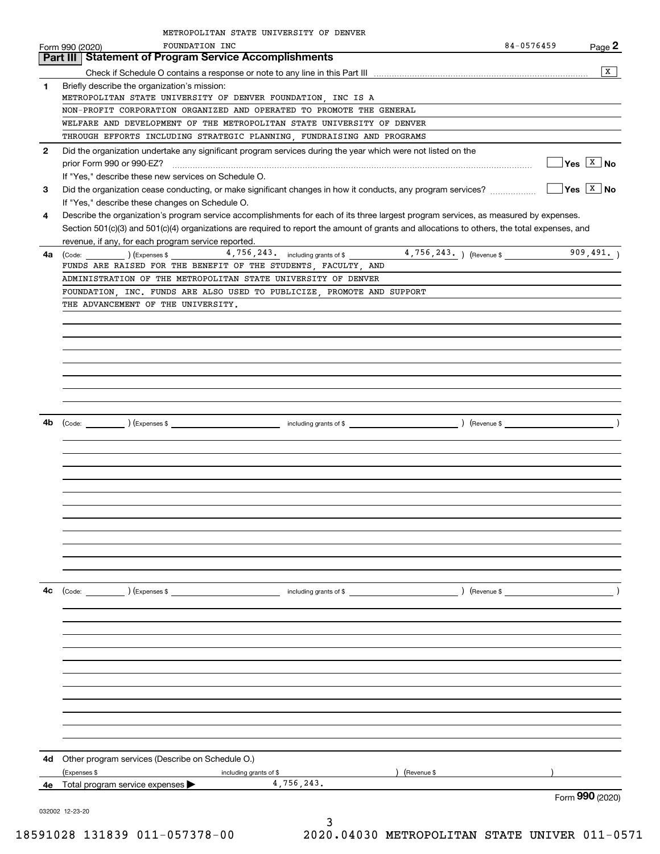|              | METROPOLITAN STATE UNIVERSITY OF DENVER                                                                                                                                                                                                                                                                                                     |            |                                              |
|--------------|---------------------------------------------------------------------------------------------------------------------------------------------------------------------------------------------------------------------------------------------------------------------------------------------------------------------------------------------|------------|----------------------------------------------|
|              | FOUNDATION INC<br>Form 990 (2020)                                                                                                                                                                                                                                                                                                           | 84-0576459 | Page 2                                       |
|              | Part III   Statement of Program Service Accomplishments                                                                                                                                                                                                                                                                                     |            |                                              |
|              |                                                                                                                                                                                                                                                                                                                                             |            | x                                            |
| 1            | Briefly describe the organization's mission:                                                                                                                                                                                                                                                                                                |            |                                              |
|              | METROPOLITAN STATE UNIVERSITY OF DENVER FOUNDATION, INC IS A                                                                                                                                                                                                                                                                                |            |                                              |
|              | NON-PROFIT CORPORATION ORGANIZED AND OPERATED TO PROMOTE THE GENERAL                                                                                                                                                                                                                                                                        |            |                                              |
|              | WELFARE AND DEVELOPMENT OF THE METROPOLITAN STATE UNIVERSITY OF DENVER                                                                                                                                                                                                                                                                      |            |                                              |
|              | THROUGH EFFORTS INCLUDING STRATEGIC PLANNING, FUNDRAISING AND PROGRAMS                                                                                                                                                                                                                                                                      |            |                                              |
| $\mathbf{2}$ | Did the organization undertake any significant program services during the year which were not listed on the<br>prior Form 990 or 990-EZ?                                                                                                                                                                                                   |            | $\sqrt{\mathsf{Yes}}$ $\sqrt{\mathsf{X}}$ No |
|              | If "Yes," describe these new services on Schedule O.                                                                                                                                                                                                                                                                                        |            |                                              |
| 3            | Did the organization cease conducting, or make significant changes in how it conducts, any program services?                                                                                                                                                                                                                                |            | $\overline{Y}$ es $\overline{X}$ No          |
|              | If "Yes," describe these changes on Schedule O.                                                                                                                                                                                                                                                                                             |            |                                              |
| 4            | Describe the organization's program service accomplishments for each of its three largest program services, as measured by expenses.<br>Section 501(c)(3) and 501(c)(4) organizations are required to report the amount of grants and allocations to others, the total expenses, and<br>revenue, if any, for each program service reported. |            |                                              |
| 4a           |                                                                                                                                                                                                                                                                                                                                             |            |                                              |
|              | FUNDS ARE RAISED FOR THE BENEFIT OF THE STUDENTS, FACULTY, AND                                                                                                                                                                                                                                                                              |            |                                              |
|              | ADMINISTRATION OF THE METROPOLITAN STATE UNIVERSITY OF DENVER                                                                                                                                                                                                                                                                               |            |                                              |
|              | FOUNDATION, INC. FUNDS ARE ALSO USED TO PUBLICIZE, PROMOTE AND SUPPORT                                                                                                                                                                                                                                                                      |            |                                              |
|              | THE ADVANCEMENT OF THE UNIVERSITY.                                                                                                                                                                                                                                                                                                          |            |                                              |
|              |                                                                                                                                                                                                                                                                                                                                             |            |                                              |
|              |                                                                                                                                                                                                                                                                                                                                             |            |                                              |
|              |                                                                                                                                                                                                                                                                                                                                             |            |                                              |
|              |                                                                                                                                                                                                                                                                                                                                             |            |                                              |
|              |                                                                                                                                                                                                                                                                                                                                             |            |                                              |
|              |                                                                                                                                                                                                                                                                                                                                             |            |                                              |
|              |                                                                                                                                                                                                                                                                                                                                             |            |                                              |
|              |                                                                                                                                                                                                                                                                                                                                             |            |                                              |
|              |                                                                                                                                                                                                                                                                                                                                             |            |                                              |
|              |                                                                                                                                                                                                                                                                                                                                             |            |                                              |
|              |                                                                                                                                                                                                                                                                                                                                             |            |                                              |
|              |                                                                                                                                                                                                                                                                                                                                             |            |                                              |
|              |                                                                                                                                                                                                                                                                                                                                             |            |                                              |
|              |                                                                                                                                                                                                                                                                                                                                             |            |                                              |
|              |                                                                                                                                                                                                                                                                                                                                             |            |                                              |
|              |                                                                                                                                                                                                                                                                                                                                             |            |                                              |
|              |                                                                                                                                                                                                                                                                                                                                             |            |                                              |
|              |                                                                                                                                                                                                                                                                                                                                             |            |                                              |
|              |                                                                                                                                                                                                                                                                                                                                             |            |                                              |
|              |                                                                                                                                                                                                                                                                                                                                             |            |                                              |
|              |                                                                                                                                                                                                                                                                                                                                             |            |                                              |
| 4с           | (Code: ) (Expenses \$<br>$\left($ Revenue \$ $\right)$<br>including grants of \$                                                                                                                                                                                                                                                            |            |                                              |
|              |                                                                                                                                                                                                                                                                                                                                             |            |                                              |
|              |                                                                                                                                                                                                                                                                                                                                             |            |                                              |
|              |                                                                                                                                                                                                                                                                                                                                             |            |                                              |
|              |                                                                                                                                                                                                                                                                                                                                             |            |                                              |
|              |                                                                                                                                                                                                                                                                                                                                             |            |                                              |
|              |                                                                                                                                                                                                                                                                                                                                             |            |                                              |
|              |                                                                                                                                                                                                                                                                                                                                             |            |                                              |
|              |                                                                                                                                                                                                                                                                                                                                             |            |                                              |
|              |                                                                                                                                                                                                                                                                                                                                             |            |                                              |
|              |                                                                                                                                                                                                                                                                                                                                             |            |                                              |
|              |                                                                                                                                                                                                                                                                                                                                             |            |                                              |
|              |                                                                                                                                                                                                                                                                                                                                             |            |                                              |
| 4d           | Other program services (Describe on Schedule O.)                                                                                                                                                                                                                                                                                            |            |                                              |
|              | (Expenses \$<br>) (Revenue \$<br>including grants of \$                                                                                                                                                                                                                                                                                     |            |                                              |
|              | 4,756,243.<br>4e Total program service expenses                                                                                                                                                                                                                                                                                             |            |                                              |
|              |                                                                                                                                                                                                                                                                                                                                             |            | Form 990 (2020)                              |
|              | 032002 12-23-20                                                                                                                                                                                                                                                                                                                             |            |                                              |
|              | ٦                                                                                                                                                                                                                                                                                                                                           |            |                                              |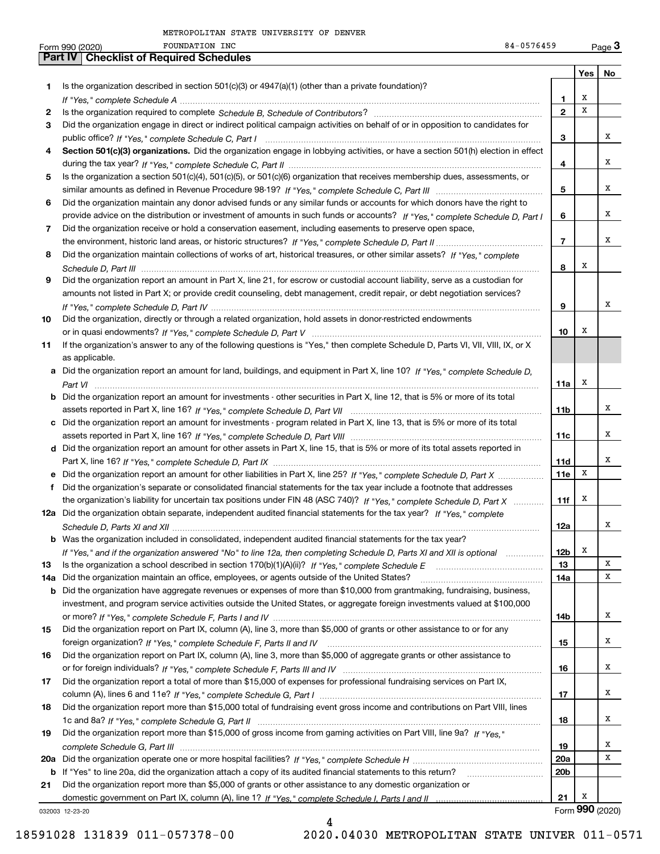|     | FOUNDATION INC<br>84-0576459<br>Form 990 (2020)                                                                                       |                 |                 | $Page$ <sup>3</sup> |
|-----|---------------------------------------------------------------------------------------------------------------------------------------|-----------------|-----------------|---------------------|
|     | <b>Part IV   Checklist of Required Schedules</b>                                                                                      |                 |                 |                     |
|     |                                                                                                                                       |                 | Yes             | No                  |
| 1   | Is the organization described in section $501(c)(3)$ or $4947(a)(1)$ (other than a private foundation)?                               |                 |                 |                     |
|     |                                                                                                                                       | 1               | х               |                     |
| 2   |                                                                                                                                       | $\mathbf{2}$    | X               |                     |
| 3   | Did the organization engage in direct or indirect political campaign activities on behalf of or in opposition to candidates for       |                 |                 |                     |
|     |                                                                                                                                       | 3               |                 | х                   |
| 4   | Section 501(c)(3) organizations. Did the organization engage in lobbying activities, or have a section 501(h) election in effect      |                 |                 |                     |
|     |                                                                                                                                       | 4               |                 | х                   |
| 5   | Is the organization a section 501(c)(4), 501(c)(5), or 501(c)(6) organization that receives membership dues, assessments, or          |                 |                 |                     |
|     |                                                                                                                                       | 5               |                 | х                   |
| 6   | Did the organization maintain any donor advised funds or any similar funds or accounts for which donors have the right to             |                 |                 |                     |
|     | provide advice on the distribution or investment of amounts in such funds or accounts? If "Yes," complete Schedule D, Part I          | 6               |                 | х                   |
| 7   | Did the organization receive or hold a conservation easement, including easements to preserve open space,                             |                 |                 |                     |
|     |                                                                                                                                       | $\overline{7}$  |                 | х                   |
| 8   | Did the organization maintain collections of works of art, historical treasures, or other similar assets? If "Yes," complete          |                 |                 |                     |
|     |                                                                                                                                       | 8               | X               |                     |
| 9   | Did the organization report an amount in Part X, line 21, for escrow or custodial account liability, serve as a custodian for         |                 |                 |                     |
|     | amounts not listed in Part X; or provide credit counseling, debt management, credit repair, or debt negotiation services?             |                 |                 |                     |
|     |                                                                                                                                       | 9               |                 | х                   |
| 10  | Did the organization, directly or through a related organization, hold assets in donor-restricted endowments                          |                 |                 |                     |
|     |                                                                                                                                       | 10              | х               |                     |
| 11  | If the organization's answer to any of the following questions is "Yes," then complete Schedule D, Parts VI, VII, VIII, IX, or X      |                 |                 |                     |
|     | as applicable.                                                                                                                        |                 |                 |                     |
|     | a Did the organization report an amount for land, buildings, and equipment in Part X, line 10? If "Yes," complete Schedule D.         |                 |                 |                     |
|     |                                                                                                                                       | 11a             | Х               |                     |
|     | <b>b</b> Did the organization report an amount for investments - other securities in Part X, line 12, that is 5% or more of its total |                 |                 |                     |
|     |                                                                                                                                       |                 |                 | х                   |
|     |                                                                                                                                       | 11b             |                 |                     |
|     | c Did the organization report an amount for investments - program related in Part X, line 13, that is 5% or more of its total         |                 |                 | х                   |
|     |                                                                                                                                       | 11c             |                 |                     |
|     | d Did the organization report an amount for other assets in Part X, line 15, that is 5% or more of its total assets reported in       |                 |                 | х                   |
|     |                                                                                                                                       | 11d             | X               |                     |
|     | e Did the organization report an amount for other liabilities in Part X, line 25? If "Yes," complete Schedule D, Part X               | 11e             |                 |                     |
| f   | Did the organization's separate or consolidated financial statements for the tax year include a footnote that addresses               |                 |                 |                     |
|     | the organization's liability for uncertain tax positions under FIN 48 (ASC 740)? If "Yes," complete Schedule D, Part X                | 11f             | х               |                     |
|     | 12a Did the organization obtain separate, independent audited financial statements for the tax year? If "Yes," complete               |                 |                 |                     |
|     |                                                                                                                                       | 12a             |                 |                     |
| b   | Was the organization included in consolidated, independent audited financial statements for the tax year?                             |                 | X               |                     |
|     | If "Yes," and if the organization answered "No" to line 12a, then completing Schedule D, Parts XI and XII is optional manum           | 12 <sub>b</sub> |                 |                     |
| 13  |                                                                                                                                       | 13              |                 | X                   |
| 14a | Did the organization maintain an office, employees, or agents outside of the United States?                                           | 14a             |                 | х                   |
| b   | Did the organization have aggregate revenues or expenses of more than \$10,000 from grantmaking, fundraising, business,               |                 |                 |                     |
|     | investment, and program service activities outside the United States, or aggregate foreign investments valued at \$100,000            |                 |                 |                     |
|     |                                                                                                                                       | 14b             |                 | х                   |
| 15  | Did the organization report on Part IX, column (A), line 3, more than \$5,000 of grants or other assistance to or for any             |                 |                 |                     |
|     |                                                                                                                                       | 15              |                 | х                   |
| 16  | Did the organization report on Part IX, column (A), line 3, more than \$5,000 of aggregate grants or other assistance to              |                 |                 |                     |
|     |                                                                                                                                       | 16              |                 | х                   |
| 17  | Did the organization report a total of more than \$15,000 of expenses for professional fundraising services on Part IX,               |                 |                 |                     |
|     |                                                                                                                                       | 17              |                 | х                   |
| 18  | Did the organization report more than \$15,000 total of fundraising event gross income and contributions on Part VIII, lines          |                 |                 |                     |
|     |                                                                                                                                       | 18              |                 | х                   |
| 19  | Did the organization report more than \$15,000 of gross income from gaming activities on Part VIII, line 9a? If "Yes."                |                 |                 |                     |
|     |                                                                                                                                       | 19              |                 | х                   |
|     |                                                                                                                                       | 20a             |                 | х                   |
| b   | If "Yes" to line 20a, did the organization attach a copy of its audited financial statements to this return?                          | 20 <sub>b</sub> |                 |                     |
| 21  | Did the organization report more than \$5,000 of grants or other assistance to any domestic organization or                           |                 |                 |                     |
|     |                                                                                                                                       | 21              | x               |                     |
|     | 032003 12-23-20                                                                                                                       |                 | Form 990 (2020) |                     |

032003 12-23-20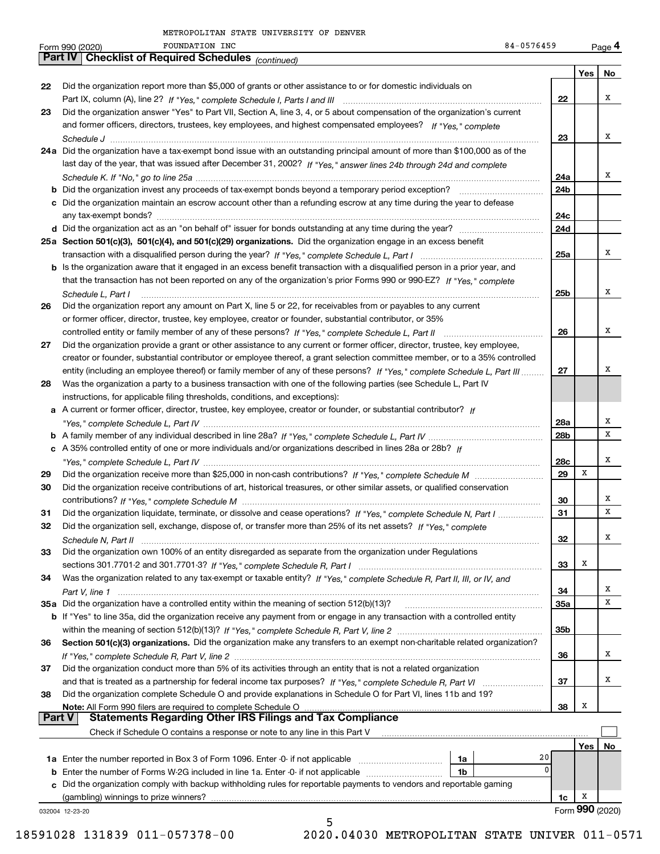|    | FOUNDATION INC<br>84-0576459<br>Form 990 (2020)                                                                                                                                                                                              |            |     |     | Page 4          |
|----|----------------------------------------------------------------------------------------------------------------------------------------------------------------------------------------------------------------------------------------------|------------|-----|-----|-----------------|
|    | Part IV   Checklist of Required Schedules (continued)                                                                                                                                                                                        |            |     |     |                 |
|    |                                                                                                                                                                                                                                              |            |     | Yes | No              |
| 22 | Did the organization report more than \$5,000 of grants or other assistance to or for domestic individuals on                                                                                                                                |            |     |     |                 |
|    |                                                                                                                                                                                                                                              | 22         |     |     | х               |
| 23 | Did the organization answer "Yes" to Part VII, Section A, line 3, 4, or 5 about compensation of the organization's current<br>and former officers, directors, trustees, key employees, and highest compensated employees? If "Yes," complete |            |     |     |                 |
|    |                                                                                                                                                                                                                                              |            | 23  |     | х               |
|    | 24a Did the organization have a tax-exempt bond issue with an outstanding principal amount of more than \$100,000 as of the                                                                                                                  |            |     |     |                 |
|    | last day of the year, that was issued after December 31, 2002? If "Yes," answer lines 24b through 24d and complete                                                                                                                           |            |     |     |                 |
|    |                                                                                                                                                                                                                                              | 24a        |     |     | х               |
|    |                                                                                                                                                                                                                                              | 24b        |     |     |                 |
|    | c Did the organization maintain an escrow account other than a refunding escrow at any time during the year to defease                                                                                                                       |            |     |     |                 |
|    |                                                                                                                                                                                                                                              | 24c        |     |     |                 |
|    |                                                                                                                                                                                                                                              | 24d        |     |     |                 |
|    | 25a Section 501(c)(3), 501(c)(4), and 501(c)(29) organizations. Did the organization engage in an excess benefit                                                                                                                             |            |     |     |                 |
|    |                                                                                                                                                                                                                                              | 25a        |     |     | х               |
|    | b Is the organization aware that it engaged in an excess benefit transaction with a disqualified person in a prior year, and                                                                                                                 |            |     |     |                 |
|    | that the transaction has not been reported on any of the organization's prior Forms 990 or 990-EZ? If "Yes," complete                                                                                                                        |            |     |     | х               |
| 26 | Schedule L, Part I<br>Did the organization report any amount on Part X, line 5 or 22, for receivables from or payables to any current                                                                                                        | 25b        |     |     |                 |
|    | or former officer, director, trustee, key employee, creator or founder, substantial contributor, or 35%                                                                                                                                      |            |     |     |                 |
|    |                                                                                                                                                                                                                                              | 26         |     |     | х               |
| 27 | Did the organization provide a grant or other assistance to any current or former officer, director, trustee, key employee,                                                                                                                  |            |     |     |                 |
|    | creator or founder, substantial contributor or employee thereof, a grant selection committee member, or to a 35% controlled                                                                                                                  |            |     |     |                 |
|    | entity (including an employee thereof) or family member of any of these persons? If "Yes," complete Schedule L, Part III                                                                                                                     | 27         |     |     | х               |
| 28 | Was the organization a party to a business transaction with one of the following parties (see Schedule L, Part IV                                                                                                                            |            |     |     |                 |
|    | instructions, for applicable filing thresholds, conditions, and exceptions):                                                                                                                                                                 |            |     |     |                 |
|    | a A current or former officer, director, trustee, key employee, creator or founder, or substantial contributor? If                                                                                                                           |            |     |     |                 |
|    |                                                                                                                                                                                                                                              |            | 28a |     | х               |
|    |                                                                                                                                                                                                                                              | 28b        |     |     | х               |
|    | c A 35% controlled entity of one or more individuals and/or organizations described in lines 28a or 28b? If                                                                                                                                  |            |     |     | х               |
| 29 |                                                                                                                                                                                                                                              | 29         | 28c | х   |                 |
| 30 | Did the organization receive contributions of art, historical treasures, or other similar assets, or qualified conservation                                                                                                                  |            |     |     |                 |
|    |                                                                                                                                                                                                                                              | 30         |     |     | х               |
| 31 | Did the organization liquidate, terminate, or dissolve and cease operations? If "Yes," complete Schedule N, Part I                                                                                                                           | 31         |     |     | х               |
| 32 | Did the organization sell, exchange, dispose of, or transfer more than 25% of its net assets? If "Yes," complete                                                                                                                             |            |     |     |                 |
|    |                                                                                                                                                                                                                                              | 32         |     |     | x               |
| 33 | Did the organization own 100% of an entity disregarded as separate from the organization under Regulations                                                                                                                                   |            |     |     |                 |
|    |                                                                                                                                                                                                                                              | 33         |     | Х   |                 |
| 34 | Was the organization related to any tax-exempt or taxable entity? If "Yes," complete Schedule R, Part II, III, or IV, and                                                                                                                    |            |     |     |                 |
|    |                                                                                                                                                                                                                                              |            | 34  |     | х<br>х          |
|    | 35a Did the organization have a controlled entity within the meaning of section 512(b)(13)?                                                                                                                                                  | <b>35a</b> |     |     |                 |
|    | <b>b</b> If "Yes" to line 35a, did the organization receive any payment from or engage in any transaction with a controlled entity                                                                                                           | 35b        |     |     |                 |
| 36 | Section 501(c)(3) organizations. Did the organization make any transfers to an exempt non-charitable related organization?                                                                                                                   |            |     |     |                 |
|    |                                                                                                                                                                                                                                              | 36         |     |     | x               |
| 37 | Did the organization conduct more than 5% of its activities through an entity that is not a related organization                                                                                                                             |            |     |     |                 |
|    |                                                                                                                                                                                                                                              | 37         |     |     | x               |
| 38 | Did the organization complete Schedule O and provide explanations in Schedule O for Part VI, lines 11b and 19?                                                                                                                               |            |     |     |                 |
|    | Note: All Form 990 filers are required to complete Schedule O                                                                                                                                                                                | 38         |     | Х   |                 |
|    | <b>Part V</b>                                                                                                                                                                                                                                |            |     |     |                 |
|    | Check if Schedule O contains a response or note to any line in this Part V                                                                                                                                                                   |            |     |     |                 |
|    |                                                                                                                                                                                                                                              |            |     | Yes | No              |
|    | 1a                                                                                                                                                                                                                                           | 20<br>0    |     |     |                 |
|    | <b>b</b> Enter the number of Forms W-2G included in line 1a. Enter -0- if not applicable<br>1b                                                                                                                                               |            |     |     |                 |
|    | c Did the organization comply with backup withholding rules for reportable payments to vendors and reportable gaming<br>(gambling) winnings to prize winners?                                                                                |            |     | x   |                 |
|    | 032004 12-23-20                                                                                                                                                                                                                              |            | 1c  |     | Form 990 (2020) |
|    | 5                                                                                                                                                                                                                                            |            |     |     |                 |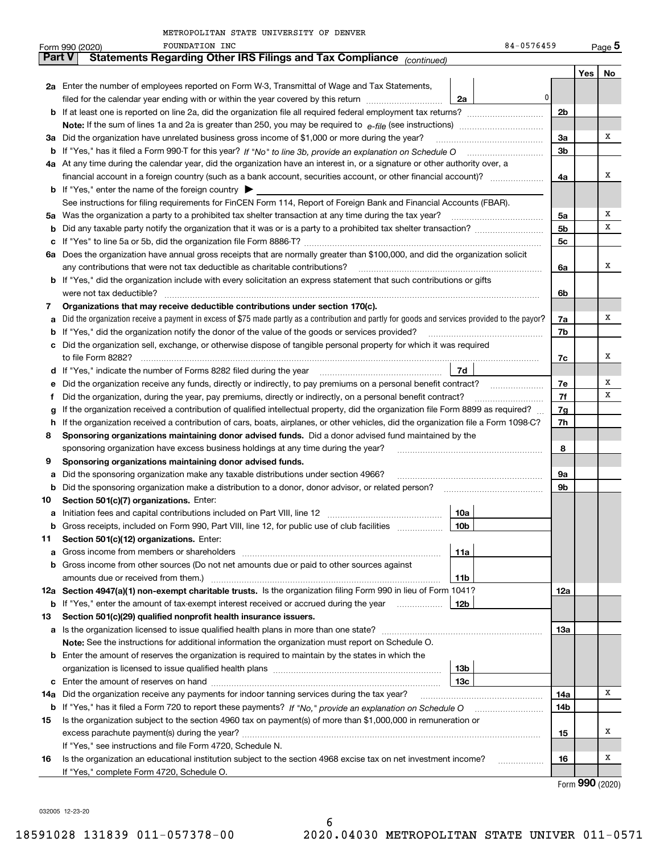| <b>Part V</b><br>Yes<br>2a Enter the number of employees reported on Form W-3, Transmittal of Wage and Tax Statements,<br> 0 <br>2a<br>filed for the calendar year ending with or within the year covered by this return<br>2 <sub>b</sub><br><b>b</b> If at least one is reported on line 2a, did the organization file all required federal employment tax returns?<br><b>Note:</b> If the sum of lines 1a and 2a is greater than 250, you may be required to $e$ -file (see instructions) <i>marrouum</i> manu-<br>x<br>3a<br>3a Did the organization have unrelated business gross income of \$1,000 or more during the year?<br>3 <sub>b</sub><br>4a At any time during the calendar year, did the organization have an interest in, or a signature or other authority over, a<br>x<br>4a<br><b>b</b> If "Yes," enter the name of the foreign country $\blacktriangleright$<br>See instructions for filing requirements for FinCEN Form 114, Report of Foreign Bank and Financial Accounts (FBAR).<br>х<br>5a Was the organization a party to a prohibited tax shelter transaction at any time during the tax year?<br>5a<br>х<br>5 <sub>b</sub><br>5c<br>6a Does the organization have annual gross receipts that are normally greater than \$100,000, and did the organization solicit<br>x<br>any contributions that were not tax deductible as charitable contributions?<br>6a<br><b>b</b> If "Yes," did the organization include with every solicitation an express statement that such contributions or gifts<br>were not tax deductible?<br>6b<br>Organizations that may receive deductible contributions under section 170(c).<br>7<br>x<br>a Did the organization receive a payment in excess of \$75 made partly as a contribution and partly for goods and services provided to the payor?<br>7a<br><b>b</b> If "Yes," did the organization notify the donor of the value of the goods or services provided?<br>7b<br>c Did the organization sell, exchange, or otherwise dispose of tangible personal property for which it was required<br>x<br>7с<br>7d<br>х<br>7e<br>e Did the organization receive any funds, directly or indirectly, to pay premiums on a personal benefit contract?<br>х<br>7f<br>Did the organization, during the year, pay premiums, directly or indirectly, on a personal benefit contract?<br>f<br>If the organization received a contribution of qualified intellectual property, did the organization file Form 8899 as required?<br>7g<br>g<br>h If the organization received a contribution of cars, boats, airplanes, or other vehicles, did the organization file a Form 1098-C?<br>7h<br>Sponsoring organizations maintaining donor advised funds. Did a donor advised fund maintained by the<br>8<br>sponsoring organization have excess business holdings at any time during the year?<br>8<br>Sponsoring organizations maintaining donor advised funds.<br>9<br>Did the sponsoring organization make any taxable distributions under section 4966?<br>9а<br>а<br>9b<br>Did the sponsoring organization make a distribution to a donor, donor advisor, or related person?<br>b<br>Section 501(c)(7) organizations. Enter:<br>10<br>10a<br><b>b</b> Gross receipts, included on Form 990, Part VIII, line 12, for public use of club facilities<br>10b<br>Section 501(c)(12) organizations. Enter:<br>11<br>11a<br>a<br>b Gross income from other sources (Do not net amounts due or paid to other sources against<br>11b<br>12a Section 4947(a)(1) non-exempt charitable trusts. Is the organization filing Form 990 in lieu of Form 1041?<br>12a<br>12 <sub>b</sub><br><b>b</b> If "Yes," enter the amount of tax-exempt interest received or accrued during the year <i>manument</i><br>Section 501(c)(29) qualified nonprofit health insurance issuers.<br>13<br><b>a</b> Is the organization licensed to issue qualified health plans in more than one state?<br>13а<br><b>Note:</b> See the instructions for additional information the organization must report on Schedule O.<br><b>b</b> Enter the amount of reserves the organization is required to maintain by the states in which the<br>13 <sub>b</sub><br>13с<br>x<br>Did the organization receive any payments for indoor tanning services during the tax year?<br>14a<br>14a<br>14b<br>Is the organization subject to the section 4960 tax on payment(s) of more than \$1,000,000 in remuneration or<br>15<br>х<br>15<br>If "Yes," see instructions and file Form 4720, Schedule N.<br>Х<br>Is the organization an educational institution subject to the section 4968 excise tax on net investment income?<br>16<br>16<br>.<br>If "Yes," complete Form 4720, Schedule O.<br>$000 \text{ days}$ | 84-0576459<br>FOUNDATION INC<br>Form 990 (2020)                       |  |  | $_{\text{Page}}$ 5 |  |  |  |  |  |  |
|---------------------------------------------------------------------------------------------------------------------------------------------------------------------------------------------------------------------------------------------------------------------------------------------------------------------------------------------------------------------------------------------------------------------------------------------------------------------------------------------------------------------------------------------------------------------------------------------------------------------------------------------------------------------------------------------------------------------------------------------------------------------------------------------------------------------------------------------------------------------------------------------------------------------------------------------------------------------------------------------------------------------------------------------------------------------------------------------------------------------------------------------------------------------------------------------------------------------------------------------------------------------------------------------------------------------------------------------------------------------------------------------------------------------------------------------------------------------------------------------------------------------------------------------------------------------------------------------------------------------------------------------------------------------------------------------------------------------------------------------------------------------------------------------------------------------------------------------------------------------------------------------------------------------------------------------------------------------------------------------------------------------------------------------------------------------------------------------------------------------------------------------------------------------------------------------------------------------------------------------------------------------------------------------------------------------------------------------------------------------------------------------------------------------------------------------------------------------------------------------------------------------------------------------------------------------------------------------------------------------------------------------------------------------------------------------------------------------------------------------------------------------------------------------------------------------------------------------------------------------------------------------------------------------------------------------------------------------------------------------------------------------------------------------------------------------------------------------------------------------------------------------------------------------------------------------------------------------------------------------------------------------------------------------------------------------------------------------------------------------------------------------------------------------------------------------------------------------------------------------------------------------------------------------------------------------------------------------------------------------------------------------------------------------------------------------------------------------------------------------------------------------------------------------------------------------------------------------------------------------------------------------------------------------------------------------------------------------------------------------------------------------------------------------------------------------------------------------------------------------------------------------------------------------------------------------------------------------------------------------------------------------------------------------------------------------------------------------------------------------------------------------------------------------------------------------------------------------------------------------------------------------------------------------------------------------------------------------------------------------------------------------------------------------------------------------------------------------|-----------------------------------------------------------------------|--|--|--------------------|--|--|--|--|--|--|
|                                                                                                                                                                                                                                                                                                                                                                                                                                                                                                                                                                                                                                                                                                                                                                                                                                                                                                                                                                                                                                                                                                                                                                                                                                                                                                                                                                                                                                                                                                                                                                                                                                                                                                                                                                                                                                                                                                                                                                                                                                                                                                                                                                                                                                                                                                                                                                                                                                                                                                                                                                                                                                                                                                                                                                                                                                                                                                                                                                                                                                                                                                                                                                                                                                                                                                                                                                                                                                                                                                                                                                                                                                                                                                                                                                                                                                                                                                                                                                                                                                                                                                                                                                                                                                                                                                                                                                                                                                                                                                                                                                                                                                                                                                                     | Statements Regarding Other IRS Filings and Tax Compliance (continued) |  |  |                    |  |  |  |  |  |  |
|                                                                                                                                                                                                                                                                                                                                                                                                                                                                                                                                                                                                                                                                                                                                                                                                                                                                                                                                                                                                                                                                                                                                                                                                                                                                                                                                                                                                                                                                                                                                                                                                                                                                                                                                                                                                                                                                                                                                                                                                                                                                                                                                                                                                                                                                                                                                                                                                                                                                                                                                                                                                                                                                                                                                                                                                                                                                                                                                                                                                                                                                                                                                                                                                                                                                                                                                                                                                                                                                                                                                                                                                                                                                                                                                                                                                                                                                                                                                                                                                                                                                                                                                                                                                                                                                                                                                                                                                                                                                                                                                                                                                                                                                                                                     |                                                                       |  |  | No                 |  |  |  |  |  |  |
|                                                                                                                                                                                                                                                                                                                                                                                                                                                                                                                                                                                                                                                                                                                                                                                                                                                                                                                                                                                                                                                                                                                                                                                                                                                                                                                                                                                                                                                                                                                                                                                                                                                                                                                                                                                                                                                                                                                                                                                                                                                                                                                                                                                                                                                                                                                                                                                                                                                                                                                                                                                                                                                                                                                                                                                                                                                                                                                                                                                                                                                                                                                                                                                                                                                                                                                                                                                                                                                                                                                                                                                                                                                                                                                                                                                                                                                                                                                                                                                                                                                                                                                                                                                                                                                                                                                                                                                                                                                                                                                                                                                                                                                                                                                     |                                                                       |  |  |                    |  |  |  |  |  |  |
|                                                                                                                                                                                                                                                                                                                                                                                                                                                                                                                                                                                                                                                                                                                                                                                                                                                                                                                                                                                                                                                                                                                                                                                                                                                                                                                                                                                                                                                                                                                                                                                                                                                                                                                                                                                                                                                                                                                                                                                                                                                                                                                                                                                                                                                                                                                                                                                                                                                                                                                                                                                                                                                                                                                                                                                                                                                                                                                                                                                                                                                                                                                                                                                                                                                                                                                                                                                                                                                                                                                                                                                                                                                                                                                                                                                                                                                                                                                                                                                                                                                                                                                                                                                                                                                                                                                                                                                                                                                                                                                                                                                                                                                                                                                     |                                                                       |  |  |                    |  |  |  |  |  |  |
|                                                                                                                                                                                                                                                                                                                                                                                                                                                                                                                                                                                                                                                                                                                                                                                                                                                                                                                                                                                                                                                                                                                                                                                                                                                                                                                                                                                                                                                                                                                                                                                                                                                                                                                                                                                                                                                                                                                                                                                                                                                                                                                                                                                                                                                                                                                                                                                                                                                                                                                                                                                                                                                                                                                                                                                                                                                                                                                                                                                                                                                                                                                                                                                                                                                                                                                                                                                                                                                                                                                                                                                                                                                                                                                                                                                                                                                                                                                                                                                                                                                                                                                                                                                                                                                                                                                                                                                                                                                                                                                                                                                                                                                                                                                     |                                                                       |  |  |                    |  |  |  |  |  |  |
|                                                                                                                                                                                                                                                                                                                                                                                                                                                                                                                                                                                                                                                                                                                                                                                                                                                                                                                                                                                                                                                                                                                                                                                                                                                                                                                                                                                                                                                                                                                                                                                                                                                                                                                                                                                                                                                                                                                                                                                                                                                                                                                                                                                                                                                                                                                                                                                                                                                                                                                                                                                                                                                                                                                                                                                                                                                                                                                                                                                                                                                                                                                                                                                                                                                                                                                                                                                                                                                                                                                                                                                                                                                                                                                                                                                                                                                                                                                                                                                                                                                                                                                                                                                                                                                                                                                                                                                                                                                                                                                                                                                                                                                                                                                     |                                                                       |  |  |                    |  |  |  |  |  |  |
|                                                                                                                                                                                                                                                                                                                                                                                                                                                                                                                                                                                                                                                                                                                                                                                                                                                                                                                                                                                                                                                                                                                                                                                                                                                                                                                                                                                                                                                                                                                                                                                                                                                                                                                                                                                                                                                                                                                                                                                                                                                                                                                                                                                                                                                                                                                                                                                                                                                                                                                                                                                                                                                                                                                                                                                                                                                                                                                                                                                                                                                                                                                                                                                                                                                                                                                                                                                                                                                                                                                                                                                                                                                                                                                                                                                                                                                                                                                                                                                                                                                                                                                                                                                                                                                                                                                                                                                                                                                                                                                                                                                                                                                                                                                     |                                                                       |  |  |                    |  |  |  |  |  |  |
|                                                                                                                                                                                                                                                                                                                                                                                                                                                                                                                                                                                                                                                                                                                                                                                                                                                                                                                                                                                                                                                                                                                                                                                                                                                                                                                                                                                                                                                                                                                                                                                                                                                                                                                                                                                                                                                                                                                                                                                                                                                                                                                                                                                                                                                                                                                                                                                                                                                                                                                                                                                                                                                                                                                                                                                                                                                                                                                                                                                                                                                                                                                                                                                                                                                                                                                                                                                                                                                                                                                                                                                                                                                                                                                                                                                                                                                                                                                                                                                                                                                                                                                                                                                                                                                                                                                                                                                                                                                                                                                                                                                                                                                                                                                     |                                                                       |  |  |                    |  |  |  |  |  |  |
|                                                                                                                                                                                                                                                                                                                                                                                                                                                                                                                                                                                                                                                                                                                                                                                                                                                                                                                                                                                                                                                                                                                                                                                                                                                                                                                                                                                                                                                                                                                                                                                                                                                                                                                                                                                                                                                                                                                                                                                                                                                                                                                                                                                                                                                                                                                                                                                                                                                                                                                                                                                                                                                                                                                                                                                                                                                                                                                                                                                                                                                                                                                                                                                                                                                                                                                                                                                                                                                                                                                                                                                                                                                                                                                                                                                                                                                                                                                                                                                                                                                                                                                                                                                                                                                                                                                                                                                                                                                                                                                                                                                                                                                                                                                     |                                                                       |  |  |                    |  |  |  |  |  |  |
|                                                                                                                                                                                                                                                                                                                                                                                                                                                                                                                                                                                                                                                                                                                                                                                                                                                                                                                                                                                                                                                                                                                                                                                                                                                                                                                                                                                                                                                                                                                                                                                                                                                                                                                                                                                                                                                                                                                                                                                                                                                                                                                                                                                                                                                                                                                                                                                                                                                                                                                                                                                                                                                                                                                                                                                                                                                                                                                                                                                                                                                                                                                                                                                                                                                                                                                                                                                                                                                                                                                                                                                                                                                                                                                                                                                                                                                                                                                                                                                                                                                                                                                                                                                                                                                                                                                                                                                                                                                                                                                                                                                                                                                                                                                     |                                                                       |  |  |                    |  |  |  |  |  |  |
|                                                                                                                                                                                                                                                                                                                                                                                                                                                                                                                                                                                                                                                                                                                                                                                                                                                                                                                                                                                                                                                                                                                                                                                                                                                                                                                                                                                                                                                                                                                                                                                                                                                                                                                                                                                                                                                                                                                                                                                                                                                                                                                                                                                                                                                                                                                                                                                                                                                                                                                                                                                                                                                                                                                                                                                                                                                                                                                                                                                                                                                                                                                                                                                                                                                                                                                                                                                                                                                                                                                                                                                                                                                                                                                                                                                                                                                                                                                                                                                                                                                                                                                                                                                                                                                                                                                                                                                                                                                                                                                                                                                                                                                                                                                     |                                                                       |  |  |                    |  |  |  |  |  |  |
|                                                                                                                                                                                                                                                                                                                                                                                                                                                                                                                                                                                                                                                                                                                                                                                                                                                                                                                                                                                                                                                                                                                                                                                                                                                                                                                                                                                                                                                                                                                                                                                                                                                                                                                                                                                                                                                                                                                                                                                                                                                                                                                                                                                                                                                                                                                                                                                                                                                                                                                                                                                                                                                                                                                                                                                                                                                                                                                                                                                                                                                                                                                                                                                                                                                                                                                                                                                                                                                                                                                                                                                                                                                                                                                                                                                                                                                                                                                                                                                                                                                                                                                                                                                                                                                                                                                                                                                                                                                                                                                                                                                                                                                                                                                     |                                                                       |  |  |                    |  |  |  |  |  |  |
|                                                                                                                                                                                                                                                                                                                                                                                                                                                                                                                                                                                                                                                                                                                                                                                                                                                                                                                                                                                                                                                                                                                                                                                                                                                                                                                                                                                                                                                                                                                                                                                                                                                                                                                                                                                                                                                                                                                                                                                                                                                                                                                                                                                                                                                                                                                                                                                                                                                                                                                                                                                                                                                                                                                                                                                                                                                                                                                                                                                                                                                                                                                                                                                                                                                                                                                                                                                                                                                                                                                                                                                                                                                                                                                                                                                                                                                                                                                                                                                                                                                                                                                                                                                                                                                                                                                                                                                                                                                                                                                                                                                                                                                                                                                     |                                                                       |  |  |                    |  |  |  |  |  |  |
|                                                                                                                                                                                                                                                                                                                                                                                                                                                                                                                                                                                                                                                                                                                                                                                                                                                                                                                                                                                                                                                                                                                                                                                                                                                                                                                                                                                                                                                                                                                                                                                                                                                                                                                                                                                                                                                                                                                                                                                                                                                                                                                                                                                                                                                                                                                                                                                                                                                                                                                                                                                                                                                                                                                                                                                                                                                                                                                                                                                                                                                                                                                                                                                                                                                                                                                                                                                                                                                                                                                                                                                                                                                                                                                                                                                                                                                                                                                                                                                                                                                                                                                                                                                                                                                                                                                                                                                                                                                                                                                                                                                                                                                                                                                     |                                                                       |  |  |                    |  |  |  |  |  |  |
|                                                                                                                                                                                                                                                                                                                                                                                                                                                                                                                                                                                                                                                                                                                                                                                                                                                                                                                                                                                                                                                                                                                                                                                                                                                                                                                                                                                                                                                                                                                                                                                                                                                                                                                                                                                                                                                                                                                                                                                                                                                                                                                                                                                                                                                                                                                                                                                                                                                                                                                                                                                                                                                                                                                                                                                                                                                                                                                                                                                                                                                                                                                                                                                                                                                                                                                                                                                                                                                                                                                                                                                                                                                                                                                                                                                                                                                                                                                                                                                                                                                                                                                                                                                                                                                                                                                                                                                                                                                                                                                                                                                                                                                                                                                     |                                                                       |  |  |                    |  |  |  |  |  |  |
|                                                                                                                                                                                                                                                                                                                                                                                                                                                                                                                                                                                                                                                                                                                                                                                                                                                                                                                                                                                                                                                                                                                                                                                                                                                                                                                                                                                                                                                                                                                                                                                                                                                                                                                                                                                                                                                                                                                                                                                                                                                                                                                                                                                                                                                                                                                                                                                                                                                                                                                                                                                                                                                                                                                                                                                                                                                                                                                                                                                                                                                                                                                                                                                                                                                                                                                                                                                                                                                                                                                                                                                                                                                                                                                                                                                                                                                                                                                                                                                                                                                                                                                                                                                                                                                                                                                                                                                                                                                                                                                                                                                                                                                                                                                     |                                                                       |  |  |                    |  |  |  |  |  |  |
|                                                                                                                                                                                                                                                                                                                                                                                                                                                                                                                                                                                                                                                                                                                                                                                                                                                                                                                                                                                                                                                                                                                                                                                                                                                                                                                                                                                                                                                                                                                                                                                                                                                                                                                                                                                                                                                                                                                                                                                                                                                                                                                                                                                                                                                                                                                                                                                                                                                                                                                                                                                                                                                                                                                                                                                                                                                                                                                                                                                                                                                                                                                                                                                                                                                                                                                                                                                                                                                                                                                                                                                                                                                                                                                                                                                                                                                                                                                                                                                                                                                                                                                                                                                                                                                                                                                                                                                                                                                                                                                                                                                                                                                                                                                     |                                                                       |  |  |                    |  |  |  |  |  |  |
|                                                                                                                                                                                                                                                                                                                                                                                                                                                                                                                                                                                                                                                                                                                                                                                                                                                                                                                                                                                                                                                                                                                                                                                                                                                                                                                                                                                                                                                                                                                                                                                                                                                                                                                                                                                                                                                                                                                                                                                                                                                                                                                                                                                                                                                                                                                                                                                                                                                                                                                                                                                                                                                                                                                                                                                                                                                                                                                                                                                                                                                                                                                                                                                                                                                                                                                                                                                                                                                                                                                                                                                                                                                                                                                                                                                                                                                                                                                                                                                                                                                                                                                                                                                                                                                                                                                                                                                                                                                                                                                                                                                                                                                                                                                     |                                                                       |  |  |                    |  |  |  |  |  |  |
|                                                                                                                                                                                                                                                                                                                                                                                                                                                                                                                                                                                                                                                                                                                                                                                                                                                                                                                                                                                                                                                                                                                                                                                                                                                                                                                                                                                                                                                                                                                                                                                                                                                                                                                                                                                                                                                                                                                                                                                                                                                                                                                                                                                                                                                                                                                                                                                                                                                                                                                                                                                                                                                                                                                                                                                                                                                                                                                                                                                                                                                                                                                                                                                                                                                                                                                                                                                                                                                                                                                                                                                                                                                                                                                                                                                                                                                                                                                                                                                                                                                                                                                                                                                                                                                                                                                                                                                                                                                                                                                                                                                                                                                                                                                     |                                                                       |  |  |                    |  |  |  |  |  |  |
|                                                                                                                                                                                                                                                                                                                                                                                                                                                                                                                                                                                                                                                                                                                                                                                                                                                                                                                                                                                                                                                                                                                                                                                                                                                                                                                                                                                                                                                                                                                                                                                                                                                                                                                                                                                                                                                                                                                                                                                                                                                                                                                                                                                                                                                                                                                                                                                                                                                                                                                                                                                                                                                                                                                                                                                                                                                                                                                                                                                                                                                                                                                                                                                                                                                                                                                                                                                                                                                                                                                                                                                                                                                                                                                                                                                                                                                                                                                                                                                                                                                                                                                                                                                                                                                                                                                                                                                                                                                                                                                                                                                                                                                                                                                     |                                                                       |  |  |                    |  |  |  |  |  |  |
|                                                                                                                                                                                                                                                                                                                                                                                                                                                                                                                                                                                                                                                                                                                                                                                                                                                                                                                                                                                                                                                                                                                                                                                                                                                                                                                                                                                                                                                                                                                                                                                                                                                                                                                                                                                                                                                                                                                                                                                                                                                                                                                                                                                                                                                                                                                                                                                                                                                                                                                                                                                                                                                                                                                                                                                                                                                                                                                                                                                                                                                                                                                                                                                                                                                                                                                                                                                                                                                                                                                                                                                                                                                                                                                                                                                                                                                                                                                                                                                                                                                                                                                                                                                                                                                                                                                                                                                                                                                                                                                                                                                                                                                                                                                     |                                                                       |  |  |                    |  |  |  |  |  |  |
|                                                                                                                                                                                                                                                                                                                                                                                                                                                                                                                                                                                                                                                                                                                                                                                                                                                                                                                                                                                                                                                                                                                                                                                                                                                                                                                                                                                                                                                                                                                                                                                                                                                                                                                                                                                                                                                                                                                                                                                                                                                                                                                                                                                                                                                                                                                                                                                                                                                                                                                                                                                                                                                                                                                                                                                                                                                                                                                                                                                                                                                                                                                                                                                                                                                                                                                                                                                                                                                                                                                                                                                                                                                                                                                                                                                                                                                                                                                                                                                                                                                                                                                                                                                                                                                                                                                                                                                                                                                                                                                                                                                                                                                                                                                     |                                                                       |  |  |                    |  |  |  |  |  |  |
|                                                                                                                                                                                                                                                                                                                                                                                                                                                                                                                                                                                                                                                                                                                                                                                                                                                                                                                                                                                                                                                                                                                                                                                                                                                                                                                                                                                                                                                                                                                                                                                                                                                                                                                                                                                                                                                                                                                                                                                                                                                                                                                                                                                                                                                                                                                                                                                                                                                                                                                                                                                                                                                                                                                                                                                                                                                                                                                                                                                                                                                                                                                                                                                                                                                                                                                                                                                                                                                                                                                                                                                                                                                                                                                                                                                                                                                                                                                                                                                                                                                                                                                                                                                                                                                                                                                                                                                                                                                                                                                                                                                                                                                                                                                     |                                                                       |  |  |                    |  |  |  |  |  |  |
|                                                                                                                                                                                                                                                                                                                                                                                                                                                                                                                                                                                                                                                                                                                                                                                                                                                                                                                                                                                                                                                                                                                                                                                                                                                                                                                                                                                                                                                                                                                                                                                                                                                                                                                                                                                                                                                                                                                                                                                                                                                                                                                                                                                                                                                                                                                                                                                                                                                                                                                                                                                                                                                                                                                                                                                                                                                                                                                                                                                                                                                                                                                                                                                                                                                                                                                                                                                                                                                                                                                                                                                                                                                                                                                                                                                                                                                                                                                                                                                                                                                                                                                                                                                                                                                                                                                                                                                                                                                                                                                                                                                                                                                                                                                     |                                                                       |  |  |                    |  |  |  |  |  |  |
|                                                                                                                                                                                                                                                                                                                                                                                                                                                                                                                                                                                                                                                                                                                                                                                                                                                                                                                                                                                                                                                                                                                                                                                                                                                                                                                                                                                                                                                                                                                                                                                                                                                                                                                                                                                                                                                                                                                                                                                                                                                                                                                                                                                                                                                                                                                                                                                                                                                                                                                                                                                                                                                                                                                                                                                                                                                                                                                                                                                                                                                                                                                                                                                                                                                                                                                                                                                                                                                                                                                                                                                                                                                                                                                                                                                                                                                                                                                                                                                                                                                                                                                                                                                                                                                                                                                                                                                                                                                                                                                                                                                                                                                                                                                     |                                                                       |  |  |                    |  |  |  |  |  |  |
|                                                                                                                                                                                                                                                                                                                                                                                                                                                                                                                                                                                                                                                                                                                                                                                                                                                                                                                                                                                                                                                                                                                                                                                                                                                                                                                                                                                                                                                                                                                                                                                                                                                                                                                                                                                                                                                                                                                                                                                                                                                                                                                                                                                                                                                                                                                                                                                                                                                                                                                                                                                                                                                                                                                                                                                                                                                                                                                                                                                                                                                                                                                                                                                                                                                                                                                                                                                                                                                                                                                                                                                                                                                                                                                                                                                                                                                                                                                                                                                                                                                                                                                                                                                                                                                                                                                                                                                                                                                                                                                                                                                                                                                                                                                     |                                                                       |  |  |                    |  |  |  |  |  |  |
|                                                                                                                                                                                                                                                                                                                                                                                                                                                                                                                                                                                                                                                                                                                                                                                                                                                                                                                                                                                                                                                                                                                                                                                                                                                                                                                                                                                                                                                                                                                                                                                                                                                                                                                                                                                                                                                                                                                                                                                                                                                                                                                                                                                                                                                                                                                                                                                                                                                                                                                                                                                                                                                                                                                                                                                                                                                                                                                                                                                                                                                                                                                                                                                                                                                                                                                                                                                                                                                                                                                                                                                                                                                                                                                                                                                                                                                                                                                                                                                                                                                                                                                                                                                                                                                                                                                                                                                                                                                                                                                                                                                                                                                                                                                     |                                                                       |  |  |                    |  |  |  |  |  |  |
|                                                                                                                                                                                                                                                                                                                                                                                                                                                                                                                                                                                                                                                                                                                                                                                                                                                                                                                                                                                                                                                                                                                                                                                                                                                                                                                                                                                                                                                                                                                                                                                                                                                                                                                                                                                                                                                                                                                                                                                                                                                                                                                                                                                                                                                                                                                                                                                                                                                                                                                                                                                                                                                                                                                                                                                                                                                                                                                                                                                                                                                                                                                                                                                                                                                                                                                                                                                                                                                                                                                                                                                                                                                                                                                                                                                                                                                                                                                                                                                                                                                                                                                                                                                                                                                                                                                                                                                                                                                                                                                                                                                                                                                                                                                     |                                                                       |  |  |                    |  |  |  |  |  |  |
|                                                                                                                                                                                                                                                                                                                                                                                                                                                                                                                                                                                                                                                                                                                                                                                                                                                                                                                                                                                                                                                                                                                                                                                                                                                                                                                                                                                                                                                                                                                                                                                                                                                                                                                                                                                                                                                                                                                                                                                                                                                                                                                                                                                                                                                                                                                                                                                                                                                                                                                                                                                                                                                                                                                                                                                                                                                                                                                                                                                                                                                                                                                                                                                                                                                                                                                                                                                                                                                                                                                                                                                                                                                                                                                                                                                                                                                                                                                                                                                                                                                                                                                                                                                                                                                                                                                                                                                                                                                                                                                                                                                                                                                                                                                     |                                                                       |  |  |                    |  |  |  |  |  |  |
|                                                                                                                                                                                                                                                                                                                                                                                                                                                                                                                                                                                                                                                                                                                                                                                                                                                                                                                                                                                                                                                                                                                                                                                                                                                                                                                                                                                                                                                                                                                                                                                                                                                                                                                                                                                                                                                                                                                                                                                                                                                                                                                                                                                                                                                                                                                                                                                                                                                                                                                                                                                                                                                                                                                                                                                                                                                                                                                                                                                                                                                                                                                                                                                                                                                                                                                                                                                                                                                                                                                                                                                                                                                                                                                                                                                                                                                                                                                                                                                                                                                                                                                                                                                                                                                                                                                                                                                                                                                                                                                                                                                                                                                                                                                     |                                                                       |  |  |                    |  |  |  |  |  |  |
|                                                                                                                                                                                                                                                                                                                                                                                                                                                                                                                                                                                                                                                                                                                                                                                                                                                                                                                                                                                                                                                                                                                                                                                                                                                                                                                                                                                                                                                                                                                                                                                                                                                                                                                                                                                                                                                                                                                                                                                                                                                                                                                                                                                                                                                                                                                                                                                                                                                                                                                                                                                                                                                                                                                                                                                                                                                                                                                                                                                                                                                                                                                                                                                                                                                                                                                                                                                                                                                                                                                                                                                                                                                                                                                                                                                                                                                                                                                                                                                                                                                                                                                                                                                                                                                                                                                                                                                                                                                                                                                                                                                                                                                                                                                     |                                                                       |  |  |                    |  |  |  |  |  |  |
|                                                                                                                                                                                                                                                                                                                                                                                                                                                                                                                                                                                                                                                                                                                                                                                                                                                                                                                                                                                                                                                                                                                                                                                                                                                                                                                                                                                                                                                                                                                                                                                                                                                                                                                                                                                                                                                                                                                                                                                                                                                                                                                                                                                                                                                                                                                                                                                                                                                                                                                                                                                                                                                                                                                                                                                                                                                                                                                                                                                                                                                                                                                                                                                                                                                                                                                                                                                                                                                                                                                                                                                                                                                                                                                                                                                                                                                                                                                                                                                                                                                                                                                                                                                                                                                                                                                                                                                                                                                                                                                                                                                                                                                                                                                     |                                                                       |  |  |                    |  |  |  |  |  |  |
|                                                                                                                                                                                                                                                                                                                                                                                                                                                                                                                                                                                                                                                                                                                                                                                                                                                                                                                                                                                                                                                                                                                                                                                                                                                                                                                                                                                                                                                                                                                                                                                                                                                                                                                                                                                                                                                                                                                                                                                                                                                                                                                                                                                                                                                                                                                                                                                                                                                                                                                                                                                                                                                                                                                                                                                                                                                                                                                                                                                                                                                                                                                                                                                                                                                                                                                                                                                                                                                                                                                                                                                                                                                                                                                                                                                                                                                                                                                                                                                                                                                                                                                                                                                                                                                                                                                                                                                                                                                                                                                                                                                                                                                                                                                     |                                                                       |  |  |                    |  |  |  |  |  |  |
|                                                                                                                                                                                                                                                                                                                                                                                                                                                                                                                                                                                                                                                                                                                                                                                                                                                                                                                                                                                                                                                                                                                                                                                                                                                                                                                                                                                                                                                                                                                                                                                                                                                                                                                                                                                                                                                                                                                                                                                                                                                                                                                                                                                                                                                                                                                                                                                                                                                                                                                                                                                                                                                                                                                                                                                                                                                                                                                                                                                                                                                                                                                                                                                                                                                                                                                                                                                                                                                                                                                                                                                                                                                                                                                                                                                                                                                                                                                                                                                                                                                                                                                                                                                                                                                                                                                                                                                                                                                                                                                                                                                                                                                                                                                     |                                                                       |  |  |                    |  |  |  |  |  |  |
|                                                                                                                                                                                                                                                                                                                                                                                                                                                                                                                                                                                                                                                                                                                                                                                                                                                                                                                                                                                                                                                                                                                                                                                                                                                                                                                                                                                                                                                                                                                                                                                                                                                                                                                                                                                                                                                                                                                                                                                                                                                                                                                                                                                                                                                                                                                                                                                                                                                                                                                                                                                                                                                                                                                                                                                                                                                                                                                                                                                                                                                                                                                                                                                                                                                                                                                                                                                                                                                                                                                                                                                                                                                                                                                                                                                                                                                                                                                                                                                                                                                                                                                                                                                                                                                                                                                                                                                                                                                                                                                                                                                                                                                                                                                     |                                                                       |  |  |                    |  |  |  |  |  |  |
|                                                                                                                                                                                                                                                                                                                                                                                                                                                                                                                                                                                                                                                                                                                                                                                                                                                                                                                                                                                                                                                                                                                                                                                                                                                                                                                                                                                                                                                                                                                                                                                                                                                                                                                                                                                                                                                                                                                                                                                                                                                                                                                                                                                                                                                                                                                                                                                                                                                                                                                                                                                                                                                                                                                                                                                                                                                                                                                                                                                                                                                                                                                                                                                                                                                                                                                                                                                                                                                                                                                                                                                                                                                                                                                                                                                                                                                                                                                                                                                                                                                                                                                                                                                                                                                                                                                                                                                                                                                                                                                                                                                                                                                                                                                     |                                                                       |  |  |                    |  |  |  |  |  |  |
|                                                                                                                                                                                                                                                                                                                                                                                                                                                                                                                                                                                                                                                                                                                                                                                                                                                                                                                                                                                                                                                                                                                                                                                                                                                                                                                                                                                                                                                                                                                                                                                                                                                                                                                                                                                                                                                                                                                                                                                                                                                                                                                                                                                                                                                                                                                                                                                                                                                                                                                                                                                                                                                                                                                                                                                                                                                                                                                                                                                                                                                                                                                                                                                                                                                                                                                                                                                                                                                                                                                                                                                                                                                                                                                                                                                                                                                                                                                                                                                                                                                                                                                                                                                                                                                                                                                                                                                                                                                                                                                                                                                                                                                                                                                     |                                                                       |  |  |                    |  |  |  |  |  |  |
|                                                                                                                                                                                                                                                                                                                                                                                                                                                                                                                                                                                                                                                                                                                                                                                                                                                                                                                                                                                                                                                                                                                                                                                                                                                                                                                                                                                                                                                                                                                                                                                                                                                                                                                                                                                                                                                                                                                                                                                                                                                                                                                                                                                                                                                                                                                                                                                                                                                                                                                                                                                                                                                                                                                                                                                                                                                                                                                                                                                                                                                                                                                                                                                                                                                                                                                                                                                                                                                                                                                                                                                                                                                                                                                                                                                                                                                                                                                                                                                                                                                                                                                                                                                                                                                                                                                                                                                                                                                                                                                                                                                                                                                                                                                     |                                                                       |  |  |                    |  |  |  |  |  |  |
|                                                                                                                                                                                                                                                                                                                                                                                                                                                                                                                                                                                                                                                                                                                                                                                                                                                                                                                                                                                                                                                                                                                                                                                                                                                                                                                                                                                                                                                                                                                                                                                                                                                                                                                                                                                                                                                                                                                                                                                                                                                                                                                                                                                                                                                                                                                                                                                                                                                                                                                                                                                                                                                                                                                                                                                                                                                                                                                                                                                                                                                                                                                                                                                                                                                                                                                                                                                                                                                                                                                                                                                                                                                                                                                                                                                                                                                                                                                                                                                                                                                                                                                                                                                                                                                                                                                                                                                                                                                                                                                                                                                                                                                                                                                     |                                                                       |  |  |                    |  |  |  |  |  |  |
|                                                                                                                                                                                                                                                                                                                                                                                                                                                                                                                                                                                                                                                                                                                                                                                                                                                                                                                                                                                                                                                                                                                                                                                                                                                                                                                                                                                                                                                                                                                                                                                                                                                                                                                                                                                                                                                                                                                                                                                                                                                                                                                                                                                                                                                                                                                                                                                                                                                                                                                                                                                                                                                                                                                                                                                                                                                                                                                                                                                                                                                                                                                                                                                                                                                                                                                                                                                                                                                                                                                                                                                                                                                                                                                                                                                                                                                                                                                                                                                                                                                                                                                                                                                                                                                                                                                                                                                                                                                                                                                                                                                                                                                                                                                     |                                                                       |  |  |                    |  |  |  |  |  |  |
|                                                                                                                                                                                                                                                                                                                                                                                                                                                                                                                                                                                                                                                                                                                                                                                                                                                                                                                                                                                                                                                                                                                                                                                                                                                                                                                                                                                                                                                                                                                                                                                                                                                                                                                                                                                                                                                                                                                                                                                                                                                                                                                                                                                                                                                                                                                                                                                                                                                                                                                                                                                                                                                                                                                                                                                                                                                                                                                                                                                                                                                                                                                                                                                                                                                                                                                                                                                                                                                                                                                                                                                                                                                                                                                                                                                                                                                                                                                                                                                                                                                                                                                                                                                                                                                                                                                                                                                                                                                                                                                                                                                                                                                                                                                     |                                                                       |  |  |                    |  |  |  |  |  |  |
|                                                                                                                                                                                                                                                                                                                                                                                                                                                                                                                                                                                                                                                                                                                                                                                                                                                                                                                                                                                                                                                                                                                                                                                                                                                                                                                                                                                                                                                                                                                                                                                                                                                                                                                                                                                                                                                                                                                                                                                                                                                                                                                                                                                                                                                                                                                                                                                                                                                                                                                                                                                                                                                                                                                                                                                                                                                                                                                                                                                                                                                                                                                                                                                                                                                                                                                                                                                                                                                                                                                                                                                                                                                                                                                                                                                                                                                                                                                                                                                                                                                                                                                                                                                                                                                                                                                                                                                                                                                                                                                                                                                                                                                                                                                     |                                                                       |  |  |                    |  |  |  |  |  |  |
|                                                                                                                                                                                                                                                                                                                                                                                                                                                                                                                                                                                                                                                                                                                                                                                                                                                                                                                                                                                                                                                                                                                                                                                                                                                                                                                                                                                                                                                                                                                                                                                                                                                                                                                                                                                                                                                                                                                                                                                                                                                                                                                                                                                                                                                                                                                                                                                                                                                                                                                                                                                                                                                                                                                                                                                                                                                                                                                                                                                                                                                                                                                                                                                                                                                                                                                                                                                                                                                                                                                                                                                                                                                                                                                                                                                                                                                                                                                                                                                                                                                                                                                                                                                                                                                                                                                                                                                                                                                                                                                                                                                                                                                                                                                     |                                                                       |  |  |                    |  |  |  |  |  |  |
|                                                                                                                                                                                                                                                                                                                                                                                                                                                                                                                                                                                                                                                                                                                                                                                                                                                                                                                                                                                                                                                                                                                                                                                                                                                                                                                                                                                                                                                                                                                                                                                                                                                                                                                                                                                                                                                                                                                                                                                                                                                                                                                                                                                                                                                                                                                                                                                                                                                                                                                                                                                                                                                                                                                                                                                                                                                                                                                                                                                                                                                                                                                                                                                                                                                                                                                                                                                                                                                                                                                                                                                                                                                                                                                                                                                                                                                                                                                                                                                                                                                                                                                                                                                                                                                                                                                                                                                                                                                                                                                                                                                                                                                                                                                     |                                                                       |  |  |                    |  |  |  |  |  |  |
|                                                                                                                                                                                                                                                                                                                                                                                                                                                                                                                                                                                                                                                                                                                                                                                                                                                                                                                                                                                                                                                                                                                                                                                                                                                                                                                                                                                                                                                                                                                                                                                                                                                                                                                                                                                                                                                                                                                                                                                                                                                                                                                                                                                                                                                                                                                                                                                                                                                                                                                                                                                                                                                                                                                                                                                                                                                                                                                                                                                                                                                                                                                                                                                                                                                                                                                                                                                                                                                                                                                                                                                                                                                                                                                                                                                                                                                                                                                                                                                                                                                                                                                                                                                                                                                                                                                                                                                                                                                                                                                                                                                                                                                                                                                     |                                                                       |  |  |                    |  |  |  |  |  |  |
|                                                                                                                                                                                                                                                                                                                                                                                                                                                                                                                                                                                                                                                                                                                                                                                                                                                                                                                                                                                                                                                                                                                                                                                                                                                                                                                                                                                                                                                                                                                                                                                                                                                                                                                                                                                                                                                                                                                                                                                                                                                                                                                                                                                                                                                                                                                                                                                                                                                                                                                                                                                                                                                                                                                                                                                                                                                                                                                                                                                                                                                                                                                                                                                                                                                                                                                                                                                                                                                                                                                                                                                                                                                                                                                                                                                                                                                                                                                                                                                                                                                                                                                                                                                                                                                                                                                                                                                                                                                                                                                                                                                                                                                                                                                     |                                                                       |  |  |                    |  |  |  |  |  |  |
|                                                                                                                                                                                                                                                                                                                                                                                                                                                                                                                                                                                                                                                                                                                                                                                                                                                                                                                                                                                                                                                                                                                                                                                                                                                                                                                                                                                                                                                                                                                                                                                                                                                                                                                                                                                                                                                                                                                                                                                                                                                                                                                                                                                                                                                                                                                                                                                                                                                                                                                                                                                                                                                                                                                                                                                                                                                                                                                                                                                                                                                                                                                                                                                                                                                                                                                                                                                                                                                                                                                                                                                                                                                                                                                                                                                                                                                                                                                                                                                                                                                                                                                                                                                                                                                                                                                                                                                                                                                                                                                                                                                                                                                                                                                     |                                                                       |  |  |                    |  |  |  |  |  |  |
|                                                                                                                                                                                                                                                                                                                                                                                                                                                                                                                                                                                                                                                                                                                                                                                                                                                                                                                                                                                                                                                                                                                                                                                                                                                                                                                                                                                                                                                                                                                                                                                                                                                                                                                                                                                                                                                                                                                                                                                                                                                                                                                                                                                                                                                                                                                                                                                                                                                                                                                                                                                                                                                                                                                                                                                                                                                                                                                                                                                                                                                                                                                                                                                                                                                                                                                                                                                                                                                                                                                                                                                                                                                                                                                                                                                                                                                                                                                                                                                                                                                                                                                                                                                                                                                                                                                                                                                                                                                                                                                                                                                                                                                                                                                     |                                                                       |  |  |                    |  |  |  |  |  |  |
|                                                                                                                                                                                                                                                                                                                                                                                                                                                                                                                                                                                                                                                                                                                                                                                                                                                                                                                                                                                                                                                                                                                                                                                                                                                                                                                                                                                                                                                                                                                                                                                                                                                                                                                                                                                                                                                                                                                                                                                                                                                                                                                                                                                                                                                                                                                                                                                                                                                                                                                                                                                                                                                                                                                                                                                                                                                                                                                                                                                                                                                                                                                                                                                                                                                                                                                                                                                                                                                                                                                                                                                                                                                                                                                                                                                                                                                                                                                                                                                                                                                                                                                                                                                                                                                                                                                                                                                                                                                                                                                                                                                                                                                                                                                     |                                                                       |  |  |                    |  |  |  |  |  |  |
|                                                                                                                                                                                                                                                                                                                                                                                                                                                                                                                                                                                                                                                                                                                                                                                                                                                                                                                                                                                                                                                                                                                                                                                                                                                                                                                                                                                                                                                                                                                                                                                                                                                                                                                                                                                                                                                                                                                                                                                                                                                                                                                                                                                                                                                                                                                                                                                                                                                                                                                                                                                                                                                                                                                                                                                                                                                                                                                                                                                                                                                                                                                                                                                                                                                                                                                                                                                                                                                                                                                                                                                                                                                                                                                                                                                                                                                                                                                                                                                                                                                                                                                                                                                                                                                                                                                                                                                                                                                                                                                                                                                                                                                                                                                     |                                                                       |  |  |                    |  |  |  |  |  |  |
|                                                                                                                                                                                                                                                                                                                                                                                                                                                                                                                                                                                                                                                                                                                                                                                                                                                                                                                                                                                                                                                                                                                                                                                                                                                                                                                                                                                                                                                                                                                                                                                                                                                                                                                                                                                                                                                                                                                                                                                                                                                                                                                                                                                                                                                                                                                                                                                                                                                                                                                                                                                                                                                                                                                                                                                                                                                                                                                                                                                                                                                                                                                                                                                                                                                                                                                                                                                                                                                                                                                                                                                                                                                                                                                                                                                                                                                                                                                                                                                                                                                                                                                                                                                                                                                                                                                                                                                                                                                                                                                                                                                                                                                                                                                     |                                                                       |  |  |                    |  |  |  |  |  |  |
|                                                                                                                                                                                                                                                                                                                                                                                                                                                                                                                                                                                                                                                                                                                                                                                                                                                                                                                                                                                                                                                                                                                                                                                                                                                                                                                                                                                                                                                                                                                                                                                                                                                                                                                                                                                                                                                                                                                                                                                                                                                                                                                                                                                                                                                                                                                                                                                                                                                                                                                                                                                                                                                                                                                                                                                                                                                                                                                                                                                                                                                                                                                                                                                                                                                                                                                                                                                                                                                                                                                                                                                                                                                                                                                                                                                                                                                                                                                                                                                                                                                                                                                                                                                                                                                                                                                                                                                                                                                                                                                                                                                                                                                                                                                     |                                                                       |  |  |                    |  |  |  |  |  |  |
|                                                                                                                                                                                                                                                                                                                                                                                                                                                                                                                                                                                                                                                                                                                                                                                                                                                                                                                                                                                                                                                                                                                                                                                                                                                                                                                                                                                                                                                                                                                                                                                                                                                                                                                                                                                                                                                                                                                                                                                                                                                                                                                                                                                                                                                                                                                                                                                                                                                                                                                                                                                                                                                                                                                                                                                                                                                                                                                                                                                                                                                                                                                                                                                                                                                                                                                                                                                                                                                                                                                                                                                                                                                                                                                                                                                                                                                                                                                                                                                                                                                                                                                                                                                                                                                                                                                                                                                                                                                                                                                                                                                                                                                                                                                     |                                                                       |  |  |                    |  |  |  |  |  |  |
|                                                                                                                                                                                                                                                                                                                                                                                                                                                                                                                                                                                                                                                                                                                                                                                                                                                                                                                                                                                                                                                                                                                                                                                                                                                                                                                                                                                                                                                                                                                                                                                                                                                                                                                                                                                                                                                                                                                                                                                                                                                                                                                                                                                                                                                                                                                                                                                                                                                                                                                                                                                                                                                                                                                                                                                                                                                                                                                                                                                                                                                                                                                                                                                                                                                                                                                                                                                                                                                                                                                                                                                                                                                                                                                                                                                                                                                                                                                                                                                                                                                                                                                                                                                                                                                                                                                                                                                                                                                                                                                                                                                                                                                                                                                     |                                                                       |  |  |                    |  |  |  |  |  |  |
|                                                                                                                                                                                                                                                                                                                                                                                                                                                                                                                                                                                                                                                                                                                                                                                                                                                                                                                                                                                                                                                                                                                                                                                                                                                                                                                                                                                                                                                                                                                                                                                                                                                                                                                                                                                                                                                                                                                                                                                                                                                                                                                                                                                                                                                                                                                                                                                                                                                                                                                                                                                                                                                                                                                                                                                                                                                                                                                                                                                                                                                                                                                                                                                                                                                                                                                                                                                                                                                                                                                                                                                                                                                                                                                                                                                                                                                                                                                                                                                                                                                                                                                                                                                                                                                                                                                                                                                                                                                                                                                                                                                                                                                                                                                     |                                                                       |  |  |                    |  |  |  |  |  |  |
|                                                                                                                                                                                                                                                                                                                                                                                                                                                                                                                                                                                                                                                                                                                                                                                                                                                                                                                                                                                                                                                                                                                                                                                                                                                                                                                                                                                                                                                                                                                                                                                                                                                                                                                                                                                                                                                                                                                                                                                                                                                                                                                                                                                                                                                                                                                                                                                                                                                                                                                                                                                                                                                                                                                                                                                                                                                                                                                                                                                                                                                                                                                                                                                                                                                                                                                                                                                                                                                                                                                                                                                                                                                                                                                                                                                                                                                                                                                                                                                                                                                                                                                                                                                                                                                                                                                                                                                                                                                                                                                                                                                                                                                                                                                     |                                                                       |  |  |                    |  |  |  |  |  |  |
|                                                                                                                                                                                                                                                                                                                                                                                                                                                                                                                                                                                                                                                                                                                                                                                                                                                                                                                                                                                                                                                                                                                                                                                                                                                                                                                                                                                                                                                                                                                                                                                                                                                                                                                                                                                                                                                                                                                                                                                                                                                                                                                                                                                                                                                                                                                                                                                                                                                                                                                                                                                                                                                                                                                                                                                                                                                                                                                                                                                                                                                                                                                                                                                                                                                                                                                                                                                                                                                                                                                                                                                                                                                                                                                                                                                                                                                                                                                                                                                                                                                                                                                                                                                                                                                                                                                                                                                                                                                                                                                                                                                                                                                                                                                     |                                                                       |  |  |                    |  |  |  |  |  |  |

6

Form (2020) **990**

032005 12-23-20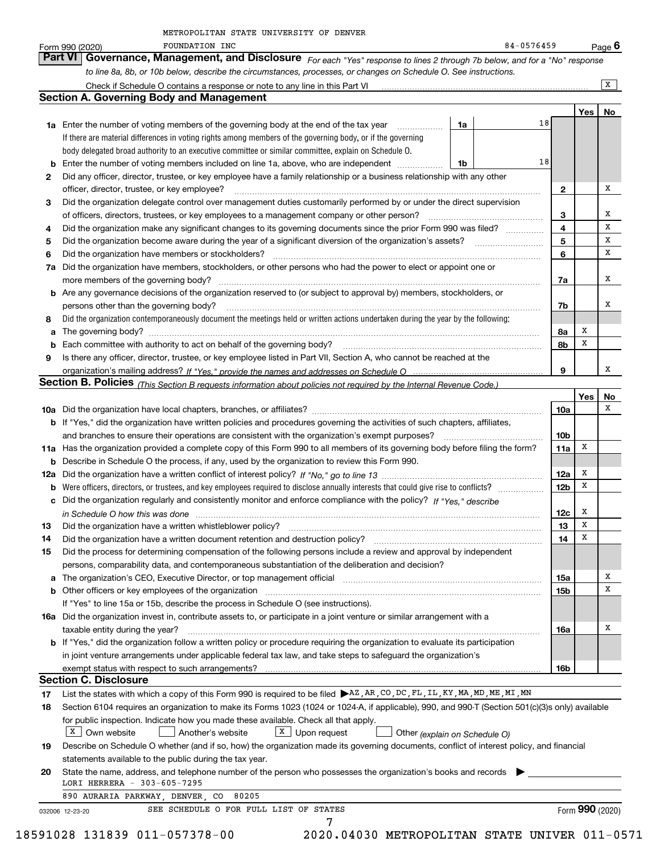| METROPOLITAN STATE UNIVERSITY OF DENVER |  |  |
|-----------------------------------------|--|--|
| FOUNDATION INC                          |  |  |

*For each "Yes" response to lines 2 through 7b below, and for a "No" response to line 8a, 8b, or 10b below, describe the circumstances, processes, or changes on Schedule O. See instructions.* Form 990 (2020) **FOUNDATION INC**<br>**Part VI Governance, Management, and Disclosure** For each "Yes" response to lines 2 through 7b below, and for a "No" response Check if Schedule O contains a response or note to any line in this Part VI

|              |                                                                                                                                                                               |    |    |                 | Yes   No |    |
|--------------|-------------------------------------------------------------------------------------------------------------------------------------------------------------------------------|----|----|-----------------|----------|----|
|              | <b>1a</b> Enter the number of voting members of the governing body at the end of the tax year                                                                                 | 1a | 18 |                 |          |    |
|              | If there are material differences in voting rights among members of the governing body, or if the governing                                                                   |    |    |                 |          |    |
|              | body delegated broad authority to an executive committee or similar committee, explain on Schedule O.                                                                         |    |    |                 |          |    |
|              | <b>b</b> Enter the number of voting members included on line 1a, above, who are independent <i>manumum</i>                                                                    | 1b | 18 |                 |          |    |
| $\mathbf{2}$ | Did any officer, director, trustee, or key employee have a family relationship or a business relationship with any other                                                      |    |    |                 |          |    |
|              | officer, director, trustee, or key employee?                                                                                                                                  |    |    | $\mathbf{2}$    |          | Х  |
| 3            | Did the organization delegate control over management duties customarily performed by or under the direct supervision                                                         |    |    |                 |          |    |
|              |                                                                                                                                                                               |    |    | 3               |          | х  |
| 4            | Did the organization make any significant changes to its governing documents since the prior Form 990 was filed?                                                              |    |    | $\overline{4}$  |          | x  |
| 5            |                                                                                                                                                                               |    |    | 5               |          | х  |
| 6            | Did the organization have members or stockholders?                                                                                                                            |    |    | 6               |          | х  |
| 7a           | Did the organization have members, stockholders, or other persons who had the power to elect or appoint one or                                                                |    |    |                 |          |    |
|              |                                                                                                                                                                               |    |    | 7a              |          | х  |
|              | <b>b</b> Are any governance decisions of the organization reserved to (or subject to approval by) members, stockholders, or                                                   |    |    |                 |          |    |
|              | persons other than the governing body?                                                                                                                                        |    |    | 7b              |          | х  |
| 8            | Did the organization contemporaneously document the meetings held or written actions undertaken during the year by the following:                                             |    |    |                 |          |    |
| a            |                                                                                                                                                                               |    |    | 8a              | х        |    |
| b            |                                                                                                                                                                               |    |    | 8b              | х        |    |
| 9            | Is there any officer, director, trustee, or key employee listed in Part VII, Section A, who cannot be reached at the                                                          |    |    |                 |          |    |
|              |                                                                                                                                                                               |    |    | 9               |          | х  |
|              | Section B. Policies (This Section B requests information about policies not required by the Internal Revenue Code.)                                                           |    |    |                 |          |    |
|              |                                                                                                                                                                               |    |    |                 | Yes      | No |
|              |                                                                                                                                                                               |    |    | 10a             |          | х  |
|              | <b>b</b> If "Yes," did the organization have written policies and procedures governing the activities of such chapters, affiliates,                                           |    |    |                 |          |    |
|              |                                                                                                                                                                               |    |    | 10 <sub>b</sub> |          |    |
|              | 11a Has the organization provided a complete copy of this Form 990 to all members of its governing body before filing the form?                                               |    |    | 11a             | х        |    |
|              | <b>b</b> Describe in Schedule O the process, if any, used by the organization to review this Form 990.                                                                        |    |    |                 |          |    |
|              |                                                                                                                                                                               |    |    | 12a             | х        |    |
| b            |                                                                                                                                                                               |    |    | 12 <sub>b</sub> | x        |    |
|              | c Did the organization regularly and consistently monitor and enforce compliance with the policy? If "Yes." describe                                                          |    |    |                 |          |    |
|              | in Schedule O how this was done manufactured and continuum control of the Schedule O how this was done manufactured and continuum control of the Schedule O how this was done |    |    | 12c             | х        |    |
| 13           |                                                                                                                                                                               |    |    | 13              | х        |    |
| 14           | Did the organization have a written document retention and destruction policy? manufactured and the organization have a written document retention and destruction policy?    |    |    | 14              | X        |    |
| 15           | Did the process for determining compensation of the following persons include a review and approval by independent                                                            |    |    |                 |          |    |
|              | persons, comparability data, and contemporaneous substantiation of the deliberation and decision?                                                                             |    |    |                 |          |    |
|              |                                                                                                                                                                               |    |    | 15a             |          | Х  |
|              |                                                                                                                                                                               |    |    | 15 <sub>b</sub> |          | X  |
|              | If "Yes" to line 15a or 15b, describe the process in Schedule O (see instructions).                                                                                           |    |    |                 |          |    |
|              | 16a Did the organization invest in, contribute assets to, or participate in a joint venture or similar arrangement with a                                                     |    |    |                 |          |    |
|              | taxable entity during the year?                                                                                                                                               |    |    | 16a             |          | х  |
|              | b If "Yes," did the organization follow a written policy or procedure requiring the organization to evaluate its participation                                                |    |    |                 |          |    |
|              | in joint venture arrangements under applicable federal tax law, and take steps to safequard the organization's                                                                |    |    |                 |          |    |
|              | exempt status with respect to such arrangements?                                                                                                                              |    |    | <b>16b</b>      |          |    |
|              | <b>Section C. Disclosure</b>                                                                                                                                                  |    |    |                 |          |    |
| 17           | List the states with which a copy of this Form 990 is required to be filed ▶ AZ, AR, CO, DC, FL, IL, KY, MA, MD, ME, MI, MN                                                   |    |    |                 |          |    |
| 18           | Section 6104 requires an organization to make its Forms 1023 (1024 or 1024-A, if applicable), 990, and 990-T (Section 501(c)(3)s only) available                              |    |    |                 |          |    |
|              | for public inspection. Indicate how you made these available. Check all that apply.                                                                                           |    |    |                 |          |    |
|              | $\vert$ X $\vert$ Own website<br>$X$ Upon request<br>Another's website<br>Other (explain on Schedule O)                                                                       |    |    |                 |          |    |
| 19           | Describe on Schedule O whether (and if so, how) the organization made its governing documents, conflict of interest policy, and financial                                     |    |    |                 |          |    |
|              | statements available to the public during the tax year.                                                                                                                       |    |    |                 |          |    |
| 20           | State the name, address, and telephone number of the person who possesses the organization's books and records                                                                |    |    |                 |          |    |
|              | LORI HERRERA - 303-605-7295                                                                                                                                                   |    |    |                 |          |    |
|              | 890 AURARIA PARKWAY, DENVER, CO 80205                                                                                                                                         |    |    |                 |          |    |
|              |                                                                                                                                                                               |    |    |                 |          |    |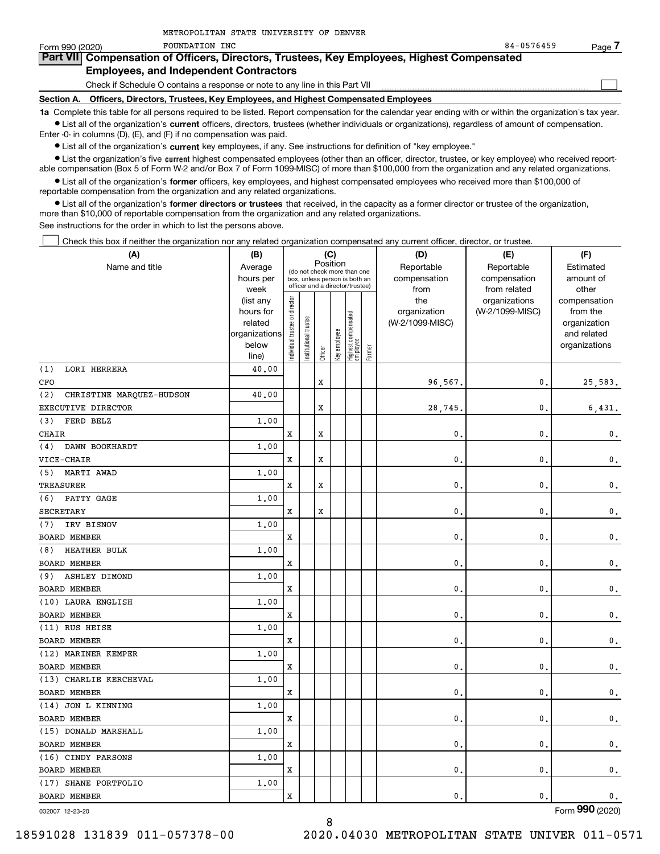| Form 990 (2020)                               | FOUNDATION INC                                                                                                                                             | 84-0576459 | Page - |  |  |  |  |  |  |  |
|-----------------------------------------------|------------------------------------------------------------------------------------------------------------------------------------------------------------|------------|--------|--|--|--|--|--|--|--|
|                                               | Part VII Compensation of Officers, Directors, Trustees, Key Employees, Highest Compensated                                                                 |            |        |  |  |  |  |  |  |  |
| <b>Employees, and Independent Contractors</b> |                                                                                                                                                            |            |        |  |  |  |  |  |  |  |
|                                               | Check if Schedule O contains a response or note to any line in this Part VII                                                                               |            |        |  |  |  |  |  |  |  |
|                                               | Section A. Officers, Directors, Trustees, Key Employees, and Highest Compensated Employees                                                                 |            |        |  |  |  |  |  |  |  |
|                                               | 1a Complete this table for all persons required to be listed. Report compensation for the calendar year ending with or within the organization's tax year. |            |        |  |  |  |  |  |  |  |
|                                               | • List all of the organization's current officers, directors, trustees (whether individuals or organizations), regardless of amount of compensation.       |            |        |  |  |  |  |  |  |  |

Enter -0- in columns (D), (E), and (F) if no compensation was paid.

 $\bullet$  List all of the organization's  $\,$ current key employees, if any. See instructions for definition of "key employee."

METROPOLITAN STATE UNIVERSITY OF DENVER

**•** List the organization's five current highest compensated employees (other than an officer, director, trustee, or key employee) who received reportable compensation (Box 5 of Form W-2 and/or Box 7 of Form 1099-MISC) of more than \$100,000 from the organization and any related organizations.

**•** List all of the organization's former officers, key employees, and highest compensated employees who received more than \$100,000 of reportable compensation from the organization and any related organizations.

**former directors or trustees**  ¥ List all of the organization's that received, in the capacity as a former director or trustee of the organization, more than \$10,000 of reportable compensation from the organization and any related organizations.

See instructions for the order in which to list the persons above.

Check this box if neither the organization nor any related organization compensated any current officer, director, or trustee.  $\mathcal{L}^{\text{max}}$ 

| (A)                             | (B)<br>(C)        |                                                                          |                                 |             |              |                                 |        | (D)                  | (E)                          | (F)                |  |  |
|---------------------------------|-------------------|--------------------------------------------------------------------------|---------------------------------|-------------|--------------|---------------------------------|--------|----------------------|------------------------------|--------------------|--|--|
| Name and title                  | Average           | Position<br>(do not check more than one<br>box, unless person is both an |                                 |             |              |                                 |        | Reportable           | Reportable                   | Estimated          |  |  |
|                                 | hours per<br>week |                                                                          | officer and a director/trustee) |             |              |                                 |        | compensation<br>from | compensation<br>from related | amount of<br>other |  |  |
|                                 | (list any         |                                                                          |                                 |             |              |                                 |        | the                  | organizations                | compensation       |  |  |
|                                 | hours for         |                                                                          |                                 |             |              |                                 |        | organization         | (W-2/1099-MISC)              | from the           |  |  |
|                                 | related           |                                                                          |                                 |             |              |                                 |        | (W-2/1099-MISC)      |                              | organization       |  |  |
|                                 | organizations     |                                                                          |                                 |             |              |                                 |        |                      |                              | and related        |  |  |
|                                 | below             | ndividual trustee or director                                            | Institutional trustee           | Officer     | Key employee | Highest compensated<br>employee | Former |                      |                              | organizations      |  |  |
| (1)<br>LORI HERRERA             | line)<br>40.00    |                                                                          |                                 |             |              |                                 |        |                      |                              |                    |  |  |
| CFO                             |                   |                                                                          |                                 | X           |              |                                 |        | 96,567.              | 0.                           | 25,583.            |  |  |
| (2)<br>CHRISTINE MARQUEZ-HUDSON | 40.00             |                                                                          |                                 |             |              |                                 |        |                      |                              |                    |  |  |
| EXECUTIVE DIRECTOR              |                   |                                                                          |                                 | X           |              |                                 |        | 28,745               | 0.                           | 6,431.             |  |  |
| FERD BELZ<br>(3)                | 1.00              |                                                                          |                                 |             |              |                                 |        |                      |                              |                    |  |  |
| <b>CHAIR</b>                    |                   | X                                                                        |                                 | X           |              |                                 |        | $\mathbf{0}$ .       | $\mathbf{0}$ .               | $\mathbf 0$ .      |  |  |
| (4)<br>DAWN BOOKHARDT           | 1.00              |                                                                          |                                 |             |              |                                 |        |                      |                              |                    |  |  |
| VICE-CHAIR                      |                   | $\mathbf x$                                                              |                                 | $\mathbf x$ |              |                                 |        | $\mathbf{0}$ .       | $\mathbf{0}$ .               | $\mathbf 0$ .      |  |  |
| MARTI AWAD<br>(5)               | 1.00              |                                                                          |                                 |             |              |                                 |        |                      |                              |                    |  |  |
| <b>TREASURER</b>                |                   | X                                                                        |                                 | X           |              |                                 |        | $\mathbf{0}$ .       | 0.                           | $\mathbf 0$ .      |  |  |
| PATTY GAGE<br>(6)               | 1.00              |                                                                          |                                 |             |              |                                 |        |                      |                              |                    |  |  |
| <b>SECRETARY</b>                |                   | $\mathbf x$                                                              |                                 | $\mathbf x$ |              |                                 |        | $\mathbf{0}$         | $\mathbf{0}$ .               | $\mathbf 0$ .      |  |  |
| IRV BISNOV<br>(7)               | 1.00              |                                                                          |                                 |             |              |                                 |        |                      |                              |                    |  |  |
| <b>BOARD MEMBER</b>             |                   | X                                                                        |                                 |             |              |                                 |        | $\mathbf{0}$ .       | $\mathbf{0}$ .               | $\mathbf 0$ .      |  |  |
| HEATHER BULK<br>(8)             | 1.00              |                                                                          |                                 |             |              |                                 |        |                      |                              |                    |  |  |
| <b>BOARD MEMBER</b>             |                   | $\mathbf x$                                                              |                                 |             |              |                                 |        | $\mathbf{0}$ .       | $\mathbf{0}$ .               | $\mathbf 0$ .      |  |  |
| <b>ASHLEY DIMOND</b><br>(9)     | 1.00              |                                                                          |                                 |             |              |                                 |        |                      |                              |                    |  |  |
| <b>BOARD MEMBER</b>             |                   | X                                                                        |                                 |             |              |                                 |        | $\mathbf{0}$ .       | 0.                           | $\mathbf 0$ .      |  |  |
| (10) LAURA ENGLISH              | 1.00              |                                                                          |                                 |             |              |                                 |        |                      |                              |                    |  |  |
| <b>BOARD MEMBER</b>             |                   | $\mathbf x$                                                              |                                 |             |              |                                 |        | $\mathbf{0}$ .       | $\mathbf{0}$ .               | $\mathbf 0$ .      |  |  |
| (11) RUS HEISE                  | 1.00              |                                                                          |                                 |             |              |                                 |        |                      |                              |                    |  |  |
| <b>BOARD MEMBER</b>             |                   | X                                                                        |                                 |             |              |                                 |        | $\mathbf{0}$ .       | $\mathbf{0}$ .               | $\mathbf 0$ .      |  |  |
| (12) MARINER KEMPER             | 1.00              |                                                                          |                                 |             |              |                                 |        |                      |                              |                    |  |  |
| <b>BOARD MEMBER</b>             |                   | $\mathbf x$                                                              |                                 |             |              |                                 |        | $\mathbf{0}$ .       | $\mathbf{0}$ .               | $\mathbf 0$ .      |  |  |
| (13) CHARLIE KERCHEVAL          | 1,00              |                                                                          |                                 |             |              |                                 |        |                      |                              |                    |  |  |
| BOARD MEMBER                    |                   | X                                                                        |                                 |             |              |                                 |        | $\mathbf{0}$ .       | $\mathfrak{o}$ .             | $\mathbf 0$ .      |  |  |
| (14) JON L KINNING              | 1,00              |                                                                          |                                 |             |              |                                 |        |                      |                              |                    |  |  |
| BOARD MEMBER                    |                   | $\mathbf x$                                                              |                                 |             |              |                                 |        | $\mathbf{0}$ .       | $\mathbf{0}$ .               | $\mathbf 0$ .      |  |  |
| (15) DONALD MARSHALL            | 1,00              |                                                                          |                                 |             |              |                                 |        |                      |                              |                    |  |  |
| BOARD MEMBER                    |                   | X                                                                        |                                 |             |              |                                 |        | $\mathbf{0}$ .       | $\mathbf{0}$ .               | $\mathbf 0$ .      |  |  |
| (16) CINDY PARSONS              | 1,00              |                                                                          |                                 |             |              |                                 |        |                      |                              |                    |  |  |
| <b>BOARD MEMBER</b>             |                   | $\mathbf x$                                                              |                                 |             |              |                                 |        | $\mathbf{0}$ .       | $\mathbf{0}$ .               | $\mathsf{0}\,.$    |  |  |
| (17) SHANE PORTFOLIO            | 1.00              |                                                                          |                                 |             |              |                                 |        |                      |                              |                    |  |  |
| <b>BOARD MEMBER</b>             |                   | X                                                                        |                                 |             |              |                                 |        | $\mathbf{0}$ .       | $\mathbf{0}$ .               | $\mathbf 0$ .      |  |  |

8

032007 12-23-20

Form (2020) **990**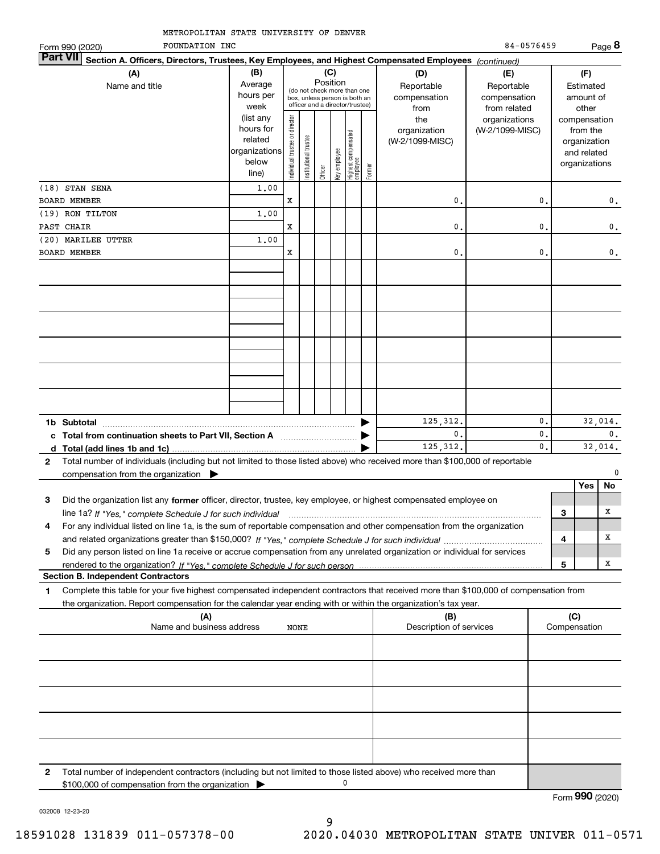| METROPOLITAN STATE UNIVERSITY OF DENVER |  |  |  |  |
|-----------------------------------------|--|--|--|--|
|-----------------------------------------|--|--|--|--|

|                 | FOUNDATION INC<br>Form 990 (2020)                                                                                                                                                                                                                      |                                                                      |                                                                                                                    |                       |         |                                                                                                                                                                                                                                                                                                 |                                 |        |                                           | 84-0576459                                        |                      |     |                                                                          | Page 8        |
|-----------------|--------------------------------------------------------------------------------------------------------------------------------------------------------------------------------------------------------------------------------------------------------|----------------------------------------------------------------------|--------------------------------------------------------------------------------------------------------------------|-----------------------|---------|-------------------------------------------------------------------------------------------------------------------------------------------------------------------------------------------------------------------------------------------------------------------------------------------------|---------------------------------|--------|-------------------------------------------|---------------------------------------------------|----------------------|-----|--------------------------------------------------------------------------|---------------|
| <b>Part VII</b> | Section A. Officers, Directors, Trustees, Key Employees, and Highest Compensated Employees (continued)                                                                                                                                                 |                                                                      |                                                                                                                    |                       |         |                                                                                                                                                                                                                                                                                                 |                                 |        |                                           |                                                   |                      |     |                                                                          |               |
|                 | (A)<br>Name and title                                                                                                                                                                                                                                  | (B)<br>Average<br>hours per<br>week                                  | (C)<br>Position<br>(do not check more than one<br>box, unless person is both an<br>officer and a director/trustee) |                       |         |                                                                                                                                                                                                                                                                                                 |                                 |        | (D)<br>Reportable<br>compensation<br>from | (E)<br>Reportable<br>compensation<br>from related |                      |     | (F)<br>Estimated<br>amount of<br>other                                   |               |
|                 |                                                                                                                                                                                                                                                        | (list any<br>hours for<br>related<br>organizations<br>below<br>line) | ndividual trustee or director                                                                                      | Institutional trustee | Officer | <ey employee<="" td=""><td>Highest compensated<br/>employee</td><td>Former</td><td>the<br/>organization<br/>(W-2/1099-MISC)</td><td>organizations<br/>(W-2/1099-MISC)</td><td></td><td></td><td>compensation<br/>from the<br/>organization<br/>and related<br/>organizations</td><td></td></ey> | Highest compensated<br>employee | Former | the<br>organization<br>(W-2/1099-MISC)    | organizations<br>(W-2/1099-MISC)                  |                      |     | compensation<br>from the<br>organization<br>and related<br>organizations |               |
|                 | (18) STAN SENA                                                                                                                                                                                                                                         | 1,00                                                                 |                                                                                                                    |                       |         |                                                                                                                                                                                                                                                                                                 |                                 |        |                                           |                                                   |                      |     |                                                                          |               |
|                 | <b>BOARD MEMBER</b><br>(19) RON TILTON                                                                                                                                                                                                                 | 1,00                                                                 | X                                                                                                                  |                       |         |                                                                                                                                                                                                                                                                                                 |                                 |        | 0.                                        |                                                   | 0.                   |     |                                                                          | 0.            |
|                 | PAST CHAIR                                                                                                                                                                                                                                             |                                                                      | X                                                                                                                  |                       |         |                                                                                                                                                                                                                                                                                                 |                                 |        | 0.                                        |                                                   | 0.                   |     |                                                                          | 0.            |
|                 | (20) MARILEE UTTER                                                                                                                                                                                                                                     | 1,00                                                                 |                                                                                                                    |                       |         |                                                                                                                                                                                                                                                                                                 |                                 |        |                                           |                                                   |                      |     |                                                                          |               |
|                 | <b>BOARD MEMBER</b>                                                                                                                                                                                                                                    |                                                                      | X                                                                                                                  |                       |         |                                                                                                                                                                                                                                                                                                 |                                 |        | 0.                                        |                                                   | $\mathbf{0}$ .       |     |                                                                          | 0.            |
|                 |                                                                                                                                                                                                                                                        |                                                                      |                                                                                                                    |                       |         |                                                                                                                                                                                                                                                                                                 |                                 |        |                                           |                                                   |                      |     |                                                                          |               |
|                 |                                                                                                                                                                                                                                                        |                                                                      |                                                                                                                    |                       |         |                                                                                                                                                                                                                                                                                                 |                                 |        |                                           |                                                   |                      |     |                                                                          |               |
|                 |                                                                                                                                                                                                                                                        |                                                                      |                                                                                                                    |                       |         |                                                                                                                                                                                                                                                                                                 |                                 |        |                                           |                                                   |                      |     |                                                                          |               |
|                 |                                                                                                                                                                                                                                                        |                                                                      |                                                                                                                    |                       |         |                                                                                                                                                                                                                                                                                                 |                                 |        |                                           |                                                   |                      |     |                                                                          |               |
|                 |                                                                                                                                                                                                                                                        |                                                                      |                                                                                                                    |                       |         |                                                                                                                                                                                                                                                                                                 |                                 |        |                                           |                                                   |                      |     |                                                                          |               |
|                 |                                                                                                                                                                                                                                                        |                                                                      |                                                                                                                    |                       |         |                                                                                                                                                                                                                                                                                                 |                                 |        | 125, 312.                                 |                                                   | $\mathbf{0}$ .       |     |                                                                          | 32,014.       |
|                 |                                                                                                                                                                                                                                                        |                                                                      |                                                                                                                    |                       |         |                                                                                                                                                                                                                                                                                                 |                                 |        | 0.<br>125, 312.                           |                                                   | $\mathbf{0}$ .<br>0. |     |                                                                          | 0.<br>32,014. |
| 2               | Total number of individuals (including but not limited to those listed above) who received more than \$100,000 of reportable<br>compensation from the organization $\blacktriangleright$                                                               |                                                                      |                                                                                                                    |                       |         |                                                                                                                                                                                                                                                                                                 |                                 |        |                                           |                                                   |                      |     |                                                                          | 0             |
| з               | Did the organization list any former officer, director, trustee, key employee, or highest compensated employee on                                                                                                                                      |                                                                      |                                                                                                                    |                       |         |                                                                                                                                                                                                                                                                                                 |                                 |        |                                           |                                                   |                      |     | Yes                                                                      | No            |
|                 | line 1a? If "Yes," complete Schedule J for such individual manufactured contained and the 1a? If "Yes," complete Schedule J for such individual                                                                                                        |                                                                      |                                                                                                                    |                       |         |                                                                                                                                                                                                                                                                                                 |                                 |        |                                           |                                                   |                      | 3   |                                                                          | х             |
| 4               | For any individual listed on line 1a, is the sum of reportable compensation and other compensation from the organization                                                                                                                               |                                                                      |                                                                                                                    |                       |         |                                                                                                                                                                                                                                                                                                 |                                 |        |                                           |                                                   |                      | 4   |                                                                          | х             |
| 5               | Did any person listed on line 1a receive or accrue compensation from any unrelated organization or individual for services                                                                                                                             |                                                                      |                                                                                                                    |                       |         |                                                                                                                                                                                                                                                                                                 |                                 |        |                                           |                                                   |                      |     |                                                                          |               |
|                 |                                                                                                                                                                                                                                                        |                                                                      |                                                                                                                    |                       |         |                                                                                                                                                                                                                                                                                                 |                                 |        |                                           |                                                   |                      | 5   |                                                                          | x             |
|                 | <b>Section B. Independent Contractors</b>                                                                                                                                                                                                              |                                                                      |                                                                                                                    |                       |         |                                                                                                                                                                                                                                                                                                 |                                 |        |                                           |                                                   |                      |     |                                                                          |               |
| 1               | Complete this table for your five highest compensated independent contractors that received more than \$100,000 of compensation from<br>the organization. Report compensation for the calendar year ending with or within the organization's tax year. |                                                                      |                                                                                                                    |                       |         |                                                                                                                                                                                                                                                                                                 |                                 |        |                                           |                                                   |                      |     |                                                                          |               |
|                 | (A)<br>Name and business address                                                                                                                                                                                                                       |                                                                      | NONE                                                                                                               |                       |         |                                                                                                                                                                                                                                                                                                 |                                 |        | (B)<br>Description of services            |                                                   |                      | (C) | Compensation                                                             |               |
|                 |                                                                                                                                                                                                                                                        |                                                                      |                                                                                                                    |                       |         |                                                                                                                                                                                                                                                                                                 |                                 |        |                                           |                                                   |                      |     |                                                                          |               |
|                 |                                                                                                                                                                                                                                                        |                                                                      |                                                                                                                    |                       |         |                                                                                                                                                                                                                                                                                                 |                                 |        |                                           |                                                   |                      |     |                                                                          |               |
|                 |                                                                                                                                                                                                                                                        |                                                                      |                                                                                                                    |                       |         |                                                                                                                                                                                                                                                                                                 |                                 |        |                                           |                                                   |                      |     |                                                                          |               |
|                 |                                                                                                                                                                                                                                                        |                                                                      |                                                                                                                    |                       |         |                                                                                                                                                                                                                                                                                                 |                                 |        |                                           |                                                   |                      |     |                                                                          |               |

**2**Total number of independent contractors (including but not limited to those listed above) who received more than \$100,000 of compensation from the organization 0

Form (2020) **990**

032008 12-23-20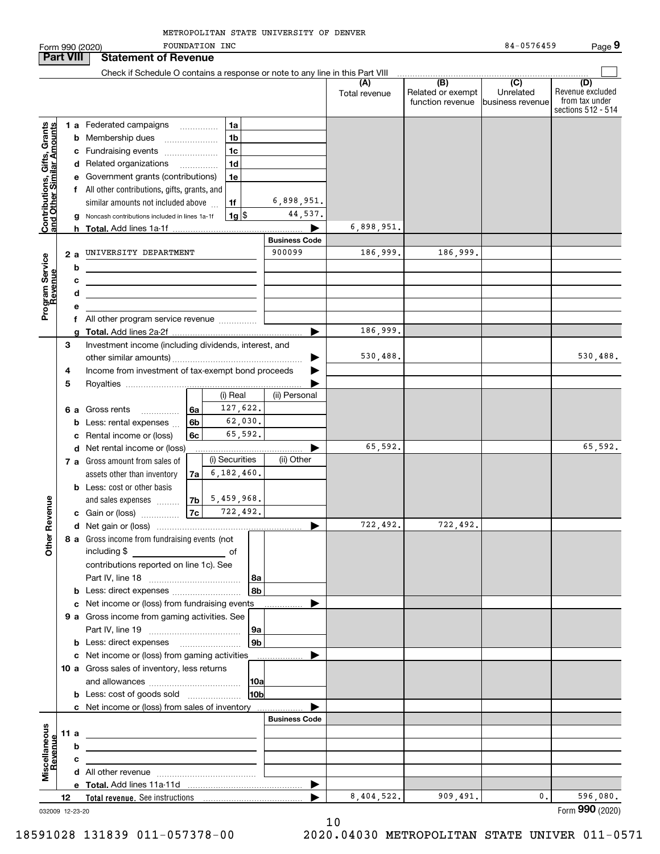FOUNDATION INC 84-0576459 **9**Form 990 (2020) FOUNDATION INC 84-0576459 Page **Part VIII Statement of Revenue**  $\mathcal{L}^{\text{max}}$ Check if Schedule O contains a response or note to any line in this Part VIII **(A)** $\overline{(D)}$  **(B) (C) (D)** Revenue excluded Total revenue  $\vert$  Related or exempt Unrelatedfrom tax under function revenue business revenue sections 512 - 514 **Contributions, Gifts, Grants**<br>and Other Similar Amounts **1 a** Federated campaigns **Contributions, Gifts, Grants and Other Similar Amounts** ~~~~~**1ab** Membership dues  $^{100}$ **1bc**Fundraising events ~~~~~~~ **1cd** Related organizations …………… **1de** Government grants (contributions) **1ef** All other contributions, gifts, grants, and 6,898,951. similar amounts not included above  $\,\ldots\,$ **1f**44,537. **1**\$**g** Noncash contributions included in lines 1a-1f 1g 6,898,951. **h Total.**  Add lines 1a-1f | **Business Code** 186,999. **a2**UNIVERSITY DEPARTMENT 900099 186,999. Program Service<br>Revenue **Program Service bRevenue cdef** All other program service revenue .............. 186,999. **gTotal.**  Add lines 2a-2f | Investment income (including dividends, interest, and **3**530,488. 530,488. other similar amounts) ~~~~~~~~~~~~~~~~~ | Income from investment of tax-exempt bond proceeds  $\blacktriangleright$ **45**Royalties ........................ (i) Real (ii) Personal 127,622. **6 a** Gross rents ............... **6a**62,030. **6bb** Less: rental expenses  $\ldots$ 65,592. **6cc** Rental income or (loss) 65,592. 65,592.  $\blacktriangleright$ **d** Net rental income or (loss) (i) Securities (ii) Other **7 a** Gross amount from sales of 6,182,460. assets other than inventory **7ab** Less: cost or other basis 5,459,968. **Other Revenue Other Revenue** and sales expenses **7b7c**722,492. **c** Gain or (loss) …………… 722,492. 722,492. **d**Net gain or (loss) | **8 a** Gross income from fundraising events (not including \$ ofcontributions reported on line 1c). See Part IV, line 18 ~~~~~~~~~~~~ **8a8bb** Less: direct expenses  $^{(1)}$ **c** Net income or (loss) from fundraising events **............... 9 a** Gross income from gaming activities. See Part IV, line 19 ~~~~~~~~~~~~ **9a9bb** Less: direct expenses \_\_\_\_\_\_\_\_\_\_\_\_\_\_\_\_\_\_  $\blacktriangleright$ **c** Net income or (loss) from gaming activities . . . . . . . . . . . . . . . . . . **10 a** Gross sales of inventory, less returns and allowances ~~~~~~~~~~~~ **10a10bb** Less: cost of goods sold  $^{[1]}$  .....................  $\blacksquare$ **c** Net income or (loss) from sales of inventory . . . . . . . . . . . . . . . . . . **Business Code** scellaneous **Miscellaneous 11 a** Revenue **Revenue bcd** All other revenue  $\ldots$   $\ldots$   $\ldots$   $\ldots$   $\ldots$   $\ldots$   $\ldots$   $\ldots$ **eTotal.**  Add lines 11a-11d | 8,404,522. 909,491. 0. 596,080.  $\blacktriangleright$ **12Total revenue.**  See instructions

032009 12-23-20

10

Form (2020) **990**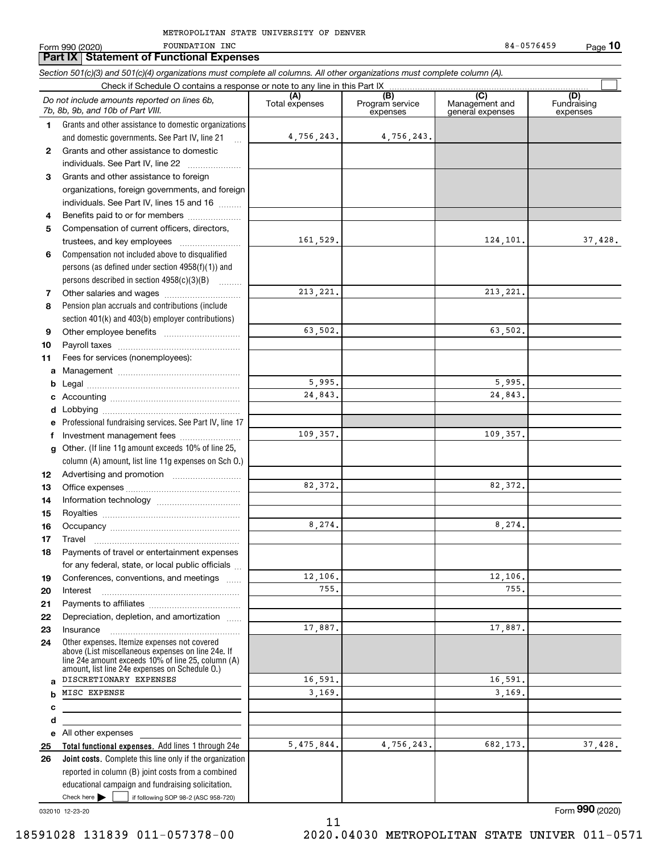**Part IX Statement of Functional Expenses**

Form 990 (2020) **POUNDATION INC PAGE 10 PAGE 10 PAGE 10 PAGE 10 PAGE 10 PAGE 10 PAGE 10 PAGE 10 PAGE 10 PAGE 10 PAGE 10 PAGE 10 PAGE 10 PAGE 10 PAGE 10 PAGE 10 PAGE 10 PAGE 10 PAGE 10** FOUNDATION INC

|              | Section 501(c)(3) and 501(c)(4) organizations must complete all columns. All other organizations must complete column (A).                                                                                 |                |                             |                                    |                         |
|--------------|------------------------------------------------------------------------------------------------------------------------------------------------------------------------------------------------------------|----------------|-----------------------------|------------------------------------|-------------------------|
|              | Check if Schedule O contains a response or note to any line in this Part IX                                                                                                                                | (A)            | (B)                         | (C)                                | (D)                     |
|              | Do not include amounts reported on lines 6b,<br>7b, 8b, 9b, and 10b of Part VIII.                                                                                                                          | Total expenses | Program service<br>expenses | Management and<br>general expenses | Fundraising<br>expenses |
| 1            | Grants and other assistance to domestic organizations                                                                                                                                                      |                |                             |                                    |                         |
|              | and domestic governments. See Part IV, line 21<br>$\ddotsc$                                                                                                                                                | 4,756,243.     | 4,756,243.                  |                                    |                         |
| $\mathbf{2}$ | Grants and other assistance to domestic                                                                                                                                                                    |                |                             |                                    |                         |
|              | individuals. See Part IV, line 22                                                                                                                                                                          |                |                             |                                    |                         |
| 3            | Grants and other assistance to foreign                                                                                                                                                                     |                |                             |                                    |                         |
|              | organizations, foreign governments, and foreign                                                                                                                                                            |                |                             |                                    |                         |
|              | individuals. See Part IV, lines 15 and 16                                                                                                                                                                  |                |                             |                                    |                         |
| 4            | Benefits paid to or for members                                                                                                                                                                            |                |                             |                                    |                         |
| 5            | Compensation of current officers, directors,                                                                                                                                                               |                |                             |                                    |                         |
|              | trustees, and key employees                                                                                                                                                                                | 161,529.       |                             | 124, 101.                          | 37,428.                 |
| 6            | Compensation not included above to disqualified                                                                                                                                                            |                |                             |                                    |                         |
|              | persons (as defined under section 4958(f)(1)) and                                                                                                                                                          |                |                             |                                    |                         |
|              | persons described in section 4958(c)(3)(B)                                                                                                                                                                 | 213, 221.      |                             | 213, 221.                          |                         |
| 7<br>8       | Pension plan accruals and contributions (include                                                                                                                                                           |                |                             |                                    |                         |
|              |                                                                                                                                                                                                            |                |                             |                                    |                         |
|              | section 401(k) and 403(b) employer contributions)                                                                                                                                                          | 63,502.        |                             | 63,502.                            |                         |
| 9            |                                                                                                                                                                                                            |                |                             |                                    |                         |
| 10<br>11     | Fees for services (nonemployees):                                                                                                                                                                          |                |                             |                                    |                         |
| a            |                                                                                                                                                                                                            |                |                             |                                    |                         |
| b            |                                                                                                                                                                                                            | 5,995.         |                             | 5,995.                             |                         |
| c            |                                                                                                                                                                                                            | 24,843,        |                             | 24,843.                            |                         |
| d            |                                                                                                                                                                                                            |                |                             |                                    |                         |
| e            | Professional fundraising services. See Part IV, line 17                                                                                                                                                    |                |                             |                                    |                         |
| f            | Investment management fees                                                                                                                                                                                 | 109,357.       |                             | 109,357.                           |                         |
| $\mathbf{q}$ | Other. (If line 11g amount exceeds 10% of line 25,                                                                                                                                                         |                |                             |                                    |                         |
|              | column (A) amount, list line 11g expenses on Sch O.)                                                                                                                                                       |                |                             |                                    |                         |
| 12           |                                                                                                                                                                                                            |                |                             |                                    |                         |
| 13           |                                                                                                                                                                                                            | 82,372.        |                             | 82,372.                            |                         |
| 14           |                                                                                                                                                                                                            |                |                             |                                    |                         |
| 15           |                                                                                                                                                                                                            |                |                             |                                    |                         |
| 16           |                                                                                                                                                                                                            | 8,274.         |                             | 8,274.                             |                         |
| 17           | Travel                                                                                                                                                                                                     |                |                             |                                    |                         |
| 18           | Payments of travel or entertainment expenses                                                                                                                                                               |                |                             |                                    |                         |
|              | for any federal, state, or local public officials                                                                                                                                                          |                |                             |                                    |                         |
| 19           | Conferences, conventions, and meetings                                                                                                                                                                     | 12,106.        |                             | 12,106.                            |                         |
| 20           | Interest                                                                                                                                                                                                   | 755.           |                             | 755.                               |                         |
| 21           |                                                                                                                                                                                                            |                |                             |                                    |                         |
| 22           | Depreciation, depletion, and amortization                                                                                                                                                                  |                |                             |                                    |                         |
| 23           | Insurance                                                                                                                                                                                                  | 17,887.        |                             | 17,887.                            |                         |
| 24           | Other expenses. Itemize expenses not covered<br>above (List miscellaneous expenses on line 24e. If<br>line 24e amount exceeds 10% of line 25, column (A)<br>amount, list line 24e expenses on Schedule 0.) |                |                             |                                    |                         |
| a            | DISCRETIONARY EXPENSES                                                                                                                                                                                     | 16,591.        |                             | 16,591.                            |                         |
| b            | MISC EXPENSE                                                                                                                                                                                               | 3,169.         |                             | 3,169.                             |                         |
| c            |                                                                                                                                                                                                            |                |                             |                                    |                         |
| d            |                                                                                                                                                                                                            |                |                             |                                    |                         |
| е            | All other expenses                                                                                                                                                                                         |                |                             |                                    |                         |
| 25           | Total functional expenses. Add lines 1 through 24e                                                                                                                                                         | 5,475,844.     | 4,756,243.                  | 682,173.                           | 37,428.                 |
| 26           | Joint costs. Complete this line only if the organization                                                                                                                                                   |                |                             |                                    |                         |
|              | reported in column (B) joint costs from a combined                                                                                                                                                         |                |                             |                                    |                         |
|              | educational campaign and fundraising solicitation.                                                                                                                                                         |                |                             |                                    |                         |
|              | Check here $\blacktriangleright$<br>if following SOP 98-2 (ASC 958-720)                                                                                                                                    |                |                             |                                    |                         |

11

032010 12-23-20

Form (2020) **990**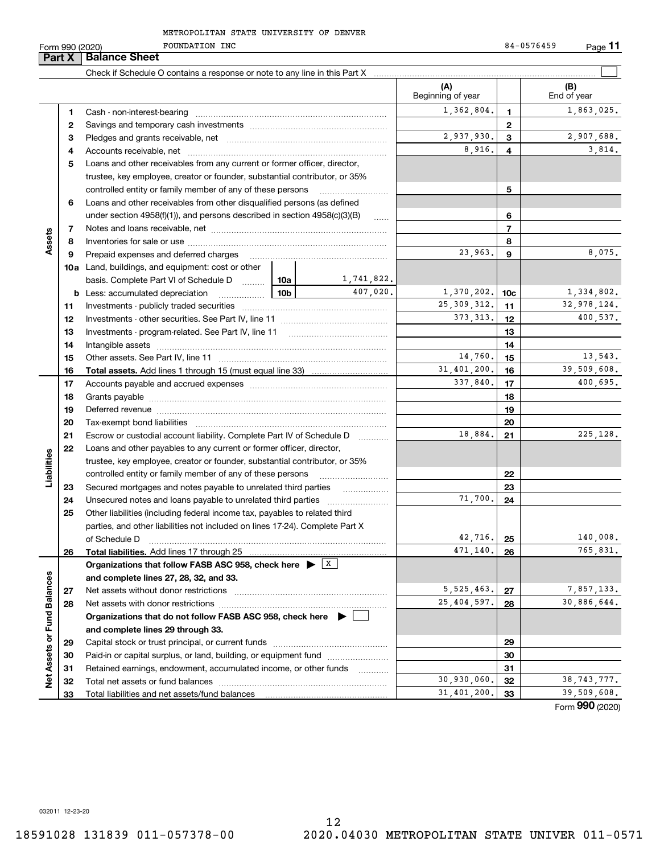Form 990 (2020) FOUNDATION INC 84-0576459 Page FOUNDATION INC 84-0576459

**11**

| (A)<br>(B)<br>Beginning of year<br>End of year<br>1,362,804.<br>1,863,025.<br>1<br>1<br>$\mathbf{2}$<br>2<br>2,937,930.<br>2,907,688.<br>3<br>з<br>8,916.<br>3,814.<br>4<br>4<br>Loans and other receivables from any current or former officer, director,<br>5<br>trustee, key employee, creator or founder, substantial contributor, or 35%<br>5<br>controlled entity or family member of any of these persons<br>Loans and other receivables from other disqualified persons (as defined<br>6<br>under section $4958(f)(1)$ , and persons described in section $4958(c)(3)(B)$<br>6<br>1.1.1.1<br>$\overline{7}$<br>7<br>Assets<br>8<br>8<br>23,963.<br>8,075.<br>9<br>9<br>Prepaid expenses and deferred charges<br><b>10a</b> Land, buildings, and equipment: cost or other<br>1,741,822.<br>basis. Complete Part VI of Schedule D  10a<br>407,020.<br>1,370,202.<br>1,334,802.<br>  10b<br>10c<br><b>b</b> Less: accumulated depreciation<br>.<br>25, 309, 312.<br>32,978,124.<br>11<br>11<br>373, 313.<br>400,537.<br>12<br>12<br>Investments - program-related. See Part IV, line 11<br>13<br>13<br>14<br>14<br>14,760.<br>13,543.<br>15<br>15<br>31,401,200.<br>39,509,608.<br>16<br>16<br><b>Total assets.</b> Add lines 1 through 15 (must equal line 33) <i></i><br>337,840.<br>400,695.<br>17<br>17<br>18<br>18<br>19<br>19<br>Deferred revenue manual contracts and contracts are contracted and contract and contract are contracted and contract are contracted and contract are contracted and contract are contracted and contract are contracted and co<br>20<br>20<br>18,884.<br>225, 128.<br>21<br>21<br>Escrow or custodial account liability. Complete Part IV of Schedule D<br>$\overline{\phantom{a}}$<br>22<br>Loans and other payables to any current or former officer, director,<br>Liabilities<br>trustee, key employee, creator or founder, substantial contributor, or 35%<br>controlled entity or family member of any of these persons<br>22<br>23<br>23<br>Secured mortgages and notes payable to unrelated third parties<br>.<br>71,700.<br>24<br>24<br>Unsecured notes and loans payable to unrelated third parties<br>Other liabilities (including federal income tax, payables to related third<br>25<br>parties, and other liabilities not included on lines 17-24). Complete Part X<br>42,716.<br>140,008.<br>25<br>of Schedule D<br>471,140.<br>765,831.<br>26<br>26<br><b>Total liabilities.</b> Add lines 17 through 25<br>Organizations that follow FASB ASC 958, check here $\blacktriangleright$ $\boxed{\text{X}}$<br>Net Assets or Fund Balances<br>and complete lines 27, 28, 32, and 33.<br>5, 525, 463.<br>7,857,133.<br>Net assets without donor restrictions<br>27<br>27<br>25,404,597.<br>30,886,644.<br>28<br>28<br>Organizations that do not follow FASB ASC 958, check here $\blacktriangleright$<br>and complete lines 29 through 33.<br>29<br>29<br>30<br>Paid-in or capital surplus, or land, building, or equipment fund<br>30<br>Retained earnings, endowment, accumulated income, or other funds<br>31<br>31<br>.<br>30,930,060.<br>38, 743, 777.<br>32<br>32<br>31,401,200.<br>39,509,608.<br>33<br>33 |  | Part X | <b>Balance Sheet</b> |  |  |  |  |
|-------------------------------------------------------------------------------------------------------------------------------------------------------------------------------------------------------------------------------------------------------------------------------------------------------------------------------------------------------------------------------------------------------------------------------------------------------------------------------------------------------------------------------------------------------------------------------------------------------------------------------------------------------------------------------------------------------------------------------------------------------------------------------------------------------------------------------------------------------------------------------------------------------------------------------------------------------------------------------------------------------------------------------------------------------------------------------------------------------------------------------------------------------------------------------------------------------------------------------------------------------------------------------------------------------------------------------------------------------------------------------------------------------------------------------------------------------------------------------------------------------------------------------------------------------------------------------------------------------------------------------------------------------------------------------------------------------------------------------------------------------------------------------------------------------------------------------------------------------------------------------------------------------------------------------------------------------------------------------------------------------------------------------------------------------------------------------------------------------------------------------------------------------------------------------------------------------------------------------------------------------------------------------------------------------------------------------------------------------------------------------------------------------------------------------------------------------------------------------------------------------------------------------------------------------------------------------------------------------------------------------------------------------------------------------------------------------------------------------------------------------------------------------------------------------------------------------------------------------------------------------------------------------------------------------------------------------------------------------------------------------------------------------------------------------------------------------------------------------------------------------------------------------------------------|--|--------|----------------------|--|--|--|--|
|                                                                                                                                                                                                                                                                                                                                                                                                                                                                                                                                                                                                                                                                                                                                                                                                                                                                                                                                                                                                                                                                                                                                                                                                                                                                                                                                                                                                                                                                                                                                                                                                                                                                                                                                                                                                                                                                                                                                                                                                                                                                                                                                                                                                                                                                                                                                                                                                                                                                                                                                                                                                                                                                                                                                                                                                                                                                                                                                                                                                                                                                                                                                                                         |  |        |                      |  |  |  |  |
|                                                                                                                                                                                                                                                                                                                                                                                                                                                                                                                                                                                                                                                                                                                                                                                                                                                                                                                                                                                                                                                                                                                                                                                                                                                                                                                                                                                                                                                                                                                                                                                                                                                                                                                                                                                                                                                                                                                                                                                                                                                                                                                                                                                                                                                                                                                                                                                                                                                                                                                                                                                                                                                                                                                                                                                                                                                                                                                                                                                                                                                                                                                                                                         |  |        |                      |  |  |  |  |
|                                                                                                                                                                                                                                                                                                                                                                                                                                                                                                                                                                                                                                                                                                                                                                                                                                                                                                                                                                                                                                                                                                                                                                                                                                                                                                                                                                                                                                                                                                                                                                                                                                                                                                                                                                                                                                                                                                                                                                                                                                                                                                                                                                                                                                                                                                                                                                                                                                                                                                                                                                                                                                                                                                                                                                                                                                                                                                                                                                                                                                                                                                                                                                         |  |        |                      |  |  |  |  |
|                                                                                                                                                                                                                                                                                                                                                                                                                                                                                                                                                                                                                                                                                                                                                                                                                                                                                                                                                                                                                                                                                                                                                                                                                                                                                                                                                                                                                                                                                                                                                                                                                                                                                                                                                                                                                                                                                                                                                                                                                                                                                                                                                                                                                                                                                                                                                                                                                                                                                                                                                                                                                                                                                                                                                                                                                                                                                                                                                                                                                                                                                                                                                                         |  |        |                      |  |  |  |  |
|                                                                                                                                                                                                                                                                                                                                                                                                                                                                                                                                                                                                                                                                                                                                                                                                                                                                                                                                                                                                                                                                                                                                                                                                                                                                                                                                                                                                                                                                                                                                                                                                                                                                                                                                                                                                                                                                                                                                                                                                                                                                                                                                                                                                                                                                                                                                                                                                                                                                                                                                                                                                                                                                                                                                                                                                                                                                                                                                                                                                                                                                                                                                                                         |  |        |                      |  |  |  |  |
|                                                                                                                                                                                                                                                                                                                                                                                                                                                                                                                                                                                                                                                                                                                                                                                                                                                                                                                                                                                                                                                                                                                                                                                                                                                                                                                                                                                                                                                                                                                                                                                                                                                                                                                                                                                                                                                                                                                                                                                                                                                                                                                                                                                                                                                                                                                                                                                                                                                                                                                                                                                                                                                                                                                                                                                                                                                                                                                                                                                                                                                                                                                                                                         |  |        |                      |  |  |  |  |
|                                                                                                                                                                                                                                                                                                                                                                                                                                                                                                                                                                                                                                                                                                                                                                                                                                                                                                                                                                                                                                                                                                                                                                                                                                                                                                                                                                                                                                                                                                                                                                                                                                                                                                                                                                                                                                                                                                                                                                                                                                                                                                                                                                                                                                                                                                                                                                                                                                                                                                                                                                                                                                                                                                                                                                                                                                                                                                                                                                                                                                                                                                                                                                         |  |        |                      |  |  |  |  |
|                                                                                                                                                                                                                                                                                                                                                                                                                                                                                                                                                                                                                                                                                                                                                                                                                                                                                                                                                                                                                                                                                                                                                                                                                                                                                                                                                                                                                                                                                                                                                                                                                                                                                                                                                                                                                                                                                                                                                                                                                                                                                                                                                                                                                                                                                                                                                                                                                                                                                                                                                                                                                                                                                                                                                                                                                                                                                                                                                                                                                                                                                                                                                                         |  |        |                      |  |  |  |  |
|                                                                                                                                                                                                                                                                                                                                                                                                                                                                                                                                                                                                                                                                                                                                                                                                                                                                                                                                                                                                                                                                                                                                                                                                                                                                                                                                                                                                                                                                                                                                                                                                                                                                                                                                                                                                                                                                                                                                                                                                                                                                                                                                                                                                                                                                                                                                                                                                                                                                                                                                                                                                                                                                                                                                                                                                                                                                                                                                                                                                                                                                                                                                                                         |  |        |                      |  |  |  |  |
|                                                                                                                                                                                                                                                                                                                                                                                                                                                                                                                                                                                                                                                                                                                                                                                                                                                                                                                                                                                                                                                                                                                                                                                                                                                                                                                                                                                                                                                                                                                                                                                                                                                                                                                                                                                                                                                                                                                                                                                                                                                                                                                                                                                                                                                                                                                                                                                                                                                                                                                                                                                                                                                                                                                                                                                                                                                                                                                                                                                                                                                                                                                                                                         |  |        |                      |  |  |  |  |
|                                                                                                                                                                                                                                                                                                                                                                                                                                                                                                                                                                                                                                                                                                                                                                                                                                                                                                                                                                                                                                                                                                                                                                                                                                                                                                                                                                                                                                                                                                                                                                                                                                                                                                                                                                                                                                                                                                                                                                                                                                                                                                                                                                                                                                                                                                                                                                                                                                                                                                                                                                                                                                                                                                                                                                                                                                                                                                                                                                                                                                                                                                                                                                         |  |        |                      |  |  |  |  |
|                                                                                                                                                                                                                                                                                                                                                                                                                                                                                                                                                                                                                                                                                                                                                                                                                                                                                                                                                                                                                                                                                                                                                                                                                                                                                                                                                                                                                                                                                                                                                                                                                                                                                                                                                                                                                                                                                                                                                                                                                                                                                                                                                                                                                                                                                                                                                                                                                                                                                                                                                                                                                                                                                                                                                                                                                                                                                                                                                                                                                                                                                                                                                                         |  |        |                      |  |  |  |  |
|                                                                                                                                                                                                                                                                                                                                                                                                                                                                                                                                                                                                                                                                                                                                                                                                                                                                                                                                                                                                                                                                                                                                                                                                                                                                                                                                                                                                                                                                                                                                                                                                                                                                                                                                                                                                                                                                                                                                                                                                                                                                                                                                                                                                                                                                                                                                                                                                                                                                                                                                                                                                                                                                                                                                                                                                                                                                                                                                                                                                                                                                                                                                                                         |  |        |                      |  |  |  |  |
|                                                                                                                                                                                                                                                                                                                                                                                                                                                                                                                                                                                                                                                                                                                                                                                                                                                                                                                                                                                                                                                                                                                                                                                                                                                                                                                                                                                                                                                                                                                                                                                                                                                                                                                                                                                                                                                                                                                                                                                                                                                                                                                                                                                                                                                                                                                                                                                                                                                                                                                                                                                                                                                                                                                                                                                                                                                                                                                                                                                                                                                                                                                                                                         |  |        |                      |  |  |  |  |
|                                                                                                                                                                                                                                                                                                                                                                                                                                                                                                                                                                                                                                                                                                                                                                                                                                                                                                                                                                                                                                                                                                                                                                                                                                                                                                                                                                                                                                                                                                                                                                                                                                                                                                                                                                                                                                                                                                                                                                                                                                                                                                                                                                                                                                                                                                                                                                                                                                                                                                                                                                                                                                                                                                                                                                                                                                                                                                                                                                                                                                                                                                                                                                         |  |        |                      |  |  |  |  |
|                                                                                                                                                                                                                                                                                                                                                                                                                                                                                                                                                                                                                                                                                                                                                                                                                                                                                                                                                                                                                                                                                                                                                                                                                                                                                                                                                                                                                                                                                                                                                                                                                                                                                                                                                                                                                                                                                                                                                                                                                                                                                                                                                                                                                                                                                                                                                                                                                                                                                                                                                                                                                                                                                                                                                                                                                                                                                                                                                                                                                                                                                                                                                                         |  |        |                      |  |  |  |  |
|                                                                                                                                                                                                                                                                                                                                                                                                                                                                                                                                                                                                                                                                                                                                                                                                                                                                                                                                                                                                                                                                                                                                                                                                                                                                                                                                                                                                                                                                                                                                                                                                                                                                                                                                                                                                                                                                                                                                                                                                                                                                                                                                                                                                                                                                                                                                                                                                                                                                                                                                                                                                                                                                                                                                                                                                                                                                                                                                                                                                                                                                                                                                                                         |  |        |                      |  |  |  |  |
|                                                                                                                                                                                                                                                                                                                                                                                                                                                                                                                                                                                                                                                                                                                                                                                                                                                                                                                                                                                                                                                                                                                                                                                                                                                                                                                                                                                                                                                                                                                                                                                                                                                                                                                                                                                                                                                                                                                                                                                                                                                                                                                                                                                                                                                                                                                                                                                                                                                                                                                                                                                                                                                                                                                                                                                                                                                                                                                                                                                                                                                                                                                                                                         |  |        |                      |  |  |  |  |
|                                                                                                                                                                                                                                                                                                                                                                                                                                                                                                                                                                                                                                                                                                                                                                                                                                                                                                                                                                                                                                                                                                                                                                                                                                                                                                                                                                                                                                                                                                                                                                                                                                                                                                                                                                                                                                                                                                                                                                                                                                                                                                                                                                                                                                                                                                                                                                                                                                                                                                                                                                                                                                                                                                                                                                                                                                                                                                                                                                                                                                                                                                                                                                         |  |        |                      |  |  |  |  |
|                                                                                                                                                                                                                                                                                                                                                                                                                                                                                                                                                                                                                                                                                                                                                                                                                                                                                                                                                                                                                                                                                                                                                                                                                                                                                                                                                                                                                                                                                                                                                                                                                                                                                                                                                                                                                                                                                                                                                                                                                                                                                                                                                                                                                                                                                                                                                                                                                                                                                                                                                                                                                                                                                                                                                                                                                                                                                                                                                                                                                                                                                                                                                                         |  |        |                      |  |  |  |  |
|                                                                                                                                                                                                                                                                                                                                                                                                                                                                                                                                                                                                                                                                                                                                                                                                                                                                                                                                                                                                                                                                                                                                                                                                                                                                                                                                                                                                                                                                                                                                                                                                                                                                                                                                                                                                                                                                                                                                                                                                                                                                                                                                                                                                                                                                                                                                                                                                                                                                                                                                                                                                                                                                                                                                                                                                                                                                                                                                                                                                                                                                                                                                                                         |  |        |                      |  |  |  |  |
|                                                                                                                                                                                                                                                                                                                                                                                                                                                                                                                                                                                                                                                                                                                                                                                                                                                                                                                                                                                                                                                                                                                                                                                                                                                                                                                                                                                                                                                                                                                                                                                                                                                                                                                                                                                                                                                                                                                                                                                                                                                                                                                                                                                                                                                                                                                                                                                                                                                                                                                                                                                                                                                                                                                                                                                                                                                                                                                                                                                                                                                                                                                                                                         |  |        |                      |  |  |  |  |
|                                                                                                                                                                                                                                                                                                                                                                                                                                                                                                                                                                                                                                                                                                                                                                                                                                                                                                                                                                                                                                                                                                                                                                                                                                                                                                                                                                                                                                                                                                                                                                                                                                                                                                                                                                                                                                                                                                                                                                                                                                                                                                                                                                                                                                                                                                                                                                                                                                                                                                                                                                                                                                                                                                                                                                                                                                                                                                                                                                                                                                                                                                                                                                         |  |        |                      |  |  |  |  |
|                                                                                                                                                                                                                                                                                                                                                                                                                                                                                                                                                                                                                                                                                                                                                                                                                                                                                                                                                                                                                                                                                                                                                                                                                                                                                                                                                                                                                                                                                                                                                                                                                                                                                                                                                                                                                                                                                                                                                                                                                                                                                                                                                                                                                                                                                                                                                                                                                                                                                                                                                                                                                                                                                                                                                                                                                                                                                                                                                                                                                                                                                                                                                                         |  |        |                      |  |  |  |  |
|                                                                                                                                                                                                                                                                                                                                                                                                                                                                                                                                                                                                                                                                                                                                                                                                                                                                                                                                                                                                                                                                                                                                                                                                                                                                                                                                                                                                                                                                                                                                                                                                                                                                                                                                                                                                                                                                                                                                                                                                                                                                                                                                                                                                                                                                                                                                                                                                                                                                                                                                                                                                                                                                                                                                                                                                                                                                                                                                                                                                                                                                                                                                                                         |  |        |                      |  |  |  |  |
|                                                                                                                                                                                                                                                                                                                                                                                                                                                                                                                                                                                                                                                                                                                                                                                                                                                                                                                                                                                                                                                                                                                                                                                                                                                                                                                                                                                                                                                                                                                                                                                                                                                                                                                                                                                                                                                                                                                                                                                                                                                                                                                                                                                                                                                                                                                                                                                                                                                                                                                                                                                                                                                                                                                                                                                                                                                                                                                                                                                                                                                                                                                                                                         |  |        |                      |  |  |  |  |
|                                                                                                                                                                                                                                                                                                                                                                                                                                                                                                                                                                                                                                                                                                                                                                                                                                                                                                                                                                                                                                                                                                                                                                                                                                                                                                                                                                                                                                                                                                                                                                                                                                                                                                                                                                                                                                                                                                                                                                                                                                                                                                                                                                                                                                                                                                                                                                                                                                                                                                                                                                                                                                                                                                                                                                                                                                                                                                                                                                                                                                                                                                                                                                         |  |        |                      |  |  |  |  |
|                                                                                                                                                                                                                                                                                                                                                                                                                                                                                                                                                                                                                                                                                                                                                                                                                                                                                                                                                                                                                                                                                                                                                                                                                                                                                                                                                                                                                                                                                                                                                                                                                                                                                                                                                                                                                                                                                                                                                                                                                                                                                                                                                                                                                                                                                                                                                                                                                                                                                                                                                                                                                                                                                                                                                                                                                                                                                                                                                                                                                                                                                                                                                                         |  |        |                      |  |  |  |  |
|                                                                                                                                                                                                                                                                                                                                                                                                                                                                                                                                                                                                                                                                                                                                                                                                                                                                                                                                                                                                                                                                                                                                                                                                                                                                                                                                                                                                                                                                                                                                                                                                                                                                                                                                                                                                                                                                                                                                                                                                                                                                                                                                                                                                                                                                                                                                                                                                                                                                                                                                                                                                                                                                                                                                                                                                                                                                                                                                                                                                                                                                                                                                                                         |  |        |                      |  |  |  |  |
|                                                                                                                                                                                                                                                                                                                                                                                                                                                                                                                                                                                                                                                                                                                                                                                                                                                                                                                                                                                                                                                                                                                                                                                                                                                                                                                                                                                                                                                                                                                                                                                                                                                                                                                                                                                                                                                                                                                                                                                                                                                                                                                                                                                                                                                                                                                                                                                                                                                                                                                                                                                                                                                                                                                                                                                                                                                                                                                                                                                                                                                                                                                                                                         |  |        |                      |  |  |  |  |
|                                                                                                                                                                                                                                                                                                                                                                                                                                                                                                                                                                                                                                                                                                                                                                                                                                                                                                                                                                                                                                                                                                                                                                                                                                                                                                                                                                                                                                                                                                                                                                                                                                                                                                                                                                                                                                                                                                                                                                                                                                                                                                                                                                                                                                                                                                                                                                                                                                                                                                                                                                                                                                                                                                                                                                                                                                                                                                                                                                                                                                                                                                                                                                         |  |        |                      |  |  |  |  |
|                                                                                                                                                                                                                                                                                                                                                                                                                                                                                                                                                                                                                                                                                                                                                                                                                                                                                                                                                                                                                                                                                                                                                                                                                                                                                                                                                                                                                                                                                                                                                                                                                                                                                                                                                                                                                                                                                                                                                                                                                                                                                                                                                                                                                                                                                                                                                                                                                                                                                                                                                                                                                                                                                                                                                                                                                                                                                                                                                                                                                                                                                                                                                                         |  |        |                      |  |  |  |  |
|                                                                                                                                                                                                                                                                                                                                                                                                                                                                                                                                                                                                                                                                                                                                                                                                                                                                                                                                                                                                                                                                                                                                                                                                                                                                                                                                                                                                                                                                                                                                                                                                                                                                                                                                                                                                                                                                                                                                                                                                                                                                                                                                                                                                                                                                                                                                                                                                                                                                                                                                                                                                                                                                                                                                                                                                                                                                                                                                                                                                                                                                                                                                                                         |  |        |                      |  |  |  |  |
|                                                                                                                                                                                                                                                                                                                                                                                                                                                                                                                                                                                                                                                                                                                                                                                                                                                                                                                                                                                                                                                                                                                                                                                                                                                                                                                                                                                                                                                                                                                                                                                                                                                                                                                                                                                                                                                                                                                                                                                                                                                                                                                                                                                                                                                                                                                                                                                                                                                                                                                                                                                                                                                                                                                                                                                                                                                                                                                                                                                                                                                                                                                                                                         |  |        |                      |  |  |  |  |
|                                                                                                                                                                                                                                                                                                                                                                                                                                                                                                                                                                                                                                                                                                                                                                                                                                                                                                                                                                                                                                                                                                                                                                                                                                                                                                                                                                                                                                                                                                                                                                                                                                                                                                                                                                                                                                                                                                                                                                                                                                                                                                                                                                                                                                                                                                                                                                                                                                                                                                                                                                                                                                                                                                                                                                                                                                                                                                                                                                                                                                                                                                                                                                         |  |        |                      |  |  |  |  |
|                                                                                                                                                                                                                                                                                                                                                                                                                                                                                                                                                                                                                                                                                                                                                                                                                                                                                                                                                                                                                                                                                                                                                                                                                                                                                                                                                                                                                                                                                                                                                                                                                                                                                                                                                                                                                                                                                                                                                                                                                                                                                                                                                                                                                                                                                                                                                                                                                                                                                                                                                                                                                                                                                                                                                                                                                                                                                                                                                                                                                                                                                                                                                                         |  |        |                      |  |  |  |  |
|                                                                                                                                                                                                                                                                                                                                                                                                                                                                                                                                                                                                                                                                                                                                                                                                                                                                                                                                                                                                                                                                                                                                                                                                                                                                                                                                                                                                                                                                                                                                                                                                                                                                                                                                                                                                                                                                                                                                                                                                                                                                                                                                                                                                                                                                                                                                                                                                                                                                                                                                                                                                                                                                                                                                                                                                                                                                                                                                                                                                                                                                                                                                                                         |  |        |                      |  |  |  |  |
|                                                                                                                                                                                                                                                                                                                                                                                                                                                                                                                                                                                                                                                                                                                                                                                                                                                                                                                                                                                                                                                                                                                                                                                                                                                                                                                                                                                                                                                                                                                                                                                                                                                                                                                                                                                                                                                                                                                                                                                                                                                                                                                                                                                                                                                                                                                                                                                                                                                                                                                                                                                                                                                                                                                                                                                                                                                                                                                                                                                                                                                                                                                                                                         |  |        |                      |  |  |  |  |
|                                                                                                                                                                                                                                                                                                                                                                                                                                                                                                                                                                                                                                                                                                                                                                                                                                                                                                                                                                                                                                                                                                                                                                                                                                                                                                                                                                                                                                                                                                                                                                                                                                                                                                                                                                                                                                                                                                                                                                                                                                                                                                                                                                                                                                                                                                                                                                                                                                                                                                                                                                                                                                                                                                                                                                                                                                                                                                                                                                                                                                                                                                                                                                         |  |        |                      |  |  |  |  |
|                                                                                                                                                                                                                                                                                                                                                                                                                                                                                                                                                                                                                                                                                                                                                                                                                                                                                                                                                                                                                                                                                                                                                                                                                                                                                                                                                                                                                                                                                                                                                                                                                                                                                                                                                                                                                                                                                                                                                                                                                                                                                                                                                                                                                                                                                                                                                                                                                                                                                                                                                                                                                                                                                                                                                                                                                                                                                                                                                                                                                                                                                                                                                                         |  |        |                      |  |  |  |  |
|                                                                                                                                                                                                                                                                                                                                                                                                                                                                                                                                                                                                                                                                                                                                                                                                                                                                                                                                                                                                                                                                                                                                                                                                                                                                                                                                                                                                                                                                                                                                                                                                                                                                                                                                                                                                                                                                                                                                                                                                                                                                                                                                                                                                                                                                                                                                                                                                                                                                                                                                                                                                                                                                                                                                                                                                                                                                                                                                                                                                                                                                                                                                                                         |  |        |                      |  |  |  |  |
|                                                                                                                                                                                                                                                                                                                                                                                                                                                                                                                                                                                                                                                                                                                                                                                                                                                                                                                                                                                                                                                                                                                                                                                                                                                                                                                                                                                                                                                                                                                                                                                                                                                                                                                                                                                                                                                                                                                                                                                                                                                                                                                                                                                                                                                                                                                                                                                                                                                                                                                                                                                                                                                                                                                                                                                                                                                                                                                                                                                                                                                                                                                                                                         |  |        |                      |  |  |  |  |
|                                                                                                                                                                                                                                                                                                                                                                                                                                                                                                                                                                                                                                                                                                                                                                                                                                                                                                                                                                                                                                                                                                                                                                                                                                                                                                                                                                                                                                                                                                                                                                                                                                                                                                                                                                                                                                                                                                                                                                                                                                                                                                                                                                                                                                                                                                                                                                                                                                                                                                                                                                                                                                                                                                                                                                                                                                                                                                                                                                                                                                                                                                                                                                         |  |        |                      |  |  |  |  |
|                                                                                                                                                                                                                                                                                                                                                                                                                                                                                                                                                                                                                                                                                                                                                                                                                                                                                                                                                                                                                                                                                                                                                                                                                                                                                                                                                                                                                                                                                                                                                                                                                                                                                                                                                                                                                                                                                                                                                                                                                                                                                                                                                                                                                                                                                                                                                                                                                                                                                                                                                                                                                                                                                                                                                                                                                                                                                                                                                                                                                                                                                                                                                                         |  |        |                      |  |  |  |  |
|                                                                                                                                                                                                                                                                                                                                                                                                                                                                                                                                                                                                                                                                                                                                                                                                                                                                                                                                                                                                                                                                                                                                                                                                                                                                                                                                                                                                                                                                                                                                                                                                                                                                                                                                                                                                                                                                                                                                                                                                                                                                                                                                                                                                                                                                                                                                                                                                                                                                                                                                                                                                                                                                                                                                                                                                                                                                                                                                                                                                                                                                                                                                                                         |  |        |                      |  |  |  |  |
|                                                                                                                                                                                                                                                                                                                                                                                                                                                                                                                                                                                                                                                                                                                                                                                                                                                                                                                                                                                                                                                                                                                                                                                                                                                                                                                                                                                                                                                                                                                                                                                                                                                                                                                                                                                                                                                                                                                                                                                                                                                                                                                                                                                                                                                                                                                                                                                                                                                                                                                                                                                                                                                                                                                                                                                                                                                                                                                                                                                                                                                                                                                                                                         |  |        |                      |  |  |  |  |
|                                                                                                                                                                                                                                                                                                                                                                                                                                                                                                                                                                                                                                                                                                                                                                                                                                                                                                                                                                                                                                                                                                                                                                                                                                                                                                                                                                                                                                                                                                                                                                                                                                                                                                                                                                                                                                                                                                                                                                                                                                                                                                                                                                                                                                                                                                                                                                                                                                                                                                                                                                                                                                                                                                                                                                                                                                                                                                                                                                                                                                                                                                                                                                         |  |        |                      |  |  |  |  |

Form (2020) **990**

032011 12-23-20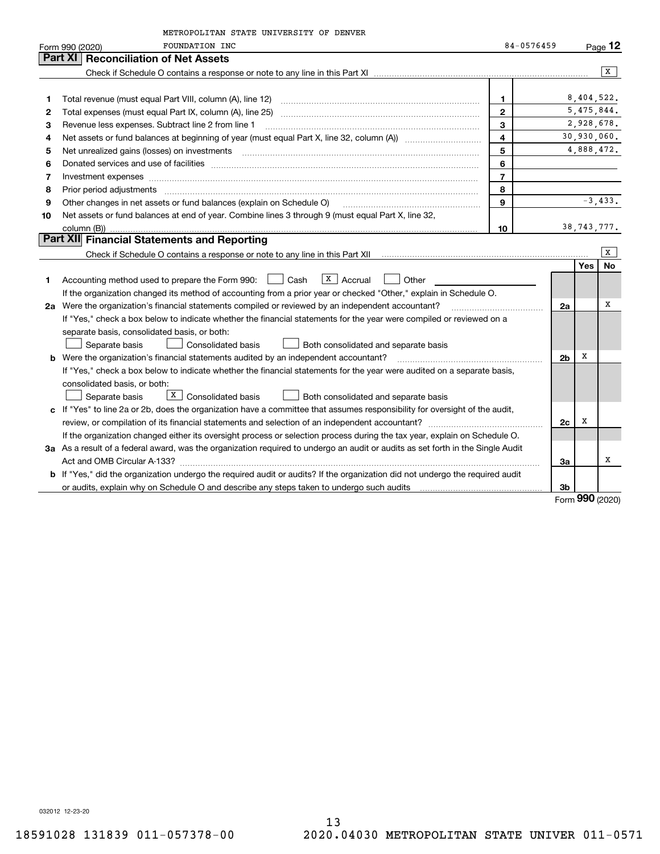|    | METROPOLITAN STATE UNIVERSITY OF DENVER                                                                                                                                                                                        |                |                |                   |               |
|----|--------------------------------------------------------------------------------------------------------------------------------------------------------------------------------------------------------------------------------|----------------|----------------|-------------------|---------------|
|    | FOUNDATION INC<br>Form 990 (2020)                                                                                                                                                                                              | 84-0576459     |                |                   | Page 12       |
|    | <b>Part XI</b><br><b>Reconciliation of Net Assets</b>                                                                                                                                                                          |                |                |                   |               |
|    |                                                                                                                                                                                                                                |                |                |                   | X             |
|    |                                                                                                                                                                                                                                |                |                |                   |               |
| 1  |                                                                                                                                                                                                                                | 1              |                |                   | 8,404,522.    |
| 2  |                                                                                                                                                                                                                                | $\mathbf{2}$   |                |                   | 5,475,844.    |
| 3  | Revenue less expenses. Subtract line 2 from line 1                                                                                                                                                                             | 3              |                |                   | 2,928,678.    |
| 4  |                                                                                                                                                                                                                                | 4              |                |                   | 30,930,060.   |
| 5  |                                                                                                                                                                                                                                | 5              |                |                   | 4,888,472.    |
| 6  | Donated services and use of facilities [111] Donated Services and use of facilities [11] Donated Services and use of facilities [11] Donated Services and use of facilities [11] Donated Services [11] Donated Services and US | 6              |                |                   |               |
| 7  | Investment expenses                                                                                                                                                                                                            | $\overline{7}$ |                |                   |               |
| 8  | Prior period adjustments                                                                                                                                                                                                       | 8              |                |                   |               |
| 9  | Other changes in net assets or fund balances (explain on Schedule O)                                                                                                                                                           | 9              |                |                   | $-3,433.$     |
| 10 | Net assets or fund balances at end of year. Combine lines 3 through 9 (must equal Part X, line 32,                                                                                                                             |                |                |                   |               |
|    | column (B))                                                                                                                                                                                                                    | 10             |                |                   | 38, 743, 777. |
|    | Part XII Financial Statements and Reporting                                                                                                                                                                                    |                |                |                   |               |
|    |                                                                                                                                                                                                                                |                |                |                   | X             |
|    |                                                                                                                                                                                                                                |                |                | <b>Yes</b>        | <b>No</b>     |
| 1  | X   Accrual<br>Accounting method used to prepare the Form 990: <u>I</u> Cash<br>Other                                                                                                                                          |                |                |                   |               |
|    | If the organization changed its method of accounting from a prior year or checked "Other," explain in Schedule O.                                                                                                              |                |                |                   |               |
|    | 2a Were the organization's financial statements compiled or reviewed by an independent accountant?                                                                                                                             |                | 2a             |                   | х             |
|    | If "Yes," check a box below to indicate whether the financial statements for the year were compiled or reviewed on a                                                                                                           |                |                |                   |               |
|    | separate basis, consolidated basis, or both:                                                                                                                                                                                   |                |                |                   |               |
|    | Separate basis<br>Consolidated basis<br>Both consolidated and separate basis                                                                                                                                                   |                |                |                   |               |
|    | b Were the organization's financial statements audited by an independent accountant?                                                                                                                                           |                | 2 <sub>b</sub> | х                 |               |
|    | If "Yes," check a box below to indicate whether the financial statements for the year were audited on a separate basis,                                                                                                        |                |                |                   |               |
|    | consolidated basis, or both:                                                                                                                                                                                                   |                |                |                   |               |
|    | $\boxed{\textbf{X}}$ Consolidated basis<br>Separate basis<br>Both consolidated and separate basis                                                                                                                              |                |                |                   |               |
|    | c If "Yes" to line 2a or 2b, does the organization have a committee that assumes responsibility for oversight of the audit,                                                                                                    |                |                |                   |               |
|    |                                                                                                                                                                                                                                |                | 2c             | x                 |               |
|    | If the organization changed either its oversight process or selection process during the tax year, explain on Schedule O.                                                                                                      |                |                |                   |               |
|    | 3a As a result of a federal award, was the organization required to undergo an audit or audits as set forth in the Single Audit                                                                                                |                |                |                   |               |
|    |                                                                                                                                                                                                                                |                | За             |                   | х             |
|    | b If "Yes," did the organization undergo the required audit or audits? If the organization did not undergo the required audit                                                                                                  |                |                |                   |               |
|    |                                                                                                                                                                                                                                |                | 3b             | $\Omega$ $\Omega$ |               |

Form (2020) **990**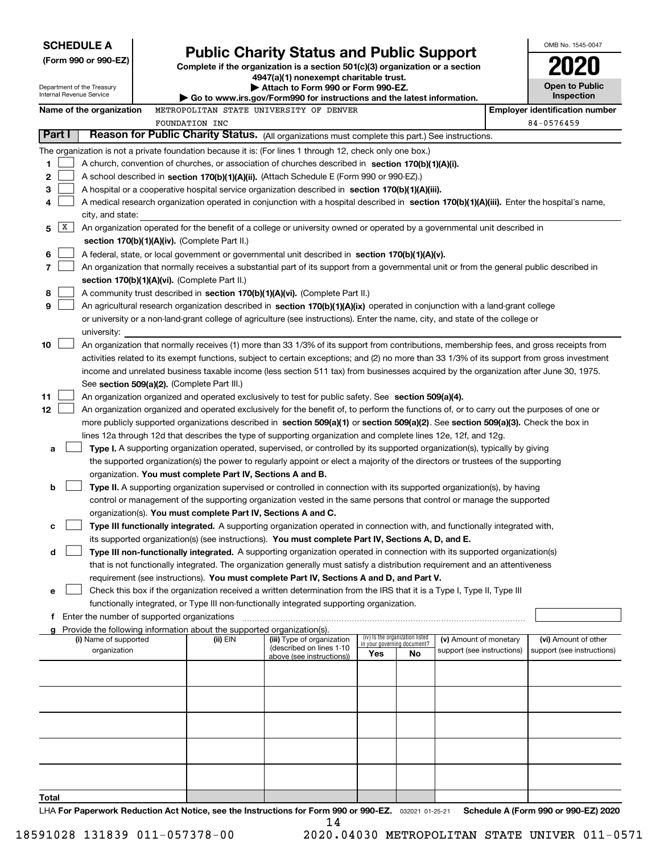| <b>SCHEDULE A</b>                                                                                         | <b>Public Charity Status and Public Support</b> |                                                                               |                                                                                                                                                                                                                                                                |                                                                                              |                                    |                            |  | OMB No. 1545-0047                                           |  |  |
|-----------------------------------------------------------------------------------------------------------|-------------------------------------------------|-------------------------------------------------------------------------------|----------------------------------------------------------------------------------------------------------------------------------------------------------------------------------------------------------------------------------------------------------------|----------------------------------------------------------------------------------------------|------------------------------------|----------------------------|--|-------------------------------------------------------------|--|--|
| (Form 990 or 990-EZ)                                                                                      |                                                 | Complete if the organization is a section 501(c)(3) organization or a section |                                                                                                                                                                                                                                                                |                                                                                              |                                    |                            |  |                                                             |  |  |
|                                                                                                           |                                                 | 4947(a)(1) nonexempt charitable trust.                                        |                                                                                                                                                                                                                                                                |                                                                                              |                                    |                            |  |                                                             |  |  |
| Department of the Treasury                                                                                |                                                 | Attach to Form 990 or Form 990-EZ.                                            |                                                                                                                                                                                                                                                                |                                                                                              |                                    |                            |  | <b>Open to Public</b>                                       |  |  |
| Internal Revenue Service                                                                                  |                                                 |                                                                               |                                                                                                                                                                                                                                                                | $\blacktriangleright$ Go to www.irs.gov/Form990 for instructions and the latest information. |                                    |                            |  | Inspection                                                  |  |  |
| Name of the organization                                                                                  |                                                 |                                                                               | METROPOLITAN STATE UNIVERSITY OF DENVER                                                                                                                                                                                                                        |                                                                                              |                                    |                            |  | <b>Employer identification number</b>                       |  |  |
|                                                                                                           |                                                 | FOUNDATION INC                                                                |                                                                                                                                                                                                                                                                |                                                                                              |                                    |                            |  | 84-0576459                                                  |  |  |
| Part I                                                                                                    |                                                 |                                                                               | Reason for Public Charity Status. (All organizations must complete this part.) See instructions.                                                                                                                                                               |                                                                                              |                                    |                            |  |                                                             |  |  |
| The organization is not a private foundation because it is: (For lines 1 through 12, check only one box.) |                                                 |                                                                               |                                                                                                                                                                                                                                                                |                                                                                              |                                    |                            |  |                                                             |  |  |
| 1                                                                                                         |                                                 |                                                                               | A church, convention of churches, or association of churches described in section 170(b)(1)(A)(i).                                                                                                                                                             |                                                                                              |                                    |                            |  |                                                             |  |  |
| 2                                                                                                         |                                                 |                                                                               | A school described in section 170(b)(1)(A)(ii). (Attach Schedule E (Form 990 or 990-EZ).)                                                                                                                                                                      |                                                                                              |                                    |                            |  |                                                             |  |  |
| 3                                                                                                         |                                                 |                                                                               | A hospital or a cooperative hospital service organization described in section $170(b)(1)(A)(iii)$ .                                                                                                                                                           |                                                                                              |                                    |                            |  |                                                             |  |  |
| 4                                                                                                         |                                                 |                                                                               | A medical research organization operated in conjunction with a hospital described in section 170(b)(1)(A)(iii). Enter the hospital's name,                                                                                                                     |                                                                                              |                                    |                            |  |                                                             |  |  |
| city, and state:<br>X                                                                                     |                                                 |                                                                               | An organization operated for the benefit of a college or university owned or operated by a governmental unit described in                                                                                                                                      |                                                                                              |                                    |                            |  |                                                             |  |  |
| 5                                                                                                         |                                                 | section 170(b)(1)(A)(iv). (Complete Part II.)                                 |                                                                                                                                                                                                                                                                |                                                                                              |                                    |                            |  |                                                             |  |  |
| 6                                                                                                         |                                                 |                                                                               | A federal, state, or local government or governmental unit described in section 170(b)(1)(A)(v).                                                                                                                                                               |                                                                                              |                                    |                            |  |                                                             |  |  |
| 7                                                                                                         |                                                 |                                                                               | An organization that normally receives a substantial part of its support from a governmental unit or from the general public described in                                                                                                                      |                                                                                              |                                    |                            |  |                                                             |  |  |
|                                                                                                           |                                                 | section 170(b)(1)(A)(vi). (Complete Part II.)                                 |                                                                                                                                                                                                                                                                |                                                                                              |                                    |                            |  |                                                             |  |  |
| 8                                                                                                         |                                                 |                                                                               | A community trust described in section 170(b)(1)(A)(vi). (Complete Part II.)                                                                                                                                                                                   |                                                                                              |                                    |                            |  |                                                             |  |  |
| 9                                                                                                         |                                                 |                                                                               | An agricultural research organization described in section 170(b)(1)(A)(ix) operated in conjunction with a land-grant college                                                                                                                                  |                                                                                              |                                    |                            |  |                                                             |  |  |
|                                                                                                           |                                                 |                                                                               | or university or a non-land-grant college of agriculture (see instructions). Enter the name, city, and state of the college or                                                                                                                                 |                                                                                              |                                    |                            |  |                                                             |  |  |
| university:                                                                                               |                                                 |                                                                               |                                                                                                                                                                                                                                                                |                                                                                              |                                    |                            |  |                                                             |  |  |
| 10                                                                                                        |                                                 |                                                                               | An organization that normally receives (1) more than 33 1/3% of its support from contributions, membership fees, and gross receipts from                                                                                                                       |                                                                                              |                                    |                            |  |                                                             |  |  |
|                                                                                                           |                                                 |                                                                               | activities related to its exempt functions, subject to certain exceptions; and (2) no more than 33 1/3% of its support from gross investment                                                                                                                   |                                                                                              |                                    |                            |  |                                                             |  |  |
|                                                                                                           |                                                 |                                                                               | income and unrelated business taxable income (less section 511 tax) from businesses acquired by the organization after June 30, 1975.                                                                                                                          |                                                                                              |                                    |                            |  |                                                             |  |  |
|                                                                                                           |                                                 | See section 509(a)(2). (Complete Part III.)                                   |                                                                                                                                                                                                                                                                |                                                                                              |                                    |                            |  |                                                             |  |  |
| 11                                                                                                        |                                                 |                                                                               | An organization organized and operated exclusively to test for public safety. See section 509(a)(4).                                                                                                                                                           |                                                                                              |                                    |                            |  |                                                             |  |  |
| 12                                                                                                        |                                                 |                                                                               | An organization organized and operated exclusively for the benefit of, to perform the functions of, or to carry out the purposes of one or                                                                                                                     |                                                                                              |                                    |                            |  |                                                             |  |  |
|                                                                                                           |                                                 |                                                                               | more publicly supported organizations described in section 509(a)(1) or section 509(a)(2). See section 509(a)(3). Check the box in                                                                                                                             |                                                                                              |                                    |                            |  |                                                             |  |  |
|                                                                                                           |                                                 |                                                                               | lines 12a through 12d that describes the type of supporting organization and complete lines 12e, 12f, and 12g.                                                                                                                                                 |                                                                                              |                                    |                            |  |                                                             |  |  |
| а                                                                                                         |                                                 |                                                                               | Type I. A supporting organization operated, supervised, or controlled by its supported organization(s), typically by giving<br>the supported organization(s) the power to regularly appoint or elect a majority of the directors or trustees of the supporting |                                                                                              |                                    |                            |  |                                                             |  |  |
|                                                                                                           |                                                 | organization. You must complete Part IV, Sections A and B.                    |                                                                                                                                                                                                                                                                |                                                                                              |                                    |                            |  |                                                             |  |  |
| b                                                                                                         |                                                 |                                                                               | Type II. A supporting organization supervised or controlled in connection with its supported organization(s), by having                                                                                                                                        |                                                                                              |                                    |                            |  |                                                             |  |  |
|                                                                                                           |                                                 |                                                                               | control or management of the supporting organization vested in the same persons that control or manage the supported                                                                                                                                           |                                                                                              |                                    |                            |  |                                                             |  |  |
|                                                                                                           |                                                 | organization(s). You must complete Part IV, Sections A and C.                 |                                                                                                                                                                                                                                                                |                                                                                              |                                    |                            |  |                                                             |  |  |
| C                                                                                                         |                                                 |                                                                               | <b>Type III functionally integrated.</b> A supporting organization operated in connection with, and functionally integrated with,                                                                                                                              |                                                                                              |                                    |                            |  |                                                             |  |  |
|                                                                                                           |                                                 |                                                                               | its supported organization(s) (see instructions). You must complete Part IV, Sections A, D, and E.                                                                                                                                                             |                                                                                              |                                    |                            |  |                                                             |  |  |
| d                                                                                                         |                                                 |                                                                               | Type III non-functionally integrated. A supporting organization operated in connection with its supported organization(s)                                                                                                                                      |                                                                                              |                                    |                            |  |                                                             |  |  |
|                                                                                                           |                                                 |                                                                               | that is not functionally integrated. The organization generally must satisfy a distribution requirement and an attentiveness                                                                                                                                   |                                                                                              |                                    |                            |  |                                                             |  |  |
|                                                                                                           |                                                 |                                                                               | requirement (see instructions). You must complete Part IV, Sections A and D, and Part V.                                                                                                                                                                       |                                                                                              |                                    |                            |  |                                                             |  |  |
| е                                                                                                         |                                                 |                                                                               | Check this box if the organization received a written determination from the IRS that it is a Type I, Type II, Type III                                                                                                                                        |                                                                                              |                                    |                            |  |                                                             |  |  |
|                                                                                                           |                                                 |                                                                               | functionally integrated, or Type III non-functionally integrated supporting organization.                                                                                                                                                                      |                                                                                              |                                    |                            |  |                                                             |  |  |
| f Enter the number of supported organizations                                                             |                                                 |                                                                               |                                                                                                                                                                                                                                                                |                                                                                              |                                    |                            |  |                                                             |  |  |
| g Provide the following information about the supported organization(s).<br>(i) Name of supported         |                                                 | (ii) EIN                                                                      | (iii) Type of organization                                                                                                                                                                                                                                     |                                                                                              | (iv) Is the organization listed    | (v) Amount of monetary     |  | (vi) Amount of other                                        |  |  |
| organization                                                                                              |                                                 |                                                                               | (described on lines 1-10                                                                                                                                                                                                                                       | Yes                                                                                          | in your governing document?<br>No. | support (see instructions) |  | support (see instructions)                                  |  |  |
|                                                                                                           |                                                 |                                                                               | above (see instructions))                                                                                                                                                                                                                                      |                                                                                              |                                    |                            |  |                                                             |  |  |
|                                                                                                           |                                                 |                                                                               |                                                                                                                                                                                                                                                                |                                                                                              |                                    |                            |  |                                                             |  |  |
|                                                                                                           |                                                 |                                                                               |                                                                                                                                                                                                                                                                |                                                                                              |                                    |                            |  |                                                             |  |  |
|                                                                                                           |                                                 |                                                                               |                                                                                                                                                                                                                                                                |                                                                                              |                                    |                            |  |                                                             |  |  |
|                                                                                                           |                                                 |                                                                               |                                                                                                                                                                                                                                                                |                                                                                              |                                    |                            |  |                                                             |  |  |
|                                                                                                           |                                                 |                                                                               |                                                                                                                                                                                                                                                                |                                                                                              |                                    |                            |  |                                                             |  |  |
|                                                                                                           |                                                 |                                                                               |                                                                                                                                                                                                                                                                |                                                                                              |                                    |                            |  |                                                             |  |  |
|                                                                                                           |                                                 |                                                                               |                                                                                                                                                                                                                                                                |                                                                                              |                                    |                            |  |                                                             |  |  |
|                                                                                                           |                                                 |                                                                               |                                                                                                                                                                                                                                                                |                                                                                              |                                    |                            |  |                                                             |  |  |
|                                                                                                           |                                                 |                                                                               |                                                                                                                                                                                                                                                                |                                                                                              |                                    |                            |  |                                                             |  |  |
| Total                                                                                                     |                                                 |                                                                               |                                                                                                                                                                                                                                                                |                                                                                              |                                    |                            |  |                                                             |  |  |
|                                                                                                           |                                                 |                                                                               |                                                                                                                                                                                                                                                                |                                                                                              |                                    |                            |  | $A / F_{\text{extra}}$ 000 $A$ <sub>2</sub> 000 $F$ 7) 0000 |  |  |

LHA For Paperwork Reduction Act Notice, see the Instructions for Form 990 or 990-EZ. <sub>032021</sub> o1-25-21 Schedule A (Form 990 or 990-EZ) 2020 14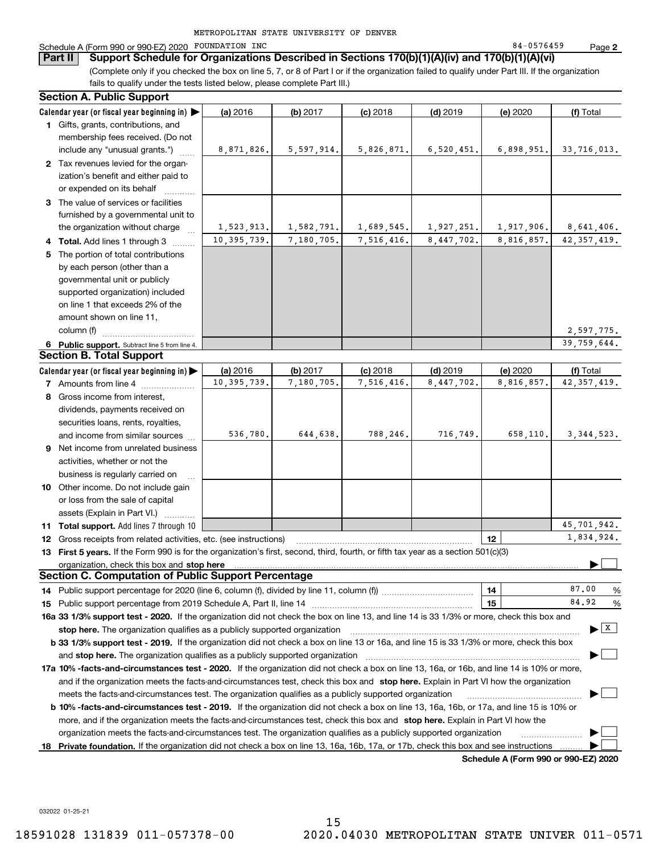| METROPOLITAN STATE UNIVERSITY OF DENVER |  |  |  |  |  |
|-----------------------------------------|--|--|--|--|--|
|-----------------------------------------|--|--|--|--|--|

#### Schedule A (Form 990 or 990-EZ) 2020 POUNDATION INC Research Material Control of the State of the State of Page

**Part II** Support Schedule for Organizations Described in Sections 170(b)(1)(A)(iv) and 170(b)(1)(A)(vi)

(Complete only if you checked the box on line 5, 7, or 8 of Part I or if the organization failed to qualify under Part III. If the organization fails to qualify under the tests listed below, please complete Part III.)

|    | <b>Section A. Public Support</b>                                                                                                               |               |            |            |              |            |                                       |
|----|------------------------------------------------------------------------------------------------------------------------------------------------|---------------|------------|------------|--------------|------------|---------------------------------------|
|    | Calendar year (or fiscal year beginning in) $\blacktriangleright$                                                                              | (a) 2016      | $(b)$ 2017 | $(c)$ 2018 | $(d)$ 2019   | (e) 2020   | (f) Total                             |
|    | 1 Gifts, grants, contributions, and                                                                                                            |               |            |            |              |            |                                       |
|    | membership fees received. (Do not                                                                                                              |               |            |            |              |            |                                       |
|    | include any "unusual grants.")                                                                                                                 | 8,871,826.    | 5,597,914. | 5,826,871. | 6, 520, 451. | 6,898,951. | 33,716,013.                           |
|    | 2 Tax revenues levied for the organ-                                                                                                           |               |            |            |              |            |                                       |
|    | ization's benefit and either paid to                                                                                                           |               |            |            |              |            |                                       |
|    | or expended on its behalf                                                                                                                      |               |            |            |              |            |                                       |
|    | 3 The value of services or facilities                                                                                                          |               |            |            |              |            |                                       |
|    | furnished by a governmental unit to                                                                                                            |               |            |            |              |            |                                       |
|    | the organization without charge                                                                                                                | 1,523,913.    | 1,582,791. | 1,689,545. | 1,927,251.   | 1,917,906. | 8,641,406.                            |
|    | 4 Total. Add lines 1 through 3                                                                                                                 | 10, 395, 739. | 7,180,705. | 7,516,416. | 8,447,702.   | 8,816,857. | 42, 357, 419.                         |
|    | 5 The portion of total contributions                                                                                                           |               |            |            |              |            |                                       |
|    | by each person (other than a                                                                                                                   |               |            |            |              |            |                                       |
|    | governmental unit or publicly                                                                                                                  |               |            |            |              |            |                                       |
|    | supported organization) included                                                                                                               |               |            |            |              |            |                                       |
|    | on line 1 that exceeds 2% of the                                                                                                               |               |            |            |              |            |                                       |
|    | amount shown on line 11,                                                                                                                       |               |            |            |              |            |                                       |
|    | column (f)                                                                                                                                     |               |            |            |              |            | 2,597,775.                            |
|    | 6 Public support. Subtract line 5 from line 4.                                                                                                 |               |            |            |              |            | 39,759,644.                           |
|    | <b>Section B. Total Support</b>                                                                                                                |               |            |            |              |            |                                       |
|    | Calendar year (or fiscal year beginning in)                                                                                                    | (a) 2016      | (b) 2017   | $(c)$ 2018 | $(d)$ 2019   | (e) 2020   | (f) Total                             |
|    | 7 Amounts from line 4                                                                                                                          | 10, 395, 739. | 7,180,705. | 7,516,416. | 8,447,702.   | 8,816,857. | 42, 357, 419.                         |
|    | 8 Gross income from interest,                                                                                                                  |               |            |            |              |            |                                       |
|    | dividends, payments received on                                                                                                                |               |            |            |              |            |                                       |
|    | securities loans, rents, royalties,                                                                                                            |               |            |            |              |            |                                       |
|    | and income from similar sources                                                                                                                | 536,780.      | 644,638.   | 788,246.   | 716,749.     | 658,110.   | 3, 344, 523.                          |
|    | 9 Net income from unrelated business                                                                                                           |               |            |            |              |            |                                       |
|    | activities, whether or not the                                                                                                                 |               |            |            |              |            |                                       |
|    | business is regularly carried on                                                                                                               |               |            |            |              |            |                                       |
|    | 10 Other income. Do not include gain                                                                                                           |               |            |            |              |            |                                       |
|    | or loss from the sale of capital                                                                                                               |               |            |            |              |            |                                       |
|    | assets (Explain in Part VI.)                                                                                                                   |               |            |            |              |            |                                       |
|    | <b>11 Total support.</b> Add lines 7 through 10                                                                                                |               |            |            |              |            | 45,701,942.                           |
|    | <b>12</b> Gross receipts from related activities, etc. (see instructions)                                                                      |               |            |            |              | 12         | 1,834,924.                            |
|    | 13 First 5 years. If the Form 990 is for the organization's first, second, third, fourth, or fifth tax year as a section 501(c)(3)             |               |            |            |              |            |                                       |
|    | organization, check this box and stop here                                                                                                     |               |            |            |              |            |                                       |
|    | <b>Section C. Computation of Public Support Percentage</b>                                                                                     |               |            |            |              |            |                                       |
|    | 14 Public support percentage for 2020 (line 6, column (f), divided by line 11, column (f) <i>marroummaname</i>                                 |               |            |            |              | 14         | 87.00<br>%                            |
|    |                                                                                                                                                |               |            |            |              | 15         | 84.92<br>%                            |
|    | 16a 33 1/3% support test - 2020. If the organization did not check the box on line 13, and line 14 is 33 1/3% or more, check this box and      |               |            |            |              |            |                                       |
|    | stop here. The organization qualifies as a publicly supported organization                                                                     |               |            |            |              |            | $\blacktriangleright$ $\mid$ X $\mid$ |
|    | b 33 1/3% support test - 2019. If the organization did not check a box on line 13 or 16a, and line 15 is 33 1/3% or more, check this box       |               |            |            |              |            |                                       |
|    | and stop here. The organization qualifies as a publicly supported organization                                                                 |               |            |            |              |            |                                       |
|    | 17a 10% -facts-and-circumstances test - 2020. If the organization did not check a box on line 13, 16a, or 16b, and line 14 is 10% or more,     |               |            |            |              |            |                                       |
|    | and if the organization meets the facts-and-circumstances test, check this box and stop here. Explain in Part VI how the organization          |               |            |            |              |            |                                       |
|    | meets the facts-and-circumstances test. The organization qualifies as a publicly supported organization                                        |               |            |            |              |            |                                       |
|    | <b>b 10% -facts-and-circumstances test - 2019.</b> If the organization did not check a box on line 13, 16a, 16b, or 17a, and line 15 is 10% or |               |            |            |              |            |                                       |
|    | more, and if the organization meets the facts-and-circumstances test, check this box and stop here. Explain in Part VI how the                 |               |            |            |              |            |                                       |
|    | organization meets the facts-and-circumstances test. The organization qualifies as a publicly supported organization                           |               |            |            |              |            |                                       |
|    |                                                                                                                                                |               |            |            |              |            |                                       |
| 18 | Private foundation. If the organization did not check a box on line 13, 16a, 16b, 17a, or 17b, check this box and see instructions             |               |            |            |              |            |                                       |

**Schedule A (Form 990 or 990-EZ) 2020**

032022 01-25-21

**2**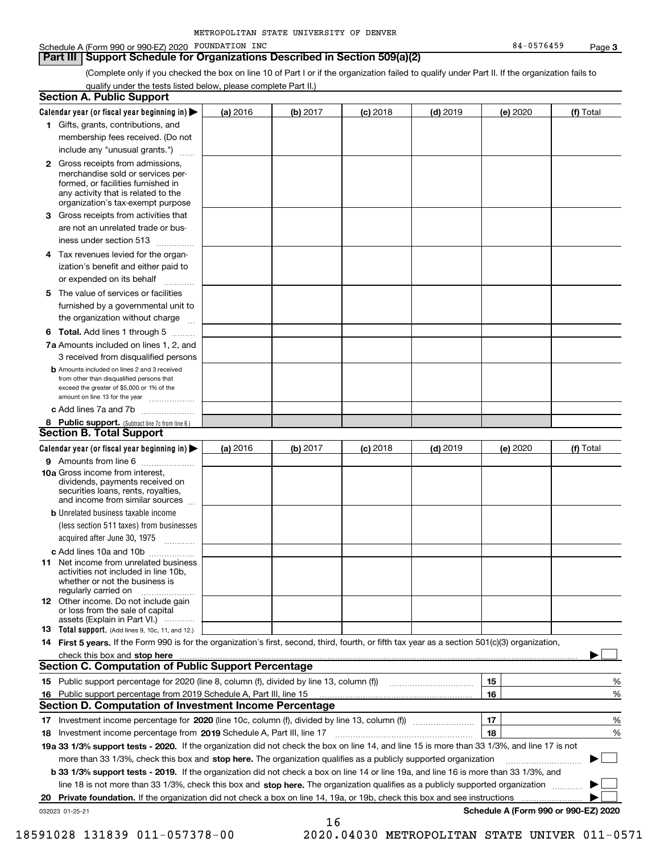#### Schedule A (Form 990 or 990-EZ) 2020 POUNDATION INC Research Material Control of the State of the State of Page

**3**

(Complete only if you checked the box on line 10 of Part I or if the organization failed to qualify under Part II. If the organization fails to qualify under the tests listed below, please complete Part II.)

| <b>Section A. Public Support</b>                                                                                                                                                                                                                                                             |          |          |                 |            |          |                                      |
|----------------------------------------------------------------------------------------------------------------------------------------------------------------------------------------------------------------------------------------------------------------------------------------------|----------|----------|-----------------|------------|----------|--------------------------------------|
| Calendar year (or fiscal year beginning in) $\blacktriangleright$                                                                                                                                                                                                                            | (a) 2016 | (b) 2017 | <b>(c)</b> 2018 | $(d)$ 2019 | (e) 2020 | (f) Total                            |
| 1 Gifts, grants, contributions, and                                                                                                                                                                                                                                                          |          |          |                 |            |          |                                      |
| membership fees received. (Do not                                                                                                                                                                                                                                                            |          |          |                 |            |          |                                      |
| include any "unusual grants.")                                                                                                                                                                                                                                                               |          |          |                 |            |          |                                      |
| 2 Gross receipts from admissions,<br>merchandise sold or services per-<br>formed, or facilities furnished in<br>any activity that is related to the<br>organization's tax-exempt purpose                                                                                                     |          |          |                 |            |          |                                      |
| 3 Gross receipts from activities that<br>are not an unrelated trade or bus-<br>iness under section 513                                                                                                                                                                                       |          |          |                 |            |          |                                      |
| 4 Tax revenues levied for the organ-                                                                                                                                                                                                                                                         |          |          |                 |            |          |                                      |
| ization's benefit and either paid to<br>or expended on its behalf                                                                                                                                                                                                                            |          |          |                 |            |          |                                      |
| 5 The value of services or facilities<br>furnished by a governmental unit to<br>the organization without charge                                                                                                                                                                              |          |          |                 |            |          |                                      |
| <b>6 Total.</b> Add lines 1 through 5                                                                                                                                                                                                                                                        |          |          |                 |            |          |                                      |
| 7a Amounts included on lines 1, 2, and<br>3 received from disqualified persons                                                                                                                                                                                                               |          |          |                 |            |          |                                      |
| <b>b</b> Amounts included on lines 2 and 3 received<br>from other than disqualified persons that<br>exceed the greater of \$5,000 or 1% of the<br>amount on line 13 for the year                                                                                                             |          |          |                 |            |          |                                      |
| c Add lines 7a and 7b                                                                                                                                                                                                                                                                        |          |          |                 |            |          |                                      |
| 8 Public support. (Subtract line 7c from line 6.)                                                                                                                                                                                                                                            |          |          |                 |            |          |                                      |
| <b>Section B. Total Support</b>                                                                                                                                                                                                                                                              |          |          |                 |            |          |                                      |
| Calendar year (or fiscal year beginning in) $\blacktriangleright$                                                                                                                                                                                                                            | (a) 2016 | (b) 2017 | $(c)$ 2018      | $(d)$ 2019 | (e) 2020 | (f) Total                            |
| 9 Amounts from line 6<br><b>10a</b> Gross income from interest,<br>dividends, payments received on<br>securities loans, rents, royalties,<br>and income from similar sources                                                                                                                 |          |          |                 |            |          |                                      |
| <b>b</b> Unrelated business taxable income<br>(less section 511 taxes) from businesses<br>acquired after June 30, 1975 [10001]                                                                                                                                                               |          |          |                 |            |          |                                      |
| c Add lines 10a and 10b<br>11 Net income from unrelated business<br>activities not included in line 10b.                                                                                                                                                                                     |          |          |                 |            |          |                                      |
| whether or not the business is<br>regularly carried on<br><b>12</b> Other income. Do not include gain                                                                                                                                                                                        |          |          |                 |            |          |                                      |
| or loss from the sale of capital<br>assets (Explain in Part VI.)                                                                                                                                                                                                                             |          |          |                 |            |          |                                      |
| <b>13</b> Total support. (Add lines 9, 10c, 11, and 12.)<br>14 First 5 years. If the Form 990 is for the organization's first, second, third, fourth, or fifth tax year as a section 501(c)(3) organization,                                                                                 |          |          |                 |            |          |                                      |
|                                                                                                                                                                                                                                                                                              |          |          |                 |            |          |                                      |
| check this box and stop here communication and content to the state of the state of the state of the state of the state of the state of the state of the state of the state of the state of the state of the state of the stat<br><b>Section C. Computation of Public Support Percentage</b> |          |          |                 |            |          |                                      |
|                                                                                                                                                                                                                                                                                              |          |          |                 |            | 15       | %                                    |
| 16 Public support percentage from 2019 Schedule A, Part III, line 15                                                                                                                                                                                                                         |          |          |                 |            | 16       | %                                    |
| <b>Section D. Computation of Investment Income Percentage</b>                                                                                                                                                                                                                                |          |          |                 |            |          |                                      |
| 17 Investment income percentage for 2020 (line 10c, column (f), divided by line 13, column (f))                                                                                                                                                                                              |          |          |                 |            | 17       | %                                    |
| 18 Investment income percentage from 2019 Schedule A, Part III, line 17                                                                                                                                                                                                                      |          |          |                 |            | 18       | %                                    |
| 19a 33 1/3% support tests - 2020. If the organization did not check the box on line 14, and line 15 is more than 33 1/3%, and line 17 is not                                                                                                                                                 |          |          |                 |            |          |                                      |
| more than 33 1/3%, check this box and stop here. The organization qualifies as a publicly supported organization                                                                                                                                                                             |          |          |                 |            |          | $\sim$<br>▶                          |
| b 33 1/3% support tests - 2019. If the organization did not check a box on line 14 or line 19a, and line 16 is more than 33 1/3%, and                                                                                                                                                        |          |          |                 |            |          |                                      |
| line 18 is not more than 33 1/3%, check this box and stop here. The organization qualifies as a publicly supported organization                                                                                                                                                              |          |          |                 |            |          |                                      |
| 20 Private foundation. If the organization did not check a box on line 14, 19a, or 19b, check this box and see instructions                                                                                                                                                                  |          |          |                 |            |          |                                      |
| 032023 01-25-21                                                                                                                                                                                                                                                                              |          |          |                 |            |          | Schedule A (Form 990 or 990-EZ) 2020 |
|                                                                                                                                                                                                                                                                                              |          | 16       |                 |            |          |                                      |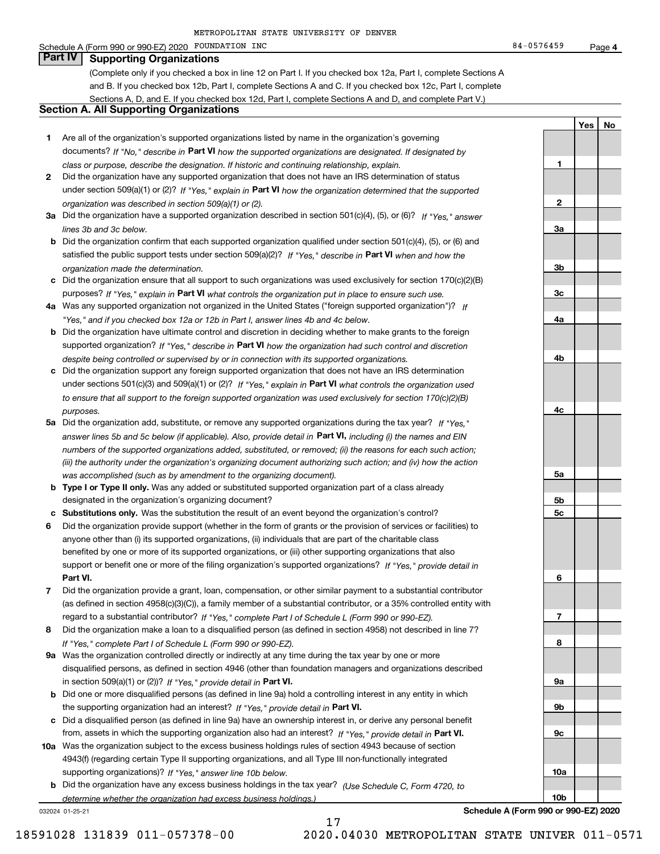#### Schedule A (Form 990 or 990-EZ) 2020 POUNDATION INC Research Material Control of the State of the State of Page

(Complete only if you checked a box in line 12 on Part I. If you checked box 12a, Part I, complete Sections A and B. If you checked box 12b, Part I, complete Sections A and C. If you checked box 12c, Part I, complete Sections A, D, and E. If you checked box 12d, Part I, complete Sections A and D, and complete Part V.)

#### **Section A. All Supporting Organizations**

- **1** Are all of the organization's supported organizations listed by name in the organization's governing documents? If "No," describe in **Part VI** how the supported organizations are designated. If designated by *class or purpose, describe the designation. If historic and continuing relationship, explain.*
- **2** Did the organization have any supported organization that does not have an IRS determination of status under section 509(a)(1) or (2)? If "Yes," explain in Part VI how the organization determined that the supported *organization was described in section 509(a)(1) or (2).*
- **3a** Did the organization have a supported organization described in section 501(c)(4), (5), or (6)? If "Yes," answer *lines 3b and 3c below.*
- **b** Did the organization confirm that each supported organization qualified under section 501(c)(4), (5), or (6) and satisfied the public support tests under section 509(a)(2)? If "Yes," describe in **Part VI** when and how the *organization made the determination.*
- **c**Did the organization ensure that all support to such organizations was used exclusively for section 170(c)(2)(B) purposes? If "Yes," explain in **Part VI** what controls the organization put in place to ensure such use.
- **4a***If* Was any supported organization not organized in the United States ("foreign supported organization")? *"Yes," and if you checked box 12a or 12b in Part I, answer lines 4b and 4c below.*
- **b** Did the organization have ultimate control and discretion in deciding whether to make grants to the foreign supported organization? If "Yes," describe in **Part VI** how the organization had such control and discretion *despite being controlled or supervised by or in connection with its supported organizations.*
- **c** Did the organization support any foreign supported organization that does not have an IRS determination under sections 501(c)(3) and 509(a)(1) or (2)? If "Yes," explain in **Part VI** what controls the organization used *to ensure that all support to the foreign supported organization was used exclusively for section 170(c)(2)(B) purposes.*
- **5a** Did the organization add, substitute, or remove any supported organizations during the tax year? If "Yes," answer lines 5b and 5c below (if applicable). Also, provide detail in **Part VI,** including (i) the names and EIN *numbers of the supported organizations added, substituted, or removed; (ii) the reasons for each such action; (iii) the authority under the organization's organizing document authorizing such action; and (iv) how the action was accomplished (such as by amendment to the organizing document).*
- **b** Type I or Type II only. Was any added or substituted supported organization part of a class already designated in the organization's organizing document?
- **cSubstitutions only.**  Was the substitution the result of an event beyond the organization's control?
- **6** Did the organization provide support (whether in the form of grants or the provision of services or facilities) to **Part VI.** *If "Yes," provide detail in* support or benefit one or more of the filing organization's supported organizations? anyone other than (i) its supported organizations, (ii) individuals that are part of the charitable class benefited by one or more of its supported organizations, or (iii) other supporting organizations that also
- **7**Did the organization provide a grant, loan, compensation, or other similar payment to a substantial contributor *If "Yes," complete Part I of Schedule L (Form 990 or 990-EZ).* regard to a substantial contributor? (as defined in section 4958(c)(3)(C)), a family member of a substantial contributor, or a 35% controlled entity with
- **8** Did the organization make a loan to a disqualified person (as defined in section 4958) not described in line 7? *If "Yes," complete Part I of Schedule L (Form 990 or 990-EZ).*
- **9a** Was the organization controlled directly or indirectly at any time during the tax year by one or more in section 509(a)(1) or (2))? If "Yes," *provide detail in* <code>Part VI.</code> disqualified persons, as defined in section 4946 (other than foundation managers and organizations described
- **b**the supporting organization had an interest? If "Yes," provide detail in P**art VI**. Did one or more disqualified persons (as defined in line 9a) hold a controlling interest in any entity in which
- **c**Did a disqualified person (as defined in line 9a) have an ownership interest in, or derive any personal benefit from, assets in which the supporting organization also had an interest? If "Yes," provide detail in P**art VI.**
- **10a** Was the organization subject to the excess business holdings rules of section 4943 because of section supporting organizations)? If "Yes," answer line 10b below. 4943(f) (regarding certain Type II supporting organizations, and all Type III non-functionally integrated
- **b** Did the organization have any excess business holdings in the tax year? (Use Schedule C, Form 4720, to *determine whether the organization had excess business holdings.)*

17

032024 01-25-21

**Schedule A (Form 990 or 990-EZ) 2020**

**3b3c4a4b4c5a 5b5c6789a 9b9c10a10b**

**1**

**2**

**3a**

**YesNo**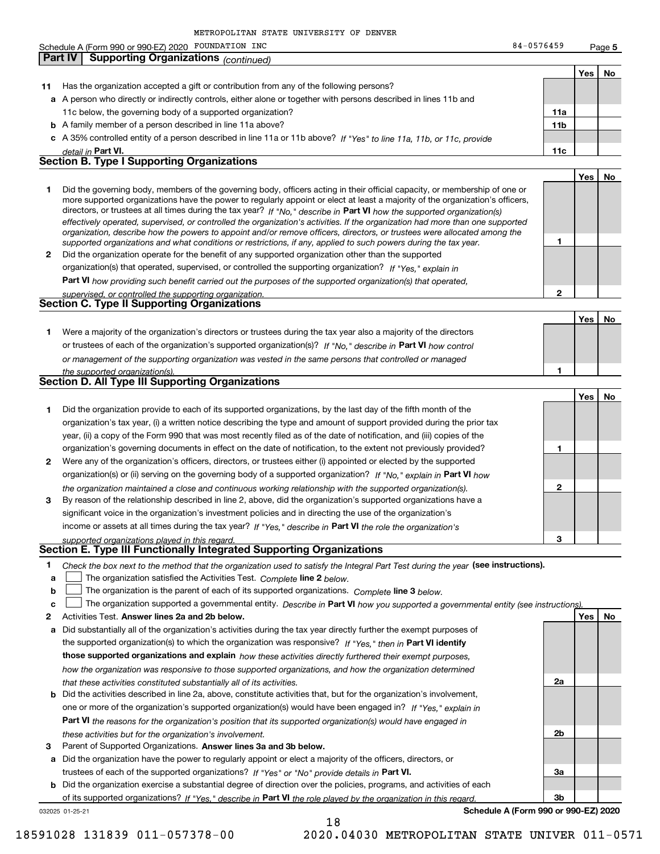|              | INVEVUIIAN SIAIE VNIVENSIII VE DENV                                                                                                                                                                                                                                                                                                                                                                                                                                                                                                                                                                                                                                                                                                                                      |                 |     |        |
|--------------|--------------------------------------------------------------------------------------------------------------------------------------------------------------------------------------------------------------------------------------------------------------------------------------------------------------------------------------------------------------------------------------------------------------------------------------------------------------------------------------------------------------------------------------------------------------------------------------------------------------------------------------------------------------------------------------------------------------------------------------------------------------------------|-----------------|-----|--------|
|              | Schedule A (Form 990 or 990-EZ) 2020 FOUNDATION INC                                                                                                                                                                                                                                                                                                                                                                                                                                                                                                                                                                                                                                                                                                                      | 84-0576459      |     | Page 5 |
|              | <b>Part IV</b><br><b>Supporting Organizations (continued)</b>                                                                                                                                                                                                                                                                                                                                                                                                                                                                                                                                                                                                                                                                                                            |                 |     |        |
|              |                                                                                                                                                                                                                                                                                                                                                                                                                                                                                                                                                                                                                                                                                                                                                                          |                 | Yes | No     |
| 11           | Has the organization accepted a gift or contribution from any of the following persons?                                                                                                                                                                                                                                                                                                                                                                                                                                                                                                                                                                                                                                                                                  |                 |     |        |
|              | a A person who directly or indirectly controls, either alone or together with persons described in lines 11b and                                                                                                                                                                                                                                                                                                                                                                                                                                                                                                                                                                                                                                                         |                 |     |        |
|              | 11c below, the governing body of a supported organization?                                                                                                                                                                                                                                                                                                                                                                                                                                                                                                                                                                                                                                                                                                               | 11a             |     |        |
|              | <b>b</b> A family member of a person described in line 11a above?                                                                                                                                                                                                                                                                                                                                                                                                                                                                                                                                                                                                                                                                                                        | 11 <sub>b</sub> |     |        |
|              | c A 35% controlled entity of a person described in line 11a or 11b above? If "Yes" to line 11a, 11b, or 11c, provide                                                                                                                                                                                                                                                                                                                                                                                                                                                                                                                                                                                                                                                     |                 |     |        |
|              | detail in Part VI.                                                                                                                                                                                                                                                                                                                                                                                                                                                                                                                                                                                                                                                                                                                                                       | 11c             |     |        |
|              | <b>Section B. Type I Supporting Organizations</b>                                                                                                                                                                                                                                                                                                                                                                                                                                                                                                                                                                                                                                                                                                                        |                 |     |        |
|              |                                                                                                                                                                                                                                                                                                                                                                                                                                                                                                                                                                                                                                                                                                                                                                          |                 | Yes | No     |
| 1            | Did the governing body, members of the governing body, officers acting in their official capacity, or membership of one or<br>more supported organizations have the power to regularly appoint or elect at least a majority of the organization's officers,<br>directors, or trustees at all times during the tax year? If "No," describe in Part VI how the supported organization(s)<br>effectively operated, supervised, or controlled the organization's activities. If the organization had more than one supported<br>organization, describe how the powers to appoint and/or remove officers, directors, or trustees were allocated among the<br>supported organizations and what conditions or restrictions, if any, applied to such powers during the tax year. | 1               |     |        |
| $\mathbf{2}$ | Did the organization operate for the benefit of any supported organization other than the supported                                                                                                                                                                                                                                                                                                                                                                                                                                                                                                                                                                                                                                                                      |                 |     |        |
|              | organization(s) that operated, supervised, or controlled the supporting organization? If "Yes," explain in                                                                                                                                                                                                                                                                                                                                                                                                                                                                                                                                                                                                                                                               |                 |     |        |
|              | Part VI how providing such benefit carried out the purposes of the supported organization(s) that operated,                                                                                                                                                                                                                                                                                                                                                                                                                                                                                                                                                                                                                                                              |                 |     |        |
|              | supervised, or controlled the supporting organization.                                                                                                                                                                                                                                                                                                                                                                                                                                                                                                                                                                                                                                                                                                                   | 2               |     |        |
|              | <b>Section C. Type II Supporting Organizations</b>                                                                                                                                                                                                                                                                                                                                                                                                                                                                                                                                                                                                                                                                                                                       |                 |     |        |
|              |                                                                                                                                                                                                                                                                                                                                                                                                                                                                                                                                                                                                                                                                                                                                                                          |                 | Yes | No     |
| 1.           | Were a majority of the organization's directors or trustees during the tax year also a majority of the directors                                                                                                                                                                                                                                                                                                                                                                                                                                                                                                                                                                                                                                                         |                 |     |        |
|              | or trustees of each of the organization's supported organization(s)? If "No," describe in Part VI how control                                                                                                                                                                                                                                                                                                                                                                                                                                                                                                                                                                                                                                                            |                 |     |        |
|              | or management of the supporting organization was vested in the same persons that controlled or managed                                                                                                                                                                                                                                                                                                                                                                                                                                                                                                                                                                                                                                                                   |                 |     |        |
|              | the supported organization(s).                                                                                                                                                                                                                                                                                                                                                                                                                                                                                                                                                                                                                                                                                                                                           | 1               |     |        |
|              | <b>Section D. All Type III Supporting Organizations</b>                                                                                                                                                                                                                                                                                                                                                                                                                                                                                                                                                                                                                                                                                                                  |                 |     |        |
|              |                                                                                                                                                                                                                                                                                                                                                                                                                                                                                                                                                                                                                                                                                                                                                                          |                 | Yes | No     |
| 1            | Did the organization provide to each of its supported organizations, by the last day of the fifth month of the                                                                                                                                                                                                                                                                                                                                                                                                                                                                                                                                                                                                                                                           |                 |     |        |
|              | organization's tax year, (i) a written notice describing the type and amount of support provided during the prior tax                                                                                                                                                                                                                                                                                                                                                                                                                                                                                                                                                                                                                                                    |                 |     |        |
|              | year, (ii) a copy of the Form 990 that was most recently filed as of the date of notification, and (iii) copies of the                                                                                                                                                                                                                                                                                                                                                                                                                                                                                                                                                                                                                                                   |                 |     |        |
|              | organization's governing documents in effect on the date of notification, to the extent not previously provided?                                                                                                                                                                                                                                                                                                                                                                                                                                                                                                                                                                                                                                                         | 1               |     |        |
| $\mathbf{2}$ | Were any of the organization's officers, directors, or trustees either (i) appointed or elected by the supported                                                                                                                                                                                                                                                                                                                                                                                                                                                                                                                                                                                                                                                         |                 |     |        |
|              | organization(s) or (ii) serving on the governing body of a supported organization? If "No," explain in Part VI how                                                                                                                                                                                                                                                                                                                                                                                                                                                                                                                                                                                                                                                       |                 |     |        |
|              | the organization maintained a close and continuous working relationship with the supported organization(s).                                                                                                                                                                                                                                                                                                                                                                                                                                                                                                                                                                                                                                                              | 2               |     |        |
| 3            | By reason of the relationship described in line 2, above, did the organization's supported organizations have a                                                                                                                                                                                                                                                                                                                                                                                                                                                                                                                                                                                                                                                          |                 |     |        |
|              | significant voice in the organization's investment policies and in directing the use of the organization's                                                                                                                                                                                                                                                                                                                                                                                                                                                                                                                                                                                                                                                               |                 |     |        |
|              | income or assets at all times during the tax year? If "Yes," describe in Part VI the role the organization's                                                                                                                                                                                                                                                                                                                                                                                                                                                                                                                                                                                                                                                             |                 |     |        |
|              | supported organizations played in this regard.                                                                                                                                                                                                                                                                                                                                                                                                                                                                                                                                                                                                                                                                                                                           | 3               |     |        |
|              | Section E. Type III Functionally Integrated Supporting Organizations                                                                                                                                                                                                                                                                                                                                                                                                                                                                                                                                                                                                                                                                                                     |                 |     |        |
| 1            | Check the box next to the method that the organization used to satisfy the Integral Part Test during the year (see instructions).                                                                                                                                                                                                                                                                                                                                                                                                                                                                                                                                                                                                                                        |                 |     |        |
| a            | The organization satisfied the Activities Test. Complete line 2 below.                                                                                                                                                                                                                                                                                                                                                                                                                                                                                                                                                                                                                                                                                                   |                 |     |        |
| b            | The organization is the parent of each of its supported organizations. Complete line 3 below.                                                                                                                                                                                                                                                                                                                                                                                                                                                                                                                                                                                                                                                                            |                 |     |        |
| c            | The organization supported a governmental entity. Describe in Part VI how you supported a governmental entity (see instructions).                                                                                                                                                                                                                                                                                                                                                                                                                                                                                                                                                                                                                                        |                 |     |        |
| 2            | Activities Test. Answer lines 2a and 2b below.                                                                                                                                                                                                                                                                                                                                                                                                                                                                                                                                                                                                                                                                                                                           |                 | Yes | No     |
| а            | Did substantially all of the organization's activities during the tax year directly further the exempt purposes of                                                                                                                                                                                                                                                                                                                                                                                                                                                                                                                                                                                                                                                       |                 |     |        |
|              | the supported organization(s) to which the organization was responsive? If "Yes," then in Part VI identify                                                                                                                                                                                                                                                                                                                                                                                                                                                                                                                                                                                                                                                               |                 |     |        |
|              | those supported organizations and explain how these activities directly furthered their exempt purposes,                                                                                                                                                                                                                                                                                                                                                                                                                                                                                                                                                                                                                                                                 |                 |     |        |
|              | how the organization was responsive to those supported organizations, and how the organization determined                                                                                                                                                                                                                                                                                                                                                                                                                                                                                                                                                                                                                                                                |                 |     |        |
|              | that these activities constituted substantially all of its activities.                                                                                                                                                                                                                                                                                                                                                                                                                                                                                                                                                                                                                                                                                                   | 2a              |     |        |
|              | <b>b</b> Did the activities described in line 2a, above, constitute activities that, but for the organization's involvement,                                                                                                                                                                                                                                                                                                                                                                                                                                                                                                                                                                                                                                             |                 |     |        |
|              | one or more of the organization's supported organization(s) would have been engaged in? If "Yes," explain in                                                                                                                                                                                                                                                                                                                                                                                                                                                                                                                                                                                                                                                             |                 |     |        |

| <b>Part VI</b> the reasons for the organization's position that its supported organization(s) would have engaged in |
|---------------------------------------------------------------------------------------------------------------------|
| these activities but for the organization's involvement.                                                            |

**3** Parent of Supported Organizations. Answer lines 3a and 3b below.

**a** Did the organization have the power to regularly appoint or elect a majority of the officers, directors, or trustees of each of the supported organizations? If "Yes" or "No" provide details in **Part VI.** 

**b** Did the organization exercise a substantial degree of direction over the policies, programs, and activities of each of its supported organizations? If "Yes," describe in Part VI the role played by the organization in this regard.

18

032025 01-25-21

**Schedule A (Form 990 or 990-EZ) 2020**

**2b**

**3a**

**3b**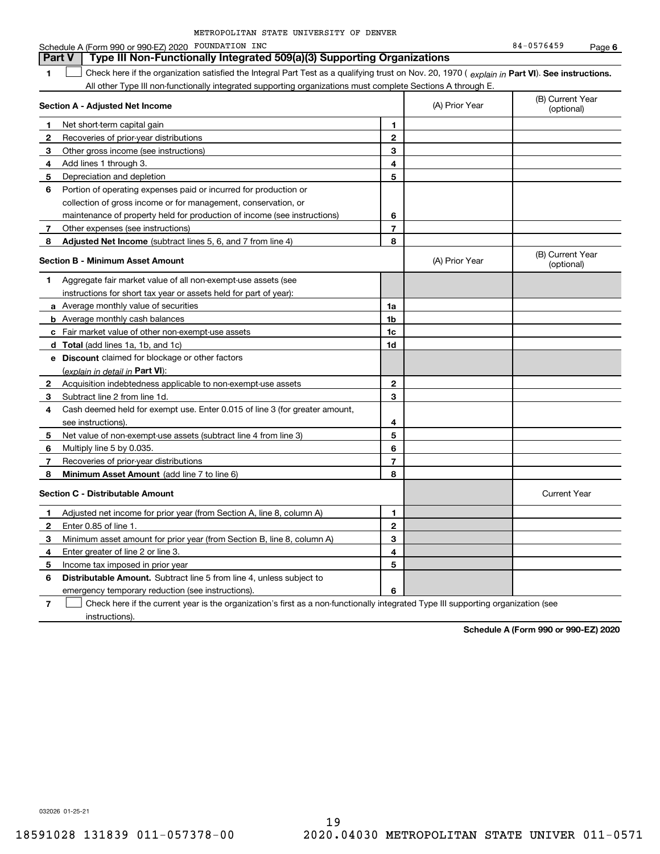#### **1Part VI** Check here if the organization satisfied the Integral Part Test as a qualifying trust on Nov. 20, 1970 ( *explain in* Part **VI**). See instructions. **Section A - Adjusted Net Income 123** Other gross income (see instructions) **456** Portion of operating expenses paid or incurred for production or **7** Other expenses (see instructions) **8** Adjusted Net Income (subtract lines 5, 6, and 7 from line 4) **8 8 1234567Section B - Minimum Asset Amount 1**Aggregate fair market value of all non-exempt-use assets (see **2**Acquisition indebtedness applicable to non-exempt-use assets **3** Subtract line 2 from line 1d. **4**Cash deemed held for exempt use. Enter 0.015 of line 3 (for greater amount, **5** Net value of non-exempt-use assets (subtract line 4 from line 3) **678a** Average monthly value of securities **b** Average monthly cash balances **c**Fair market value of other non-exempt-use assets **dTotal**  (add lines 1a, 1b, and 1c) **eDiscount** claimed for blockage or other factors **1a1b1c1d2345678**(explain in detail in Part VI): **Minimum Asset Amount**  (add line 7 to line 6) **Section C - Distributable Amount 123456123456Distributable Amount.** Subtract line 5 from line 4, unless subject to Schedule A (Form 990 or 990-EZ) 2020 POUNDATION INC Research Material Control of the State of the State of Page All other Type III non-functionally integrated supporting organizations must complete Sections A through E. (B) Current Year (optional)(A) Prior Year Net short-term capital gain Recoveries of prior-year distributions Add lines 1 through 3. Depreciation and depletion collection of gross income or for management, conservation, or maintenance of property held for production of income (see instructions) (B) Current Year (optional)(A) Prior Year instructions for short tax year or assets held for part of year): see instructions). Multiply line 5 by 0.035. Recoveries of prior-year distributions Current Year Adjusted net income for prior year (from Section A, line 8, column A) Enter 0.85 of line 1. Minimum asset amount for prior year (from Section B, line 8, column A) Enter greater of line 2 or line 3. Income tax imposed in prior year emergency temporary reduction (see instructions). **Part V Type III Non-Functionally Integrated 509(a)(3) Supporting Organizations**   $\mathcal{L}^{\text{max}}$

**7**Check here if the current year is the organization's first as a non-functionally integrated Type III supporting organization (see instructions). $\mathcal{L}^{\text{max}}$ 

**Schedule A (Form 990 or 990-EZ) 2020**

032026 01-25-21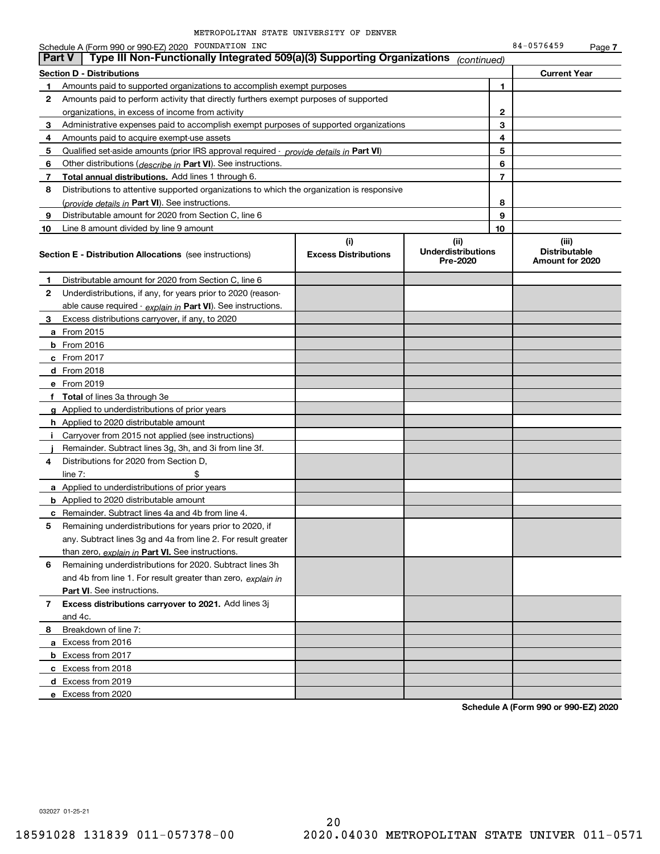|              | Schedule A (Form 990 or 990-EZ) 2020 FOUNDATION INC                                                  |                                    |                                               |                | 84-0576459                                       | Page 7 |
|--------------|------------------------------------------------------------------------------------------------------|------------------------------------|-----------------------------------------------|----------------|--------------------------------------------------|--------|
|              | Type III Non-Functionally Integrated 509(a)(3) Supporting Organizations (continued)<br><b>Part V</b> |                                    |                                               |                |                                                  |        |
|              | <b>Section D - Distributions</b>                                                                     |                                    |                                               |                | <b>Current Year</b>                              |        |
| 1            | Amounts paid to supported organizations to accomplish exempt purposes                                |                                    |                                               | $\mathbf{1}$   |                                                  |        |
| $\mathbf{2}$ | Amounts paid to perform activity that directly furthers exempt purposes of supported                 |                                    |                                               |                |                                                  |        |
|              | organizations, in excess of income from activity                                                     |                                    |                                               | $\mathbf{2}$   |                                                  |        |
| 3            | Administrative expenses paid to accomplish exempt purposes of supported organizations                |                                    |                                               | 3              |                                                  |        |
| 4            | Amounts paid to acquire exempt-use assets                                                            |                                    |                                               | 4              |                                                  |        |
| 5            | Qualified set-aside amounts (prior IRS approval required - provide details in Part VI)               |                                    |                                               | 5              |                                                  |        |
| 6            | Other distributions ( <i>describe in</i> Part VI). See instructions.                                 |                                    |                                               | 6              |                                                  |        |
| 7            | Total annual distributions. Add lines 1 through 6.                                                   |                                    |                                               | $\overline{7}$ |                                                  |        |
| 8            | Distributions to attentive supported organizations to which the organization is responsive           |                                    |                                               |                |                                                  |        |
|              | (provide details in Part VI). See instructions.                                                      |                                    |                                               | 8              |                                                  |        |
| 9            | Distributable amount for 2020 from Section C, line 6                                                 |                                    |                                               | 9              |                                                  |        |
| 10           | Line 8 amount divided by line 9 amount                                                               |                                    |                                               | 10             |                                                  |        |
|              | <b>Section E - Distribution Allocations</b> (see instructions)                                       | (i)<br><b>Excess Distributions</b> | (ii)<br><b>Underdistributions</b><br>Pre-2020 |                | (iii)<br><b>Distributable</b><br>Amount for 2020 |        |
| 1            | Distributable amount for 2020 from Section C, line 6                                                 |                                    |                                               |                |                                                  |        |
| $\mathbf{2}$ | Underdistributions, if any, for years prior to 2020 (reason-                                         |                                    |                                               |                |                                                  |        |
|              | able cause required - explain in Part VI). See instructions.                                         |                                    |                                               |                |                                                  |        |
| 3            | Excess distributions carryover, if any, to 2020                                                      |                                    |                                               |                |                                                  |        |
|              | a From 2015                                                                                          |                                    |                                               |                |                                                  |        |
|              | <b>b</b> From 2016                                                                                   |                                    |                                               |                |                                                  |        |
|              | c From 2017                                                                                          |                                    |                                               |                |                                                  |        |
|              | d From 2018                                                                                          |                                    |                                               |                |                                                  |        |
|              | e From 2019                                                                                          |                                    |                                               |                |                                                  |        |
|              | f Total of lines 3a through 3e                                                                       |                                    |                                               |                |                                                  |        |
|              | g Applied to underdistributions of prior years                                                       |                                    |                                               |                |                                                  |        |
|              | <b>h</b> Applied to 2020 distributable amount                                                        |                                    |                                               |                |                                                  |        |
|              | Carryover from 2015 not applied (see instructions)                                                   |                                    |                                               |                |                                                  |        |
|              | Remainder. Subtract lines 3g, 3h, and 3i from line 3f.                                               |                                    |                                               |                |                                                  |        |
| 4            | Distributions for 2020 from Section D.                                                               |                                    |                                               |                |                                                  |        |
|              | line $7:$                                                                                            |                                    |                                               |                |                                                  |        |
|              | a Applied to underdistributions of prior years                                                       |                                    |                                               |                |                                                  |        |
|              | <b>b</b> Applied to 2020 distributable amount                                                        |                                    |                                               |                |                                                  |        |
|              | <b>c</b> Remainder. Subtract lines 4a and 4b from line 4.                                            |                                    |                                               |                |                                                  |        |
|              | Remaining underdistributions for years prior to 2020, if                                             |                                    |                                               |                |                                                  |        |
|              | any. Subtract lines 3g and 4a from line 2. For result greater                                        |                                    |                                               |                |                                                  |        |
|              |                                                                                                      |                                    |                                               |                |                                                  |        |
|              | than zero, explain in Part VI. See instructions.                                                     |                                    |                                               |                |                                                  |        |
| 6            | Remaining underdistributions for 2020. Subtract lines 3h                                             |                                    |                                               |                |                                                  |        |
|              | and 4b from line 1. For result greater than zero, explain in                                         |                                    |                                               |                |                                                  |        |
|              | <b>Part VI.</b> See instructions.                                                                    |                                    |                                               |                |                                                  |        |
| 7            | Excess distributions carryover to 2021. Add lines 3j                                                 |                                    |                                               |                |                                                  |        |
|              | and 4c.                                                                                              |                                    |                                               |                |                                                  |        |
| 8            | Breakdown of line 7:                                                                                 |                                    |                                               |                |                                                  |        |
|              | a Excess from 2016                                                                                   |                                    |                                               |                |                                                  |        |
|              | <b>b</b> Excess from 2017                                                                            |                                    |                                               |                |                                                  |        |
|              | c Excess from 2018                                                                                   |                                    |                                               |                |                                                  |        |
|              | d Excess from 2019                                                                                   |                                    |                                               |                |                                                  |        |
|              | e Excess from 2020                                                                                   |                                    |                                               |                |                                                  |        |

**Schedule A (Form 990 or 990-EZ) 2020**

032027 01-25-21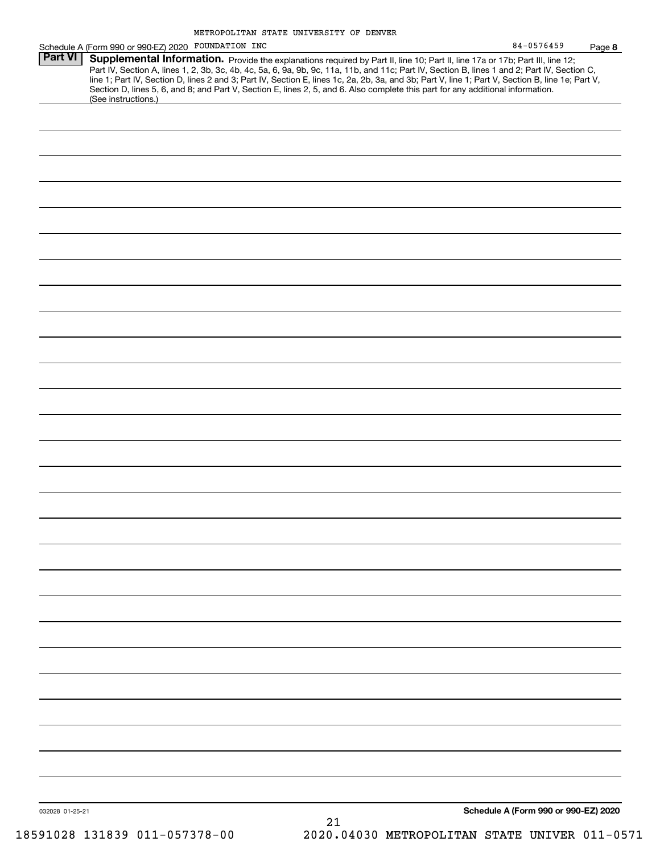|                | METROPOLITAN STATE UNIVERSITY OF DENVER                                                                                                                                                                                                                                                                                                                                                                                                                                                                                                                                                                                                            |            |        |
|----------------|----------------------------------------------------------------------------------------------------------------------------------------------------------------------------------------------------------------------------------------------------------------------------------------------------------------------------------------------------------------------------------------------------------------------------------------------------------------------------------------------------------------------------------------------------------------------------------------------------------------------------------------------------|------------|--------|
| <b>Part VI</b> | Schedule A (Form 990 or 990-EZ) 2020 FOUNDATION INC<br>Supplemental Information. Provide the explanations required by Part II, line 10; Part II, line 17a or 17b; Part III, line 12;<br>Part IV, Section A, lines 1, 2, 3b, 3c, 4b, 4c, 5a, 6, 9a, 9b, 9c, 11a, 11b, and 11c; Part IV, Section B, lines 1 and 2; Part IV, Section C,<br>line 1; Part IV, Section D, lines 2 and 3; Part IV, Section E, lines 1c, 2a, 2b, 3a, and 3b; Part V, line 1; Part V, Section B, line 1e; Part V,<br>Section D, lines 5, 6, and 8; and Part V, Section E, lines 2, 5, and 6. Also complete this part for any additional information.<br>(See instructions.) | 84-0576459 | Page 8 |
|                |                                                                                                                                                                                                                                                                                                                                                                                                                                                                                                                                                                                                                                                    |            |        |
|                |                                                                                                                                                                                                                                                                                                                                                                                                                                                                                                                                                                                                                                                    |            |        |
|                |                                                                                                                                                                                                                                                                                                                                                                                                                                                                                                                                                                                                                                                    |            |        |
|                |                                                                                                                                                                                                                                                                                                                                                                                                                                                                                                                                                                                                                                                    |            |        |
|                |                                                                                                                                                                                                                                                                                                                                                                                                                                                                                                                                                                                                                                                    |            |        |
|                |                                                                                                                                                                                                                                                                                                                                                                                                                                                                                                                                                                                                                                                    |            |        |
|                |                                                                                                                                                                                                                                                                                                                                                                                                                                                                                                                                                                                                                                                    |            |        |
|                |                                                                                                                                                                                                                                                                                                                                                                                                                                                                                                                                                                                                                                                    |            |        |
|                |                                                                                                                                                                                                                                                                                                                                                                                                                                                                                                                                                                                                                                                    |            |        |
|                |                                                                                                                                                                                                                                                                                                                                                                                                                                                                                                                                                                                                                                                    |            |        |
|                |                                                                                                                                                                                                                                                                                                                                                                                                                                                                                                                                                                                                                                                    |            |        |
|                |                                                                                                                                                                                                                                                                                                                                                                                                                                                                                                                                                                                                                                                    |            |        |
|                |                                                                                                                                                                                                                                                                                                                                                                                                                                                                                                                                                                                                                                                    |            |        |
|                |                                                                                                                                                                                                                                                                                                                                                                                                                                                                                                                                                                                                                                                    |            |        |
|                |                                                                                                                                                                                                                                                                                                                                                                                                                                                                                                                                                                                                                                                    |            |        |
|                |                                                                                                                                                                                                                                                                                                                                                                                                                                                                                                                                                                                                                                                    |            |        |
|                |                                                                                                                                                                                                                                                                                                                                                                                                                                                                                                                                                                                                                                                    |            |        |
|                |                                                                                                                                                                                                                                                                                                                                                                                                                                                                                                                                                                                                                                                    |            |        |
|                |                                                                                                                                                                                                                                                                                                                                                                                                                                                                                                                                                                                                                                                    |            |        |
|                |                                                                                                                                                                                                                                                                                                                                                                                                                                                                                                                                                                                                                                                    |            |        |
|                |                                                                                                                                                                                                                                                                                                                                                                                                                                                                                                                                                                                                                                                    |            |        |
|                |                                                                                                                                                                                                                                                                                                                                                                                                                                                                                                                                                                                                                                                    |            |        |
|                |                                                                                                                                                                                                                                                                                                                                                                                                                                                                                                                                                                                                                                                    |            |        |
|                |                                                                                                                                                                                                                                                                                                                                                                                                                                                                                                                                                                                                                                                    |            |        |
|                |                                                                                                                                                                                                                                                                                                                                                                                                                                                                                                                                                                                                                                                    |            |        |
|                |                                                                                                                                                                                                                                                                                                                                                                                                                                                                                                                                                                                                                                                    |            |        |

**Schedule A (Form 990 or 990-EZ) 2020**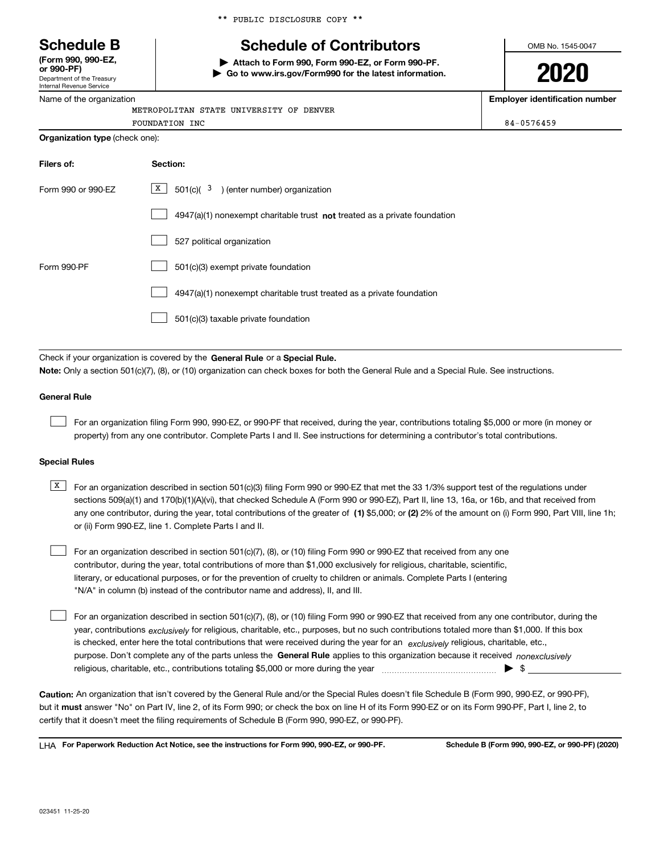Department of the Treasury **(Form 990, 990-EZ, or 990-PF)**

### Internal Revenue Service Name of the organization

\*\* PUBLIC DISCLOSURE COPY \*\*

# **Schedule B Schedule of Contributors**

**| Attach to Form 990, Form 990-EZ, or Form 990-PF. | Go to www.irs.gov/Form990 for the latest information.** OMB No. 1545-0047

**2020**

**Employer identification number**

| . .                                   | METROPOLITAN STATE UNIVERSITY OF DENVER |            |
|---------------------------------------|-----------------------------------------|------------|
|                                       | FOUNDATION INC                          | 84-0576459 |
| <b>Organization type (check one):</b> |                                         |            |

| Filers of:         | Section:                                                                    |
|--------------------|-----------------------------------------------------------------------------|
| Form 990 or 990-EZ | X  <br>$501(c)$ ( $3$<br>) (enter number) organization                      |
|                    | $4947(a)(1)$ nonexempt charitable trust not treated as a private foundation |
|                    | 527 political organization                                                  |
| Form 990-PF        | 501(c)(3) exempt private foundation                                         |
|                    | 4947(a)(1) nonexempt charitable trust treated as a private foundation       |
|                    | 501(c)(3) taxable private foundation                                        |

Check if your organization is covered by the **General Rule** or a **Special Rule. Note:**  Only a section 501(c)(7), (8), or (10) organization can check boxes for both the General Rule and a Special Rule. See instructions.

#### **General Rule**

 $\mathcal{L}^{\text{max}}$ 

For an organization filing Form 990, 990-EZ, or 990-PF that received, during the year, contributions totaling \$5,000 or more (in money or property) from any one contributor. Complete Parts I and II. See instructions for determining a contributor's total contributions.

#### **Special Rules**

| [X ] For an organization described in section 501(c)(3) filing Form 990 or 990-EZ that met the 33 1/3% support test of the regulations under          |
|-------------------------------------------------------------------------------------------------------------------------------------------------------|
| sections 509(a)(1) and 170(b)(1)(A)(vi), that checked Schedule A (Form 990 or 990-EZ), Part II, line 13, 16a, or 16b, and that received from          |
| any one contributor, during the year, total contributions of the greater of (1) \$5,000; or (2) 2% of the amount on (i) Form 990, Part VIII, line 1h; |
| or (ii) Form 990-EZ, line 1. Complete Parts I and II.                                                                                                 |

For an organization described in section 501(c)(7), (8), or (10) filing Form 990 or 990-EZ that received from any one contributor, during the year, total contributions of more than \$1,000 exclusively for religious, charitable, scientific, literary, or educational purposes, or for the prevention of cruelty to children or animals. Complete Parts I (entering "N/A" in column (b) instead of the contributor name and address), II, and III.  $\mathcal{L}^{\text{max}}$ 

purpose. Don't complete any of the parts unless the **General Rule** applies to this organization because it received *nonexclusively* year, contributions <sub>exclusively</sub> for religious, charitable, etc., purposes, but no such contributions totaled more than \$1,000. If this box is checked, enter here the total contributions that were received during the year for an  $\;$ exclusively religious, charitable, etc., For an organization described in section 501(c)(7), (8), or (10) filing Form 990 or 990-EZ that received from any one contributor, during the religious, charitable, etc., contributions totaling \$5,000 or more during the year  $\Box$ — $\Box$   $\Box$  $\mathcal{L}^{\text{max}}$ 

**Caution:**  An organization that isn't covered by the General Rule and/or the Special Rules doesn't file Schedule B (Form 990, 990-EZ, or 990-PF),  **must** but it answer "No" on Part IV, line 2, of its Form 990; or check the box on line H of its Form 990-EZ or on its Form 990-PF, Part I, line 2, to certify that it doesn't meet the filing requirements of Schedule B (Form 990, 990-EZ, or 990-PF).

**For Paperwork Reduction Act Notice, see the instructions for Form 990, 990-EZ, or 990-PF. Schedule B (Form 990, 990-EZ, or 990-PF) (2020)** LHA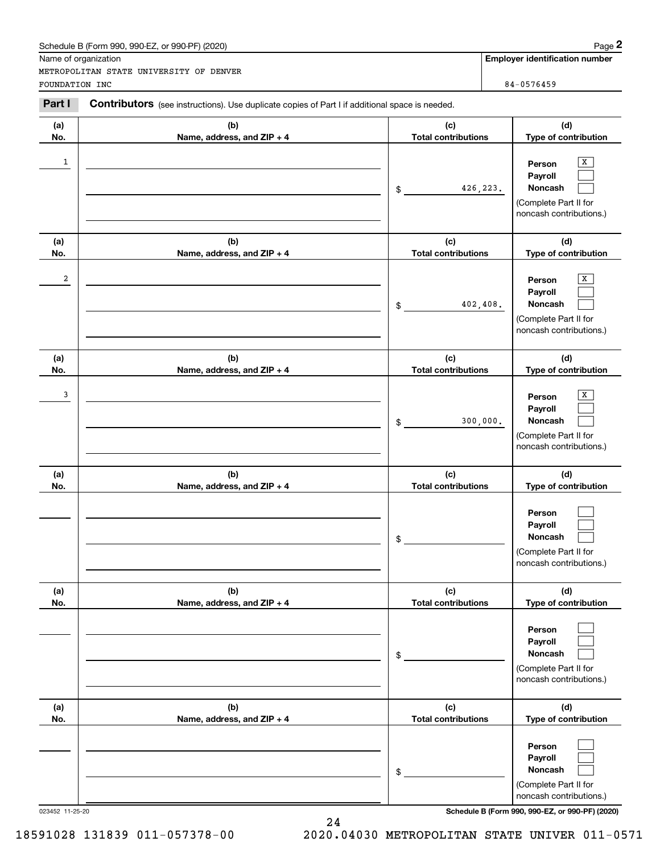### Schedule B (Form 990, 990-EZ, or 990-PF) (2020) **Page 2** Page 2

|                      | Schedule B (Form 990, 990-EZ, or 990-PF) (2020)                                                |                                   | Page 2                                                                                |
|----------------------|------------------------------------------------------------------------------------------------|-----------------------------------|---------------------------------------------------------------------------------------|
| Name of organization | METROPOLITAN STATE UNIVERSITY OF DENVER                                                        |                                   | <b>Employer identification number</b>                                                 |
| FOUNDATION INC       |                                                                                                |                                   | 84-0576459                                                                            |
| Part I               | Contributors (see instructions). Use duplicate copies of Part I if additional space is needed. |                                   |                                                                                       |
| (a)<br>No.           | (b)<br>Name, address, and ZIP + 4                                                              | (c)<br><b>Total contributions</b> | (d)<br>Type of contribution                                                           |
| 1                    |                                                                                                | 426,223.<br>\$                    | х<br>Person<br>Payroll<br>Noncash<br>(Complete Part II for<br>noncash contributions.) |
| (a)<br>No.           | (b)<br>Name, address, and ZIP + 4                                                              | (c)<br><b>Total contributions</b> | (d)<br>Type of contribution                                                           |
| $\overline{a}$       |                                                                                                | 402,408.<br>\$                    | Х<br>Person<br>Payroll<br>Noncash<br>(Complete Part II for<br>noncash contributions.) |
| (a)<br>No.           | (b)<br>Name, address, and ZIP + 4                                                              | (c)<br><b>Total contributions</b> | (d)<br>Type of contribution                                                           |
| 3                    |                                                                                                | 300,000.<br>\$                    | х<br>Person<br>Payroll<br>Noncash<br>(Complete Part II for<br>noncash contributions.) |
| (a)<br>No.           | (b)<br>Name, address, and ZIP + 4                                                              | (c)<br><b>Total contributions</b> | (d)<br>Type of contribution                                                           |
|                      |                                                                                                | \$                                | Person<br>Payroll<br>Noncash<br>(Complete Part II for<br>noncash contributions.)      |
| (a)<br>No.           | (b)<br>Name, address, and ZIP + 4                                                              | (c)<br><b>Total contributions</b> | (d)<br>Type of contribution                                                           |
|                      |                                                                                                | \$                                | Person<br>Payroll<br>Noncash<br>(Complete Part II for<br>noncash contributions.)      |
| (a)<br>No.           | (b)<br>Name, address, and ZIP + 4                                                              | (c)<br><b>Total contributions</b> | (d)<br>Type of contribution                                                           |
|                      |                                                                                                | \$                                | Person<br>Payroll<br>Noncash<br>(Complete Part II for<br>noncash contributions.)      |

023452 11-25-20 **Schedule B (Form 990, 990-EZ, or 990-PF) (2020)**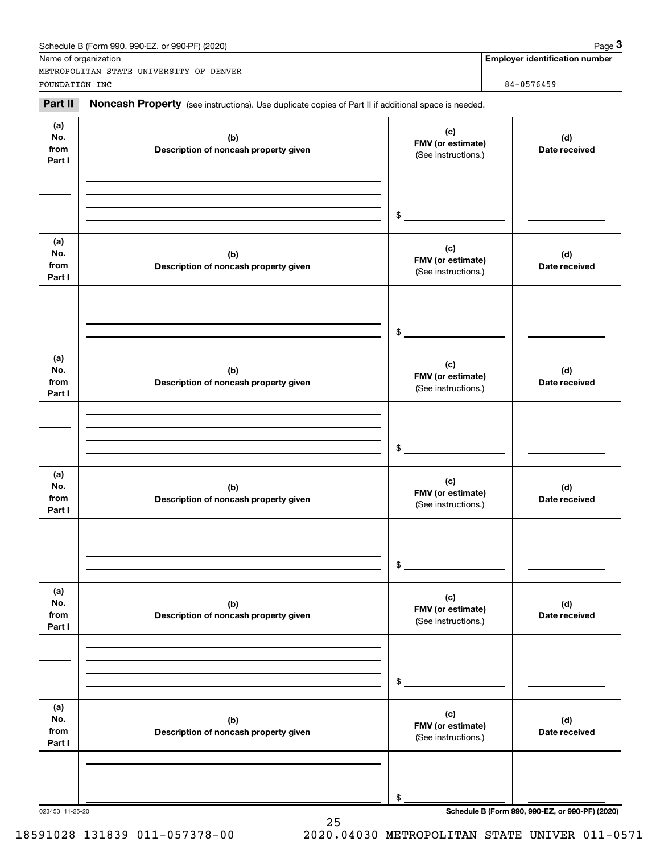| Schedule B (Form 990, 990-EZ, or 990-PF) (2020)                                                                       | Page $3$                              |
|-----------------------------------------------------------------------------------------------------------------------|---------------------------------------|
| Name of organization                                                                                                  | <b>Employer identification number</b> |
| METROPOLITAN STATE UNIVERSITY OF DENVER                                                                               |                                       |
| FOUNDATION INC                                                                                                        | 84-0576459                            |
| Part II<br><b>Noncash Property</b> (see instructions). Use duplicate copies of Part II if additional space is needed. |                                       |

#### **(a) No.fromPart I (c) FMV (or estimate) (b) Description of noncash property given (d) Date received (a)No.fromPart I (c) FMV (or estimate) (b) Description of noncash property given (d) Date received (a)No.fromPart I (c) FMV (or estimate) (b) Description of noncash property given (d) Date received (a) No.fromPart I (c) FMV (or estimate) (b) Description of noncash property given (d) Date received (a) No.fromPart I (c) FMV (or estimate) (b) Description of noncash property given (d) Date received (a) No.fromPart I (c) FMV (or estimate) (b)Description of noncash property given (d)Date received** Noncash Property (see instructions). Use duplicate copies of Part II if additional space is needed. (See instructions.) \$(See instructions.) \$(See instructions.) \$(See instructions.) \$(See instructions.) \$(See instructions.) \$

25

023453 11-25-20 **Schedule B (Form 990, 990-EZ, or 990-PF) (2020)**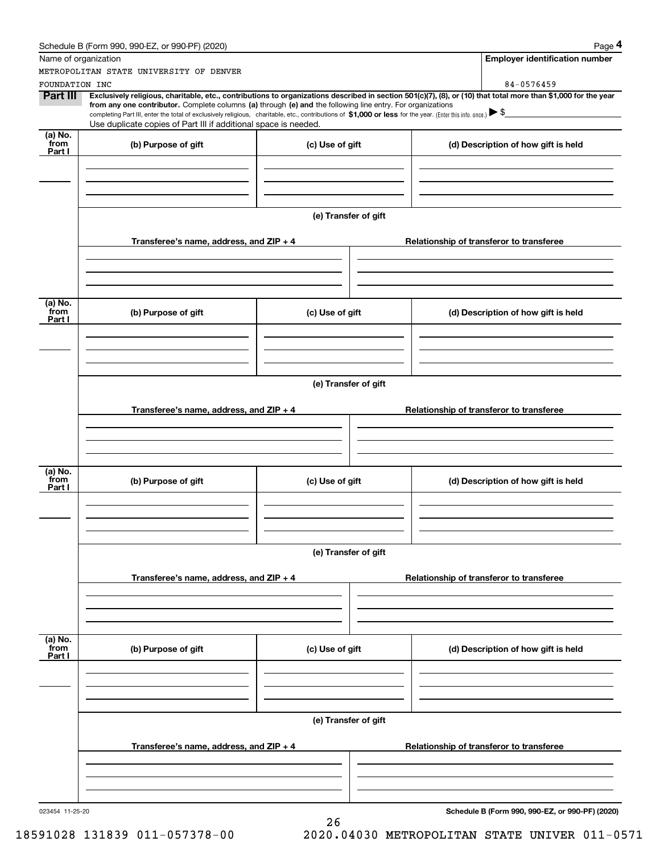| <b>Employer identification number</b><br>Name of organization<br>METROPOLITAN STATE UNIVERSITY OF DENVER<br>FOUNDATION INC<br>84-0576459<br>Part III<br>Exclusively religious, charitable, etc., contributions to organizations described in section 501(c)(7), (8), or (10) that total more than \$1,000 for the year<br>from any one contributor. Complete columns (a) through (e) and the following line entry. For organizations<br>completing Part III, enter the total of exclusively religious, charitable, etc., contributions of \$1,000 or less for the year. (Enter this info. once.) $\blacktriangleright$ \$<br>Use duplicate copies of Part III if additional space is needed.<br>(a) No.<br>from<br>(b) Purpose of gift<br>(c) Use of gift<br>(d) Description of how gift is held<br>Part I<br>(e) Transfer of gift<br>Transferee's name, address, and $ZIP + 4$<br>Relationship of transferor to transferee<br>(a) No.<br>from<br>(b) Purpose of gift<br>(c) Use of gift<br>(d) Description of how gift is held<br>Part I<br>(e) Transfer of gift<br>Transferee's name, address, and $ZIP + 4$<br>Relationship of transferor to transferee<br>(a) No.<br>from<br>(b) Purpose of gift<br>(c) Use of gift<br>(d) Description of how gift is held<br>Part I<br>(e) Transfer of gift<br>Transferee's name, address, and $ZIP + 4$<br>Relationship of transferor to transferee<br>(a) No.<br>from<br>(b) Purpose of gift<br>(c) Use of gift<br>(d) Description of how gift is held<br>Part I<br>(e) Transfer of gift<br>Transferee's name, address, and $ZIP + 4$<br>Relationship of transferor to transferee<br>Schedule B (Form 990, 990-EZ, or 990-PF) (2020)<br>023454 11-25-20<br>26 | Schedule B (Form 990, 990-EZ, or 990-PF) (2020) |  |  | Page 4 |
|------------------------------------------------------------------------------------------------------------------------------------------------------------------------------------------------------------------------------------------------------------------------------------------------------------------------------------------------------------------------------------------------------------------------------------------------------------------------------------------------------------------------------------------------------------------------------------------------------------------------------------------------------------------------------------------------------------------------------------------------------------------------------------------------------------------------------------------------------------------------------------------------------------------------------------------------------------------------------------------------------------------------------------------------------------------------------------------------------------------------------------------------------------------------------------------------------------------------------------------------------------------------------------------------------------------------------------------------------------------------------------------------------------------------------------------------------------------------------------------------------------------------------------------------------------------------------------------------------------------------------------------------------------------------------------------------------|-------------------------------------------------|--|--|--------|
|                                                                                                                                                                                                                                                                                                                                                                                                                                                                                                                                                                                                                                                                                                                                                                                                                                                                                                                                                                                                                                                                                                                                                                                                                                                                                                                                                                                                                                                                                                                                                                                                                                                                                                      |                                                 |  |  |        |
|                                                                                                                                                                                                                                                                                                                                                                                                                                                                                                                                                                                                                                                                                                                                                                                                                                                                                                                                                                                                                                                                                                                                                                                                                                                                                                                                                                                                                                                                                                                                                                                                                                                                                                      |                                                 |  |  |        |
|                                                                                                                                                                                                                                                                                                                                                                                                                                                                                                                                                                                                                                                                                                                                                                                                                                                                                                                                                                                                                                                                                                                                                                                                                                                                                                                                                                                                                                                                                                                                                                                                                                                                                                      |                                                 |  |  |        |
|                                                                                                                                                                                                                                                                                                                                                                                                                                                                                                                                                                                                                                                                                                                                                                                                                                                                                                                                                                                                                                                                                                                                                                                                                                                                                                                                                                                                                                                                                                                                                                                                                                                                                                      |                                                 |  |  |        |
|                                                                                                                                                                                                                                                                                                                                                                                                                                                                                                                                                                                                                                                                                                                                                                                                                                                                                                                                                                                                                                                                                                                                                                                                                                                                                                                                                                                                                                                                                                                                                                                                                                                                                                      |                                                 |  |  |        |
|                                                                                                                                                                                                                                                                                                                                                                                                                                                                                                                                                                                                                                                                                                                                                                                                                                                                                                                                                                                                                                                                                                                                                                                                                                                                                                                                                                                                                                                                                                                                                                                                                                                                                                      |                                                 |  |  |        |
|                                                                                                                                                                                                                                                                                                                                                                                                                                                                                                                                                                                                                                                                                                                                                                                                                                                                                                                                                                                                                                                                                                                                                                                                                                                                                                                                                                                                                                                                                                                                                                                                                                                                                                      |                                                 |  |  |        |
|                                                                                                                                                                                                                                                                                                                                                                                                                                                                                                                                                                                                                                                                                                                                                                                                                                                                                                                                                                                                                                                                                                                                                                                                                                                                                                                                                                                                                                                                                                                                                                                                                                                                                                      |                                                 |  |  |        |
|                                                                                                                                                                                                                                                                                                                                                                                                                                                                                                                                                                                                                                                                                                                                                                                                                                                                                                                                                                                                                                                                                                                                                                                                                                                                                                                                                                                                                                                                                                                                                                                                                                                                                                      |                                                 |  |  |        |
|                                                                                                                                                                                                                                                                                                                                                                                                                                                                                                                                                                                                                                                                                                                                                                                                                                                                                                                                                                                                                                                                                                                                                                                                                                                                                                                                                                                                                                                                                                                                                                                                                                                                                                      |                                                 |  |  |        |
|                                                                                                                                                                                                                                                                                                                                                                                                                                                                                                                                                                                                                                                                                                                                                                                                                                                                                                                                                                                                                                                                                                                                                                                                                                                                                                                                                                                                                                                                                                                                                                                                                                                                                                      |                                                 |  |  |        |
|                                                                                                                                                                                                                                                                                                                                                                                                                                                                                                                                                                                                                                                                                                                                                                                                                                                                                                                                                                                                                                                                                                                                                                                                                                                                                                                                                                                                                                                                                                                                                                                                                                                                                                      |                                                 |  |  |        |
|                                                                                                                                                                                                                                                                                                                                                                                                                                                                                                                                                                                                                                                                                                                                                                                                                                                                                                                                                                                                                                                                                                                                                                                                                                                                                                                                                                                                                                                                                                                                                                                                                                                                                                      |                                                 |  |  |        |
|                                                                                                                                                                                                                                                                                                                                                                                                                                                                                                                                                                                                                                                                                                                                                                                                                                                                                                                                                                                                                                                                                                                                                                                                                                                                                                                                                                                                                                                                                                                                                                                                                                                                                                      |                                                 |  |  |        |
|                                                                                                                                                                                                                                                                                                                                                                                                                                                                                                                                                                                                                                                                                                                                                                                                                                                                                                                                                                                                                                                                                                                                                                                                                                                                                                                                                                                                                                                                                                                                                                                                                                                                                                      |                                                 |  |  |        |
|                                                                                                                                                                                                                                                                                                                                                                                                                                                                                                                                                                                                                                                                                                                                                                                                                                                                                                                                                                                                                                                                                                                                                                                                                                                                                                                                                                                                                                                                                                                                                                                                                                                                                                      |                                                 |  |  |        |
|                                                                                                                                                                                                                                                                                                                                                                                                                                                                                                                                                                                                                                                                                                                                                                                                                                                                                                                                                                                                                                                                                                                                                                                                                                                                                                                                                                                                                                                                                                                                                                                                                                                                                                      |                                                 |  |  |        |
|                                                                                                                                                                                                                                                                                                                                                                                                                                                                                                                                                                                                                                                                                                                                                                                                                                                                                                                                                                                                                                                                                                                                                                                                                                                                                                                                                                                                                                                                                                                                                                                                                                                                                                      |                                                 |  |  |        |
|                                                                                                                                                                                                                                                                                                                                                                                                                                                                                                                                                                                                                                                                                                                                                                                                                                                                                                                                                                                                                                                                                                                                                                                                                                                                                                                                                                                                                                                                                                                                                                                                                                                                                                      |                                                 |  |  |        |
|                                                                                                                                                                                                                                                                                                                                                                                                                                                                                                                                                                                                                                                                                                                                                                                                                                                                                                                                                                                                                                                                                                                                                                                                                                                                                                                                                                                                                                                                                                                                                                                                                                                                                                      |                                                 |  |  |        |
|                                                                                                                                                                                                                                                                                                                                                                                                                                                                                                                                                                                                                                                                                                                                                                                                                                                                                                                                                                                                                                                                                                                                                                                                                                                                                                                                                                                                                                                                                                                                                                                                                                                                                                      |                                                 |  |  |        |
|                                                                                                                                                                                                                                                                                                                                                                                                                                                                                                                                                                                                                                                                                                                                                                                                                                                                                                                                                                                                                                                                                                                                                                                                                                                                                                                                                                                                                                                                                                                                                                                                                                                                                                      |                                                 |  |  |        |
|                                                                                                                                                                                                                                                                                                                                                                                                                                                                                                                                                                                                                                                                                                                                                                                                                                                                                                                                                                                                                                                                                                                                                                                                                                                                                                                                                                                                                                                                                                                                                                                                                                                                                                      |                                                 |  |  |        |
|                                                                                                                                                                                                                                                                                                                                                                                                                                                                                                                                                                                                                                                                                                                                                                                                                                                                                                                                                                                                                                                                                                                                                                                                                                                                                                                                                                                                                                                                                                                                                                                                                                                                                                      |                                                 |  |  |        |
|                                                                                                                                                                                                                                                                                                                                                                                                                                                                                                                                                                                                                                                                                                                                                                                                                                                                                                                                                                                                                                                                                                                                                                                                                                                                                                                                                                                                                                                                                                                                                                                                                                                                                                      |                                                 |  |  |        |
|                                                                                                                                                                                                                                                                                                                                                                                                                                                                                                                                                                                                                                                                                                                                                                                                                                                                                                                                                                                                                                                                                                                                                                                                                                                                                                                                                                                                                                                                                                                                                                                                                                                                                                      |                                                 |  |  |        |
|                                                                                                                                                                                                                                                                                                                                                                                                                                                                                                                                                                                                                                                                                                                                                                                                                                                                                                                                                                                                                                                                                                                                                                                                                                                                                                                                                                                                                                                                                                                                                                                                                                                                                                      |                                                 |  |  |        |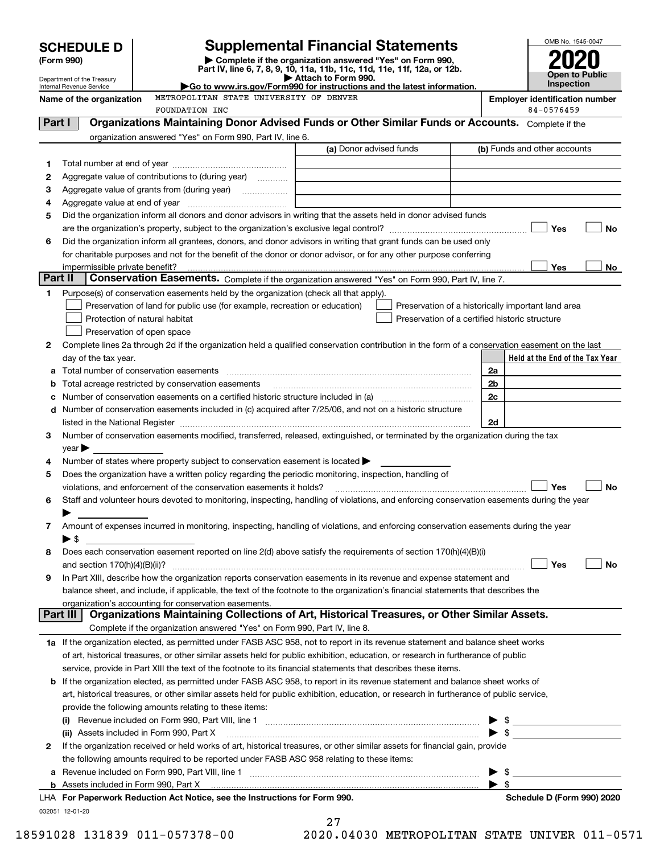|                                                                                                                                         |                                          |                                                                                                   |                                                                                                                                                                                                                                                     |    | OMB No. 1545-0047                                   |  |
|-----------------------------------------------------------------------------------------------------------------------------------------|------------------------------------------|---------------------------------------------------------------------------------------------------|-----------------------------------------------------------------------------------------------------------------------------------------------------------------------------------------------------------------------------------------------------|----|-----------------------------------------------------|--|
| <b>Supplemental Financial Statements</b><br><b>SCHEDULE D</b><br>Complete if the organization answered "Yes" on Form 990,<br>(Form 990) |                                          |                                                                                                   |                                                                                                                                                                                                                                                     |    |                                                     |  |
|                                                                                                                                         | Department of the Treasury               |                                                                                                   | Part IV, line 6, 7, 8, 9, 10, 11a, 11b, 11c, 11d, 11e, 11f, 12a, or 12b.<br>Attach to Form 990.                                                                                                                                                     |    |                                                     |  |
|                                                                                                                                         | Internal Revenue Service                 |                                                                                                   | Go to www.irs.gov/Form990 for instructions and the latest information.                                                                                                                                                                              |    | <b>Inspection</b>                                   |  |
|                                                                                                                                         | Name of the organization                 | METROPOLITAN STATE UNIVERSITY OF DENVER<br>FOUNDATION INC                                         |                                                                                                                                                                                                                                                     |    | <b>Employer identification number</b><br>84-0576459 |  |
| Part I                                                                                                                                  |                                          |                                                                                                   | Organizations Maintaining Donor Advised Funds or Other Similar Funds or Accounts. Complete if the                                                                                                                                                   |    |                                                     |  |
|                                                                                                                                         |                                          | organization answered "Yes" on Form 990, Part IV, line 6.                                         |                                                                                                                                                                                                                                                     |    |                                                     |  |
|                                                                                                                                         |                                          |                                                                                                   | (a) Donor advised funds                                                                                                                                                                                                                             |    | (b) Funds and other accounts                        |  |
| 1                                                                                                                                       |                                          |                                                                                                   |                                                                                                                                                                                                                                                     |    |                                                     |  |
| 2                                                                                                                                       |                                          | Aggregate value of contributions to (during year)                                                 |                                                                                                                                                                                                                                                     |    |                                                     |  |
| з                                                                                                                                       |                                          |                                                                                                   | <u> 1989 - Johann Barbara, martin amerikan personal (</u>                                                                                                                                                                                           |    |                                                     |  |
| 4                                                                                                                                       |                                          |                                                                                                   |                                                                                                                                                                                                                                                     |    |                                                     |  |
| 5                                                                                                                                       |                                          |                                                                                                   | Did the organization inform all donors and donor advisors in writing that the assets held in donor advised funds                                                                                                                                    |    |                                                     |  |
|                                                                                                                                         |                                          |                                                                                                   |                                                                                                                                                                                                                                                     |    | Yes<br>No                                           |  |
| 6                                                                                                                                       |                                          |                                                                                                   | Did the organization inform all grantees, donors, and donor advisors in writing that grant funds can be used only                                                                                                                                   |    |                                                     |  |
|                                                                                                                                         | impermissible private benefit?           |                                                                                                   | for charitable purposes and not for the benefit of the donor or donor advisor, or for any other purpose conferring                                                                                                                                  |    | Yes<br>No                                           |  |
| Part II                                                                                                                                 |                                          |                                                                                                   | Conservation Easements. Complete if the organization answered "Yes" on Form 990, Part IV, line 7.                                                                                                                                                   |    |                                                     |  |
| 1                                                                                                                                       |                                          | Purpose(s) of conservation easements held by the organization (check all that apply).             |                                                                                                                                                                                                                                                     |    |                                                     |  |
|                                                                                                                                         |                                          | Preservation of land for public use (for example, recreation or education)                        | Preservation of a historically important land area                                                                                                                                                                                                  |    |                                                     |  |
|                                                                                                                                         | Protection of natural habitat            |                                                                                                   | Preservation of a certified historic structure                                                                                                                                                                                                      |    |                                                     |  |
|                                                                                                                                         | Preservation of open space               |                                                                                                   |                                                                                                                                                                                                                                                     |    |                                                     |  |
| 2                                                                                                                                       |                                          |                                                                                                   | Complete lines 2a through 2d if the organization held a qualified conservation contribution in the form of a conservation easement on the last                                                                                                      |    |                                                     |  |
|                                                                                                                                         | day of the tax year.                     |                                                                                                   |                                                                                                                                                                                                                                                     |    | Held at the End of the Tax Year                     |  |
| а                                                                                                                                       |                                          |                                                                                                   |                                                                                                                                                                                                                                                     | 2a |                                                     |  |
| b                                                                                                                                       |                                          | Total acreage restricted by conservation easements                                                |                                                                                                                                                                                                                                                     | 2b |                                                     |  |
| с                                                                                                                                       |                                          |                                                                                                   |                                                                                                                                                                                                                                                     | 2c |                                                     |  |
| d                                                                                                                                       |                                          |                                                                                                   | Number of conservation easements included in (c) acquired after 7/25/06, and not on a historic structure                                                                                                                                            |    |                                                     |  |
|                                                                                                                                         |                                          |                                                                                                   |                                                                                                                                                                                                                                                     | 2d |                                                     |  |
| 3                                                                                                                                       |                                          |                                                                                                   | Number of conservation easements modified, transferred, released, extinguished, or terminated by the organization during the tax                                                                                                                    |    |                                                     |  |
|                                                                                                                                         | $year \blacktriangleright$               |                                                                                                   |                                                                                                                                                                                                                                                     |    |                                                     |  |
| 4                                                                                                                                       |                                          | Number of states where property subject to conservation easement is located $\blacktriangleright$ |                                                                                                                                                                                                                                                     |    |                                                     |  |
| 5                                                                                                                                       |                                          |                                                                                                   | Does the organization have a written policy regarding the periodic monitoring, inspection, handling of                                                                                                                                              |    |                                                     |  |
|                                                                                                                                         |                                          | violations, and enforcement of the conservation easements it holds?                               |                                                                                                                                                                                                                                                     |    | Yes<br>No                                           |  |
| 6                                                                                                                                       |                                          |                                                                                                   | Staff and volunteer hours devoted to monitoring, inspecting, handling of violations, and enforcing conservation easements during the year                                                                                                           |    |                                                     |  |
|                                                                                                                                         |                                          |                                                                                                   |                                                                                                                                                                                                                                                     |    |                                                     |  |
| 7                                                                                                                                       |                                          |                                                                                                   | Amount of expenses incurred in monitoring, inspecting, handling of violations, and enforcing conservation easements during the year                                                                                                                 |    |                                                     |  |
|                                                                                                                                         | $\blacktriangleright$ \$                 |                                                                                                   |                                                                                                                                                                                                                                                     |    |                                                     |  |
| 8                                                                                                                                       |                                          |                                                                                                   | Does each conservation easement reported on line 2(d) above satisfy the requirements of section 170(h)(4)(B)(i)                                                                                                                                     |    |                                                     |  |
|                                                                                                                                         |                                          |                                                                                                   |                                                                                                                                                                                                                                                     |    | Yes<br>No                                           |  |
| 9                                                                                                                                       |                                          |                                                                                                   | In Part XIII, describe how the organization reports conservation easements in its revenue and expense statement and                                                                                                                                 |    |                                                     |  |
|                                                                                                                                         |                                          |                                                                                                   | balance sheet, and include, if applicable, the text of the footnote to the organization's financial statements that describes the                                                                                                                   |    |                                                     |  |
|                                                                                                                                         | Part III                                 | organization's accounting for conservation easements.                                             | Organizations Maintaining Collections of Art, Historical Treasures, or Other Similar Assets.                                                                                                                                                        |    |                                                     |  |
|                                                                                                                                         |                                          | Complete if the organization answered "Yes" on Form 990, Part IV, line 8.                         |                                                                                                                                                                                                                                                     |    |                                                     |  |
|                                                                                                                                         |                                          |                                                                                                   |                                                                                                                                                                                                                                                     |    |                                                     |  |
|                                                                                                                                         |                                          |                                                                                                   | 1a If the organization elected, as permitted under FASB ASC 958, not to report in its revenue statement and balance sheet works                                                                                                                     |    |                                                     |  |
|                                                                                                                                         |                                          |                                                                                                   | of art, historical treasures, or other similar assets held for public exhibition, education, or research in furtherance of public<br>service, provide in Part XIII the text of the footnote to its financial statements that describes these items. |    |                                                     |  |
| b                                                                                                                                       |                                          |                                                                                                   | If the organization elected, as permitted under FASB ASC 958, to report in its revenue statement and balance sheet works of                                                                                                                         |    |                                                     |  |
|                                                                                                                                         |                                          |                                                                                                   | art, historical treasures, or other similar assets held for public exhibition, education, or research in furtherance of public service,                                                                                                             |    |                                                     |  |
|                                                                                                                                         |                                          | provide the following amounts relating to these items:                                            |                                                                                                                                                                                                                                                     |    |                                                     |  |
|                                                                                                                                         | $\left( 0 \right)$                       |                                                                                                   |                                                                                                                                                                                                                                                     |    |                                                     |  |
|                                                                                                                                         | (ii) Assets included in Form 990, Part X |                                                                                                   |                                                                                                                                                                                                                                                     |    |                                                     |  |
| 2                                                                                                                                       |                                          |                                                                                                   | If the organization received or held works of art, historical treasures, or other similar assets for financial gain, provide                                                                                                                        |    |                                                     |  |
|                                                                                                                                         |                                          | the following amounts required to be reported under FASB ASC 958 relating to these items:         |                                                                                                                                                                                                                                                     |    |                                                     |  |
| а                                                                                                                                       |                                          |                                                                                                   |                                                                                                                                                                                                                                                     |    | -\$                                                 |  |
|                                                                                                                                         |                                          |                                                                                                   |                                                                                                                                                                                                                                                     |    | - \$                                                |  |
|                                                                                                                                         |                                          | LHA For Paperwork Reduction Act Notice, see the Instructions for Form 990.                        |                                                                                                                                                                                                                                                     |    | Schedule D (Form 990) 2020                          |  |
|                                                                                                                                         | 032051 12-01-20                          |                                                                                                   |                                                                                                                                                                                                                                                     |    |                                                     |  |

| -27 |                           |  |
|-----|---------------------------|--|
|     | 0.04030 METROPOLITAN STAT |  |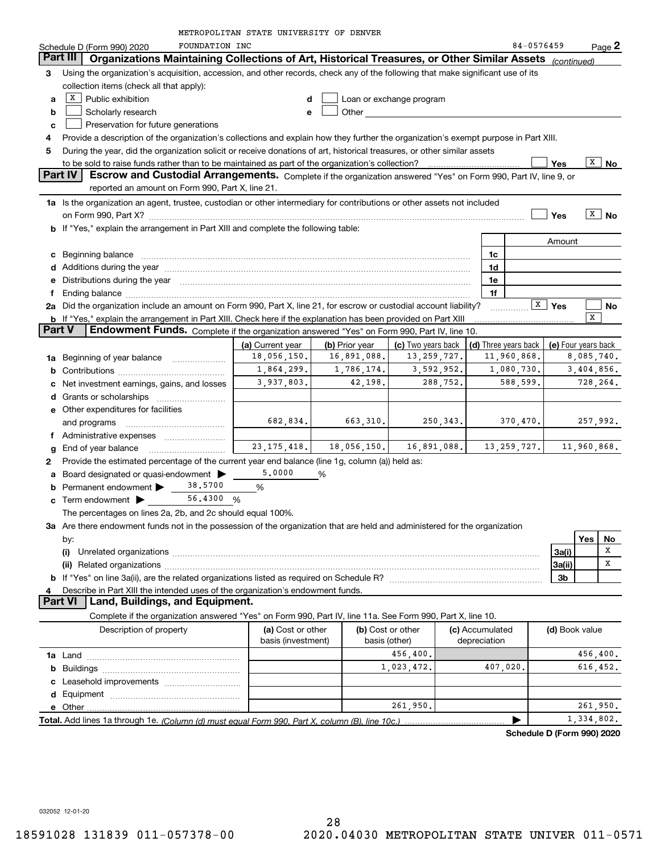| METROPOLITAN STATE UNIVERSITY OF DENVER |  |  |  |  |
|-----------------------------------------|--|--|--|--|
|-----------------------------------------|--|--|--|--|

|        |                                                                                                                                                                                                                                | METROPOLITAN STATE UNIVERSITY OF DENVER |                                                                                                                                                                                                                                      |                                    |                                 |                |                     |
|--------|--------------------------------------------------------------------------------------------------------------------------------------------------------------------------------------------------------------------------------|-----------------------------------------|--------------------------------------------------------------------------------------------------------------------------------------------------------------------------------------------------------------------------------------|------------------------------------|---------------------------------|----------------|---------------------|
|        | FOUNDATION INC<br>Schedule D (Form 990) 2020                                                                                                                                                                                   |                                         |                                                                                                                                                                                                                                      |                                    |                                 | 84-0576459     | $Page$ 2            |
|        | Organizations Maintaining Collections of Art, Historical Treasures, or Other Similar Assets (continued)<br>Part III                                                                                                            |                                         |                                                                                                                                                                                                                                      |                                    |                                 |                |                     |
| 3      | Using the organization's acquisition, accession, and other records, check any of the following that make significant use of its                                                                                                |                                         |                                                                                                                                                                                                                                      |                                    |                                 |                |                     |
|        | collection items (check all that apply):                                                                                                                                                                                       |                                         |                                                                                                                                                                                                                                      |                                    |                                 |                |                     |
| a      | х<br>$\Box$ Public exhibition                                                                                                                                                                                                  | d                                       |                                                                                                                                                                                                                                      | Loan or exchange program           |                                 |                |                     |
| b      | Scholarly research                                                                                                                                                                                                             | e                                       | Other <b>Communist Communist Communist Communist Communist Communist Communist Communist Communist Communist Communist Communist Communist Communist Communist Communist Communist Communist Communist Communist Communist Commu</b> |                                    |                                 |                |                     |
| c      | Preservation for future generations                                                                                                                                                                                            |                                         |                                                                                                                                                                                                                                      |                                    |                                 |                |                     |
| 4      | Provide a description of the organization's collections and explain how they further the organization's exempt purpose in Part XIII.                                                                                           |                                         |                                                                                                                                                                                                                                      |                                    |                                 |                |                     |
| 5      | During the year, did the organization solicit or receive donations of art, historical treasures, or other similar assets                                                                                                       |                                         |                                                                                                                                                                                                                                      |                                    |                                 |                |                     |
|        |                                                                                                                                                                                                                                |                                         |                                                                                                                                                                                                                                      |                                    |                                 | Yes            | x<br>No             |
|        | Part IV<br>Escrow and Custodial Arrangements. Complete if the organization answered "Yes" on Form 990, Part IV, line 9, or                                                                                                     |                                         |                                                                                                                                                                                                                                      |                                    |                                 |                |                     |
|        | reported an amount on Form 990, Part X, line 21.                                                                                                                                                                               |                                         |                                                                                                                                                                                                                                      |                                    |                                 |                |                     |
|        | 1a Is the organization an agent, trustee, custodian or other intermediary for contributions or other assets not included                                                                                                       |                                         |                                                                                                                                                                                                                                      |                                    |                                 |                |                     |
|        |                                                                                                                                                                                                                                |                                         |                                                                                                                                                                                                                                      |                                    |                                 | Yes            | $\overline{X}$ No   |
|        | b If "Yes," explain the arrangement in Part XIII and complete the following table:                                                                                                                                             |                                         |                                                                                                                                                                                                                                      |                                    |                                 |                |                     |
|        |                                                                                                                                                                                                                                |                                         |                                                                                                                                                                                                                                      |                                    |                                 | Amount         |                     |
| c      | Beginning balance                                                                                                                                                                                                              |                                         |                                                                                                                                                                                                                                      |                                    | 1c                              |                |                     |
| d      | Additions during the year manufactured and an annual contract of the year manufactured and all the year manufactured and all the year manufactured and all the year manufactured and all the year manufactured and all the yea |                                         |                                                                                                                                                                                                                                      |                                    | 1d                              |                |                     |
| е      | Distributions during the year manufactured and continuum control of the state of the control of the state of the state of the state of the state of the state of the state of the state of the state of the state of the state |                                         |                                                                                                                                                                                                                                      |                                    | 1e                              |                |                     |
| f      | Ending balance material content contracts and content to the content of the content of the content of the content of the content of the content of the content of the content of the content of the content of the content of  |                                         |                                                                                                                                                                                                                                      |                                    | 1f                              |                |                     |
| 2a     | Did the organization include an amount on Form 990, Part X, line 21, for escrow or custodial account liability?                                                                                                                |                                         |                                                                                                                                                                                                                                      |                                    |                                 | $X$ Yes        | No                  |
| Part V | b If "Yes," explain the arrangement in Part XIII. Check here if the explanation has been provided on Part XIII                                                                                                                 |                                         |                                                                                                                                                                                                                                      |                                    |                                 |                | X                   |
|        | Endowment Funds. Complete if the organization answered "Yes" on Form 990, Part IV, line 10.                                                                                                                                    |                                         |                                                                                                                                                                                                                                      |                                    |                                 |                |                     |
|        |                                                                                                                                                                                                                                | (a) Current year                        | (b) Prior year                                                                                                                                                                                                                       | (c) Two years back                 | (d) Three years back            |                | (e) Four years back |
| 1a     | Beginning of year balance                                                                                                                                                                                                      | 18,056,150.                             | 16,891,088.                                                                                                                                                                                                                          | 13, 259, 727.                      | 11,960,868.                     |                | 8,085,740.          |
| b      |                                                                                                                                                                                                                                | 1,864,299.                              | 1,786,174.                                                                                                                                                                                                                           | 3,592,952.                         | 1,080,730.                      |                | 3,404,856.          |
| с      | Net investment earnings, gains, and losses                                                                                                                                                                                     | 3,937,803.                              | 42,198.                                                                                                                                                                                                                              | 288,752.                           | 588,599.                        |                | 728,264.            |
| d      |                                                                                                                                                                                                                                |                                         |                                                                                                                                                                                                                                      |                                    |                                 |                |                     |
|        | <b>e</b> Other expenditures for facilities                                                                                                                                                                                     |                                         |                                                                                                                                                                                                                                      |                                    |                                 |                |                     |
|        | and programs                                                                                                                                                                                                                   | 682,834.                                | 663,310.                                                                                                                                                                                                                             | 250, 343.                          | 370,470.                        |                | 257,992.            |
|        |                                                                                                                                                                                                                                |                                         |                                                                                                                                                                                                                                      |                                    |                                 |                |                     |
| g      | End of year balance                                                                                                                                                                                                            | 23, 175, 418.                           | 18,056,150.                                                                                                                                                                                                                          | 16,891,088.                        | 13, 259, 727.                   |                | 11,960,868.         |
| 2      | Provide the estimated percentage of the current year end balance (line 1g, column (a)) held as:                                                                                                                                |                                         |                                                                                                                                                                                                                                      |                                    |                                 |                |                     |
|        | a Board designated or quasi-endowment ><br>38,5700                                                                                                                                                                             | 5,0000                                  | %                                                                                                                                                                                                                                    |                                    |                                 |                |                     |
| b      | Permanent endowment ><br>56.4300 %                                                                                                                                                                                             | %                                       |                                                                                                                                                                                                                                      |                                    |                                 |                |                     |
| c      | Term endowment >                                                                                                                                                                                                               |                                         |                                                                                                                                                                                                                                      |                                    |                                 |                |                     |
|        | The percentages on lines 2a, 2b, and 2c should equal 100%.                                                                                                                                                                     |                                         |                                                                                                                                                                                                                                      |                                    |                                 |                |                     |
|        | 3a Are there endowment funds not in the possession of the organization that are held and administered for the organization                                                                                                     |                                         |                                                                                                                                                                                                                                      |                                    |                                 |                |                     |
|        | by:                                                                                                                                                                                                                            |                                         |                                                                                                                                                                                                                                      |                                    |                                 |                | Yes<br>No<br>х      |
|        | (i)                                                                                                                                                                                                                            |                                         |                                                                                                                                                                                                                                      |                                    |                                 | 3a(i)          | х                   |
|        |                                                                                                                                                                                                                                |                                         |                                                                                                                                                                                                                                      |                                    |                                 | 3a(ii)         |                     |
|        |                                                                                                                                                                                                                                |                                         |                                                                                                                                                                                                                                      |                                    |                                 | 3b             |                     |
| 4      | Describe in Part XIII the intended uses of the organization's endowment funds.<br>Land, Buildings, and Equipment.<br>Part VI                                                                                                   |                                         |                                                                                                                                                                                                                                      |                                    |                                 |                |                     |
|        | Complete if the organization answered "Yes" on Form 990, Part IV, line 11a. See Form 990, Part X, line 10.                                                                                                                     |                                         |                                                                                                                                                                                                                                      |                                    |                                 |                |                     |
|        |                                                                                                                                                                                                                                | (a) Cost or other                       |                                                                                                                                                                                                                                      |                                    |                                 | (d) Book value |                     |
|        | Description of property                                                                                                                                                                                                        | basis (investment)                      |                                                                                                                                                                                                                                      | (b) Cost or other<br>basis (other) | (c) Accumulated<br>depreciation |                |                     |
|        |                                                                                                                                                                                                                                |                                         |                                                                                                                                                                                                                                      | 456.400.                           |                                 |                | 456,400.            |
|        |                                                                                                                                                                                                                                |                                         |                                                                                                                                                                                                                                      | 1,023,472.                         | 407,020.                        |                | 616,452.            |
|        |                                                                                                                                                                                                                                |                                         |                                                                                                                                                                                                                                      |                                    |                                 |                |                     |
|        | Leasehold improvements                                                                                                                                                                                                         |                                         |                                                                                                                                                                                                                                      |                                    |                                 |                |                     |
|        |                                                                                                                                                                                                                                |                                         |                                                                                                                                                                                                                                      | 261,950.                           |                                 |                | 261,950.            |
|        |                                                                                                                                                                                                                                |                                         |                                                                                                                                                                                                                                      |                                    |                                 |                | 1,334,802.          |
|        |                                                                                                                                                                                                                                |                                         |                                                                                                                                                                                                                                      |                                    |                                 |                |                     |

**Total.** Add lines 1a through 1e. *(Column (d) must equal Form 990. Part X, column (B), line 10c.) …………………………………* 

**Schedule D (Form 990) 2020**

032052 12-01-20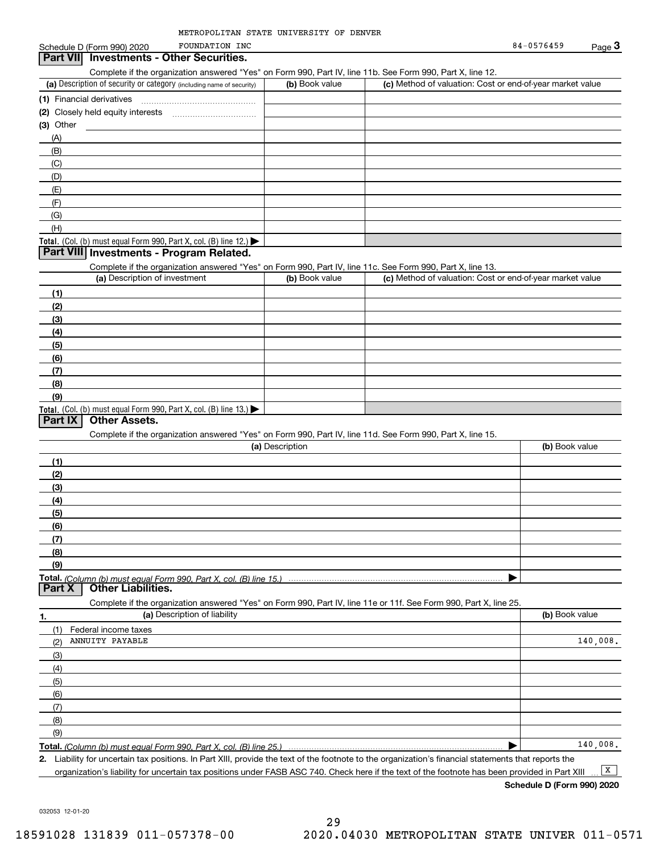#### (a) Description of security or category (including name of security)  $\vert$  (b) Book value  $\vert$  (c) Total. (Col. (b) must equal Form 990, Part X, col. (B) line 12.) Total. (Col. (b) must equal Form 990, Part X, col. (B) line 13.) **(1)**Financial derivatives **(2)** Closely held equity interests **(3)** Other (a) Description of investment **b (b)** Book value **(1)(2) (3)(4) (5) (6)(7)(8)(9)(a) (b)**  Description**(1)(2) (3)(4)(5) (6)(7) (8)(9)Total.**  *(Column (b) must equal Form 990, Part X, col. (B) line 15.)* **1.(a)** Description of liability **Book value** Book value Book value Book value Book value **Total.**  *(Column (b) must equal Form 990, Part X, col. (B) line 25.)* Schedule D (Form 990) 2020  $\qquad$  FOUNDATION INC  $\qquad$   $\qquad$   $\qquad$   $\qquad$   $\qquad$   $\qquad$   $\qquad$   $\qquad$   $\qquad$   $\qquad$   $\qquad$   $\qquad$   $\qquad$   $\qquad$   $\qquad$   $\qquad$   $\qquad$   $\qquad$   $\qquad$   $\qquad$   $\qquad$   $\qquad$   $\qquad$   $\qquad$   $\qquad$   $\qquad$   $\qquad$   $\qquad$   $\qquad$ Complete if the organization answered "Yes" on Form 990, Part IV, line 11b. See Form 990, Part X, line 12.  $(b)$  Book value  $\vert$  (c) Method of valuation: Cost or end-of-year market value ~~~~~~~~~~~~~~~(A)(B)(C)(D)(E)(F)(G)(H)Complete if the organization answered "Yes" on Form 990, Part IV, line 11c. See Form 990, Part X, line 13. (c) Method of valuation: Cost or end-of-year market value Complete if the organization answered "Yes" on Form 990, Part IV, line 11d. See Form 990, Part X, line 15. (b) Book value  $\blacktriangleright$ Complete if the organization answered "Yes" on Form 990, Part IV, line 11e or 11f. See Form 990, Part X, line 25. (1)(2)(3)(4)(5)(6)(7)(8)(9)Federal income taxes  $\blacktriangleright$ **Part VII Investments - Other Securities. Part VIII Investments - Program Related. Part IX Other Assets. Part X Other Liabilities.** FOUNDATION INC ANNUITY PAYABLE 140,008.  $140,008.$

**2.**Liability for uncertain tax positions. In Part XIII, provide the text of the footnote to the organization's financial statements that reports the organization's liability for uncertain tax positions under FASB ASC 740. Check here if the text of the footnote has been provided in Part XIII  $\boxed{\mathbf{X}}$ 

**Schedule D (Form 990) 2020**

032053 12-01-20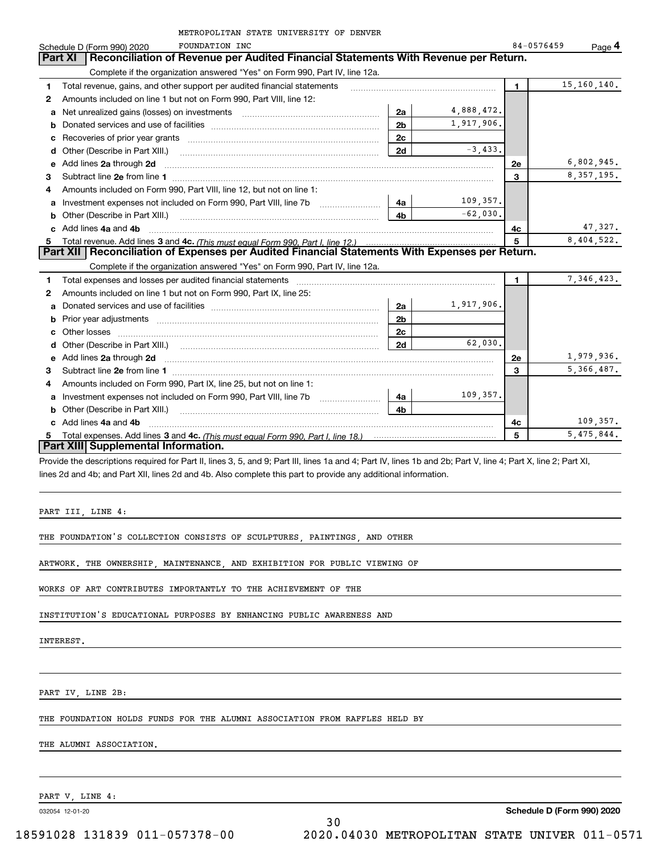|    | METROPOLITAN STATE UNIVERSITY OF DENVER                                                                             |                |            |              |              |
|----|---------------------------------------------------------------------------------------------------------------------|----------------|------------|--------------|--------------|
|    | <b>FOUNDATION INC</b><br>Schedule D (Form 990) 2020                                                                 |                |            | 84-0576459   | Page 4       |
|    | Reconciliation of Revenue per Audited Financial Statements With Revenue per Return.<br><b>Part XI</b>               |                |            |              |              |
|    | Complete if the organization answered "Yes" on Form 990, Part IV, line 12a.                                         |                |            |              |              |
| 1  | Total revenue, gains, and other support per audited financial statements                                            |                |            | $\mathbf{1}$ | 15,160,140.  |
| 2  | Amounts included on line 1 but not on Form 990, Part VIII, line 12:                                                 |                |            |              |              |
| a  | Net unrealized gains (losses) on investments [11] matter contracts and the unrealized gains (losses) on investments | 2a             | 4,888,472. |              |              |
| b  |                                                                                                                     | 2 <sub>b</sub> | 1,917,906. |              |              |
| с  |                                                                                                                     | 2 <sub>c</sub> |            |              |              |
| d  | Other (Describe in Part XIII.) <b>COLOGIST:</b> (2001)                                                              | 2d             | $-3,433.$  |              |              |
| е  | Add lines 2a through 2d                                                                                             |                |            | <b>2e</b>    | 6,802,945.   |
| 3  |                                                                                                                     |                |            | 3            | 8, 357, 195. |
| 4  | Amounts included on Form 990, Part VIII, line 12, but not on line 1:                                                |                |            |              |              |
| a  | Investment expenses not included on Form 990, Part VIII, line 7b [11, 111, 111, 111]                                | -4a l          | 109, 357.  |              |              |
| b  |                                                                                                                     | 4 <sub>h</sub> | $-62,030.$ |              |              |
| c. | Add lines 4a and 4b                                                                                                 |                |            | 4c           | 47,327.      |
| 5  |                                                                                                                     |                |            | 5            | 8,404,522.   |
|    | Part XII   Reconciliation of Expenses per Audited Financial Statements With Expenses per Return.                    |                |            |              |              |
|    | Complete if the organization answered "Yes" on Form 990, Part IV, line 12a.                                         |                |            |              |              |
| 1  |                                                                                                                     |                |            | 1.           | 7,346,423.   |
| 2  | Amounts included on line 1 but not on Form 990, Part IX, line 25:                                                   |                |            |              |              |
| a  |                                                                                                                     | 2a             | 1,917,906. |              |              |
| b  |                                                                                                                     | 2 <sub>b</sub> |            |              |              |
|    |                                                                                                                     | 2c             |            |              |              |
| d  |                                                                                                                     | 2d             | 62,030.    |              |              |
| е  | Add lines 2a through 2d                                                                                             |                |            | 2e           | 1,979,936.   |
| з  |                                                                                                                     |                |            | 3            | 5, 366, 487. |
| 4  | Amounts included on Form 990, Part IX, line 25, but not on line 1:                                                  |                |            |              |              |
| a  | Investment expenses not included on Form 990, Part VIII, line 7b                                                    | 4a             | 109,357.   |              |              |
|    | <b>b</b> Other (Describe in Part XIII.)                                                                             | 4 <sub>b</sub> |            |              |              |

**5 Part XIII Supplemental Information.** Total expenses. Add lines 3 and 4c. *(This must equal Form 990, Part I, line 18.)* **5**Provide the descriptions required for Part II, lines 3, 5, and 9; Part III, lines 1a and 4; Part IV, lines 1b and 2b; Part V, line 4; Part X, line 2; Part XI, lines 2d and 4b; and Part XII, lines 2d and 4b. Also complete this part to provide any additional information. 5,475,844.

PART III, LINE 4:

**c** Add lines **4a** and **4b** 

THE FOUNDATION'S COLLECTION CONSISTS OF SCULPTURES, PAINTINGS, AND OTHER

ARTWORK. THE OWNERSHIP, MAINTENANCE, AND EXHIBITION FOR PUBLIC VIEWING OF

WORKS OF ART CONTRIBUTES IMPORTANTLY TO THE ACHIEVEMENT OF THE

INSTITUTION'S EDUCATIONAL PURPOSES BY ENHANCING PUBLIC AWARENESS AND

INTEREST.

PART IV, LINE 2B:

THE FOUNDATION HOLDS FUNDS FOR THE ALUMNI ASSOCIATION FROM RAFFLES HELD BY

THE ALUMNI ASSOCIATION.

PART V, LINE 4:

032054 12-01-20

**4c**

109,357.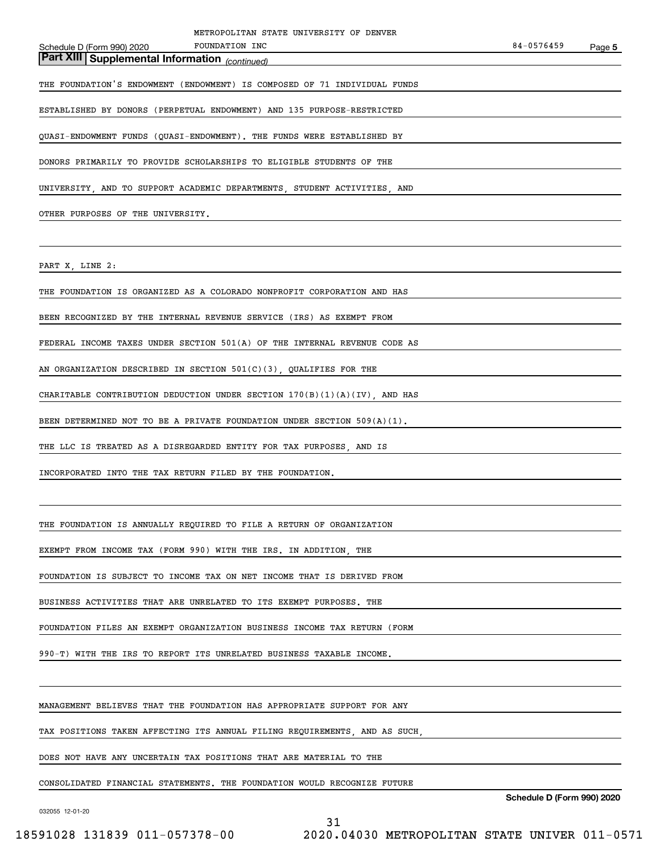| METROPOLITAN STATE UNIVERSITY OF DENVER                                    |            |        |
|----------------------------------------------------------------------------|------------|--------|
| <b>FOUNDATION INC</b><br>Schedule D (Form 990) 2020                        | 84-0576459 | Page 5 |
| Part XIII Supplemental Information (continued)                             |            |        |
| THE FOUNDATION'S ENDOWMENT (ENDOWMENT) IS COMPOSED OF 71 INDIVIDUAL FUNDS  |            |        |
| ESTABLISHED BY DONORS (PERPETUAL ENDOWMENT) AND 135 PURPOSE-RESTRICTED     |            |        |
| QUASI-ENDOWMENT FUNDS (QUASI-ENDOWMENT). THE FUNDS WERE ESTABLISHED BY     |            |        |
| DONORS PRIMARILY TO PROVIDE SCHOLARSHIPS TO ELIGIBLE STUDENTS OF THE       |            |        |
| UNIVERSITY, AND TO SUPPORT ACADEMIC DEPARTMENTS, STUDENT ACTIVITIES, AND   |            |        |
| OTHER PURPOSES OF THE UNIVERSITY.                                          |            |        |
|                                                                            |            |        |
| PART X, LINE 2:                                                            |            |        |
| THE FOUNDATION IS ORGANIZED AS A COLORADO NONPROFIT CORPORATION AND HAS    |            |        |
| BEEN RECOGNIZED BY THE INTERNAL REVENUE SERVICE (IRS) AS EXEMPT FROM       |            |        |
| FEDERAL INCOME TAXES UNDER SECTION 501(A) OF THE INTERNAL REVENUE CODE AS  |            |        |
| AN ORGANIZATION DESCRIBED IN SECTION 501(C)(3), QUALIFIES FOR THE          |            |        |
| CHARITABLE CONTRIBUTION DEDUCTION UNDER SECTION 170(B)(1)(A)(IV), AND HAS  |            |        |
| BEEN DETERMINED NOT TO BE A PRIVATE FOUNDATION UNDER SECTION 509(A)(1).    |            |        |
| THE LLC IS TREATED AS A DISREGARDED ENTITY FOR TAX PURPOSES, AND IS        |            |        |
| INCORPORATED INTO THE TAX RETURN FILED BY THE FOUNDATION.                  |            |        |
|                                                                            |            |        |
| THE FOUNDATION IS ANNUALLY REQUIRED TO FILE A RETURN OF ORGANIZATION       |            |        |
| EXEMPT FROM INCOME TAX (FORM 990) WITH THE IRS. IN ADDITION, THE           |            |        |
| FOUNDATION IS SUBJECT TO INCOME TAX ON NET INCOME THAT IS DERIVED FROM     |            |        |
| BUSINESS ACTIVITIES THAT ARE UNRELATED TO ITS EXEMPT PURPOSES. THE         |            |        |
| FOUNDATION FILES AN EXEMPT ORGANIZATION BUSINESS INCOME TAX RETURN (FORM   |            |        |
| 990-T) WITH THE IRS TO REPORT ITS UNRELATED BUSINESS TAXABLE INCOME.       |            |        |
|                                                                            |            |        |
| MANAGEMENT BELIEVES THAT THE FOUNDATION HAS APPROPRIATE SUPPORT FOR ANY    |            |        |
| TAX POSITIONS TAKEN AFFECTING ITS ANNUAL FILING REQUIREMENTS, AND AS SUCH, |            |        |
|                                                                            |            |        |

DOES NOT HAVE ANY UNCERTAIN TAX POSITIONS THAT ARE MATERIAL TO THE

CONSOLIDATED FINANCIAL STATEMENTS. THE FOUNDATION WOULD RECOGNIZE FUTURE

032055 12-01-20

**Schedule D (Form 990) 2020**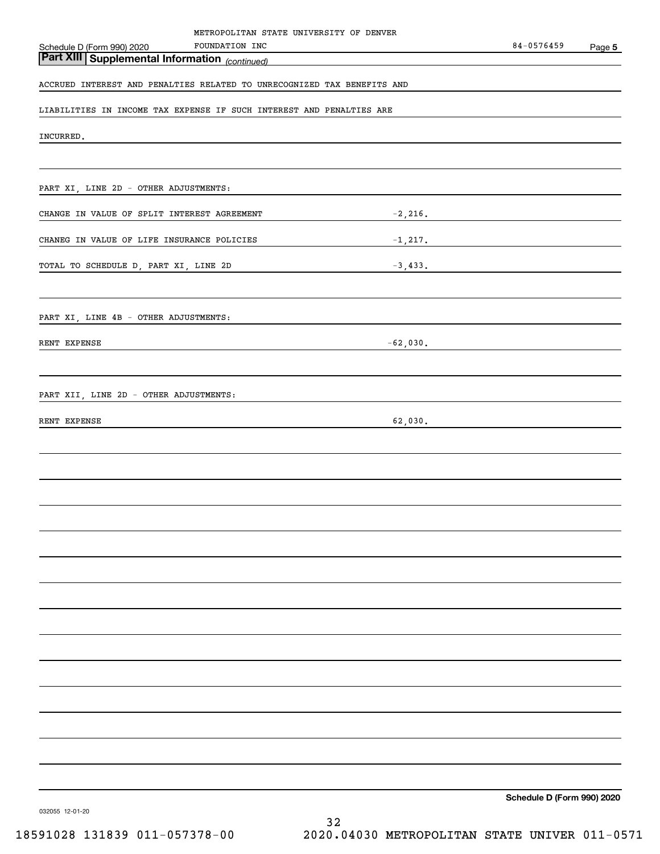| METROPOLITAN STATE UNIVERSITY OF DENVER                                 |                          |                            |        |
|-------------------------------------------------------------------------|--------------------------|----------------------------|--------|
| FOUNDATION INC<br>Schedule D (Form 990) 2020                            | $\overline{\phantom{a}}$ | 84-0576459                 | Page 5 |
| <b>Part XIII Supplemental Information</b> (continued)                   |                          |                            |        |
| ACCRUED INTEREST AND PENALTIES RELATED TO UNRECOGNIZED TAX BENEFITS AND |                          |                            |        |
| LIABILITIES IN INCOME TAX EXPENSE IF SUCH INTEREST AND PENALTIES ARE    |                          |                            |        |
| INCURRED.                                                               |                          |                            |        |
|                                                                         |                          |                            |        |
| PART XI, LINE 2D - OTHER ADJUSTMENTS:                                   |                          |                            |        |
| CHANGE IN VALUE OF SPLIT INTEREST AGREEMENT                             | $-2,216.$                |                            |        |
| CHANEG IN VALUE OF LIFE INSURANCE POLICIES                              | $-1,217.$                |                            |        |
| TOTAL TO SCHEDULE D, PART XI, LINE 2D                                   | $-3,433.$                |                            |        |
|                                                                         |                          |                            |        |
| PART XI, LINE 4B - OTHER ADJUSTMENTS:                                   |                          |                            |        |
| RENT EXPENSE                                                            | $-62,030.$               |                            |        |
|                                                                         |                          |                            |        |
| PART XII, LINE 2D - OTHER ADJUSTMENTS:                                  |                          |                            |        |
| RENT EXPENSE                                                            |                          | 62,030.                    |        |
|                                                                         |                          |                            |        |
|                                                                         |                          |                            |        |
|                                                                         |                          |                            |        |
|                                                                         |                          |                            |        |
|                                                                         |                          |                            |        |
|                                                                         |                          |                            |        |
|                                                                         |                          |                            |        |
|                                                                         |                          |                            |        |
|                                                                         |                          |                            |        |
|                                                                         |                          |                            |        |
|                                                                         |                          |                            |        |
|                                                                         |                          |                            |        |
|                                                                         |                          |                            |        |
|                                                                         |                          |                            |        |
|                                                                         |                          | Schedule D (Form 990) 2020 |        |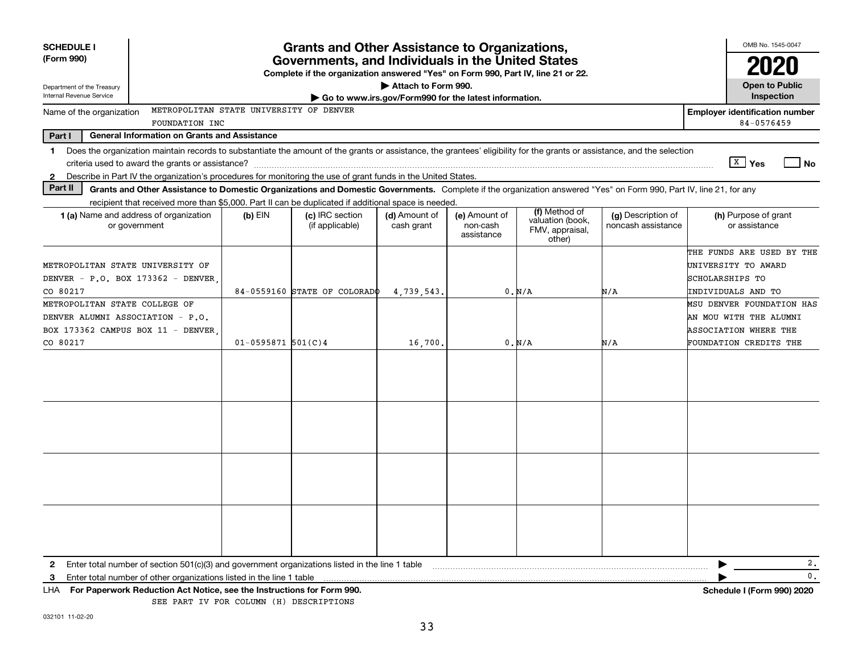| <b>SCHEDULE I</b>                                                       |                                                                                                                                                                          | <b>Grants and Other Assistance to Organizations,</b> |                                                                                                                                       |                                                       |                                         |                                                                |                                          | OMB No. 1545-0047 |                                                     |      |
|-------------------------------------------------------------------------|--------------------------------------------------------------------------------------------------------------------------------------------------------------------------|------------------------------------------------------|---------------------------------------------------------------------------------------------------------------------------------------|-------------------------------------------------------|-----------------------------------------|----------------------------------------------------------------|------------------------------------------|-------------------|-----------------------------------------------------|------|
| (Form 990)                                                              |                                                                                                                                                                          |                                                      | Governments, and Individuals in the United States<br>Complete if the organization answered "Yes" on Form 990, Part IV, line 21 or 22. |                                                       |                                         |                                                                |                                          |                   |                                                     |      |
| Department of the Treasury                                              |                                                                                                                                                                          |                                                      |                                                                                                                                       | Attach to Form 990.                                   |                                         |                                                                |                                          |                   | <b>Open to Public</b>                               |      |
| Internal Revenue Service                                                |                                                                                                                                                                          |                                                      |                                                                                                                                       | Go to www.irs.gov/Form990 for the latest information. |                                         |                                                                |                                          |                   | Inspection                                          |      |
| Name of the organization                                                | METROPOLITAN STATE UNIVERSITY OF DENVER<br>FOUNDATION INC                                                                                                                |                                                      |                                                                                                                                       |                                                       |                                         |                                                                |                                          |                   | <b>Employer identification number</b><br>84-0576459 |      |
| Part I                                                                  | <b>General Information on Grants and Assistance</b>                                                                                                                      |                                                      |                                                                                                                                       |                                                       |                                         |                                                                |                                          |                   |                                                     |      |
| $\mathbf{1}$                                                            | Does the organization maintain records to substantiate the amount of the grants or assistance, the grantees' eligibility for the grants or assistance, and the selection |                                                      |                                                                                                                                       |                                                       |                                         |                                                                |                                          |                   |                                                     |      |
|                                                                         | criteria used to award the grants or assistance?                                                                                                                         |                                                      |                                                                                                                                       |                                                       |                                         |                                                                |                                          |                   | $ X $ Yes                                           | l No |
| $\mathbf{2}$                                                            | Describe in Part IV the organization's procedures for monitoring the use of grant funds in the United States.                                                            |                                                      |                                                                                                                                       |                                                       |                                         |                                                                |                                          |                   |                                                     |      |
| Part II                                                                 | Grants and Other Assistance to Domestic Organizations and Domestic Governments. Complete if the organization answered "Yes" on Form 990, Part IV, line 21, for any       |                                                      |                                                                                                                                       |                                                       |                                         |                                                                |                                          |                   |                                                     |      |
|                                                                         | recipient that received more than \$5,000. Part II can be duplicated if additional space is needed.                                                                      |                                                      |                                                                                                                                       |                                                       |                                         |                                                                |                                          |                   |                                                     |      |
|                                                                         | 1 (a) Name and address of organization<br>or government                                                                                                                  | $(b)$ EIN                                            | (c) IRC section<br>(if applicable)                                                                                                    | (d) Amount of<br>cash grant                           | (e) Amount of<br>non-cash<br>assistance | (f) Method of<br>valuation (book,<br>FMV, appraisal,<br>other) | (g) Description of<br>noncash assistance |                   | (h) Purpose of grant<br>or assistance               |      |
| METROPOLITAN STATE UNIVERSITY OF<br>DENVER - $P.O.$ BOX 173362 - DENVER |                                                                                                                                                                          |                                                      |                                                                                                                                       |                                                       |                                         |                                                                |                                          | SCHOLARSHIPS TO   | THE FUNDS ARE USED BY THE<br>UNIVERSITY TO AWARD    |      |
| CO 80217                                                                |                                                                                                                                                                          |                                                      | 84-0559160 STATE OF COLORADO                                                                                                          | 4,739,543.                                            |                                         | 0. N/A                                                         | N/A                                      |                   | INDIVIDUALS AND TO                                  |      |
| METROPOLITAN STATE COLLEGE OF                                           |                                                                                                                                                                          |                                                      |                                                                                                                                       |                                                       |                                         |                                                                |                                          |                   | MSU DENVER FOUNDATION HAS                           |      |
| DENVER ALUMNI ASSOCIATION - P.O.                                        |                                                                                                                                                                          |                                                      |                                                                                                                                       |                                                       |                                         |                                                                |                                          |                   | AN MOU WITH THE ALUMNI                              |      |
| BOX 173362 CAMPUS BOX 11 - DENVER                                       |                                                                                                                                                                          |                                                      |                                                                                                                                       |                                                       |                                         |                                                                |                                          |                   | ASSOCIATION WHERE THE                               |      |
| CO 80217                                                                |                                                                                                                                                                          | $01 - 0595871$ 501(C)4                               |                                                                                                                                       | 16,700.                                               |                                         | 0. N/A                                                         | N/A                                      |                   | FOUNDATION CREDITS THE                              |      |
|                                                                         |                                                                                                                                                                          |                                                      |                                                                                                                                       |                                                       |                                         |                                                                |                                          |                   |                                                     |      |
| $\mathbf{2}$                                                            | Enter total number of section 501(c)(3) and government organizations listed in the line 1 table                                                                          |                                                      |                                                                                                                                       |                                                       |                                         |                                                                |                                          |                   |                                                     | 2.   |
| 3                                                                       | Enter total number of other organizations listed in the line 1 table                                                                                                     |                                                      |                                                                                                                                       |                                                       |                                         |                                                                |                                          |                   |                                                     | 0.   |
|                                                                         | LHA For Paperwork Reduction Act Notice, see the Instructions for Form 990.                                                                                               |                                                      |                                                                                                                                       |                                                       |                                         |                                                                |                                          |                   | Schedule I (Form 990) 2020                          |      |
|                                                                         | SEE PART IV FOR COLUMN (H) DESCRIPTIONS                                                                                                                                  |                                                      |                                                                                                                                       |                                                       |                                         |                                                                |                                          |                   |                                                     |      |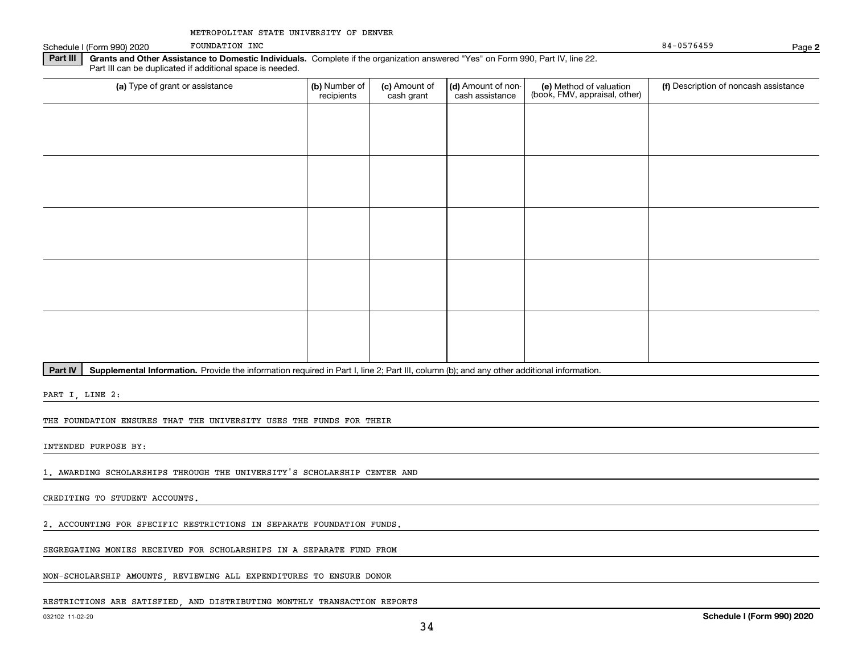| METROPOLITAN STATE UNIVERSITY OF DENVER |  |  |  |  |
|-----------------------------------------|--|--|--|--|
|-----------------------------------------|--|--|--|--|

Schedule I (Form 990) 2020 POUNDATION INC

FOUNDATION INC

**2**

**Part III** | Grants and Other Assistance to Domestic Individuals. Complete if the organization answered "Yes" on Form 990, Part IV, line 22. Part III can be duplicated if additional space is needed.

| (a) Type of grant or assistance | (b) Number of<br>recipients | (c) Amount of<br>cash grant | (d) Amount of non-<br>cash assistance | (e) Method of valuation<br>(book, FMV, appraisal, other) | (f) Description of noncash assistance |
|---------------------------------|-----------------------------|-----------------------------|---------------------------------------|----------------------------------------------------------|---------------------------------------|
|                                 |                             |                             |                                       |                                                          |                                       |
|                                 |                             |                             |                                       |                                                          |                                       |
|                                 |                             |                             |                                       |                                                          |                                       |
|                                 |                             |                             |                                       |                                                          |                                       |
|                                 |                             |                             |                                       |                                                          |                                       |
|                                 |                             |                             |                                       |                                                          |                                       |
|                                 |                             |                             |                                       |                                                          |                                       |
|                                 |                             |                             |                                       |                                                          |                                       |
|                                 |                             |                             |                                       |                                                          |                                       |
|                                 |                             |                             |                                       |                                                          |                                       |

Part IV | Supplemental Information. Provide the information required in Part I, line 2; Part III, column (b); and any other additional information.

PART I, LINE 2:

THE FOUNDATION ENSURES THAT THE UNIVERSITY USES THE FUNDS FOR THEIR

INTENDED PURPOSE BY:

1. AWARDING SCHOLARSHIPS THROUGH THE UNIVERSITY'S SCHOLARSHIP CENTER AND

CREDITING TO STUDENT ACCOUNTS.

2. ACCOUNTING FOR SPECIFIC RESTRICTIONS IN SEPARATE FOUNDATION FUNDS.

SEGREGATING MONIES RECEIVED FOR SCHOLARSHIPS IN A SEPARATE FUND FROM

NON-SCHOLARSHIP AMOUNTS, REVIEWING ALL EXPENDITURES TO ENSURE DONOR

#### RESTRICTIONS ARE SATISFIED, AND DISTRIBUTING MONTHLY TRANSACTION REPORTS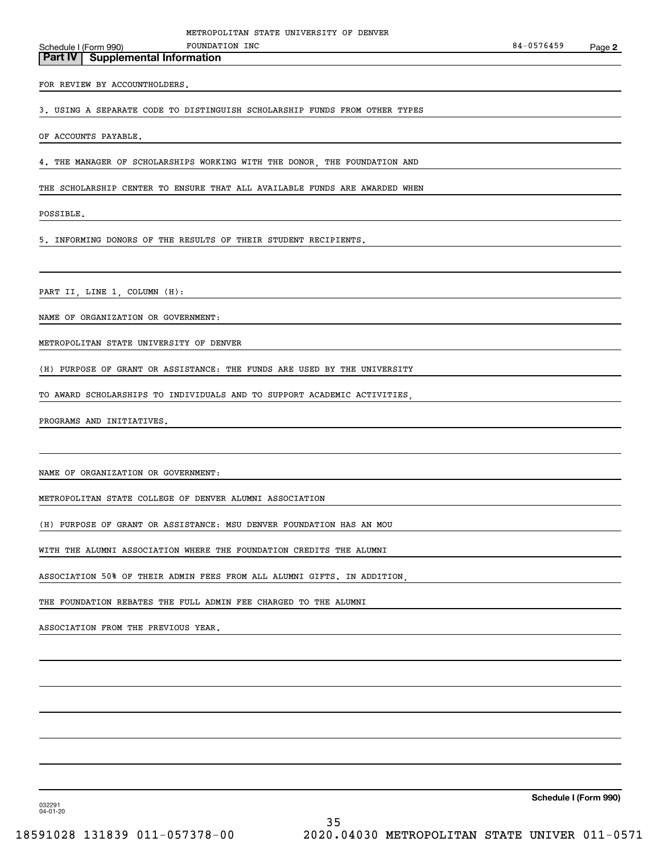Schedule I (Form 990) POUNDATION INC **Part IV Supplemental Information** FOUNDATION INC

FOR REVIEW BY ACCOUNTHOLDERS.

3. USING A SEPARATE CODE TO DISTINGUISH SCHOLARSHIP FUNDS FROM OTHER TYPES

OF ACCOUNTS PAYABLE.

4. THE MANAGER OF SCHOLARSHIPS WORKING WITH THE DONOR, THE FOUNDATION AND

THE SCHOLARSHIP CENTER TO ENSURE THAT ALL AVAILABLE FUNDS ARE AWARDED WHEN

POSSIBLE.

5. INFORMING DONORS OF THE RESULTS OF THEIR STUDENT RECIPIENTS.

PART II, LINE 1, COLUMN (H):

NAME OF ORGANIZATION OR GOVERNMENT:

METROPOLITAN STATE UNIVERSITY OF DENVER

(H) PURPOSE OF GRANT OR ASSISTANCE: THE FUNDS ARE USED BY THE UNIVERSITY

TO AWARD SCHOLARSHIPS TO INDIVIDUALS AND TO SUPPORT ACADEMIC ACTIVITIES,

PROGRAMS AND INITIATIVES.

NAME OF ORGANIZATION OR GOVERNMENT:

METROPOLITAN STATE COLLEGE OF DENVER ALUMNI ASSOCIATION

(H) PURPOSE OF GRANT OR ASSISTANCE: MSU DENVER FOUNDATION HAS AN MOU

WITH THE ALUMNI ASSOCIATION WHERE THE FOUNDATION CREDITS THE ALUMNI

ASSOCIATION 50% OF THEIR ADMIN FEES FROM ALL ALUMNI GIFTS. IN ADDITION,

THE FOUNDATION REBATES THE FULL ADMIN FEE CHARGED TO THE ALUMNI

ASSOCIATION FROM THE PREVIOUS YEAR.

**Schedule I (Form 990)**

032291 04-01-20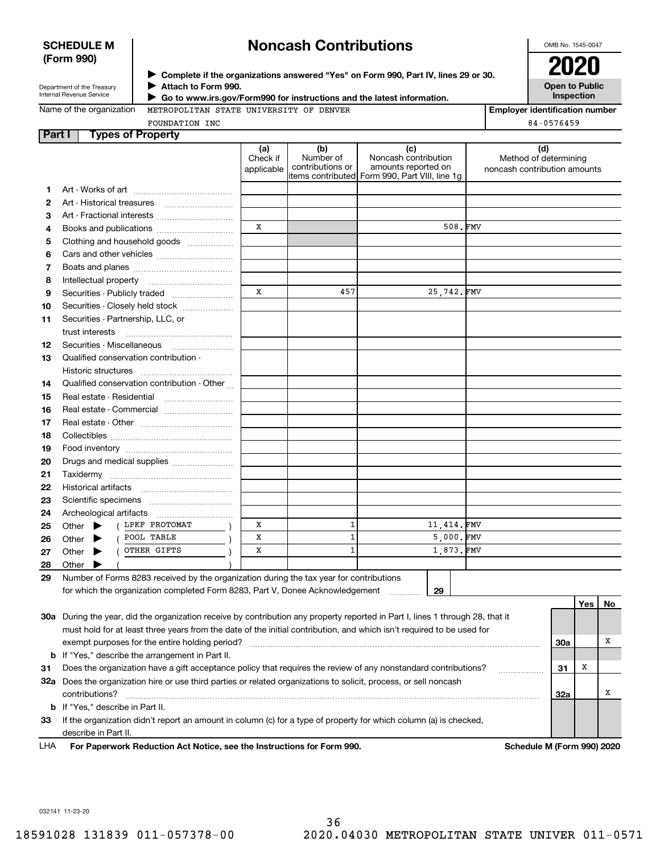#### **SCHEDULE M (Form 990)**

# **Noncash Contributions**

OMB No. 1545-0047

| Department of the Treasury |
|----------------------------|
| Internal Revenue Service   |

**Attach to Form 990.** J

**Open to Public InspectionComplete if the organizations answered "Yes" on Form 990, Part IV, lines 29 or 30.** <sup>J</sup>**2020**

| Name of the organization |  |
|--------------------------|--|
|--------------------------|--|

 **Go to www.irs.gov/Form990 for instructions and the latest information.** J METROPOLITAN STATE UNIVERSITY OF DENVER

| iname or the organization |  |  |
|---------------------------|--|--|
|                           |  |  |

**Employer identification number**

84-0576459

|          | FOUNDATION INC           |                           |
|----------|--------------------------|---------------------------|
| Part I I | <b>Types of Property</b> |                           |
|          |                          | (a)<br>$Chack$ if $\perp$ |

|   |                             |                                                                                         | (a)<br>Check if<br>applicable | (b)<br>Number of<br>contributions or | (c)<br>Noncash contribution<br>amounts reported on<br>litems contributed Form 990, Part VIII, line 1g | (d)<br>Method of determining<br>noncash contribution amounts |
|---|-----------------------------|-----------------------------------------------------------------------------------------|-------------------------------|--------------------------------------|-------------------------------------------------------------------------------------------------------|--------------------------------------------------------------|
| 1 |                             |                                                                                         |                               |                                      |                                                                                                       |                                                              |
|   | Art - Historical treasures  |                                                                                         |                               |                                      |                                                                                                       |                                                              |
|   |                             | Art - Fractional interests                                                              |                               |                                      |                                                                                                       |                                                              |
|   |                             | Books and publications                                                                  | X                             |                                      | 508.FMV                                                                                               |                                                              |
|   |                             | Clothing and household goods                                                            |                               |                                      |                                                                                                       |                                                              |
|   |                             |                                                                                         |                               |                                      |                                                                                                       |                                                              |
|   |                             |                                                                                         |                               |                                      |                                                                                                       |                                                              |
|   |                             |                                                                                         |                               |                                      |                                                                                                       |                                                              |
|   |                             | Securities - Publicly traded                                                            | X                             | 457                                  | 25,742.FMV                                                                                            |                                                              |
|   |                             | Securities - Closely held stock                                                         |                               |                                      |                                                                                                       |                                                              |
|   |                             | Securities - Partnership, LLC, or                                                       |                               |                                      |                                                                                                       |                                                              |
|   | trust interests             |                                                                                         |                               |                                      |                                                                                                       |                                                              |
|   |                             | Securities - Miscellaneous                                                              |                               |                                      |                                                                                                       |                                                              |
|   |                             | Qualified conservation contribution -                                                   |                               |                                      |                                                                                                       |                                                              |
|   | Historic structures         |                                                                                         |                               |                                      |                                                                                                       |                                                              |
|   |                             | Qualified conservation contribution - Other                                             |                               |                                      |                                                                                                       |                                                              |
|   |                             | Real estate - Residential                                                               |                               |                                      |                                                                                                       |                                                              |
|   |                             | Real estate - Commercial                                                                |                               |                                      |                                                                                                       |                                                              |
|   |                             |                                                                                         |                               |                                      |                                                                                                       |                                                              |
|   |                             |                                                                                         |                               |                                      |                                                                                                       |                                                              |
|   |                             |                                                                                         |                               |                                      |                                                                                                       |                                                              |
|   |                             | Drugs and medical supplies                                                              |                               |                                      |                                                                                                       |                                                              |
|   |                             |                                                                                         |                               |                                      |                                                                                                       |                                                              |
|   |                             |                                                                                         |                               |                                      |                                                                                                       |                                                              |
|   |                             |                                                                                         |                               |                                      |                                                                                                       |                                                              |
|   | Archeological artifacts     |                                                                                         |                               |                                      |                                                                                                       |                                                              |
|   | Other $\blacktriangleright$ | LPKF PROTOMAT                                                                           | x                             | $\mathbf{1}$                         | 11,414.FMV                                                                                            |                                                              |
|   | Other $\blacktriangleright$ | POOL TABLE                                                                              | X                             | $\mathbf{1}$                         | 5,000.FMV                                                                                             |                                                              |
|   | Other $\blacktriangleright$ | OTHER GIFTS                                                                             | X                             | $\mathbf{1}$                         | 1.873.FMV                                                                                             |                                                              |
|   | Other $\blacktriangleright$ |                                                                                         |                               |                                      |                                                                                                       |                                                              |
|   |                             | Number of Forms 8283 received by the organization during the tax year for contributions |                               |                                      |                                                                                                       |                                                              |
|   |                             | for which the organization completed Form 8283, Part V, Donee Acknowledgement           |                               |                                      | 29                                                                                                    |                                                              |
|   |                             |                                                                                         |                               |                                      |                                                                                                       | Yes<br>No                                                    |

|    |                                                                                                                                      | $0.1.1.1.1$ $(0.000, 0.000)$ |   |  |
|----|--------------------------------------------------------------------------------------------------------------------------------------|------------------------------|---|--|
|    | describe in Part II.                                                                                                                 |                              |   |  |
| 33 | If the organization didn't report an amount in column (c) for a type of property for which column (a) is checked,                    |                              |   |  |
|    | <b>b</b> If "Yes." describe in Part II.                                                                                              |                              |   |  |
|    | contributions?                                                                                                                       | 32a                          |   |  |
|    | 32a Does the organization hire or use third parties or related organizations to solicit, process, or sell noncash                    |                              |   |  |
| 31 | Does the organization have a gift acceptance policy that requires the review of any nonstandard contributions?                       | 31                           | x |  |
|    | <b>b</b> If "Yes," describe the arrangement in Part II.                                                                              |                              |   |  |
|    | exempt purposes for the entire holding period?                                                                                       | 30a                          |   |  |
|    | must hold for at least three years from the date of the initial contribution, and which isn't required to be used for                |                              |   |  |
|    | <b>Jua</b> Dunny the year, and the Urganization receive by continuation any property reported in Fart I, integrationally co, that it |                              |   |  |

**For Paperwork Reduction Act Notice, see the Instructions for Form 990. Schedule M (Form 990) 2020** LHA

032141 11-23-20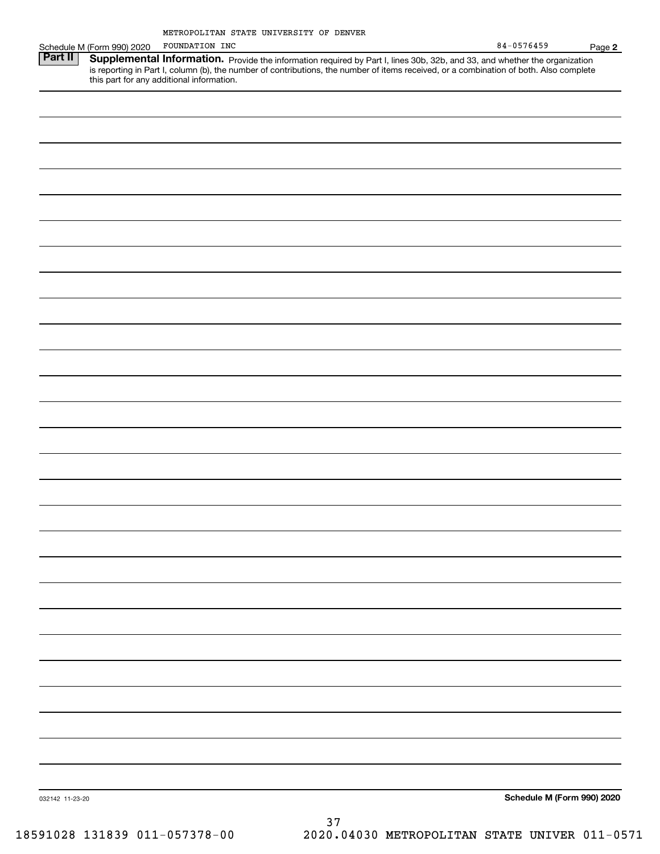|                 |                            | METROPOLITAN STATE UNIVERSITY OF DENVER                                                                                                                                                                                             |                            |        |
|-----------------|----------------------------|-------------------------------------------------------------------------------------------------------------------------------------------------------------------------------------------------------------------------------------|----------------------------|--------|
|                 | Schedule M (Form 990) 2020 | FOUNDATION INC                                                                                                                                                                                                                      | 84-0576459                 | Page 2 |
| <b>Part II</b>  |                            | <b>Supplemental Information.</b> Provide the information required by Part I, lines 30b, 32b, and 33, and whether the organization is reporting in Part I, column (b), the number of contributions, the number of items received, or |                            |        |
|                 |                            |                                                                                                                                                                                                                                     |                            |        |
|                 |                            |                                                                                                                                                                                                                                     |                            |        |
|                 |                            |                                                                                                                                                                                                                                     |                            |        |
|                 |                            |                                                                                                                                                                                                                                     |                            |        |
|                 |                            |                                                                                                                                                                                                                                     |                            |        |
|                 |                            |                                                                                                                                                                                                                                     |                            |        |
|                 |                            |                                                                                                                                                                                                                                     |                            |        |
|                 |                            |                                                                                                                                                                                                                                     |                            |        |
|                 |                            |                                                                                                                                                                                                                                     |                            |        |
|                 |                            |                                                                                                                                                                                                                                     |                            |        |
|                 |                            |                                                                                                                                                                                                                                     |                            |        |
|                 |                            |                                                                                                                                                                                                                                     |                            |        |
|                 |                            |                                                                                                                                                                                                                                     |                            |        |
|                 |                            |                                                                                                                                                                                                                                     |                            |        |
|                 |                            |                                                                                                                                                                                                                                     |                            |        |
|                 |                            |                                                                                                                                                                                                                                     |                            |        |
|                 |                            |                                                                                                                                                                                                                                     |                            |        |
|                 |                            |                                                                                                                                                                                                                                     |                            |        |
|                 |                            |                                                                                                                                                                                                                                     |                            |        |
|                 |                            |                                                                                                                                                                                                                                     |                            |        |
|                 |                            |                                                                                                                                                                                                                                     |                            |        |
|                 |                            |                                                                                                                                                                                                                                     |                            |        |
|                 |                            |                                                                                                                                                                                                                                     |                            |        |
|                 |                            |                                                                                                                                                                                                                                     |                            |        |
|                 |                            |                                                                                                                                                                                                                                     |                            |        |
|                 |                            |                                                                                                                                                                                                                                     |                            |        |
|                 |                            |                                                                                                                                                                                                                                     |                            |        |
|                 |                            |                                                                                                                                                                                                                                     |                            |        |
|                 |                            |                                                                                                                                                                                                                                     |                            |        |
|                 |                            |                                                                                                                                                                                                                                     |                            |        |
|                 |                            |                                                                                                                                                                                                                                     |                            |        |
| 032142 11-23-20 |                            |                                                                                                                                                                                                                                     | Schedule M (Form 990) 2020 |        |
|                 |                            | 37                                                                                                                                                                                                                                  |                            |        |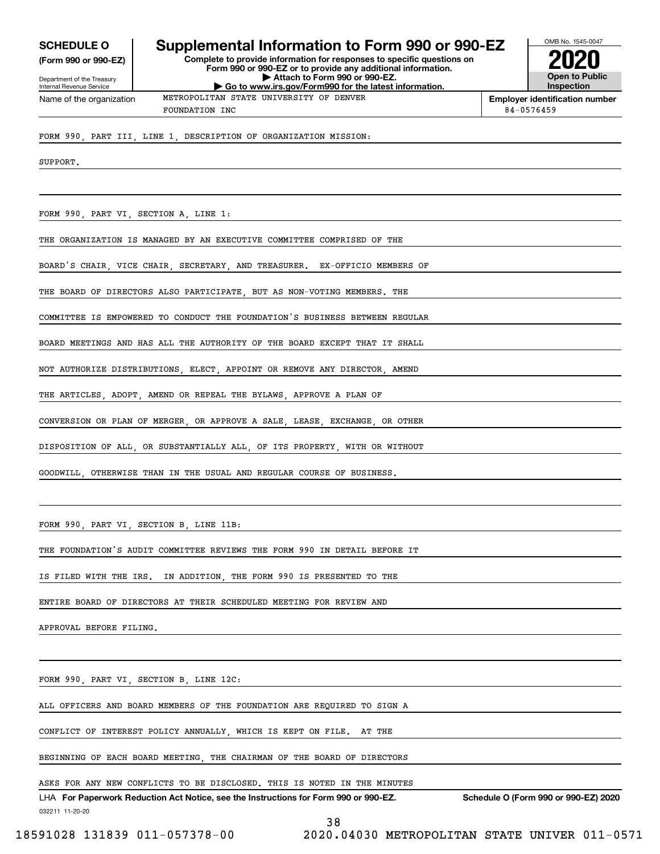**(Form 990 or 990-EZ)**

Department of the Treasury Internal Revenue Service Name of the organization

## **SCHEDULE O Supplemental Information to Form 990 or 990-EZ**

**Complete to provide information for responses to specific questions on Form 990 or 990-EZ or to provide any additional information. | Attach to Form 990 or 990-EZ. | Go to www.irs.gov/Form990 for the latest information.**

METROPOLITAN STATE UNIVERSITY OF DENVER

FOUNDATION INC 84-0576459

**Employer identification number**

OMB No. 1545-0047

**2020**

**Open to Public Inspection**

FORM 990, PART III, LINE 1, DESCRIPTION OF ORGANIZATION MISSION:

SUPPORT.

FORM 990, PART VI, SECTION A, LINE 1:

THE ORGANIZATION IS MANAGED BY AN EXECUTIVE COMMITTEE COMPRISED OF THE

BOARD'S CHAIR, VICE CHAIR, SECRETARY, AND TREASURER. EX-OFFICIO MEMBERS OF

THE BOARD OF DIRECTORS ALSO PARTICIPATE, BUT AS NON-VOTING MEMBERS. THE

COMMITTEE IS EMPOWERED TO CONDUCT THE FOUNDATION'S BUSINESS BETWEEN REGULAR

BOARD MEETINGS AND HAS ALL THE AUTHORITY OF THE BOARD EXCEPT THAT IT SHALL

NOT AUTHORIZE DISTRIBUTIONS, ELECT, APPOINT OR REMOVE ANY DIRECTOR, AMEND

THE ARTICLES, ADOPT, AMEND OR REPEAL THE BYLAWS, APPROVE A PLAN OF

CONVERSION OR PLAN OF MERGER, OR APPROVE A SALE, LEASE, EXCHANGE, OR OTHER

DISPOSITION OF ALL, OR SUBSTANTIALLY ALL, OF ITS PROPERTY, WITH OR WITHOUT

GOODWILL, OTHERWISE THAN IN THE USUAL AND REGULAR COURSE OF BUSINESS.

FORM 990, PART VI, SECTION B, LINE 11B:

THE FOUNDATION'S AUDIT COMMITTEE REVIEWS THE FORM 990 IN DETAIL BEFORE IT

IS FILED WITH THE IRS. IN ADDITION, THE FORM 990 IS PRESENTED TO THE

ENTIRE BOARD OF DIRECTORS AT THEIR SCHEDULED MEETING FOR REVIEW AND

APPROVAL BEFORE FILING.

FORM 990, PART VI, SECTION B, LINE 12C:

ALL OFFICERS AND BOARD MEMBERS OF THE FOUNDATION ARE REQUIRED TO SIGN A

CONFLICT OF INTEREST POLICY ANNUALLY, WHICH IS KEPT ON FILE. AT THE

BEGINNING OF EACH BOARD MEETING, THE CHAIRMAN OF THE BOARD OF DIRECTORS

ASKS FOR ANY NEW CONFLICTS TO BE DISCLOSED. THIS IS NOTED IN THE MINUTES

032211 11-20-20 LHA For Paperwork Reduction Act Notice, see the Instructions for Form 990 or 990-EZ. Schedule O (Form 990 or 990-EZ) 2020

38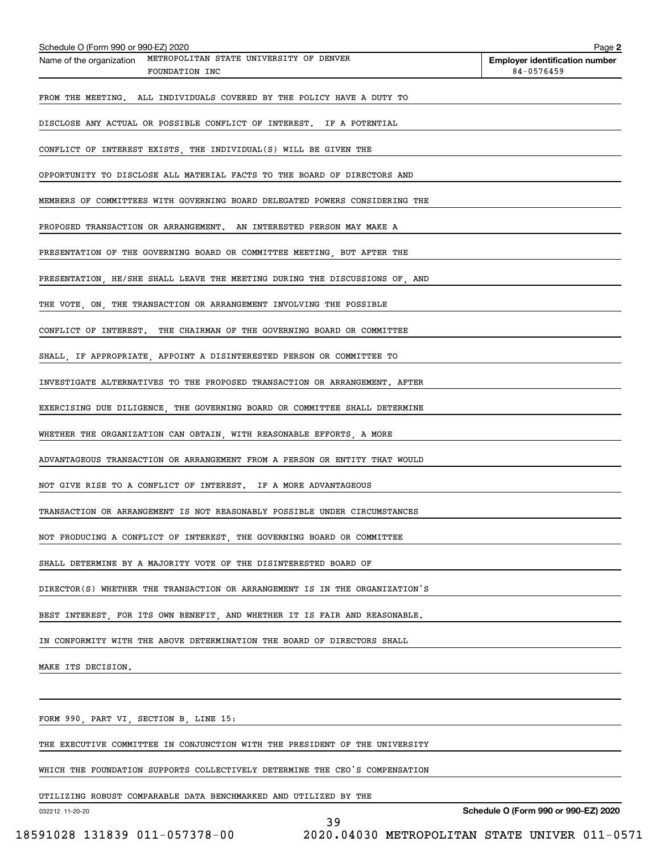| METROPOLITAN STATE UNIVERSITY OF DENVER<br>Name of the organization         | <b>Employer identification number</b> |
|-----------------------------------------------------------------------------|---------------------------------------|
| FOUNDATION INC                                                              | 84-0576459                            |
| FROM THE MEETING. ALL INDIVIDUALS COVERED BY THE POLICY HAVE A DUTY TO      |                                       |
| DISCLOSE ANY ACTUAL OR POSSIBLE CONFLICT OF INTEREST. IF A POTENTIAL        |                                       |
| CONFLICT OF INTEREST EXISTS, THE INDIVIDUAL(S) WILL BE GIVEN THE            |                                       |
| OPPORTUNITY TO DISCLOSE ALL MATERIAL FACTS TO THE BOARD OF DIRECTORS AND    |                                       |
| MEMBERS OF COMMITTEES WITH GOVERNING BOARD DELEGATED POWERS CONSIDERING THE |                                       |
| PROPOSED TRANSACTION OR ARRANGEMENT. AN INTERESTED PERSON MAY MAKE A        |                                       |
| PRESENTATION OF THE GOVERNING BOARD OR COMMITTEE MEETING BUT AFTER THE      |                                       |
| PRESENTATION, HE/SHE SHALL LEAVE THE MEETING DURING THE DISCUSSIONS OF, AND |                                       |
| THE VOTE, ON, THE TRANSACTION OR ARRANGEMENT INVOLVING THE POSSIBLE         |                                       |
| CONFLICT OF INTEREST. THE CHAIRMAN OF THE GOVERNING BOARD OR COMMITTEE      |                                       |
| SHALL, IF APPROPRIATE, APPOINT A DISINTERESTED PERSON OR COMMITTEE TO       |                                       |
| INVESTIGATE ALTERNATIVES TO THE PROPOSED TRANSACTION OR ARRANGEMENT. AFTER  |                                       |
| EXERCISING DUE DILIGENCE, THE GOVERNING BOARD OR COMMITTEE SHALL DETERMINE  |                                       |
| WHETHER THE ORGANIZATION CAN OBTAIN, WITH REASONABLE EFFORTS, A MORE        |                                       |
| ADVANTAGEOUS TRANSACTION OR ARRANGEMENT FROM A PERSON OR ENTITY THAT WOULD  |                                       |
| NOT GIVE RISE TO A CONFLICT OF INTEREST. IF A MORE ADVANTAGEOUS             |                                       |
| TRANSACTION OR ARRANGEMENT IS NOT REASONABLY POSSIBLE UNDER CIRCUMSTANCES   |                                       |
| NOT PRODUCING A CONFLICT OF INTEREST, THE GOVERNING BOARD OR COMMITTEE      |                                       |
| SHALL DETERMINE BY A MAJORITY VOTE OF THE DISINTERESTED BOARD OF            |                                       |
| DIRECTOR(S) WHETHER THE TRANSACTION OR ARRANGEMENT IS IN THE ORGANIZATION'S |                                       |
| BEST INTEREST, FOR ITS OWN BENEFIT, AND WHETHER IT IS FAIR AND REASONABLE.  |                                       |
| IN CONFORMITY WITH THE ABOVE DETERMINATION THE BOARD OF DIRECTORS SHALL     |                                       |
| MAKE ITS DECISION.                                                          |                                       |
|                                                                             |                                       |
| FORM 990, PART VI, SECTION B, LINE 15:                                      |                                       |
| THE EXECUTIVE COMMITTEE IN CONJUNCTION WITH THE PRESIDENT OF THE UNIVERSITY |                                       |

WHICH THE FOUNDATION SUPPORTS COLLECTIVELY DETERMINE THE CEO'S COMPENSATION

UTILIZING ROBUST COMPARABLE DATA BENCHMARKED AND UTILIZED BY THE

032212 11-20-20

**Schedule O (Form 990 or 990-EZ) 2020**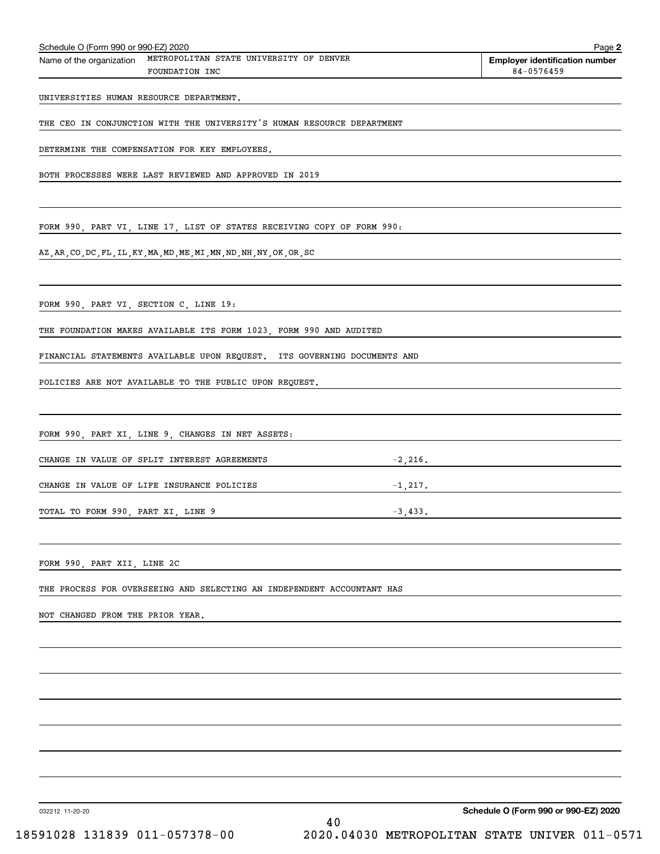| Name of the organization                | METROPOLITAN STATE UNIVERSITY OF DENVER<br>FOUNDATION INC                |            | <b>Employer identification number</b><br>84-0576459 |
|-----------------------------------------|--------------------------------------------------------------------------|------------|-----------------------------------------------------|
| UNIVERSITIES HUMAN RESOURCE DEPARTMENT. |                                                                          |            |                                                     |
|                                         | THE CEO IN CONJUNCTION WITH THE UNIVERSITY'S HUMAN RESOURCE DEPARTMENT   |            |                                                     |
|                                         | DETERMINE THE COMPENSATION FOR KEY EMPLOYEES.                            |            |                                                     |
|                                         | BOTH PROCESSES WERE LAST REVIEWED AND APPROVED IN 2019                   |            |                                                     |
|                                         |                                                                          |            |                                                     |
|                                         | FORM 990, PART VI, LINE 17, LIST OF STATES RECEIVING COPY OF FORM 990:   |            |                                                     |
|                                         | AZ, AR, CO, DC, FL, IL, KY, MA, MD, ME, MI, MN, ND, NH, NY, OK, OR, SC   |            |                                                     |
|                                         |                                                                          |            |                                                     |
| FORM 990, PART VI, SECTION C, LINE 19:  |                                                                          |            |                                                     |
|                                         | THE FOUNDATION MAKES AVAILABLE ITS FORM 1023, FORM 990 AND AUDITED       |            |                                                     |
|                                         | FINANCIAL STATEMENTS AVAILABLE UPON REQUEST. ITS GOVERNING DOCUMENTS AND |            |                                                     |
|                                         | POLICIES ARE NOT AVAILABLE TO THE PUBLIC UPON REQUEST.                   |            |                                                     |
|                                         |                                                                          |            |                                                     |
|                                         | FORM 990, PART XI, LINE 9, CHANGES IN NET ASSETS:                        |            |                                                     |
|                                         | CHANGE IN VALUE OF SPLIT INTEREST AGREEMENTS                             | $-2, 216.$ |                                                     |
|                                         | CHANGE IN VALUE OF LIFE INSURANCE POLICIES                               | $-1, 217.$ |                                                     |
| TOTAL TO FORM 990, PART XI, LINE 9      |                                                                          | $-3,433.$  |                                                     |
|                                         |                                                                          |            |                                                     |
| FORM 990, PART XII, LINE 2C             |                                                                          |            |                                                     |
|                                         | THE PROCESS FOR OVERSEEING AND SELECTING AN INDEPENDENT ACCOUNTANT HAS   |            |                                                     |
| NOT CHANGED FROM THE PRIOR YEAR.        |                                                                          |            |                                                     |
|                                         |                                                                          |            |                                                     |
|                                         |                                                                          |            |                                                     |
|                                         |                                                                          |            |                                                     |
|                                         |                                                                          |            |                                                     |
|                                         |                                                                          |            |                                                     |
|                                         |                                                                          |            |                                                     |

032212 11-20-20

**2**

Schedule O (Form 990 or 990-EZ) 2020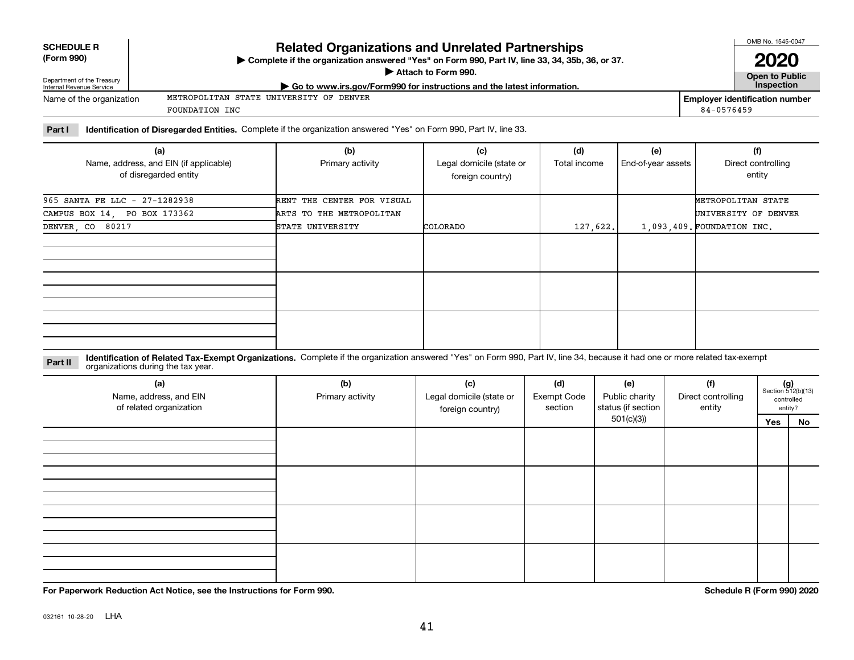| <b>SCHEDULE R</b> |
|-------------------|
|                   |

#### **(Form 990)**

## **Related Organizations and Unrelated Partnerships**

**Complete if the organization answered "Yes" on Form 990, Part IV, line 33, 34, 35b, 36, or 37.** |

**Attach to Form 990.**  |

**Open to Public**

**Employer identification number**

84-0576459

| )epartme<br>hent of the<br>. Treasurv<br>'nternal Revenue .<br>Service | us.qov/Form990 for instructions and the latest information.<br>, www.irs<br>GO TC | -----------<br>Inspection |
|------------------------------------------------------------------------|-----------------------------------------------------------------------------------|---------------------------|
|                                                                        |                                                                                   |                           |

| Name of the organization | METROPOLITAN STATE UNIVERSITY OF DENVER |  |  |  |
|--------------------------|-----------------------------------------|--|--|--|
|                          | FOUNDATION INC                          |  |  |  |

**Part I Identification of Disregarded Entities.**  Complete if the organization answered "Yes" on Form 990, Part IV, line 33.

| (a)<br>Name, address, and EIN (if applicable)<br>of disregarded entity | (b)<br>Primary activity    | (c)<br>Legal domicile (state or<br>foreign country) | (d)<br>Total income | (e)<br>End-of-year assets | (f)<br>Direct controlling<br>entity |
|------------------------------------------------------------------------|----------------------------|-----------------------------------------------------|---------------------|---------------------------|-------------------------------------|
|                                                                        |                            |                                                     |                     |                           |                                     |
| 965 SANTA FE LLC - 27-1282938                                          | RENT THE CENTER FOR VISUAL |                                                     |                     |                           | METROPOLITAN STATE                  |
| CAMPUS BOX 14, PO BOX 173362                                           | ARTS TO THE METROPOLITAN   |                                                     |                     |                           | UNIVERSITY OF DENVER                |
| DENVER, CO 80217                                                       | STATE UNIVERSITY           | COLORADO                                            | 127,622.            |                           | 1,093,409. FOUNDATION INC.          |
|                                                                        |                            |                                                     |                     |                           |                                     |
|                                                                        |                            |                                                     |                     |                           |                                     |
|                                                                        |                            |                                                     |                     |                           |                                     |
|                                                                        |                            |                                                     |                     |                           |                                     |
|                                                                        |                            |                                                     |                     |                           |                                     |
|                                                                        |                            |                                                     |                     |                           |                                     |
|                                                                        |                            |                                                     |                     |                           |                                     |
|                                                                        |                            |                                                     |                     |                           |                                     |
|                                                                        |                            |                                                     |                     |                           |                                     |

**Identification of Related Tax-Exempt Organizations.** Complete if the organization answered "Yes" on Form 990, Part IV, line 34, because it had one or more related tax-exempt **Part II** organizations during the tax year.

| (a)<br>Name, address, and EIN<br>of related organization | (b)<br>Primary activity | (c)<br>Legal domicile (state or<br>foreign country) | (d)<br><b>Exempt Code</b><br>section | (e)<br>Public charity<br>status (if section | (f)<br>Direct controlling<br>entity | $(g)$<br>Section 512(b)(13)<br>controlled<br>entity? |    |  |
|----------------------------------------------------------|-------------------------|-----------------------------------------------------|--------------------------------------|---------------------------------------------|-------------------------------------|------------------------------------------------------|----|--|
|                                                          |                         |                                                     |                                      | 501(c)(3)                                   |                                     | Yes                                                  | No |  |
|                                                          |                         |                                                     |                                      |                                             |                                     |                                                      |    |  |
|                                                          |                         |                                                     |                                      |                                             |                                     |                                                      |    |  |
|                                                          |                         |                                                     |                                      |                                             |                                     |                                                      |    |  |

**For Paperwork Reduction Act Notice, see the Instructions for Form 990. Schedule R (Form 990) 2020**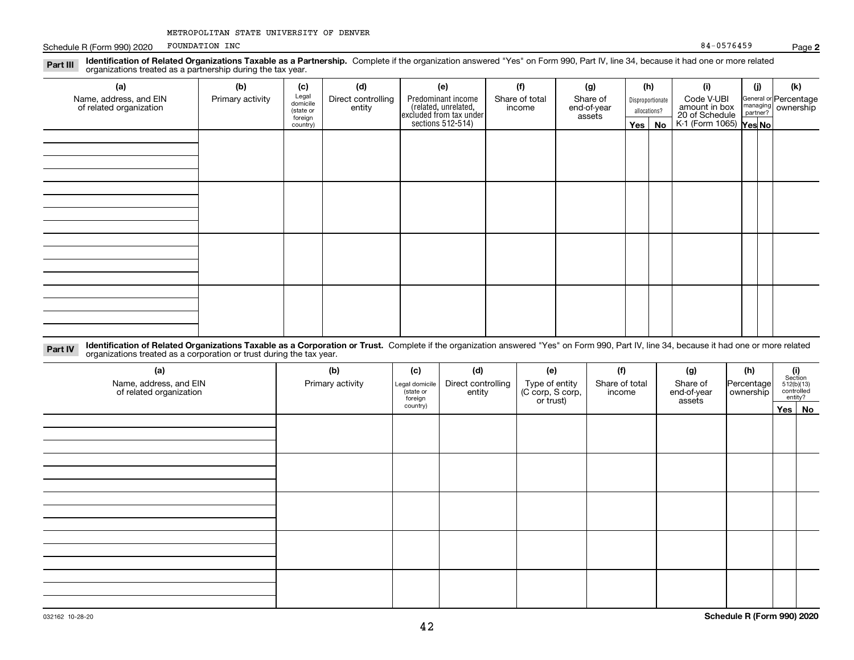| METROPOLITAN STATE UNIVERSITY OF DENVER |  |  |  |  |
|-----------------------------------------|--|--|--|--|
|-----------------------------------------|--|--|--|--|

Schedule R (Form 990) 2020 POUNDATION INC 34-0576459 FOUNDATION INC

J.

| Identification of Related Organizations Taxable as a Partnership. Complete if the organization answered "Yes" on Form 990, Part IV, line 34, because it had one or more related<br>Part III<br>organizations treated as a partnership during the tax year. |                  |                                           |                              |                                              |                          |                                   |              |                  |                                               |          |                                               |
|------------------------------------------------------------------------------------------------------------------------------------------------------------------------------------------------------------------------------------------------------------|------------------|-------------------------------------------|------------------------------|----------------------------------------------|--------------------------|-----------------------------------|--------------|------------------|-----------------------------------------------|----------|-----------------------------------------------|
| (a)                                                                                                                                                                                                                                                        | (b)              | (c)                                       | (d)                          | (e)                                          | (f)                      | (g)                               | (h)          |                  | (i)                                           | (j)      | (k)                                           |
| Name, address, and EIN<br>of related organization                                                                                                                                                                                                          | Primary activity | Legal<br>domicile<br>(state or<br>foreign | Direct controlling<br>entity | Predominant income<br>(related, unrelated,   | Share of total<br>income | Share of<br>end-of-year<br>assets | allocations? | Disproportionate | Code V-UBI<br>amount in box<br>20 of Schedule | partner? | General or Percentage<br>managing   ownership |
|                                                                                                                                                                                                                                                            |                  | country)                                  |                              | excluded from tax under<br>sections 512-514) |                          |                                   |              | Yes   No         | K-1 (Form 1065) Yes No                        |          |                                               |
|                                                                                                                                                                                                                                                            |                  |                                           |                              |                                              |                          |                                   |              |                  |                                               |          |                                               |
|                                                                                                                                                                                                                                                            |                  |                                           |                              |                                              |                          |                                   |              |                  |                                               |          |                                               |
|                                                                                                                                                                                                                                                            |                  |                                           |                              |                                              |                          |                                   |              |                  |                                               |          |                                               |
|                                                                                                                                                                                                                                                            |                  |                                           |                              |                                              |                          |                                   |              |                  |                                               |          |                                               |
|                                                                                                                                                                                                                                                            |                  |                                           |                              |                                              |                          |                                   |              |                  |                                               |          |                                               |
|                                                                                                                                                                                                                                                            |                  |                                           |                              |                                              |                          |                                   |              |                  |                                               |          |                                               |
|                                                                                                                                                                                                                                                            |                  |                                           |                              |                                              |                          |                                   |              |                  |                                               |          |                                               |
|                                                                                                                                                                                                                                                            |                  |                                           |                              |                                              |                          |                                   |              |                  |                                               |          |                                               |
|                                                                                                                                                                                                                                                            |                  |                                           |                              |                                              |                          |                                   |              |                  |                                               |          |                                               |
|                                                                                                                                                                                                                                                            |                  |                                           |                              |                                              |                          |                                   |              |                  |                                               |          |                                               |
|                                                                                                                                                                                                                                                            |                  |                                           |                              |                                              |                          |                                   |              |                  |                                               |          |                                               |
|                                                                                                                                                                                                                                                            |                  |                                           |                              |                                              |                          |                                   |              |                  |                                               |          |                                               |
|                                                                                                                                                                                                                                                            |                  |                                           |                              |                                              |                          |                                   |              |                  |                                               |          |                                               |
|                                                                                                                                                                                                                                                            |                  |                                           |                              |                                              |                          |                                   |              |                  |                                               |          |                                               |

**Identification of Related Organizations Taxable as a Corporation or Trust.** Complete if the organization answered "Yes" on Form 990, Part IV, line 34, because it had one or more related **Part IV** organizations treated as a corporation or trust during the tax year.

| (a)<br>Name, address, and EIN<br>of related organization | (b)<br>Primary activity | (d)<br>(c)<br>Direct controlling<br>Legal domicile<br>(state or<br>entity<br>foreign |  | (e)<br>Type of entity<br>(C corp, S corp,<br>or trust) | (f)<br>Share of total<br>income | (g)<br>Share of<br>end-of-year<br>assets | (h)<br>Percentage<br>ownership | $\begin{array}{c} \textbf{(i)}\\ \text{Section}\\ 512 \text{(b)} \text{(13)}\\ \text{controlled}\\ \text{entity?} \end{array}$ |        |
|----------------------------------------------------------|-------------------------|--------------------------------------------------------------------------------------|--|--------------------------------------------------------|---------------------------------|------------------------------------------|--------------------------------|--------------------------------------------------------------------------------------------------------------------------------|--------|
|                                                          |                         | country)                                                                             |  |                                                        |                                 |                                          |                                |                                                                                                                                | Yes No |
|                                                          |                         |                                                                                      |  |                                                        |                                 |                                          |                                |                                                                                                                                |        |
|                                                          |                         |                                                                                      |  |                                                        |                                 |                                          |                                |                                                                                                                                |        |
|                                                          |                         |                                                                                      |  |                                                        |                                 |                                          |                                |                                                                                                                                |        |
|                                                          |                         |                                                                                      |  |                                                        |                                 |                                          |                                |                                                                                                                                |        |
|                                                          |                         |                                                                                      |  |                                                        |                                 |                                          |                                |                                                                                                                                |        |
|                                                          |                         |                                                                                      |  |                                                        |                                 |                                          |                                |                                                                                                                                |        |
|                                                          |                         |                                                                                      |  |                                                        |                                 |                                          |                                |                                                                                                                                |        |
|                                                          |                         |                                                                                      |  |                                                        |                                 |                                          |                                |                                                                                                                                |        |
|                                                          |                         |                                                                                      |  |                                                        |                                 |                                          |                                |                                                                                                                                |        |
|                                                          |                         |                                                                                      |  |                                                        |                                 |                                          |                                |                                                                                                                                |        |
|                                                          |                         |                                                                                      |  |                                                        |                                 |                                          |                                |                                                                                                                                |        |
|                                                          |                         |                                                                                      |  |                                                        |                                 |                                          |                                |                                                                                                                                |        |
|                                                          |                         |                                                                                      |  |                                                        |                                 |                                          |                                |                                                                                                                                |        |
|                                                          |                         |                                                                                      |  |                                                        |                                 |                                          |                                |                                                                                                                                |        |

#### 032162 10-28-20

**Schedule R (Form 990) 2020**

#### **2**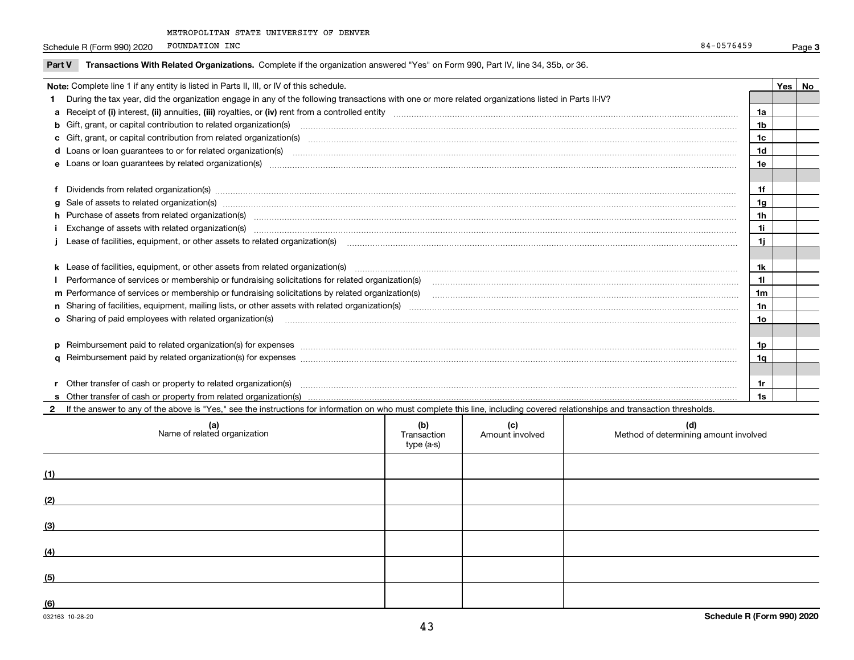Schedule R (Form 990) 2020 FOUNDATION INC 34-0576459 FOUNDATION INC 84-0576459

| Note: Complete line 1 if any entity is listed in Parts II, III, or IV of this schedule.                                                                                                                                        |                | Yes | No |
|--------------------------------------------------------------------------------------------------------------------------------------------------------------------------------------------------------------------------------|----------------|-----|----|
| During the tax year, did the organization engage in any of the following transactions with one or more related organizations listed in Parts II-IV?                                                                            |                |     |    |
|                                                                                                                                                                                                                                | 1a             |     |    |
| b Gift, grant, or capital contribution to related organization(s) manufactured and contribution to related organization(s)                                                                                                     | 1b             |     |    |
|                                                                                                                                                                                                                                | 1 <sub>c</sub> |     |    |
| d Loans or loan guarantees to or for related organization(s) www.communities.com/www.communities.com/www.communities.com/www.communities.com/www.communities.com/www.communities.com/www.communities.com/www.communities.com/w | 1 <sub>d</sub> |     |    |
|                                                                                                                                                                                                                                | 1e             |     |    |
| Dividends from related organization(s) material contracts and contracts and contracts are contracted as a contract of the contract of the contract of the contract of the contract of the contract of the contract of the cont | 1f             |     |    |
|                                                                                                                                                                                                                                | 1g             |     |    |
| h Purchase of assets from related organization(s) manufactured and content to content the content of assets from related organization(s)                                                                                       | 1 <sub>h</sub> |     |    |
| Exchange of assets with related organization(s) www.wallen.com/www.wallen.com/www.wallen.com/www.wallen.com/www.wallen.com/www.wallen.com/www.wallen.com/www.wallen.com/www.wallen.com/www.wallen.com/www.wallen.com/www.walle | 1i             |     |    |
| Lease of facilities, equipment, or other assets to related organization(s) [11] manufactured content in the second or set of facilities, equipment, or other assets to related organization(s) [11] manufactured content in th | 1i.            |     |    |
|                                                                                                                                                                                                                                | 1k             |     |    |
|                                                                                                                                                                                                                                | 11             |     |    |
|                                                                                                                                                                                                                                | 1 <sub>m</sub> |     |    |
|                                                                                                                                                                                                                                | 1n             |     |    |
|                                                                                                                                                                                                                                | 10             |     |    |
| p Reimbursement paid to related organization(s) for expenses [11111] [12] Research Manuscript Reimbursement paid to related organization(s) for expenses [11111] [12] Manuscript Manuscript Reimbursement Paid to related orga | 1p             |     |    |
|                                                                                                                                                                                                                                | 1q             |     |    |
| Other transfer of cash or property to related organization(s)                                                                                                                                                                  | 1r             |     |    |
|                                                                                                                                                                                                                                | 1s             |     |    |

| (a)<br>Name of related organization | (b)<br>Transaction<br>type (a-s) | (c)<br>Amount involved | (d)<br>Method of determining amount involved |
|-------------------------------------|----------------------------------|------------------------|----------------------------------------------|
| (1)                                 |                                  |                        |                                              |
| (2)                                 |                                  |                        |                                              |
| (3)                                 |                                  |                        |                                              |
| (4)                                 |                                  |                        |                                              |
| (5)                                 |                                  |                        |                                              |
| (6)                                 |                                  |                        |                                              |

**3**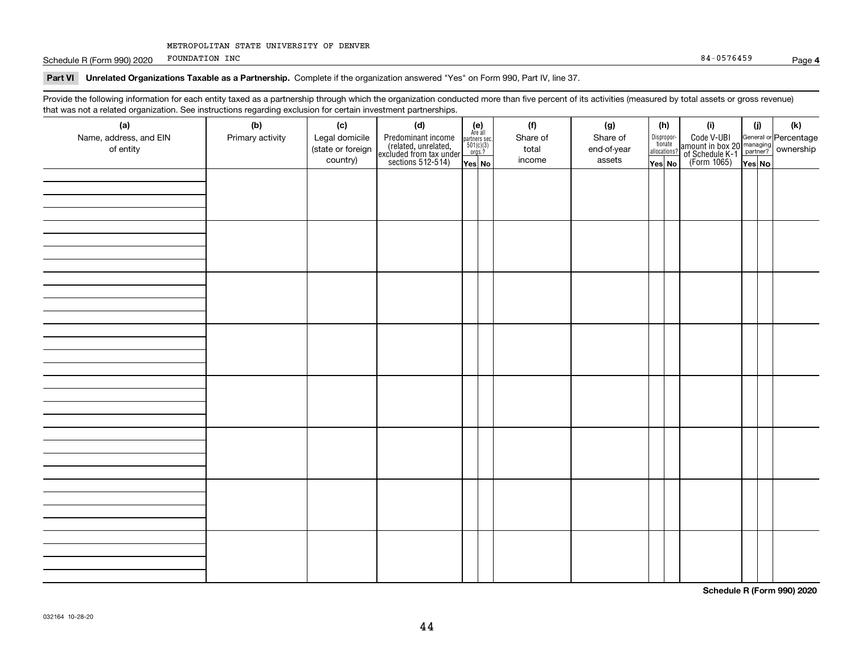Schedule R (Form 990) 2020 POUNDATION INC 34-0576459 FOUNDATION INC 84-0576459

#### **Part VI Unrelated Organizations Taxable as a Partnership. Complete if the organization answered "Yes" on Form 990, Part IV, line 37.**

Provide the following information for each entity taxed as a partnership through which the organization conducted more than five percent of its activities (measured by total assets or gross revenue) that was not a related organization. See instructions regarding exclusion for certain investment partnerships.

| (a)                    | (b)              | (c)               | .<br>(d)                                                                                   |                                                                                                                    | (f)      | (g)         | (h)                   | (i)                                                                                                    | (i)    | $(\mathsf{k})$ |  |
|------------------------|------------------|-------------------|--------------------------------------------------------------------------------------------|--------------------------------------------------------------------------------------------------------------------|----------|-------------|-----------------------|--------------------------------------------------------------------------------------------------------|--------|----------------|--|
| Name, address, and EIN | Primary activity | Legal domicile    |                                                                                            | $\begin{array}{c} \textbf{(e)}\\ \text{Area all} \\ \text{partners sec.}\\ 501(c)(3) \\ \text{orgs.?} \end{array}$ | Share of | Share of    | Dispropor-<br>tionate |                                                                                                        |        |                |  |
| of entity              |                  | (state or foreign |                                                                                            |                                                                                                                    | total    | end-of-year | allocations?          |                                                                                                        |        |                |  |
|                        |                  | country)          | Predominant income<br>(related, unrelated,<br>excluded from tax under<br>sections 512-514) | Yes No                                                                                                             | income   | assets      | Yes No                | Code V-UBI<br>amount in box 20 managing<br>of Schedule K-1 partner? ownership<br>(Form 1065)<br>ves No | Yes No |                |  |
|                        |                  |                   |                                                                                            |                                                                                                                    |          |             |                       |                                                                                                        |        |                |  |
|                        |                  |                   |                                                                                            |                                                                                                                    |          |             |                       |                                                                                                        |        |                |  |
|                        |                  |                   |                                                                                            |                                                                                                                    |          |             |                       |                                                                                                        |        |                |  |
|                        |                  |                   |                                                                                            |                                                                                                                    |          |             |                       |                                                                                                        |        |                |  |
|                        |                  |                   |                                                                                            |                                                                                                                    |          |             |                       |                                                                                                        |        |                |  |
|                        |                  |                   |                                                                                            |                                                                                                                    |          |             |                       |                                                                                                        |        |                |  |
|                        |                  |                   |                                                                                            |                                                                                                                    |          |             |                       |                                                                                                        |        |                |  |
|                        |                  |                   |                                                                                            |                                                                                                                    |          |             |                       |                                                                                                        |        |                |  |
|                        |                  |                   |                                                                                            |                                                                                                                    |          |             |                       |                                                                                                        |        |                |  |
|                        |                  |                   |                                                                                            |                                                                                                                    |          |             |                       |                                                                                                        |        |                |  |
|                        |                  |                   |                                                                                            |                                                                                                                    |          |             |                       |                                                                                                        |        |                |  |
|                        |                  |                   |                                                                                            |                                                                                                                    |          |             |                       |                                                                                                        |        |                |  |
|                        |                  |                   |                                                                                            |                                                                                                                    |          |             |                       |                                                                                                        |        |                |  |
|                        |                  |                   |                                                                                            |                                                                                                                    |          |             |                       |                                                                                                        |        |                |  |
|                        |                  |                   |                                                                                            |                                                                                                                    |          |             |                       |                                                                                                        |        |                |  |
|                        |                  |                   |                                                                                            |                                                                                                                    |          |             |                       |                                                                                                        |        |                |  |
|                        |                  |                   |                                                                                            |                                                                                                                    |          |             |                       |                                                                                                        |        |                |  |
|                        |                  |                   |                                                                                            |                                                                                                                    |          |             |                       |                                                                                                        |        |                |  |
|                        |                  |                   |                                                                                            |                                                                                                                    |          |             |                       |                                                                                                        |        |                |  |
|                        |                  |                   |                                                                                            |                                                                                                                    |          |             |                       |                                                                                                        |        |                |  |
|                        |                  |                   |                                                                                            |                                                                                                                    |          |             |                       |                                                                                                        |        |                |  |
|                        |                  |                   |                                                                                            |                                                                                                                    |          |             |                       |                                                                                                        |        |                |  |
|                        |                  |                   |                                                                                            |                                                                                                                    |          |             |                       |                                                                                                        |        |                |  |
|                        |                  |                   |                                                                                            |                                                                                                                    |          |             |                       |                                                                                                        |        |                |  |
|                        |                  |                   |                                                                                            |                                                                                                                    |          |             |                       |                                                                                                        |        |                |  |
|                        |                  |                   |                                                                                            |                                                                                                                    |          |             |                       |                                                                                                        |        |                |  |
|                        |                  |                   |                                                                                            |                                                                                                                    |          |             |                       |                                                                                                        |        |                |  |
|                        |                  |                   |                                                                                            |                                                                                                                    |          |             |                       |                                                                                                        |        |                |  |
|                        |                  |                   |                                                                                            |                                                                                                                    |          |             |                       |                                                                                                        |        |                |  |
|                        |                  |                   |                                                                                            |                                                                                                                    |          |             |                       |                                                                                                        |        |                |  |
|                        |                  |                   |                                                                                            |                                                                                                                    |          |             |                       |                                                                                                        |        |                |  |
|                        |                  |                   |                                                                                            |                                                                                                                    |          |             |                       |                                                                                                        |        |                |  |
|                        |                  |                   |                                                                                            |                                                                                                                    |          |             |                       |                                                                                                        |        |                |  |

**Schedule R (Form 990) 2020**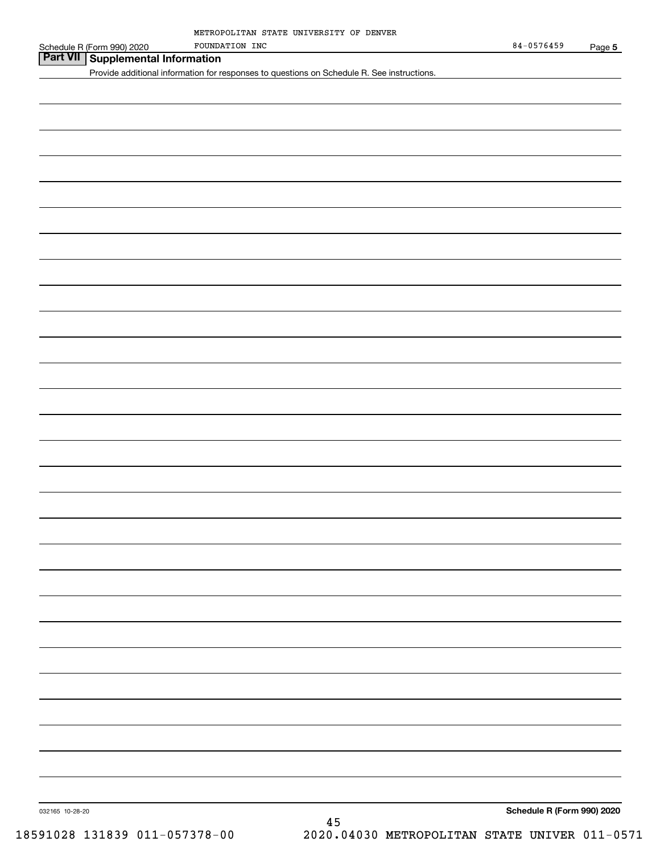| Schedule R (Form i | 12020<br>: 990) | FOUNDATION | INC | 84<br>- 1 | <sup>∼576459</sup> | <b>STATISTICS</b><br>Page |  |
|--------------------|-----------------|------------|-----|-----------|--------------------|---------------------------|--|
|--------------------|-----------------|------------|-----|-----------|--------------------|---------------------------|--|

**Part VII Supplemental Information**

Provide additional information for responses to questions on Schedule R. See instructions.

**Schedule R (Form 990) 2020**

032165 10-28-20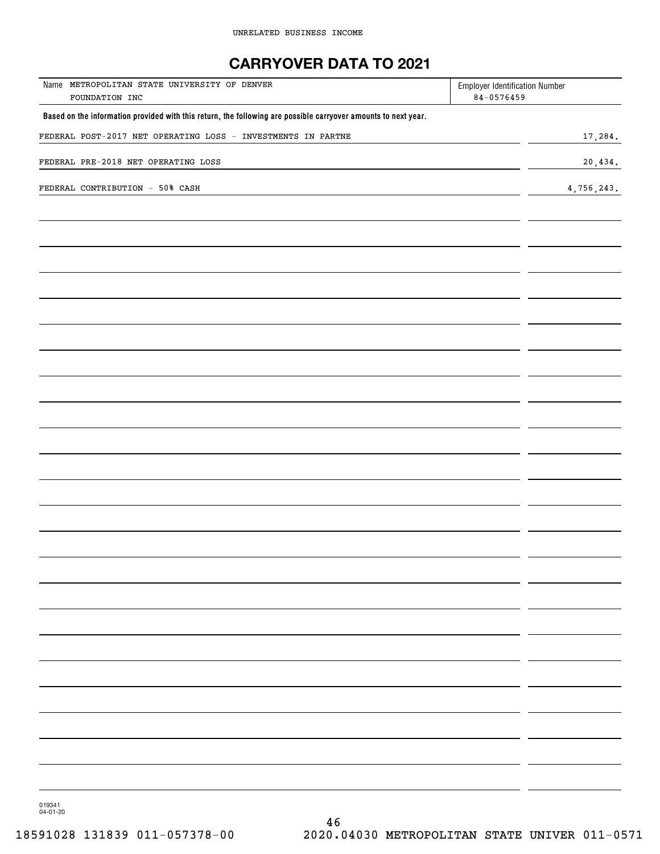## **CARRYOVER DATA TO 2021**

| Name METROPOLITAN STATE UNIVERSITY OF DENVER                                                                   | <b>Employer Identification Number</b> |            |
|----------------------------------------------------------------------------------------------------------------|---------------------------------------|------------|
| FOUNDATION INC                                                                                                 | $84 - 0576459$                        |            |
| Based on the information provided with this return, the following are possible carryover amounts to next year. |                                       |            |
| FEDERAL POST-2017 NET OPERATING LOSS - INVESTMENTS IN PARTNE                                                   |                                       | 17,284.    |
| FEDERAL PRE-2018 NET OPERATING LOSS                                                                            |                                       | 20,434.    |
| FEDERAL CONTRIBUTION - 50% CASH                                                                                |                                       | 4,756,243. |
|                                                                                                                |                                       |            |
|                                                                                                                |                                       |            |
|                                                                                                                |                                       |            |
|                                                                                                                |                                       |            |
|                                                                                                                |                                       |            |
|                                                                                                                |                                       |            |
|                                                                                                                |                                       |            |
|                                                                                                                |                                       |            |
|                                                                                                                |                                       |            |
|                                                                                                                |                                       |            |
|                                                                                                                |                                       |            |
|                                                                                                                |                                       |            |
|                                                                                                                |                                       |            |
|                                                                                                                |                                       |            |
|                                                                                                                |                                       |            |
|                                                                                                                |                                       |            |
|                                                                                                                |                                       |            |
|                                                                                                                |                                       |            |
|                                                                                                                |                                       |            |
|                                                                                                                |                                       |            |
|                                                                                                                |                                       |            |
|                                                                                                                |                                       |            |
|                                                                                                                |                                       |            |
|                                                                                                                |                                       |            |
|                                                                                                                |                                       |            |
|                                                                                                                |                                       |            |
|                                                                                                                |                                       |            |
|                                                                                                                |                                       |            |
|                                                                                                                |                                       |            |
|                                                                                                                |                                       |            |
|                                                                                                                |                                       |            |
|                                                                                                                |                                       |            |
|                                                                                                                |                                       |            |

019341 04-01-20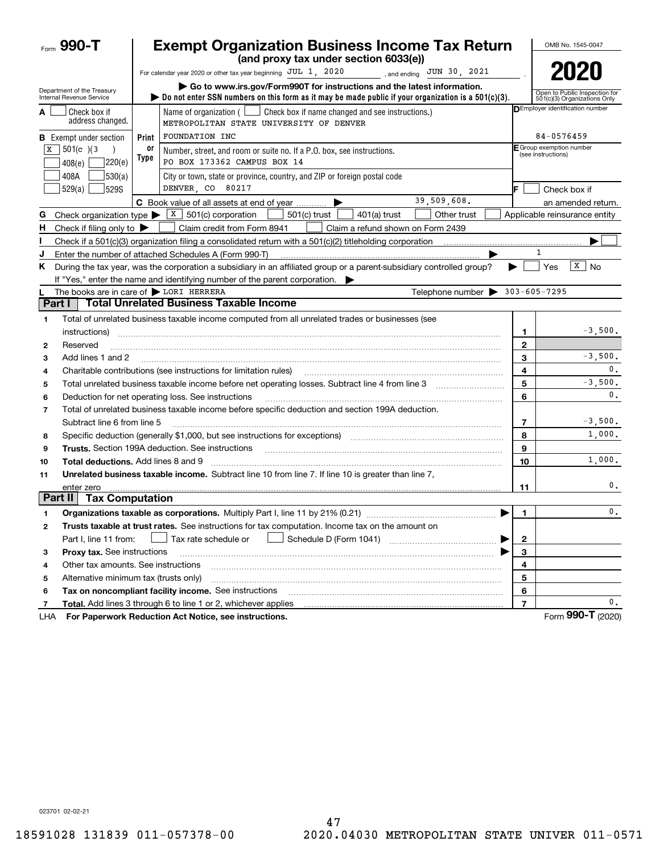|         | Form 990-T                                             |            | <b>Exempt Organization Business Income Tax Return</b><br>(and proxy tax under section 6033(e))                                                                                                      |                         | OMB No. 1545-0047                                             |
|---------|--------------------------------------------------------|------------|-----------------------------------------------------------------------------------------------------------------------------------------------------------------------------------------------------|-------------------------|---------------------------------------------------------------|
|         |                                                        |            | For calendar year 2020 or other tax year beginning $JUL$ 1, 2020<br>, and ending $JUN$ 30, 2021                                                                                                     |                         | 2020                                                          |
|         | Department of the Treasury<br>Internal Revenue Service |            | Go to www.irs.gov/Form990T for instructions and the latest information.<br>bo not enter SSN numbers on this form as it may be made public if your organization is a $501(c)(3)$ .                   |                         | Open to Public Inspection for<br>501(c)(3) Organizations Only |
| А       | Check box if<br>address changed.                       |            | Name of organization $($<br>Check box if name changed and see instructions.)<br>METROPOLITAN STATE UNIVERSITY OF DENVER                                                                             |                         | <b>DEmployer identification number</b>                        |
|         | <b>B</b> Exempt under section                          | Print      | FOUNDATION INC                                                                                                                                                                                      |                         | 84-0576459                                                    |
| x       | $501(c)$ (3)<br>220(e)<br>408(e)                       | 0r<br>Type | Number, street, and room or suite no. If a P.O. box, see instructions.<br>PO BOX 173362 CAMPUS BOX 14                                                                                               |                         | E Group exemption number<br>(see instructions)                |
|         | 408A<br>530(a)<br>529(a)<br><b>529S</b>                |            | City or town, state or province, country, and ZIP or foreign postal code<br>DENVER CO 80217                                                                                                         |                         | Check box if                                                  |
|         |                                                        |            | 39,509,608.<br>C Book value of all assets at end of year                                                                                                                                            |                         | an amended return.                                            |
| G       |                                                        |            | Check organization type $\triangleright$ $\lfloor x \rfloor$ 501(c) corporation<br>$501(c)$ trust<br>401(a) trust<br>Other trust                                                                    |                         | Applicable reinsurance entity                                 |
| н.      | Check if filing only to $\blacktriangleright$          |            | Claim credit from Form 8941<br>Claim a refund shown on Form 2439                                                                                                                                    |                         |                                                               |
|         |                                                        |            |                                                                                                                                                                                                     |                         |                                                               |
| J       |                                                        |            | Enter the number of attached Schedules A (Form 990-T)                                                                                                                                               |                         | $\mathbf{1}$                                                  |
| Κ       |                                                        |            | During the tax year, was the corporation a subsidiary in an affiliated group or a parent-subsidiary controlled group?<br>If "Yes," enter the name and identifying number of the parent corporation. | ▶                       | $\vert x \vert$<br>Yes<br><b>No</b>                           |
|         | The books are in care of LORI HERRERA                  |            | Telephone number $\blacktriangleright$                                                                                                                                                              |                         | $303 - 605 - 7295$                                            |
| Part I  |                                                        |            | <b>Total Unrelated Business Taxable Income</b>                                                                                                                                                      |                         |                                                               |
| 1       |                                                        |            | Total of unrelated business taxable income computed from all unrelated trades or businesses (see                                                                                                    |                         |                                                               |
|         | instructions)                                          |            |                                                                                                                                                                                                     | 1                       | $-3,500.$                                                     |
| 2       | Reserved                                               |            |                                                                                                                                                                                                     | $\mathbf{2}$            |                                                               |
| 3       | Add lines 1 and 2                                      |            |                                                                                                                                                                                                     | 3                       | $-3,500.$                                                     |
| 4       |                                                        |            | Charitable contributions (see instructions for limitation rules)                                                                                                                                    | 4                       | 0.                                                            |
| 5       |                                                        |            |                                                                                                                                                                                                     | 5                       | $-3,500.$                                                     |
| 6       |                                                        |            | Deduction for net operating loss. See instructions                                                                                                                                                  | 6                       | 0.                                                            |
| 7       |                                                        |            | Total of unrelated business taxable income before specific deduction and section 199A deduction.                                                                                                    |                         |                                                               |
|         | Subtract line 6 from line 5                            |            |                                                                                                                                                                                                     | 7                       | $-3,500.$                                                     |
| 8       |                                                        |            | Specific deduction (generally \$1,000, but see instructions for exceptions) manufactured in the substitution of                                                                                     | 8                       | 1,000.                                                        |
| 9       |                                                        |            | <b>Trusts.</b> Section 199A deduction. See instructions                                                                                                                                             | 9                       |                                                               |
| 10      | <b>Total deductions.</b> Add lines 8 and 9             |            |                                                                                                                                                                                                     | 10                      | 1,000.                                                        |
| 11      |                                                        |            | Unrelated business taxable income. Subtract line 10 from line 7. If line 10 is greater than line 7,                                                                                                 |                         |                                                               |
|         | enter zero                                             |            |                                                                                                                                                                                                     | 11                      | 0.                                                            |
| Part II | <b>Tax Computation</b>                                 |            |                                                                                                                                                                                                     |                         |                                                               |
|         |                                                        |            | Organizations taxable as corporations. Multiply Part I, line 11 by 21% (0.21)                                                                                                                       | 1.                      | 0.                                                            |
| 2       |                                                        |            | Trusts taxable at trust rates. See instructions for tax computation. Income tax on the amount on                                                                                                    |                         |                                                               |
|         | Part I, line 11 from:                                  |            | Tax rate schedule or<br>▶                                                                                                                                                                           | $\mathbf{2}$            |                                                               |
| з       | Proxy tax. See instructions                            |            |                                                                                                                                                                                                     | 3                       |                                                               |
| 4       | Other tax amounts. See instructions                    |            |                                                                                                                                                                                                     | 4                       |                                                               |
| 5       | Alternative minimum tax (trusts only)                  |            |                                                                                                                                                                                                     | 5                       |                                                               |
| 6       |                                                        |            | Tax on noncompliant facility income. See instructions                                                                                                                                               | 6                       |                                                               |
| 7       |                                                        |            | Total. Add lines 3 through 6 to line 1 or 2, whichever applies                                                                                                                                      | $\overline{\mathbf{r}}$ | 0.                                                            |
| LHA     |                                                        |            | For Paperwork Reduction Act Notice, see instructions.                                                                                                                                               |                         | Form 990-T (2020)                                             |

023701 02-02-21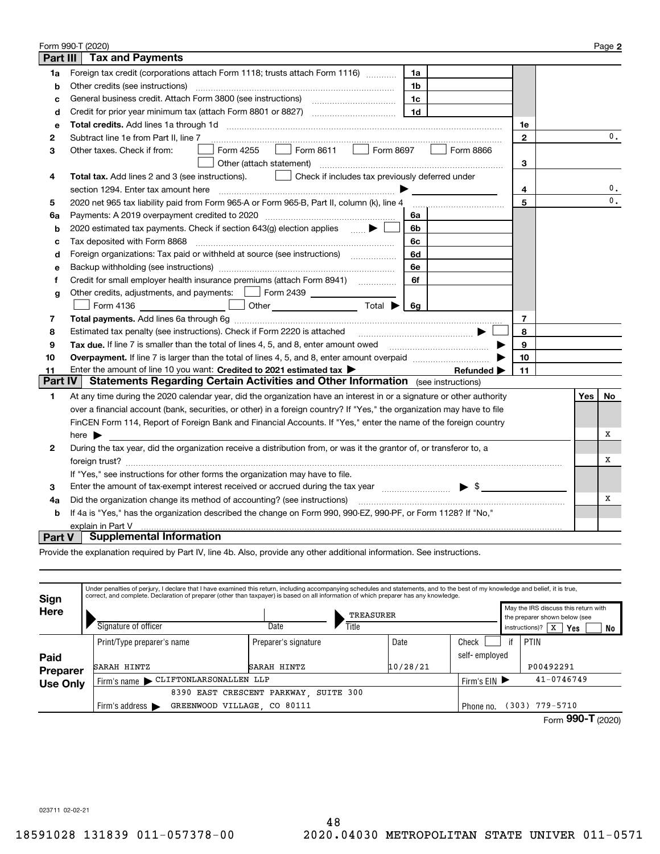|          | Form 990-T (2020)                                                                                                                                                      |              |     | Page 2        |
|----------|------------------------------------------------------------------------------------------------------------------------------------------------------------------------|--------------|-----|---------------|
| Part III | <b>Tax and Payments</b>                                                                                                                                                |              |     |               |
| 1a       | Foreign tax credit (corporations attach Form 1118; trusts attach Form 1116)<br>1a                                                                                      |              |     |               |
| b        | Other credits (see instructions)<br>1b                                                                                                                                 |              |     |               |
| c        | 1c                                                                                                                                                                     |              |     |               |
| d        | 1 <sub>d</sub>                                                                                                                                                         |              |     |               |
| е        |                                                                                                                                                                        | 1e           |     |               |
| 2        | Subtract line 1e from Part II, line 7                                                                                                                                  | $\mathbf{2}$ |     | 0.            |
| 3        | Form 8611   Form 8697<br>Form 4255<br>Form 8866<br>Other taxes. Check if from:                                                                                         |              |     |               |
|          | Other (attach statement)                                                                                                                                               | 3            |     |               |
| 4        | Check if includes tax previously deferred under<br>Total tax. Add lines 2 and 3 (see instructions).                                                                    |              |     |               |
|          | section 1294. Enter tax amount here                                                                                                                                    | 4            |     | 0.            |
| 5        | 2020 net 965 tax liability paid from Form 965-A or Form 965-B, Part II, column (k), line 4                                                                             | 5            |     | $\mathbf 0$ . |
| 6a       | Payments: A 2019 overpayment credited to 2020 [11] [11] maximum materials and Payments: A 2019 overpayment credited to 2020 [11] maximum materials and Payments:<br>6a |              |     |               |
| b        | 2020 estimated tax payments. Check if section 643(g) election applies<br>6b                                                                                            |              |     |               |
| c        | 6c<br>Tax deposited with Form 8868                                                                                                                                     |              |     |               |
| d        | Foreign organizations: Tax paid or withheld at source (see instructions) [<br>6d                                                                                       |              |     |               |
| е        | 6e                                                                                                                                                                     |              |     |               |
| f        | 6f                                                                                                                                                                     |              |     |               |
| g        | Other credits, adjustments, and payments:   Form 2439                                                                                                                  |              |     |               |
|          |                                                                                                                                                                        |              |     |               |
| 7        |                                                                                                                                                                        | 7            |     |               |
| 8        | Estimated tax penalty (see instructions). Check if Form 2220 is attached                                                                                               | 8            |     |               |
| 9        | Tax due. If line 7 is smaller than the total of lines 4, 5, and 8, enter amount owed <i>musicanal community con-</i>                                                   | 9            |     |               |
| 10       |                                                                                                                                                                        | 10           |     |               |
| 11       | Enter the amount of line 10 you want: Credited to 2021 estimated tax ><br>Refunded $\blacktriangleright$                                                               | 11           |     |               |
| Part IV  | Statements Regarding Certain Activities and Other Information (see instructions)                                                                                       |              |     |               |
| 1        | At any time during the 2020 calendar year, did the organization have an interest in or a signature or other authority                                                  |              | Yes | No            |
|          | over a financial account (bank, securities, or other) in a foreign country? If "Yes," the organization may have to file                                                |              |     |               |
|          | FinCEN Form 114, Report of Foreign Bank and Financial Accounts. If "Yes," enter the name of the foreign country                                                        |              |     |               |
|          | here $\blacktriangleright$                                                                                                                                             |              |     | х             |
| 2        | During the tax year, did the organization receive a distribution from, or was it the grantor of, or transferor to, a                                                   |              |     |               |
|          |                                                                                                                                                                        |              |     | х             |
|          | If "Yes," see instructions for other forms the organization may have to file.                                                                                          |              |     |               |
| 3        | $\triangleright$ \$<br>Enter the amount of tax-exempt interest received or accrued during the tax year [111][11][11][11][11][11][11]                                   |              |     |               |
| 4a       | Did the organization change its method of accounting? (see instructions)                                                                                               |              |     | х             |
| b        | If 4a is "Yes," has the organization described the change on Form 990, 990-EZ, 990-PF, or Form 1128? If "No,"                                                          |              |     |               |
|          | explain in Part V                                                                                                                                                      |              |     |               |
| Part V   | <b>Supplemental Information</b>                                                                                                                                        |              |     |               |

Provide the explanation required by Part IV, line 4b. Also, provide any other additional information. See instructions.

| Sign            |                                      | Under penalties of perjury, I declare that I have examined this return, including accompanying schedules and statements, and to the best of my knowledge and belief, it is true,<br>correct, and complete. Declaration of preparer (other than taxpayer) is based on all information of which preparer has any knowledge. |           |               |                                                                       |    |  |  |  |  |  |  |
|-----------------|--------------------------------------|---------------------------------------------------------------------------------------------------------------------------------------------------------------------------------------------------------------------------------------------------------------------------------------------------------------------------|-----------|---------------|-----------------------------------------------------------------------|----|--|--|--|--|--|--|
| <b>Here</b>     |                                      |                                                                                                                                                                                                                                                                                                                           | TREASURER |               | May the IRS discuss this return with<br>the preparer shown below (see |    |  |  |  |  |  |  |
|                 | Signature of officer                 | Date                                                                                                                                                                                                                                                                                                                      | Title     |               | x<br><b>Yes</b><br>instructions)?                                     | No |  |  |  |  |  |  |
|                 | Print/Type preparer's name           | Preparer's signature                                                                                                                                                                                                                                                                                                      | Date      | Check         | PTIN                                                                  |    |  |  |  |  |  |  |
| Paid            |                                      |                                                                                                                                                                                                                                                                                                                           |           | self-employed |                                                                       |    |  |  |  |  |  |  |
| Preparer        | SARAH HINTZ                          | SARAH HINTZ                                                                                                                                                                                                                                                                                                               | 10/28/21  |               | P00492291                                                             |    |  |  |  |  |  |  |
| <b>Use Only</b> | Firm's name > CLIFTONLARSONALLEN LLP | $41 - 0746749$<br>Firm's $EIN$                                                                                                                                                                                                                                                                                            |           |               |                                                                       |    |  |  |  |  |  |  |
|                 |                                      | 8390 EAST CRESCENT PARKWAY, SUITE 300                                                                                                                                                                                                                                                                                     |           |               |                                                                       |    |  |  |  |  |  |  |
|                 | Firm's address $\blacktriangleright$ | GREENWOOD VILLAGE CO 80111                                                                                                                                                                                                                                                                                                |           |               |                                                                       |    |  |  |  |  |  |  |
|                 |                                      |                                                                                                                                                                                                                                                                                                                           |           |               | Form $990 - T$ (2020)                                                 |    |  |  |  |  |  |  |

023711 02-02-21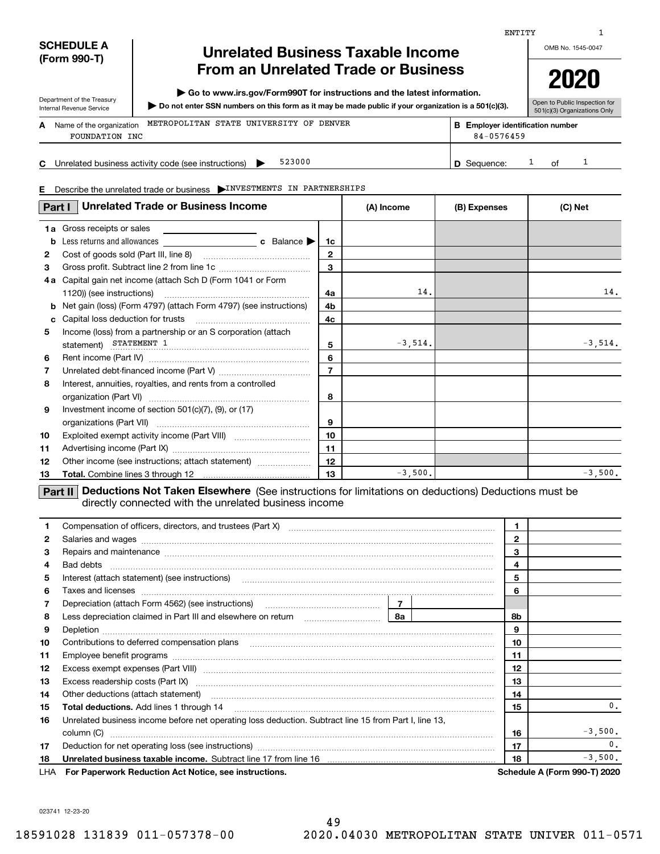#### **SCHEDULE A (Form 990-T)**

Department of the Treasury Internal Revenue Service

## **Unrelated Business Taxable Income From an Unrelated Trade or Business**

**| Go to www.irs.gov/Form990T for instructions and the latest information.**

**Do not enter SSN numbers on this form as it may be made public if your organization is a 501(c)(3). |** 

**2020**

OMB No. 1545-0047

| Open to Public Inspection for |
|-------------------------------|
| 501(c)(3) Organizations Only  |

| A Name of the organization<br>FOUNDATION INC                 | METROPOLITAN STATE UNIVERSITY OF DENVER |        |  | <b>B</b> Employer identification number<br>84-0576459 |    |  |
|--------------------------------------------------------------|-----------------------------------------|--------|--|-------------------------------------------------------|----|--|
| <b>C</b> Unrelated business activity code (see instructions) |                                         | 523000 |  | D Sequence:                                           | ∩f |  |

**E**Describe the unrelated trade or business | INVESTMENTS IN PARTNERSHIPS

| <b>Unrelated Trade or Business Income</b><br>Part I                                                                         | (A) Income                                                                         | (B) Expenses | (C) Net |           |
|-----------------------------------------------------------------------------------------------------------------------------|------------------------------------------------------------------------------------|--------------|---------|-----------|
| Gross receipts or sales<br>1a.<br>Less returns and allowances $\qquad \qquad \qquad$ <b>c</b> Balance $\blacktriangleright$ | 1c                                                                                 |              |         |           |
|                                                                                                                             | $\mathbf{2}$                                                                       |              |         |           |
|                                                                                                                             |                                                                                    |              |         |           |
| 1120)) (see instructions)                                                                                                   | 4a                                                                                 | 14.          |         | 14.       |
| Net gain (loss) (Form 4797) (attach Form 4797) (see instructions)                                                           | 4b                                                                                 |              |         |           |
| Capital loss deduction for trusts                                                                                           | 4 <sub>c</sub>                                                                     |              |         |           |
| Income (loss) from a partnership or an S corporation (attach                                                                | 5                                                                                  | $-3,514.$    |         | $-3,514.$ |
|                                                                                                                             | 6                                                                                  |              |         |           |
|                                                                                                                             | $\overline{7}$                                                                     |              |         |           |
| Interest, annuities, royalties, and rents from a controlled                                                                 | 8                                                                                  |              |         |           |
| Investment income of section $501(c)(7)$ , $(9)$ , or $(17)$                                                                | 9                                                                                  |              |         |           |
|                                                                                                                             | 10                                                                                 |              |         |           |
|                                                                                                                             | 11                                                                                 |              |         |           |
| Other income (see instructions; attach statement)                                                                           | 12                                                                                 |              |         |           |
|                                                                                                                             | 13                                                                                 | $-3,500.$    |         | $-3,500.$ |
|                                                                                                                             | Capital gain net income (attach Sch D (Form 1041 or Form<br>statement) STATEMENT 1 | 3            |         |           |

**Part II** Deductions Not Taken Elsewhere (See instructions for limitations on deductions) Deductions must be directly connected with the unrelated business income

|              | LHA For Paperwork Reduction Act Notice, see instructions.                                                                                                                                                                      |              | Schedule A (Form 990-T) 2020 |           |
|--------------|--------------------------------------------------------------------------------------------------------------------------------------------------------------------------------------------------------------------------------|--------------|------------------------------|-----------|
| 18           |                                                                                                                                                                                                                                |              | 18                           | $-3,500.$ |
| 17           |                                                                                                                                                                                                                                | 17           | $\mathbf{0}$ .               |           |
|              | column (C)                                                                                                                                                                                                                     | 16           | $-3,500.$                    |           |
| 16           | Unrelated business income before net operating loss deduction. Subtract line 15 from Part I, line 13,                                                                                                                          |              |                              |           |
| 15           |                                                                                                                                                                                                                                |              | 15                           | 0.        |
| 14           |                                                                                                                                                                                                                                |              | 14                           |           |
| 13           | Excess readership costs (Part IX) [11] [2000] [2000] [3000] [3000] [3000] [3000] [3000] [3000] [3000] [3000] [                                                                                                                 |              | 13                           |           |
| 12           |                                                                                                                                                                                                                                |              | 12                           |           |
| 11           |                                                                                                                                                                                                                                |              | 11                           |           |
| 10           | Contributions to deferred compensation plans                                                                                                                                                                                   |              | 10                           |           |
| 9            |                                                                                                                                                                                                                                |              | 9                            |           |
| 8            |                                                                                                                                                                                                                                |              | 8b                           |           |
| 7            |                                                                                                                                                                                                                                |              |                              |           |
| 6            |                                                                                                                                                                                                                                |              | 6                            |           |
| 5            | Interest (attach statement) (see instructions) [11] material content in the statement of the statement of the statement of the statement of the statement of the statement of the statement of the statement of the statement  |              | 5                            |           |
| 4            |                                                                                                                                                                                                                                | 4            |                              |           |
| З.           | Repairs and maintenance material continuum contracts and maintenance material contracts and maintenance material contracts and maintenance material contracts and maintenance material contracts and an except of the state of | 3            |                              |           |
| $\mathbf{2}$ | Salaries and wages with the continuum contract of the contract of the contract of the contract of the contract of the contract of the contract of the contract of the contract of the contract of the contract of the contract | $\mathbf{2}$ |                              |           |
| 1.           | Compensation of officers, directors, and trustees (Part X) [11] [2010] [2010] [2010] [2010] [2010] [2010] [2010] [2010] [2010] [2010] [2010] [2010] [2010] [2010] [2010] [2010] [2010] [2010] [2010] [2010] [2010] [2010] [201 | 1            |                              |           |

023741 12-23-20

1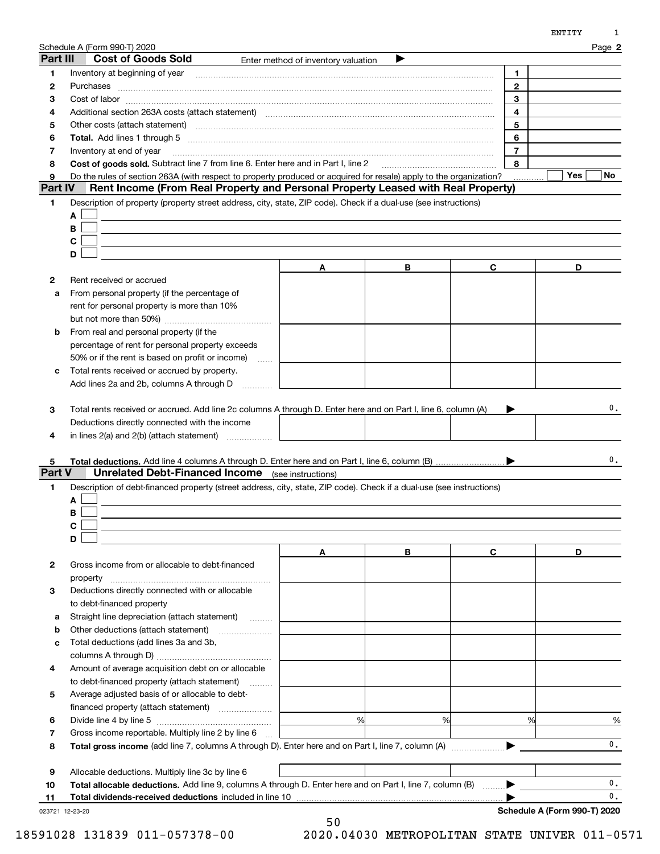| 1              | Part III<br><b>Cost of Goods Sold</b>                                                                                                                                                                  | Enter method of inventory valuation                                                                                                                                                                                                                                                                                                                                                                                                         | ▶ |                |                  |
|----------------|--------------------------------------------------------------------------------------------------------------------------------------------------------------------------------------------------------|---------------------------------------------------------------------------------------------------------------------------------------------------------------------------------------------------------------------------------------------------------------------------------------------------------------------------------------------------------------------------------------------------------------------------------------------|---|----------------|------------------|
|                | Inventory at beginning of year                                                                                                                                                                         | $\begin{minipage}{0.5\textwidth} \begin{tabular}{ l l l } \hline \multicolumn{1}{ l l l } \hline \multicolumn{1}{ l l } \multicolumn{1}{ l } \multicolumn{1}{ l } \multicolumn{1}{ l } \multicolumn{1}{ l } \multicolumn{1}{ l } \multicolumn{1}{ l } \multicolumn{1}{ l } \multicolumn{1}{ l } \multicolumn{1}{ l } \multicolumn{1}{ l } \multicolumn{1}{ l } \multicolumn{1}{ l } \multicolumn{1}{ l } \multicolumn{1}{ l } \multicolumn$ |   | 1.             |                  |
| 2              |                                                                                                                                                                                                        |                                                                                                                                                                                                                                                                                                                                                                                                                                             |   | $\mathbf{2}$   |                  |
| 3              | $Cost of labor  \underline{\hspace{1cm}} \underline{\hspace{1cm}} \underline{\hspace{1cm}}$                                                                                                            |                                                                                                                                                                                                                                                                                                                                                                                                                                             |   | 3              |                  |
| 4              | Additional section 263A costs (attach statement) maturities and continuum contracts and actional section 263A                                                                                          |                                                                                                                                                                                                                                                                                                                                                                                                                                             |   | 4              |                  |
| 5              |                                                                                                                                                                                                        |                                                                                                                                                                                                                                                                                                                                                                                                                                             |   | 5              |                  |
|                | Other costs (attach statement) with an according to the costs (attach statement)                                                                                                                       |                                                                                                                                                                                                                                                                                                                                                                                                                                             |   | 6              |                  |
| 6              | Inventory at end of year                                                                                                                                                                               |                                                                                                                                                                                                                                                                                                                                                                                                                                             |   | $\overline{7}$ |                  |
| 7              |                                                                                                                                                                                                        |                                                                                                                                                                                                                                                                                                                                                                                                                                             |   |                |                  |
| 8<br>9         | Cost of goods sold. Subtract line 7 from line 6. Enter here and in Part I, line 2                                                                                                                      |                                                                                                                                                                                                                                                                                                                                                                                                                                             |   | 8              | Yes<br>No        |
| <b>Part IV</b> | Do the rules of section 263A (with respect to property produced or acquired for resale) apply to the organization?<br>Rent Income (From Real Property and Personal Property Leased with Real Property) |                                                                                                                                                                                                                                                                                                                                                                                                                                             |   |                |                  |
|                | Description of property (property street address, city, state, ZIP code). Check if a dual-use (see instructions)                                                                                       |                                                                                                                                                                                                                                                                                                                                                                                                                                             |   |                |                  |
| 1              |                                                                                                                                                                                                        |                                                                                                                                                                                                                                                                                                                                                                                                                                             |   |                |                  |
|                | A                                                                                                                                                                                                      |                                                                                                                                                                                                                                                                                                                                                                                                                                             |   |                |                  |
|                | В                                                                                                                                                                                                      |                                                                                                                                                                                                                                                                                                                                                                                                                                             |   |                |                  |
|                | C                                                                                                                                                                                                      |                                                                                                                                                                                                                                                                                                                                                                                                                                             |   |                |                  |
|                | D                                                                                                                                                                                                      |                                                                                                                                                                                                                                                                                                                                                                                                                                             |   |                |                  |
|                |                                                                                                                                                                                                        | Α                                                                                                                                                                                                                                                                                                                                                                                                                                           | В | C              | D                |
| $\mathbf{2}$   | Rent received or accrued                                                                                                                                                                               |                                                                                                                                                                                                                                                                                                                                                                                                                                             |   |                |                  |
| а              | From personal property (if the percentage of                                                                                                                                                           |                                                                                                                                                                                                                                                                                                                                                                                                                                             |   |                |                  |
|                | rent for personal property is more than 10%                                                                                                                                                            |                                                                                                                                                                                                                                                                                                                                                                                                                                             |   |                |                  |
|                |                                                                                                                                                                                                        |                                                                                                                                                                                                                                                                                                                                                                                                                                             |   |                |                  |
| b              | From real and personal property (if the                                                                                                                                                                |                                                                                                                                                                                                                                                                                                                                                                                                                                             |   |                |                  |
|                | percentage of rent for personal property exceeds                                                                                                                                                       |                                                                                                                                                                                                                                                                                                                                                                                                                                             |   |                |                  |
|                | 50% or if the rent is based on profit or income)<br>$\ldots$                                                                                                                                           |                                                                                                                                                                                                                                                                                                                                                                                                                                             |   |                |                  |
| с              | Total rents received or accrued by property.                                                                                                                                                           |                                                                                                                                                                                                                                                                                                                                                                                                                                             |   |                |                  |
|                | Add lines 2a and 2b, columns A through D                                                                                                                                                               |                                                                                                                                                                                                                                                                                                                                                                                                                                             |   |                |                  |
|                | Deductions directly connected with the income                                                                                                                                                          |                                                                                                                                                                                                                                                                                                                                                                                                                                             |   |                |                  |
| 1.             | <b>Unrelated Debt-Financed Income</b> (see instructions)<br>Description of debt-financed property (street address, city, state, ZIP code). Check if a dual-use (see instructions)<br>А<br>в            |                                                                                                                                                                                                                                                                                                                                                                                                                                             |   |                |                  |
| 4<br>5         | C                                                                                                                                                                                                      |                                                                                                                                                                                                                                                                                                                                                                                                                                             |   |                |                  |
|                | D                                                                                                                                                                                                      |                                                                                                                                                                                                                                                                                                                                                                                                                                             |   |                |                  |
|                |                                                                                                                                                                                                        | Α                                                                                                                                                                                                                                                                                                                                                                                                                                           | В | C              | D                |
| 2              | Gross income from or allocable to debt-financed                                                                                                                                                        |                                                                                                                                                                                                                                                                                                                                                                                                                                             |   |                |                  |
| <b>Part V</b>  |                                                                                                                                                                                                        |                                                                                                                                                                                                                                                                                                                                                                                                                                             |   |                |                  |
| з              | Deductions directly connected with or allocable                                                                                                                                                        |                                                                                                                                                                                                                                                                                                                                                                                                                                             |   |                |                  |
|                | to debt-financed property                                                                                                                                                                              |                                                                                                                                                                                                                                                                                                                                                                                                                                             |   |                |                  |
| а              | Straight line depreciation (attach statement)                                                                                                                                                          |                                                                                                                                                                                                                                                                                                                                                                                                                                             |   |                |                  |
| b              | Other deductions (attach statement)                                                                                                                                                                    |                                                                                                                                                                                                                                                                                                                                                                                                                                             |   |                |                  |
| с              | Total deductions (add lines 3a and 3b,                                                                                                                                                                 |                                                                                                                                                                                                                                                                                                                                                                                                                                             |   |                |                  |
|                |                                                                                                                                                                                                        |                                                                                                                                                                                                                                                                                                                                                                                                                                             |   |                |                  |
| 4              | Amount of average acquisition debt on or allocable                                                                                                                                                     |                                                                                                                                                                                                                                                                                                                                                                                                                                             |   |                |                  |
|                | to debt-financed property (attach statement)<br>.                                                                                                                                                      |                                                                                                                                                                                                                                                                                                                                                                                                                                             |   |                |                  |
| 5              | Average adjusted basis of or allocable to debt-                                                                                                                                                        |                                                                                                                                                                                                                                                                                                                                                                                                                                             |   |                |                  |
|                |                                                                                                                                                                                                        |                                                                                                                                                                                                                                                                                                                                                                                                                                             |   |                |                  |
| 6              | financed property (attach statement)                                                                                                                                                                   | %                                                                                                                                                                                                                                                                                                                                                                                                                                           | % | %              |                  |
|                |                                                                                                                                                                                                        |                                                                                                                                                                                                                                                                                                                                                                                                                                             |   |                |                  |
| 7              | Gross income reportable. Multiply line 2 by line 6                                                                                                                                                     |                                                                                                                                                                                                                                                                                                                                                                                                                                             |   |                | 0.<br>$\%$<br>0. |
| 8              |                                                                                                                                                                                                        |                                                                                                                                                                                                                                                                                                                                                                                                                                             |   |                |                  |

|  | Total dividends-received deductions included in line 10 |  |
|--|---------------------------------------------------------|--|

023721 12-23-20

 $\frac{0}{0}$ .

 $\blacktriangleright$ 

50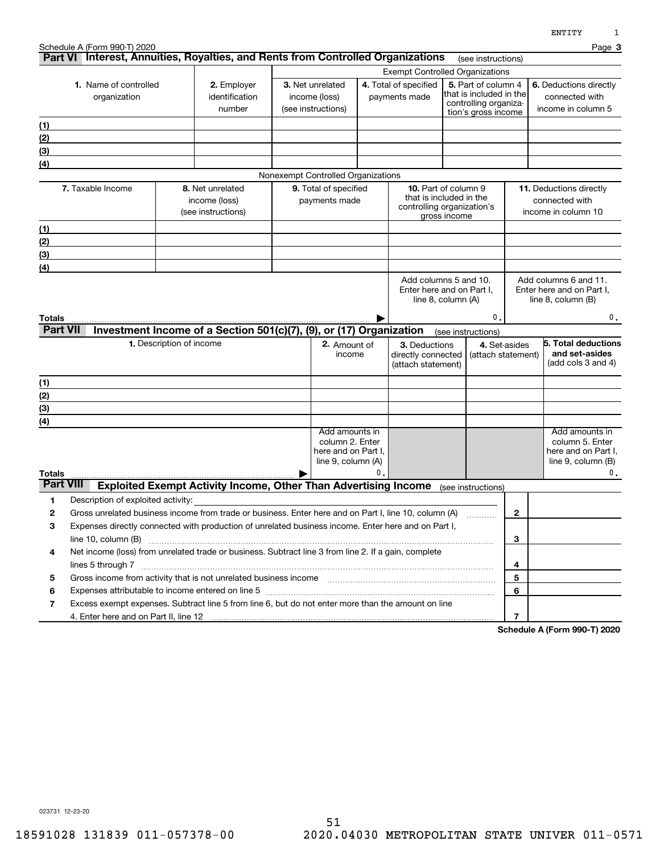| Schedule A (Form 990-T) 2020            |                          |                                                                                                                   |                                                                                                       |                                    |                                        |                                                                         |              |                     |                                                                | <b>LIN 1 1 1 1</b><br>Page 3         |  |
|-----------------------------------------|--------------------------|-------------------------------------------------------------------------------------------------------------------|-------------------------------------------------------------------------------------------------------|------------------------------------|----------------------------------------|-------------------------------------------------------------------------|--------------|---------------------|----------------------------------------------------------------|--------------------------------------|--|
|                                         |                          |                                                                                                                   | Part VI Interest, Annuities, Royalties, and Rents from Controlled Organizations<br>(see instructions) |                                    |                                        |                                                                         |              |                     |                                                                |                                      |  |
|                                         |                          |                                                                                                                   | <b>Exempt Controlled Organizations</b>                                                                |                                    |                                        |                                                                         |              |                     |                                                                |                                      |  |
| 1. Name of controlled<br>organization   |                          | 2. Employer<br>identification<br>number                                                                           | 3. Net unrelated<br>income (loss)<br>(see instructions)                                               |                                    | 4. Total of specified<br>payments made | 5. Part of column 4<br>that is included in the<br>controlling organiza- |              |                     | 6. Deductions directly<br>connected with<br>income in column 5 |                                      |  |
|                                         |                          |                                                                                                                   |                                                                                                       |                                    |                                        |                                                                         |              | tion's gross income |                                                                |                                      |  |
| <u>(1)</u>                              |                          |                                                                                                                   |                                                                                                       |                                    |                                        |                                                                         |              |                     |                                                                |                                      |  |
| (2)                                     |                          |                                                                                                                   |                                                                                                       |                                    |                                        |                                                                         |              |                     |                                                                |                                      |  |
| (3)                                     |                          |                                                                                                                   |                                                                                                       |                                    |                                        |                                                                         |              |                     |                                                                |                                      |  |
| (4)                                     |                          |                                                                                                                   |                                                                                                       | Nonexempt Controlled Organizations |                                        |                                                                         |              |                     |                                                                |                                      |  |
| 7. Taxable Income                       |                          | 8. Net unrelated                                                                                                  |                                                                                                       | 9. Total of specified              |                                        | <b>10.</b> Part of column 9                                             |              |                     |                                                                | 11. Deductions directly              |  |
|                                         |                          | income (loss)                                                                                                     |                                                                                                       | payments made                      |                                        | that is included in the                                                 |              |                     |                                                                | connected with                       |  |
|                                         |                          | (see instructions)                                                                                                |                                                                                                       |                                    |                                        | controlling organization's                                              | gross income |                     |                                                                | income in column 10                  |  |
| (1)                                     |                          |                                                                                                                   |                                                                                                       |                                    |                                        |                                                                         |              |                     |                                                                |                                      |  |
| (2)                                     |                          |                                                                                                                   |                                                                                                       |                                    |                                        |                                                                         |              |                     |                                                                |                                      |  |
| (3)                                     |                          |                                                                                                                   |                                                                                                       |                                    |                                        |                                                                         |              |                     |                                                                |                                      |  |
| (4)                                     |                          |                                                                                                                   |                                                                                                       |                                    |                                        |                                                                         |              |                     |                                                                |                                      |  |
|                                         |                          |                                                                                                                   |                                                                                                       |                                    |                                        | Add columns 5 and 10.                                                   |              |                     |                                                                | Add columns 6 and 11.                |  |
|                                         |                          |                                                                                                                   |                                                                                                       |                                    |                                        | Enter here and on Part I,                                               |              |                     |                                                                | Enter here and on Part I,            |  |
|                                         |                          |                                                                                                                   |                                                                                                       |                                    |                                        | line 8, column (A)                                                      |              |                     |                                                                | line $8$ , column $(B)$              |  |
| Totals                                  |                          |                                                                                                                   |                                                                                                       |                                    |                                        |                                                                         |              | 0                   |                                                                | $\mathbf 0$ .                        |  |
| <b>Part VII</b>                         |                          | Investment Income of a Section 501(c)(7), (9), or (17) Organization                                               |                                                                                                       |                                    |                                        |                                                                         |              | (see instructions)  |                                                                |                                      |  |
|                                         | 1. Description of income |                                                                                                                   |                                                                                                       | 2. Amount of                       |                                        | 3. Deductions                                                           |              | 4. Set-asides       |                                                                | 5. Total deductions                  |  |
|                                         |                          |                                                                                                                   |                                                                                                       | income                             |                                        | directly connected<br>(attach statement)                                |              | (attach statement)  |                                                                | and set-asides<br>(add cols 3 and 4) |  |
| (1)                                     |                          |                                                                                                                   |                                                                                                       |                                    |                                        |                                                                         |              |                     |                                                                |                                      |  |
| (2)                                     |                          |                                                                                                                   |                                                                                                       |                                    |                                        |                                                                         |              |                     |                                                                |                                      |  |
| (3)                                     |                          |                                                                                                                   |                                                                                                       |                                    |                                        |                                                                         |              |                     |                                                                |                                      |  |
| (4)                                     |                          |                                                                                                                   |                                                                                                       |                                    |                                        |                                                                         |              |                     |                                                                |                                      |  |
|                                         |                          |                                                                                                                   |                                                                                                       | Add amounts in<br>column 2. Enter  |                                        |                                                                         |              |                     |                                                                | Add amounts in<br>column 5. Enter    |  |
|                                         |                          |                                                                                                                   |                                                                                                       | here and on Part I,                |                                        |                                                                         |              |                     |                                                                | here and on Part I,                  |  |
|                                         |                          |                                                                                                                   |                                                                                                       | line 9, column (A)                 |                                        |                                                                         |              |                     |                                                                | line $9$ , column $(B)$              |  |
| Totals                                  |                          |                                                                                                                   |                                                                                                       |                                    | 0.                                     |                                                                         |              |                     |                                                                | $\mathbf 0$ .                        |  |
| <b>Part VIII</b>                        |                          | <b>Exploited Exempt Activity Income, Other Than Advertising Income</b>                                            |                                                                                                       |                                    |                                        |                                                                         |              | (see instructions)  |                                                                |                                      |  |
| Description of exploited activity:<br>1 |                          |                                                                                                                   |                                                                                                       |                                    |                                        |                                                                         |              |                     |                                                                |                                      |  |
| 2                                       |                          | Gross unrelated business income from trade or business. Enter here and on Part I, line 10, column (A)             |                                                                                                       |                                    |                                        |                                                                         |              |                     | $\mathbf{2}$                                                   |                                      |  |
| 3                                       |                          | Expenses directly connected with production of unrelated business income. Enter here and on Part I,               |                                                                                                       |                                    |                                        |                                                                         |              |                     |                                                                |                                      |  |
|                                         |                          |                                                                                                                   |                                                                                                       |                                    |                                        |                                                                         |              |                     | 3                                                              |                                      |  |
| 4                                       |                          | Net income (loss) from unrelated trade or business. Subtract line 3 from line 2. If a gain, complete              |                                                                                                       |                                    |                                        |                                                                         |              |                     |                                                                |                                      |  |
|                                         |                          |                                                                                                                   |                                                                                                       |                                    |                                        |                                                                         |              |                     | 4                                                              |                                      |  |
| 5                                       |                          |                                                                                                                   |                                                                                                       |                                    |                                        |                                                                         |              |                     | 5                                                              |                                      |  |
| 6                                       |                          | Expenses attributable to income entered on line 5 [111] [12] manufacture attributable to income entered on line 5 |                                                                                                       |                                    |                                        |                                                                         |              |                     | 6                                                              |                                      |  |
| 7                                       |                          | Excess exempt expenses. Subtract line 5 from line 6, but do not enter more than the amount on line                |                                                                                                       |                                    |                                        |                                                                         |              |                     |                                                                |                                      |  |
|                                         |                          |                                                                                                                   |                                                                                                       |                                    |                                        |                                                                         |              |                     | 7                                                              |                                      |  |

**Schedule A (Form 990-T) 2020**

023731 12-23-20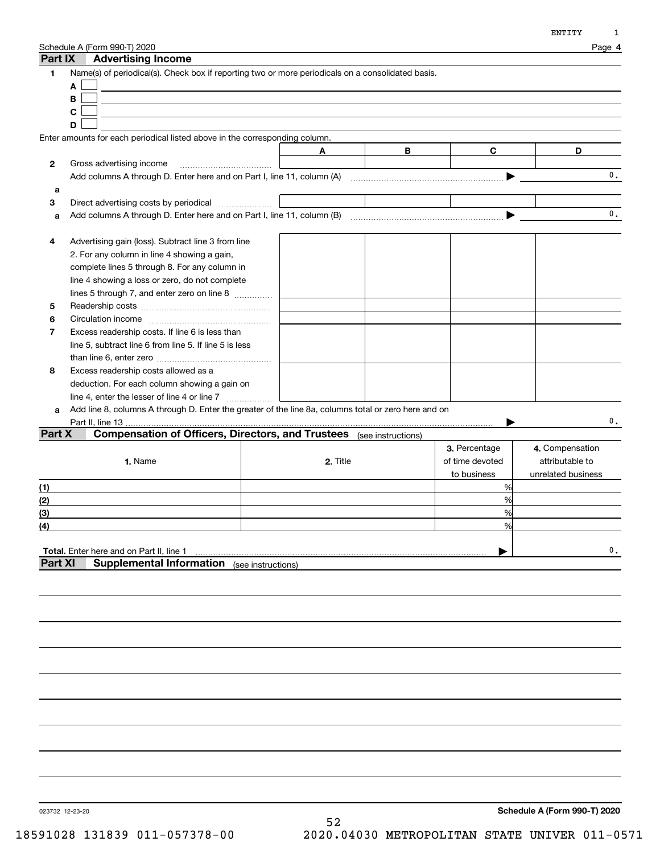| Part IX                    | Schedule A (Form 990-T) 2020<br><b>Advertising Income</b>                                                                                                                                                                                                                                                                                                                                                                                                                                                                                                                                                        |                    |          |   |                                                      | Page 4                                                   |
|----------------------------|------------------------------------------------------------------------------------------------------------------------------------------------------------------------------------------------------------------------------------------------------------------------------------------------------------------------------------------------------------------------------------------------------------------------------------------------------------------------------------------------------------------------------------------------------------------------------------------------------------------|--------------------|----------|---|------------------------------------------------------|----------------------------------------------------------|
| 1                          | Name(s) of periodical(s). Check box if reporting two or more periodicals on a consolidated basis.<br>A<br>B<br>C<br>D                                                                                                                                                                                                                                                                                                                                                                                                                                                                                            |                    |          |   |                                                      |                                                          |
|                            | Enter amounts for each periodical listed above in the corresponding column.                                                                                                                                                                                                                                                                                                                                                                                                                                                                                                                                      |                    |          |   |                                                      |                                                          |
|                            |                                                                                                                                                                                                                                                                                                                                                                                                                                                                                                                                                                                                                  |                    | Α        | B | C                                                    | D                                                        |
| 2                          | Gross advertising income                                                                                                                                                                                                                                                                                                                                                                                                                                                                                                                                                                                         |                    |          |   |                                                      | $\mathbf{0}$ .                                           |
|                            | Add columns A through D. Enter here and on Part I, line 11, column (A)                                                                                                                                                                                                                                                                                                                                                                                                                                                                                                                                           |                    |          |   |                                                      |                                                          |
| a<br>3                     | Direct advertising costs by periodical <i>manumum</i>                                                                                                                                                                                                                                                                                                                                                                                                                                                                                                                                                            |                    |          |   |                                                      |                                                          |
| a                          | Add columns A through D. Enter here and on Part I, line 11, column $(B)$                                                                                                                                                                                                                                                                                                                                                                                                                                                                                                                                         |                    |          |   |                                                      | $\mathbf{0}$ .                                           |
| 4<br>5<br>6<br>7<br>8<br>a | Advertising gain (loss). Subtract line 3 from line<br>2. For any column in line 4 showing a gain,<br>complete lines 5 through 8. For any column in<br>line 4 showing a loss or zero, do not complete<br>lines 5 through 7, and enter zero on line 8<br>Excess readership costs. If line 6 is less than<br>line 5, subtract line 6 from line 5. If line 5 is less<br>Excess readership costs allowed as a<br>deduction. For each column showing a gain on<br>line 4, enter the lesser of line 4 or line 7<br>Add line 8, columns A through D. Enter the greater of the line 8a, columns total or zero here and on |                    |          |   |                                                      |                                                          |
|                            | Part II, line 13                                                                                                                                                                                                                                                                                                                                                                                                                                                                                                                                                                                                 |                    |          |   |                                                      | 0.                                                       |
| Part X<br><u>(1)</u>       | <b>Compensation of Officers, Directors, and Trustees</b> (see instructions)<br>1. Name                                                                                                                                                                                                                                                                                                                                                                                                                                                                                                                           |                    | 2. Title |   | 3. Percentage<br>of time devoted<br>to business<br>% | 4. Compensation<br>attributable to<br>unrelated business |
| (2)                        |                                                                                                                                                                                                                                                                                                                                                                                                                                                                                                                                                                                                                  |                    |          |   | %                                                    |                                                          |
| (3)                        |                                                                                                                                                                                                                                                                                                                                                                                                                                                                                                                                                                                                                  |                    |          |   | %                                                    |                                                          |
| (4)                        |                                                                                                                                                                                                                                                                                                                                                                                                                                                                                                                                                                                                                  |                    |          |   | %                                                    |                                                          |
| Part XI                    | Total. Enter here and on Part II, line 1<br><b>Supplemental Information</b>                                                                                                                                                                                                                                                                                                                                                                                                                                                                                                                                      | (see instructions) |          |   |                                                      | $\mathbf{0}$ .                                           |
|                            |                                                                                                                                                                                                                                                                                                                                                                                                                                                                                                                                                                                                                  |                    |          |   |                                                      |                                                          |

023732 12-23-20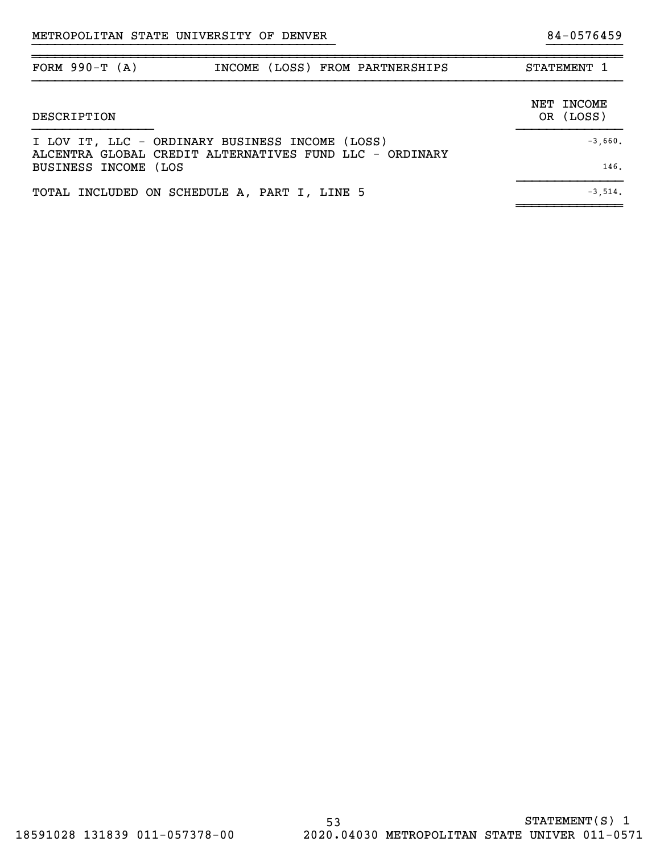~~~~~~~~~~~~~~~~~~~~~~~~~~~~~~~~~~~~~~~~~~~~~~~~~~~~~~~~~~~~~~~~~~~~~~~~~~~~~~

| FORM $990-T (A)$     | INCOME (LOSS) FROM PARTNERSHIPS                                                                            | STATEMENT 1             |
|----------------------|------------------------------------------------------------------------------------------------------------|-------------------------|
| DESCRIPTION          |                                                                                                            | NET INCOME<br>OR (LOSS) |
|                      | I LOV IT, LLC - ORDINARY BUSINESS INCOME (LOSS)<br>ALCENTRA GLOBAL CREDIT ALTERNATIVES FUND LLC - ORDINARY | $-3,660$ .              |
| BUSINESS INCOME (LOS |                                                                                                            | 146.                    |
|                      | TOTAL INCLUDED ON SCHEDULE A, PART I, LINE 5                                                               | $-3,514.$               |

}}}}}}}}}}}}}}}}}}}}}}}}}}}}}}}}}}}}}}}} }}}}}}}}}}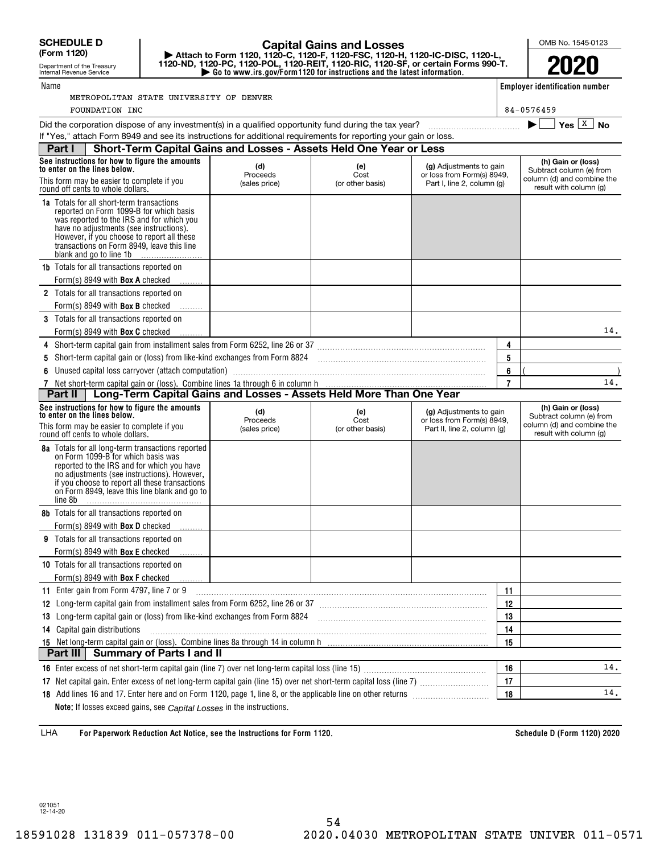Department of the Treasury Internal Revenue Service **(Form 1120)**

### **| Go to www.irs.gov/Form1120 for instructions and the latest information. | Attach to Form 1120, 1120-C, 1120-F, 1120-FSC, 1120-H, 1120-IC-DISC, 1120-L, 1120-ND, 1120-PC, 1120-POL, 1120-REIT, 1120-RIC, 1120-SF, or certain Forms 990-T. Capital Gains and Losses**

OMB No. 1545-0123

**Employer identification number**

Name

METROPOLITAN STATE UNIVERSITY OF DENVER

FOUNDATION INC

|  | 84-0576459 |  |  |  |  |
|--|------------|--|--|--|--|

 $\blacktriangleright$   $\Box$  Yes  $\boxed{X}$  No

| Did the corporation dispose of any investment(s) in a qualified opportunity fund during the tax year?            |  |
|------------------------------------------------------------------------------------------------------------------|--|
| If "Yes," attach Form 8949 and see its instructions for additional requirements for reporting your gain or loss. |  |

|   | Short-Term Capital Gains and Losses - Assets Held One Year or Less<br>Part I                                                                                                                                                                                                                               |                                  |                                 |                                                                                      |                |                                                                                                        |
|---|------------------------------------------------------------------------------------------------------------------------------------------------------------------------------------------------------------------------------------------------------------------------------------------------------------|----------------------------------|---------------------------------|--------------------------------------------------------------------------------------|----------------|--------------------------------------------------------------------------------------------------------|
|   | See instructions for how to figure the amounts<br>to enter on the lines below.<br>This form may be easier to complete if you                                                                                                                                                                               | (d)<br>Proceeds<br>(sales price) | (e)<br>Cost<br>(or other basis) | (g) Adjustments to gain<br>or loss from Form(s) 8949,<br>Part I, line 2, column (g)  |                | (h) Gain or (loss)<br>Subtract column (e) from<br>column (d) and combine the<br>result with column (g) |
|   | round off cents to whole dollars.                                                                                                                                                                                                                                                                          |                                  |                                 |                                                                                      |                |                                                                                                        |
|   | <b>1a</b> Totals for all short-term transactions<br>reported on Form 1099-B for which basis<br>was reported to the IRS and for which you<br>have no adjustments (see instructions).<br>However, if you choose to report all these<br>transactions on Form 8949, leave this line<br>blank and go to line 1b |                                  |                                 |                                                                                      |                |                                                                                                        |
|   | <b>1b</b> Totals for all transactions reported on                                                                                                                                                                                                                                                          |                                  |                                 |                                                                                      |                |                                                                                                        |
|   | Form(s) 8949 with <b>Box A</b> checked                                                                                                                                                                                                                                                                     |                                  |                                 |                                                                                      |                |                                                                                                        |
|   | <b>2</b> Totals for all transactions reported on                                                                                                                                                                                                                                                           |                                  |                                 |                                                                                      |                |                                                                                                        |
|   | Form(s) 8949 with <b>Box B</b> checked                                                                                                                                                                                                                                                                     |                                  |                                 |                                                                                      |                |                                                                                                        |
|   | <b>3</b> Totals for all transactions reported on                                                                                                                                                                                                                                                           |                                  |                                 |                                                                                      |                |                                                                                                        |
|   | Form(s) 8949 with <b>Box C</b> checked                                                                                                                                                                                                                                                                     |                                  |                                 |                                                                                      |                | 14.                                                                                                    |
|   |                                                                                                                                                                                                                                                                                                            |                                  |                                 |                                                                                      | 4              |                                                                                                        |
| 5 |                                                                                                                                                                                                                                                                                                            |                                  |                                 |                                                                                      | 5              |                                                                                                        |
|   | Unused capital loss carryover (attach computation) manufaction and the content of the content of the content of                                                                                                                                                                                            |                                  |                                 |                                                                                      | 6              |                                                                                                        |
|   | 7 Net short-term capital gain or (loss). Combine lines 1a through 6 in column h                                                                                                                                                                                                                            |                                  |                                 |                                                                                      | $\overline{7}$ | 14.                                                                                                    |
|   | Long-Term Capital Gains and Losses - Assets Held More Than One Year<br>Part II                                                                                                                                                                                                                             |                                  |                                 |                                                                                      |                |                                                                                                        |
|   | See instructions for how to figure the amounts<br>to enter on the lines below.                                                                                                                                                                                                                             | (d)<br>Proceeds<br>(sales price) | (e)<br>Cost<br>(or other basis) | (g) Adjustments to gain<br>or loss from Form(s) 8949.<br>Part II, line 2, column (g) |                | (h) Gain or (loss)<br>Subtract column (e) from<br>column (d) and combine the                           |
|   | This form may be easier to complete if you<br>round off cents to whole dollars.                                                                                                                                                                                                                            |                                  |                                 |                                                                                      |                | result with column (g)                                                                                 |
|   | 8a Totals for all long-term transactions reported<br>on Form 1099-B for which basis was<br>reported to the IRS and for which you have<br>no adjustments (see instructions). However,<br>if you choose to report all these transactions<br>on Form 8949, leave this line blank and go to<br>line 8b         |                                  |                                 |                                                                                      |                |                                                                                                        |
|   | 8b Totals for all transactions reported on                                                                                                                                                                                                                                                                 |                                  |                                 |                                                                                      |                |                                                                                                        |
|   | Form(s) 8949 with <b>Box D</b> checked                                                                                                                                                                                                                                                                     |                                  |                                 |                                                                                      |                |                                                                                                        |
|   | <b>9</b> Totals for all transactions reported on                                                                                                                                                                                                                                                           |                                  |                                 |                                                                                      |                |                                                                                                        |
|   | Form(s) 8949 with <b>Box E</b> checked                                                                                                                                                                                                                                                                     |                                  |                                 |                                                                                      |                |                                                                                                        |
|   | 10 Totals for all transactions reported on                                                                                                                                                                                                                                                                 |                                  |                                 |                                                                                      |                |                                                                                                        |
|   | Form(s) 8949 with Box F checked                                                                                                                                                                                                                                                                            |                                  |                                 |                                                                                      |                |                                                                                                        |
|   | 11 Enter gain from Form 4797, line 7 or 9                                                                                                                                                                                                                                                                  |                                  |                                 |                                                                                      | 11             |                                                                                                        |
|   |                                                                                                                                                                                                                                                                                                            |                                  |                                 |                                                                                      | 12             |                                                                                                        |
|   | 13 Long-term capital gain or (loss) from like-kind exchanges from Form 8824 [11] [12] Long-term capital gain or (loss) from like-kind exchanges from Form 8824                                                                                                                                             |                                  |                                 |                                                                                      | 13             |                                                                                                        |
|   | 14 Capital gain distributions                                                                                                                                                                                                                                                                              |                                  |                                 |                                                                                      | 14             |                                                                                                        |
|   |                                                                                                                                                                                                                                                                                                            |                                  |                                 |                                                                                      | 15             |                                                                                                        |
|   | <b>Summary of Parts I and II</b><br>Part III                                                                                                                                                                                                                                                               |                                  |                                 |                                                                                      |                |                                                                                                        |
|   |                                                                                                                                                                                                                                                                                                            |                                  |                                 |                                                                                      | 16             | 14.                                                                                                    |
|   |                                                                                                                                                                                                                                                                                                            |                                  |                                 |                                                                                      | 17             |                                                                                                        |
|   | 18 Add lines 16 and 17. Enter here and on Form 1120, page 1, line 8, or the applicable line on other returns                                                                                                                                                                                               |                                  |                                 |                                                                                      | 18             | 14.                                                                                                    |

**Note:** If losses exceed gains, see *Capital Losses* in the instructions.

**For Paperwork Reduction Act Notice, see the Instructions for Form 1120. Schedule D (Form 1120) 2020** LHA

021051 12-14-20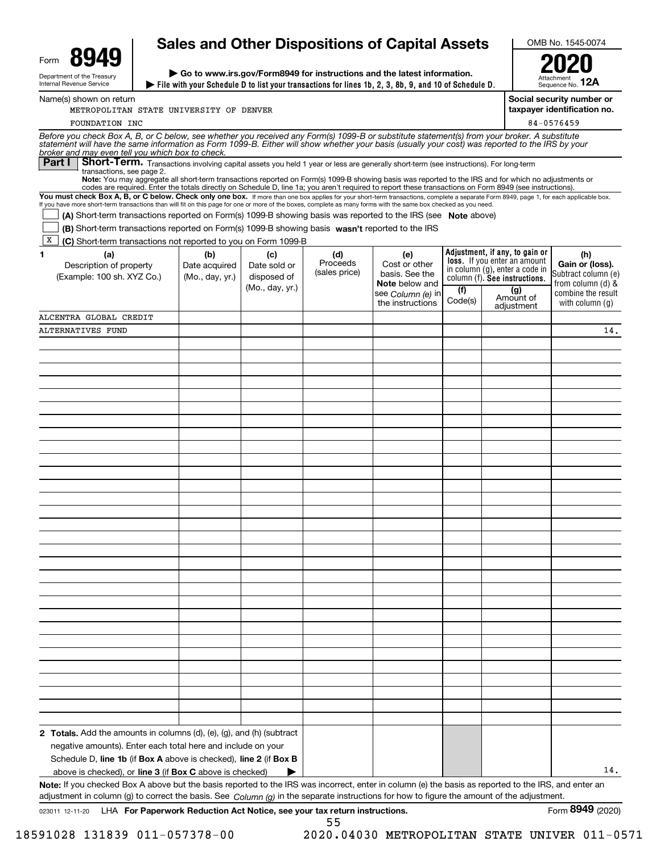|                                                                   | <b>Sales and Other Dispositions of Capital Assets</b>                                                                                                                                                                                                                                                                                                                                                                                                                                                                                                                          |                                                       |                                  |                                                                                                   |                |                                                                                                                                                                     | OMB No. 1545-0074                                                                                             |  |
|-------------------------------------------------------------------|--------------------------------------------------------------------------------------------------------------------------------------------------------------------------------------------------------------------------------------------------------------------------------------------------------------------------------------------------------------------------------------------------------------------------------------------------------------------------------------------------------------------------------------------------------------------------------|-------------------------------------------------------|----------------------------------|---------------------------------------------------------------------------------------------------|----------------|---------------------------------------------------------------------------------------------------------------------------------------------------------------------|---------------------------------------------------------------------------------------------------------------|--|
| Form<br>Department of the Treasury<br>Internal Revenue Service    | File with your Schedule D to list your transactions for lines 1b, 2, 3, 8b, 9, and 10 of Schedule D.                                                                                                                                                                                                                                                                                                                                                                                                                                                                           |                                                       |                                  | $\triangleright$ Go to www.irs.gov/Form8949 for instructions and the latest information.          |                | Attachment<br>Sequence No. 12A                                                                                                                                      |                                                                                                               |  |
| Name(s) shown on return                                           | METROPOLITAN STATE UNIVERSITY OF DENVER                                                                                                                                                                                                                                                                                                                                                                                                                                                                                                                                        |                                                       |                                  |                                                                                                   |                |                                                                                                                                                                     | Social security number or<br>taxpayer identification no.                                                      |  |
| <b>FOUNDATION INC</b>                                             |                                                                                                                                                                                                                                                                                                                                                                                                                                                                                                                                                                                |                                                       |                                  |                                                                                                   |                |                                                                                                                                                                     | 84-0576459                                                                                                    |  |
| broker and may even tell you which box to check.                  | Before you check Box A, B, or C below, see whether you received any Form(s) 1099-B or substitute statement(s) from your broker. A substitute<br>statement will have the same information as Form 1099-B. Either will show whether your basis (usually your cost) was reported to the IRS by your                                                                                                                                                                                                                                                                               |                                                       |                                  |                                                                                                   |                |                                                                                                                                                                     |                                                                                                               |  |
| Part I<br>transactions, see page 2.                               | Short-Term. Transactions involving capital assets you held 1 year or less are generally short-term (see instructions). For long-term<br>Note: You may aggregate all short-term transactions reported on Form(s) 1099-B showing basis was reported to the IRS and for which no adjustments or<br>codes are required. Enter the totals directly on Schedule D, line 1a; you aren't required to report these transactions on Form 8949 (see instructions).                                                                                                                        |                                                       |                                  |                                                                                                   |                |                                                                                                                                                                     |                                                                                                               |  |
| х                                                                 | You must check Box A, B, or C below. Check only one box. If more than one box applies for your short-term transactions, complete a separate Form 8949, page 1, for each applicable box.<br>If you have more short-term transactions than will fit on this page for one or more of the boxes, complete as many forms with the same box checked as you need.<br>(A) Short-term transactions reported on Form(s) 1099-B showing basis was reported to the IRS (see Note above)<br>(B) Short-term transactions reported on Form(s) 1099-B showing basis wasn't reported to the IRS |                                                       |                                  |                                                                                                   |                |                                                                                                                                                                     |                                                                                                               |  |
| (a)<br>1<br>Description of property<br>(Example: 100 sh. XYZ Co.) | (C) Short-term transactions not reported to you on Form 1099-B<br>(b)<br>Date acquired<br>(Mo., day, yr.)                                                                                                                                                                                                                                                                                                                                                                                                                                                                      | (c)<br>Date sold or<br>disposed of<br>(Mo., day, yr.) | (d)<br>Proceeds<br>(sales price) | (e)<br>Cost or other<br>basis. See the<br>Note below and<br>see Column (e) in<br>the instructions | (f)<br>Code(s) | Adjustment, if any, to gain or<br>loss. If you enter an amount<br>in column (g), enter a code in<br>column (f). See instructions.<br>(g)<br>Amount of<br>adiustment | (h)<br>Gain or (loss).<br>Subtract column (e)<br>from column (d) &<br>combine the result<br>with column $(g)$ |  |
| ALCENTRA GLOBAL CREDIT                                            |                                                                                                                                                                                                                                                                                                                                                                                                                                                                                                                                                                                |                                                       |                                  |                                                                                                   |                |                                                                                                                                                                     |                                                                                                               |  |
| ALTERNATIVES FUND                                                 |                                                                                                                                                                                                                                                                                                                                                                                                                                                                                                                                                                                |                                                       |                                  |                                                                                                   |                |                                                                                                                                                                     | 14.                                                                                                           |  |
|                                                                   |                                                                                                                                                                                                                                                                                                                                                                                                                                                                                                                                                                                |                                                       |                                  |                                                                                                   |                |                                                                                                                                                                     |                                                                                                               |  |
|                                                                   |                                                                                                                                                                                                                                                                                                                                                                                                                                                                                                                                                                                |                                                       |                                  |                                                                                                   |                |                                                                                                                                                                     |                                                                                                               |  |
|                                                                   |                                                                                                                                                                                                                                                                                                                                                                                                                                                                                                                                                                                |                                                       |                                  |                                                                                                   |                |                                                                                                                                                                     |                                                                                                               |  |
|                                                                   |                                                                                                                                                                                                                                                                                                                                                                                                                                                                                                                                                                                |                                                       |                                  |                                                                                                   |                |                                                                                                                                                                     |                                                                                                               |  |
|                                                                   |                                                                                                                                                                                                                                                                                                                                                                                                                                                                                                                                                                                |                                                       |                                  |                                                                                                   |                |                                                                                                                                                                     |                                                                                                               |  |
|                                                                   |                                                                                                                                                                                                                                                                                                                                                                                                                                                                                                                                                                                |                                                       |                                  |                                                                                                   |                |                                                                                                                                                                     |                                                                                                               |  |
|                                                                   |                                                                                                                                                                                                                                                                                                                                                                                                                                                                                                                                                                                |                                                       |                                  |                                                                                                   |                |                                                                                                                                                                     |                                                                                                               |  |
|                                                                   |                                                                                                                                                                                                                                                                                                                                                                                                                                                                                                                                                                                |                                                       |                                  |                                                                                                   |                |                                                                                                                                                                     |                                                                                                               |  |
|                                                                   |                                                                                                                                                                                                                                                                                                                                                                                                                                                                                                                                                                                |                                                       |                                  |                                                                                                   |                |                                                                                                                                                                     |                                                                                                               |  |
|                                                                   |                                                                                                                                                                                                                                                                                                                                                                                                                                                                                                                                                                                |                                                       |                                  |                                                                                                   |                |                                                                                                                                                                     |                                                                                                               |  |
|                                                                   |                                                                                                                                                                                                                                                                                                                                                                                                                                                                                                                                                                                |                                                       |                                  |                                                                                                   |                |                                                                                                                                                                     |                                                                                                               |  |
|                                                                   |                                                                                                                                                                                                                                                                                                                                                                                                                                                                                                                                                                                |                                                       |                                  |                                                                                                   |                |                                                                                                                                                                     |                                                                                                               |  |
|                                                                   |                                                                                                                                                                                                                                                                                                                                                                                                                                                                                                                                                                                |                                                       |                                  |                                                                                                   |                |                                                                                                                                                                     |                                                                                                               |  |
|                                                                   |                                                                                                                                                                                                                                                                                                                                                                                                                                                                                                                                                                                |                                                       |                                  |                                                                                                   |                |                                                                                                                                                                     |                                                                                                               |  |
|                                                                   |                                                                                                                                                                                                                                                                                                                                                                                                                                                                                                                                                                                |                                                       |                                  |                                                                                                   |                |                                                                                                                                                                     |                                                                                                               |  |
|                                                                   |                                                                                                                                                                                                                                                                                                                                                                                                                                                                                                                                                                                |                                                       |                                  |                                                                                                   |                |                                                                                                                                                                     |                                                                                                               |  |
|                                                                   |                                                                                                                                                                                                                                                                                                                                                                                                                                                                                                                                                                                |                                                       |                                  |                                                                                                   |                |                                                                                                                                                                     |                                                                                                               |  |
|                                                                   |                                                                                                                                                                                                                                                                                                                                                                                                                                                                                                                                                                                |                                                       |                                  |                                                                                                   |                |                                                                                                                                                                     |                                                                                                               |  |
|                                                                   |                                                                                                                                                                                                                                                                                                                                                                                                                                                                                                                                                                                |                                                       |                                  |                                                                                                   |                |                                                                                                                                                                     |                                                                                                               |  |
|                                                                   |                                                                                                                                                                                                                                                                                                                                                                                                                                                                                                                                                                                |                                                       |                                  |                                                                                                   |                |                                                                                                                                                                     |                                                                                                               |  |
|                                                                   |                                                                                                                                                                                                                                                                                                                                                                                                                                                                                                                                                                                |                                                       |                                  |                                                                                                   |                |                                                                                                                                                                     |                                                                                                               |  |
|                                                                   |                                                                                                                                                                                                                                                                                                                                                                                                                                                                                                                                                                                |                                                       |                                  |                                                                                                   |                |                                                                                                                                                                     |                                                                                                               |  |
|                                                                   |                                                                                                                                                                                                                                                                                                                                                                                                                                                                                                                                                                                |                                                       |                                  |                                                                                                   |                |                                                                                                                                                                     |                                                                                                               |  |
|                                                                   |                                                                                                                                                                                                                                                                                                                                                                                                                                                                                                                                                                                |                                                       |                                  |                                                                                                   |                |                                                                                                                                                                     |                                                                                                               |  |
|                                                                   |                                                                                                                                                                                                                                                                                                                                                                                                                                                                                                                                                                                |                                                       |                                  |                                                                                                   |                |                                                                                                                                                                     |                                                                                                               |  |
|                                                                   |                                                                                                                                                                                                                                                                                                                                                                                                                                                                                                                                                                                |                                                       |                                  |                                                                                                   |                |                                                                                                                                                                     |                                                                                                               |  |
|                                                                   |                                                                                                                                                                                                                                                                                                                                                                                                                                                                                                                                                                                |                                                       |                                  |                                                                                                   |                |                                                                                                                                                                     |                                                                                                               |  |
|                                                                   | <b>2 Totals.</b> Add the amounts in columns (d), (e), (g), and (h) (subtract                                                                                                                                                                                                                                                                                                                                                                                                                                                                                                   |                                                       |                                  |                                                                                                   |                |                                                                                                                                                                     |                                                                                                               |  |
|                                                                   | negative amounts). Enter each total here and include on your<br>Schedule D, line 1b (if Box A above is checked), line 2 (if Box B                                                                                                                                                                                                                                                                                                                                                                                                                                              |                                                       |                                  |                                                                                                   |                |                                                                                                                                                                     |                                                                                                               |  |
|                                                                   | above is checked), or line 3 (if Box C above is checked)                                                                                                                                                                                                                                                                                                                                                                                                                                                                                                                       |                                                       |                                  |                                                                                                   |                |                                                                                                                                                                     | 14.                                                                                                           |  |
|                                                                   | Note: If you checked Box A above but the basis reported to the IRS was incorrect, enter in column (e) the basis as reported to the IRS, and enter an<br>adjustment in column (g) to correct the basis. See $Column(q)$ in the separate instructions for how to figure the amount of the adjustment.                                                                                                                                                                                                                                                                            |                                                       |                                  |                                                                                                   |                |                                                                                                                                                                     |                                                                                                               |  |

55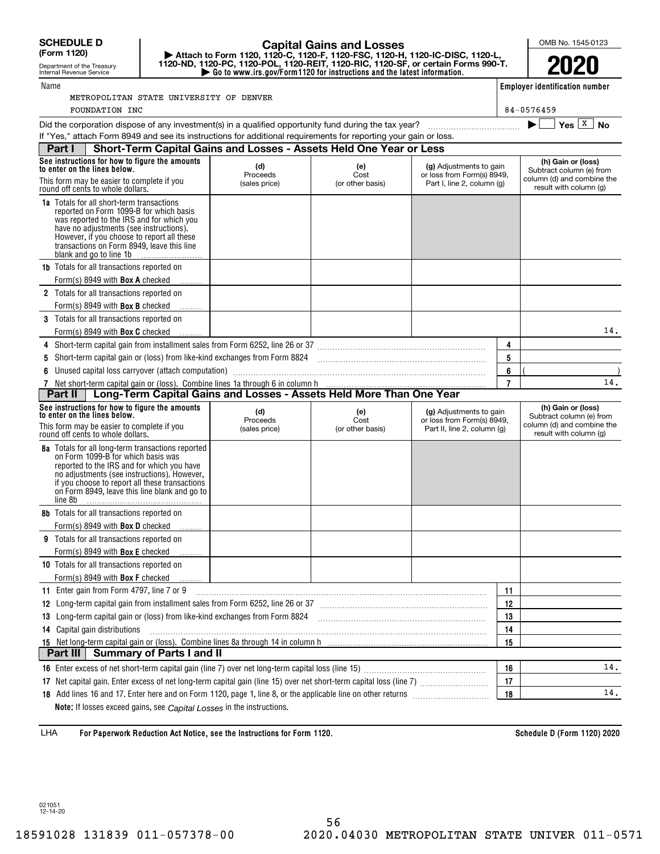**(Form 1120)**

## Department of the Treasury Internal Revenue Service

### **| Go to www.irs.gov/Form1120 for instructions and the latest information. | Attach to Form 1120, 1120-C, 1120-F, 1120-FSC, 1120-H, 1120-IC-DISC, 1120-L, 1120-ND, 1120-PC, 1120-POL, 1120-REIT, 1120-RIC, 1120-SF, or certain Forms 990-T. Capital Gains and Losses**

OMB No. 1545-0123

**Employer identification number**

 $\blacktriangleright$   $\Box$  Yes  $\boxed{X}$  No

Name

METROPOLITAN STATE UNIVERSITY OF DENVER

FOUNDATION INC

| 84-0576459 |  |  |  |
|------------|--|--|--|

Did the corporation dispose of any investment(s) in a qualified opportunity fund during the tax year?  $\Box$   $\Box$ If "Yes," attach Form 8949 and see its instructions for additional requirements for reporting your gain or loss.

| Short-Term Capital Gains and Losses - Assets Held One Year or Less<br>Part I                                                                                                                                                                                                                               |                                  |                                 |                                                                                      |                |                                                                                                        |
|------------------------------------------------------------------------------------------------------------------------------------------------------------------------------------------------------------------------------------------------------------------------------------------------------------|----------------------------------|---------------------------------|--------------------------------------------------------------------------------------|----------------|--------------------------------------------------------------------------------------------------------|
| See instructions for how to figure the amounts<br>to enter on the lines below.<br>This form may be easier to complete if you                                                                                                                                                                               | (d)<br>Proceeds                  | (e)<br>Cost                     | (g) Adjustments to gain<br>or loss from Form(s) 8949,                                |                | (h) Gain or (loss)<br>Subtract column (e) from<br>column (d) and combine the                           |
| round off cents to whole dollars.                                                                                                                                                                                                                                                                          | (sales price)                    | (or other basis)                | Part I, line 2, column (g)                                                           |                | result with column (g)                                                                                 |
| <b>1a</b> Totals for all short-term transactions<br>reported on Form 1099-B for which basis<br>was reported to the IRS and for which you<br>have no adjustments (see instructions).<br>However, if you choose to report all these<br>transactions on Form 8949, leave this line<br>blank and go to line 1b |                                  |                                 |                                                                                      |                |                                                                                                        |
| <b>1b</b> Totals for all transactions reported on<br>Form(s) 8949 with <b>Box A</b> checked                                                                                                                                                                                                                |                                  |                                 |                                                                                      |                |                                                                                                        |
| 2 Totals for all transactions reported on                                                                                                                                                                                                                                                                  |                                  |                                 |                                                                                      |                |                                                                                                        |
| Form(s) 8949 with <b>Box B</b> checked                                                                                                                                                                                                                                                                     |                                  |                                 |                                                                                      |                |                                                                                                        |
| <b>3</b> Totals for all transactions reported on                                                                                                                                                                                                                                                           |                                  |                                 |                                                                                      |                |                                                                                                        |
| Form(s) 8949 with <b>Box C</b> checked                                                                                                                                                                                                                                                                     |                                  |                                 |                                                                                      |                | 14.                                                                                                    |
|                                                                                                                                                                                                                                                                                                            |                                  |                                 |                                                                                      | 4              |                                                                                                        |
|                                                                                                                                                                                                                                                                                                            |                                  |                                 |                                                                                      | 5              |                                                                                                        |
|                                                                                                                                                                                                                                                                                                            |                                  |                                 |                                                                                      | 6              |                                                                                                        |
|                                                                                                                                                                                                                                                                                                            |                                  |                                 |                                                                                      | $\overline{7}$ | 14.                                                                                                    |
| Long-Term Capital Gains and Losses - Assets Held More Than One Year<br>Part II                                                                                                                                                                                                                             |                                  |                                 |                                                                                      |                |                                                                                                        |
| See instructions for how to figure the amounts<br>to enter on the lines below.<br>This form may be easier to complete if you<br>round off cents to whole dollars.                                                                                                                                          | (d)<br>Proceeds<br>(sales price) | (e)<br>Cost<br>(or other basis) | (g) Adjustments to gain<br>or loss from Form(s) 8949.<br>Part II, line 2, column (g) |                | (h) Gain or (loss)<br>Subtract column (e) from<br>column (d) and combine the<br>result with column (g) |
| <b>8a</b> Totals for all long-term transactions reported<br>on Form 1099-B for which basis was<br>reported to the IRS and for which you have<br>no adjustments (see instructions). However,<br>if you choose to report all these transactions<br>on Form 8949, leave this line blank and go to<br>line 8b  |                                  |                                 |                                                                                      |                |                                                                                                        |
| 8b Totals for all transactions reported on                                                                                                                                                                                                                                                                 |                                  |                                 |                                                                                      |                |                                                                                                        |
| Form(s) 8949 with <b>Box D</b> checked                                                                                                                                                                                                                                                                     |                                  |                                 |                                                                                      |                |                                                                                                        |
| <b>9</b> Totals for all transactions reported on                                                                                                                                                                                                                                                           |                                  |                                 |                                                                                      |                |                                                                                                        |
| Form(s) 8949 with <b>Box E</b> checked                                                                                                                                                                                                                                                                     |                                  |                                 |                                                                                      |                |                                                                                                        |
| <b>10</b> Totals for all transactions reported on                                                                                                                                                                                                                                                          |                                  |                                 |                                                                                      |                |                                                                                                        |
| Form(s) 8949 with <b>Box F</b> checked                                                                                                                                                                                                                                                                     |                                  |                                 |                                                                                      |                |                                                                                                        |
| 11 Enter gain from Form 4797, line 7 or 9                                                                                                                                                                                                                                                                  |                                  |                                 |                                                                                      | 11             |                                                                                                        |
| 12 Long-term capital gain from installment sales from Form 6252, line 26 or 37 [11] [12] Long-term capital gain from installment sales from Form 6252, line 26 or 37                                                                                                                                       |                                  |                                 |                                                                                      | 12             |                                                                                                        |
| 13 Long-term capital gain or (loss) from like-kind exchanges from Form 8824                                                                                                                                                                                                                                |                                  |                                 |                                                                                      | 13             |                                                                                                        |
| <b>14</b> Capital gain distributions                                                                                                                                                                                                                                                                       |                                  |                                 |                                                                                      | 14             |                                                                                                        |
| 15 Net long-term capital gain or (loss). Combine lines 8a through 14 in column h                                                                                                                                                                                                                           |                                  |                                 |                                                                                      | 15             |                                                                                                        |
| Part III<br><b>Summary of Parts I and II</b>                                                                                                                                                                                                                                                               |                                  |                                 |                                                                                      |                |                                                                                                        |
|                                                                                                                                                                                                                                                                                                            |                                  |                                 |                                                                                      | 16             | 14.                                                                                                    |
|                                                                                                                                                                                                                                                                                                            |                                  |                                 |                                                                                      | 17             |                                                                                                        |
|                                                                                                                                                                                                                                                                                                            |                                  |                                 |                                                                                      | 18             | 14.                                                                                                    |
| Note: If losses exceed gains, see Capital Losses in the instructions.                                                                                                                                                                                                                                      |                                  |                                 |                                                                                      |                |                                                                                                        |

**For Paperwork Reduction Act Notice, see the Instructions for Form 1120. Schedule D (Form 1120) 2020** LHA

021051 12-14-20